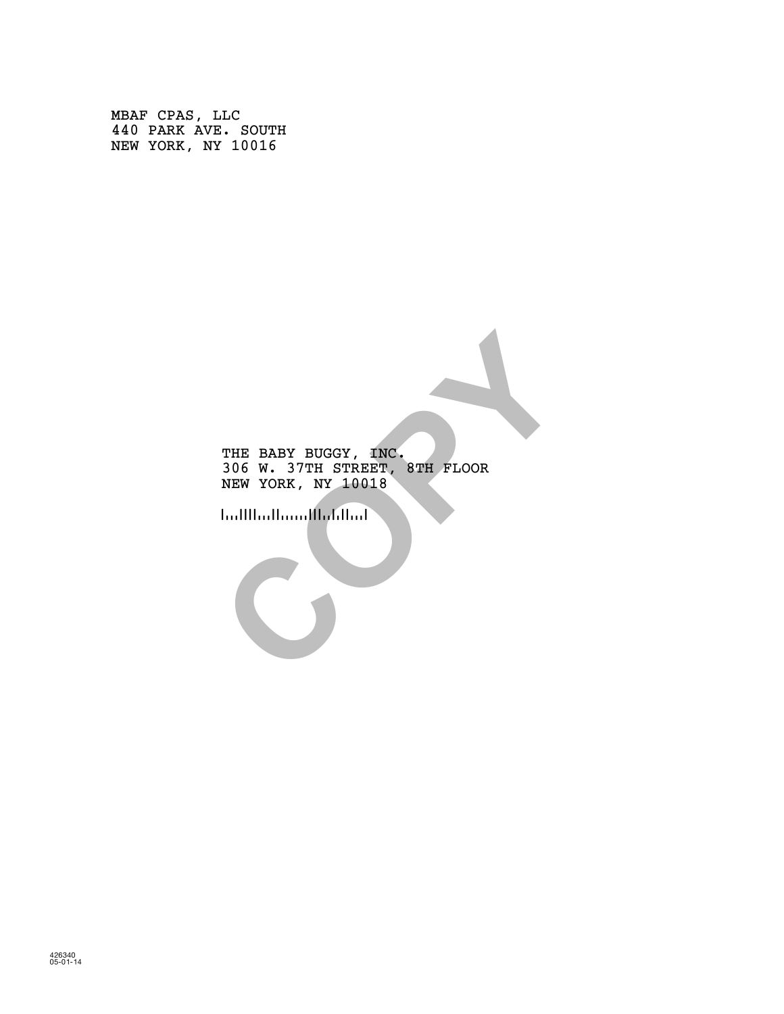MBAF CPAS, LLC 440 PARK AVE. SOUTH NEW YORK, NY 10016

> THE BABY BUGGY, INC.<br>
> 306 W. 37TH STREET, 8TH FLOOR<br>NEW YORK, NY 10018<br>
> Indianal Multiple of the state of the state of the state of the state of the state of the state of the state of the state of the state of the state of THE BABY BUGGY, INC. 306 W. 37TH STREET, 8TH FLOOR NEW YORK, NY 10018

!100180!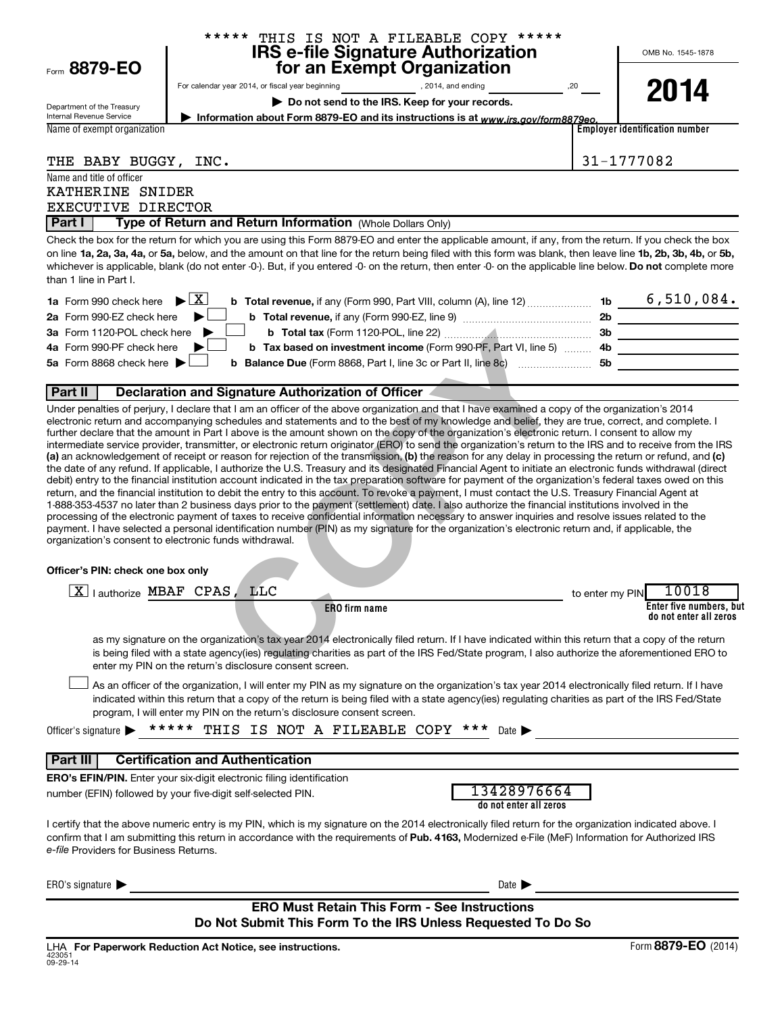|                                                         | ***** THIS IS NOT A FILEABLE COPY *****                                                                                                                                                                                                                                                                                                                                                                                                                                                                                                                                                                                                                                                                                                                                                                                               |                                       |                                                                                                                       |
|---------------------------------------------------------|---------------------------------------------------------------------------------------------------------------------------------------------------------------------------------------------------------------------------------------------------------------------------------------------------------------------------------------------------------------------------------------------------------------------------------------------------------------------------------------------------------------------------------------------------------------------------------------------------------------------------------------------------------------------------------------------------------------------------------------------------------------------------------------------------------------------------------------|---------------------------------------|-----------------------------------------------------------------------------------------------------------------------|
| Form 8879-EO                                            | <b>IRS e-file Signature Authorization<br/>for an Exempt Organization</b>                                                                                                                                                                                                                                                                                                                                                                                                                                                                                                                                                                                                                                                                                                                                                              |                                       | OMB No. 1545-1878                                                                                                     |
|                                                         | , 2014, and ending<br>For calendar year 2014, or fiscal year beginning                                                                                                                                                                                                                                                                                                                                                                                                                                                                                                                                                                                                                                                                                                                                                                | $\frac{1}{20}$                        | 2014                                                                                                                  |
| Department of the Treasury                              | Do not send to the IRS. Keep for your records.                                                                                                                                                                                                                                                                                                                                                                                                                                                                                                                                                                                                                                                                                                                                                                                        |                                       |                                                                                                                       |
| Internal Revenue Service<br>Name of exempt organization | Information about Form 8879-EO and its instructions is at www.irs.gov/form8879eo.                                                                                                                                                                                                                                                                                                                                                                                                                                                                                                                                                                                                                                                                                                                                                     |                                       | <b>Employer identification number</b>                                                                                 |
|                                                         |                                                                                                                                                                                                                                                                                                                                                                                                                                                                                                                                                                                                                                                                                                                                                                                                                                       |                                       |                                                                                                                       |
| THE BABY BUGGY, INC.                                    |                                                                                                                                                                                                                                                                                                                                                                                                                                                                                                                                                                                                                                                                                                                                                                                                                                       |                                       | 31-1777082                                                                                                            |
| Name and title of officer<br>KATHERINE SNIDER           |                                                                                                                                                                                                                                                                                                                                                                                                                                                                                                                                                                                                                                                                                                                                                                                                                                       |                                       |                                                                                                                       |
| EXECUTIVE DIRECTOR                                      |                                                                                                                                                                                                                                                                                                                                                                                                                                                                                                                                                                                                                                                                                                                                                                                                                                       |                                       |                                                                                                                       |
| Part I                                                  | Type of Return and Return Information (Whole Dollars Only)                                                                                                                                                                                                                                                                                                                                                                                                                                                                                                                                                                                                                                                                                                                                                                            |                                       |                                                                                                                       |
| than 1 line in Part I.                                  | Check the box for the return for which you are using this Form 8879-EO and enter the applicable amount, if any, from the return. If you check the box<br>on line 1a, 2a, 3a, 4a, or 5a, below, and the amount on that line for the return being filed with this form was blank, then leave line 1b, 2b, 3b, 4b, or 5b,<br>whichever is applicable, blank (do not enter -0-). But, if you entered -0- on the return, then enter -0- on the applicable line below. Do not complete more                                                                                                                                                                                                                                                                                                                                                 |                                       |                                                                                                                       |
| <b>1a</b> Form 990 check here                           | $\blacktriangleright$ $\mid$ X                                                                                                                                                                                                                                                                                                                                                                                                                                                                                                                                                                                                                                                                                                                                                                                                        |                                       |                                                                                                                       |
| 2a Form 990-EZ check here                               |                                                                                                                                                                                                                                                                                                                                                                                                                                                                                                                                                                                                                                                                                                                                                                                                                                       |                                       |                                                                                                                       |
| 3a Form 1120-POL check here                             |                                                                                                                                                                                                                                                                                                                                                                                                                                                                                                                                                                                                                                                                                                                                                                                                                                       |                                       |                                                                                                                       |
| 4a Form 990-PF check here                               | b Tax based on investment income (Form 990-PF, Part VI, line 5) 4b                                                                                                                                                                                                                                                                                                                                                                                                                                                                                                                                                                                                                                                                                                                                                                    |                                       | the control of the control of the control of                                                                          |
| 5a Form 8868 check here $\blacktriangleright$           |                                                                                                                                                                                                                                                                                                                                                                                                                                                                                                                                                                                                                                                                                                                                                                                                                                       |                                       |                                                                                                                       |
| Part II                                                 | Declaration and Signature Authorization of Officer                                                                                                                                                                                                                                                                                                                                                                                                                                                                                                                                                                                                                                                                                                                                                                                    |                                       |                                                                                                                       |
|                                                         | debit) entry to the financial institution account indicated in the tax preparation software for payment of the organization's federal taxes owed on this<br>return, and the financial institution to debit the entry to this account. To revoke a payment, I must contact the U.S. Treasury Financial Agent at<br>1-888-353-4537 no later than 2 business days prior to the payment (settlement) date. I also authorize the financial institutions involved in the<br>processing of the electronic payment of taxes to receive confidential information necessary to answer inquiries and resolve issues related to the<br>payment. I have selected a personal identification number (PIN) as my signature for the organization's electronic return and, if applicable, the<br>organization's consent to electronic funds withdrawal. |                                       |                                                                                                                       |
| Officer's PIN: check one box only                       |                                                                                                                                                                                                                                                                                                                                                                                                                                                                                                                                                                                                                                                                                                                                                                                                                                       |                                       |                                                                                                                       |
|                                                         | X   authorize MBAF CPAS, LLC<br><b>ERO</b> firm name                                                                                                                                                                                                                                                                                                                                                                                                                                                                                                                                                                                                                                                                                                                                                                                  | to enter my PIN                       | 10018<br>Enter five numbers, but<br>do not enter all zeros                                                            |
|                                                         | as my signature on the organization's tax year 2014 electronically filed return. If I have indicated within this return that a copy of the return<br>is being filed with a state agency(ies) regulating charities as part of the IRS Fed/State program, I also authorize the aforementioned ERO to<br>enter my PIN on the return's disclosure consent screen.                                                                                                                                                                                                                                                                                                                                                                                                                                                                         |                                       |                                                                                                                       |
|                                                         | As an officer of the organization, I will enter my PIN as my signature on the organization's tax year 2014 electronically filed return. If I have<br>indicated within this return that a copy of the return is being filed with a state agency(ies) regulating charities as part of the IRS Fed/State<br>program, I will enter my PIN on the return's disclosure consent screen.                                                                                                                                                                                                                                                                                                                                                                                                                                                      |                                       |                                                                                                                       |
| Officer's signature $\blacktriangleright$               | ***** THIS IS NOT A FILEABLE COPY ***<br>Date $\blacktriangleright$                                                                                                                                                                                                                                                                                                                                                                                                                                                                                                                                                                                                                                                                                                                                                                   |                                       | <u> 1989 - John Harry Harry Harry Harry Harry Harry Harry Harry Harry Harry Harry Harry Harry Harry Harry Harry H</u> |
| Part III                                                | <b>Certification and Authentication</b>                                                                                                                                                                                                                                                                                                                                                                                                                                                                                                                                                                                                                                                                                                                                                                                               |                                       |                                                                                                                       |
|                                                         | ERO's EFIN/PIN. Enter your six-digit electronic filing identification                                                                                                                                                                                                                                                                                                                                                                                                                                                                                                                                                                                                                                                                                                                                                                 |                                       |                                                                                                                       |
|                                                         | number (EFIN) followed by your five-digit self-selected PIN.                                                                                                                                                                                                                                                                                                                                                                                                                                                                                                                                                                                                                                                                                                                                                                          | 13428976664<br>do not enter all zeros |                                                                                                                       |
| <i>e-file</i> Providers for Business Returns.           | I certify that the above numeric entry is my PIN, which is my signature on the 2014 electronically filed return for the organization indicated above. I<br>confirm that I am submitting this return in accordance with the requirements of Pub. 4163, Modernized e-File (MeF) Information for Authorized IRS                                                                                                                                                                                                                                                                                                                                                                                                                                                                                                                          |                                       |                                                                                                                       |
| ERO's signature $\blacktriangleright$                   | Date $\triangleright$                                                                                                                                                                                                                                                                                                                                                                                                                                                                                                                                                                                                                                                                                                                                                                                                                 |                                       |                                                                                                                       |
|                                                         | <b>ERO Must Retain This Form - See Instructions</b>                                                                                                                                                                                                                                                                                                                                                                                                                                                                                                                                                                                                                                                                                                                                                                                   |                                       |                                                                                                                       |

**For Paperwork Reduction Act Notice, see instructions.** LHA **Do Not Submit This Form To the IRS Unless Requested To Do So**

423051 09-29-14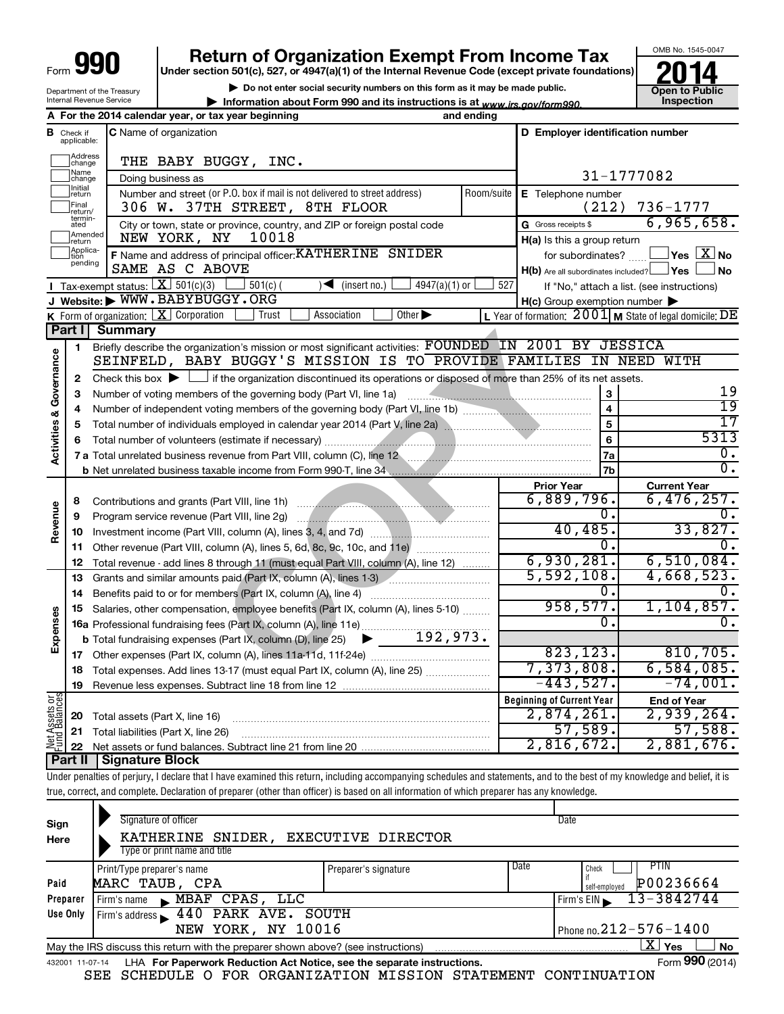Department of the Treasury Internal Revenue Service

# Return of Organization Exempt From Income Tax <br>
Faction 501(c), 527, or 4947(a)(1) of the Internal Revenue Code (except private foundations)<br>
2014

**Under section 501(c), 527, or 4947(a)(1) of the Internal Revenue Code (except private foundations)**

**| Do not enter social security numbers on this form as it may be made public.**



**| Information about Form 990 and its instructions is at www.irs.gov/form990.** | Inspection

|                                |                            | A For the 2014 calendar year, or tax year beginning                                                                                         | and ending |                                                    |                                                             |  |
|--------------------------------|----------------------------|---------------------------------------------------------------------------------------------------------------------------------------------|------------|----------------------------------------------------|-------------------------------------------------------------|--|
| в                              | Check if<br>applicable:    | <b>C</b> Name of organization                                                                                                               |            | D Employer identification number                   |                                                             |  |
|                                | Address<br> change         | THE BABY BUGGY, INC.                                                                                                                        |            |                                                    |                                                             |  |
|                                | Name<br>change             | Doing business as                                                                                                                           |            |                                                    | 31-1777082                                                  |  |
|                                | Initial<br>return<br>Final | Number and street (or P.O. box if mail is not delivered to street address)                                                                  | Room/suite | <b>E</b> Telephone number                          | $736 - 1777$                                                |  |
|                                | return/<br>termin-         | 306 W. 37TH STREET, 8TH FLOOR                                                                                                               |            | (212)                                              |                                                             |  |
|                                | ated<br>Amended<br>Ireturn | City or town, state or province, country, and ZIP or foreign postal code<br>NEW YORK, NY<br>10018                                           |            | G Gross receipts \$<br>H(a) Is this a group return | 6,965,658.                                                  |  |
|                                | Applica-<br>Ition          | F Name and address of principal officer: KATHERINE SNIDER                                                                                   |            | for subordinates?                                  | $\Box$ Yes $~\boxed{\mathrm{X}}$ No                         |  |
|                                | pending                    | SAME AS C ABOVE                                                                                                                             |            | $H(b)$ Are all subordinates included? $\Box$ Yes   | <b>No</b>                                                   |  |
|                                |                            | <b>I</b> Tax-exempt status: $X \over 301(c)(3)$<br>(insert no.)<br>$501(c)$ (<br>$\blacktriangleleft$<br>$4947(a)(1)$ or                    | 527        |                                                    | If "No," attach a list. (see instructions)                  |  |
|                                |                            | J Website: WWW.BABYBUGGY.ORG                                                                                                                |            | H(c) Group exemption number                        |                                                             |  |
|                                |                            | Other $\blacktriangleright$<br><b>K</b> Form of organization: $\boxed{\textbf{X}}$ Corporation<br>Trust<br>Association                      |            |                                                    | L Year of formation: $2001$ M State of legal domicile: $DE$ |  |
|                                | Part I                     | <b>Summary</b>                                                                                                                              |            |                                                    |                                                             |  |
|                                | $\blacksquare$             | Briefly describe the organization's mission or most significant activities: FOUNDED IN 2001 BY JESSICA                                      |            |                                                    |                                                             |  |
|                                |                            | SEINFELD, BABY BUGGY'S MISSION IS TO PROVIDE FAMILIES IN NEED WITH                                                                          |            |                                                    |                                                             |  |
| Governance                     | 2                          | Check this box $\blacktriangleright$ $\Box$ if the organization discontinued its operations or disposed of more than 25% of its net assets. |            |                                                    |                                                             |  |
|                                | з                          |                                                                                                                                             |            | 3                                                  | 19                                                          |  |
|                                | 4                          |                                                                                                                                             |            | $\overline{\mathbf{4}}$                            | 19                                                          |  |
|                                | 5                          | Total number of individuals employed in calendar year 2014 (Part V, line 2a) mummum mummum                                                  |            | 5                                                  | 17                                                          |  |
|                                | 6                          |                                                                                                                                             |            | 6                                                  | 5313                                                        |  |
| <b>Activities &amp;</b>        |                            |                                                                                                                                             |            | 7a                                                 | 0.                                                          |  |
|                                |                            |                                                                                                                                             |            | 7b                                                 | 0.                                                          |  |
|                                |                            |                                                                                                                                             |            | <b>Prior Year</b>                                  | <b>Current Year</b>                                         |  |
|                                | 8                          | Contributions and grants (Part VIII, line 1h)                                                                                               |            | 6,889,796.                                         | 6,476,257.                                                  |  |
|                                | 9                          | Program service revenue (Part VIII, line 2g)<br><u> 1977 - Alemania Alemania, matematika a</u>                                              |            | 0.                                                 | $\overline{0}$ .                                            |  |
| Revenue                        | 10                         |                                                                                                                                             |            | 40,485.                                            | 33,827.                                                     |  |
|                                | 11                         |                                                                                                                                             |            | $\overline{0}$ .                                   | 0.                                                          |  |
|                                | 12                         | Total revenue - add lines 8 through 11 (must equal Part VIII, column (A), line 12)                                                          |            | 6,930,281.                                         | 6,510,084.                                                  |  |
|                                | 13                         |                                                                                                                                             |            | 5,592,108.                                         | 4,668,523.                                                  |  |
|                                | 14                         |                                                                                                                                             |            | Ō.                                                 |                                                             |  |
|                                | 15                         | Salaries, other compensation, employee benefits (Part IX, column (A), lines 5-10)                                                           |            | 958,577.                                           | 1, 104, 857.                                                |  |
| Expenses                       |                            | 16a Professional fundraising fees (Part IX, column (A), line 11e)                                                                           |            | 0.                                                 |                                                             |  |
|                                |                            | 192,973.<br><b>b</b> Total fundraising expenses (Part IX, column (D), line 25)<br>▶                                                         |            |                                                    |                                                             |  |
|                                | 17                         |                                                                                                                                             |            | 823, 123.                                          | 810,705.                                                    |  |
|                                | 18                         | Total expenses. Add lines 13-17 (must equal Part IX, column (A), line 25)                                                                   |            | 7,373,808.                                         | 6,584,085.                                                  |  |
|                                | 19                         |                                                                                                                                             |            | $-443,527.$                                        | $-74,001.$                                                  |  |
| Net Assets or<br>Fund Balances |                            |                                                                                                                                             |            | <b>Beginning of Current Year</b>                   | <b>End of Year</b>                                          |  |
|                                | 20                         | Total assets (Part X, line 16)                                                                                                              |            | $2,874,261$ .                                      | 2,939,264.                                                  |  |
|                                | 21                         | Total liabilities (Part X, line 26)                                                                                                         |            | 57,589.                                            | 57,588.                                                     |  |
|                                | 22                         |                                                                                                                                             |            | 2,816,672.                                         | 2,881,676.                                                  |  |
|                                |                            | <b>Part II   Signature Block</b>                                                                                                            |            |                                                    |                                                             |  |

Under penalties of perjury, I declare that I have examined this return, including accompanying schedules and statements, and to the best of my knowledge and belief, it is true, correct, and complete. Declaration of preparer (other than officer) is based on all information of which preparer has any knowledge.

| Sign<br>Here    | Signature of officer<br>KATHERINE SNIDER, EXECUTIVE DIRECTOR<br>Type or print name and title |                      |      | Date                                              |  |  |
|-----------------|----------------------------------------------------------------------------------------------|----------------------|------|---------------------------------------------------|--|--|
| Paid            | Print/Type preparer's name<br>MARC TAUB, CPA                                                 | Preparer's signature | Date | PTIN<br>Check<br>if<br>P00236664<br>self-employed |  |  |
| Preparer        | Firm's name MBAF CPAS, LLC                                                                   |                      |      | 13-3842744<br>Firm's $EIN$                        |  |  |
| Use Only        | Firm's address 440 PARK AVE. SOUTH                                                           |                      |      |                                                   |  |  |
|                 | NEW YORK, NY 10016<br>Phone no. $212 - 576 - 1400$                                           |                      |      |                                                   |  |  |
|                 | May the IRS discuss this return with the preparer shown above? (see instructions)            |                      |      | ΧI<br>Yes<br><b>No</b>                            |  |  |
| 432001 11-07-14 | LHA For Paperwork Reduction Act Notice, see the separate instructions.                       |                      |      | Form 990 (2014)                                   |  |  |

SEE SCHEDULE O FOR ORGANIZATION MISSION STATEMENT CONTINUATION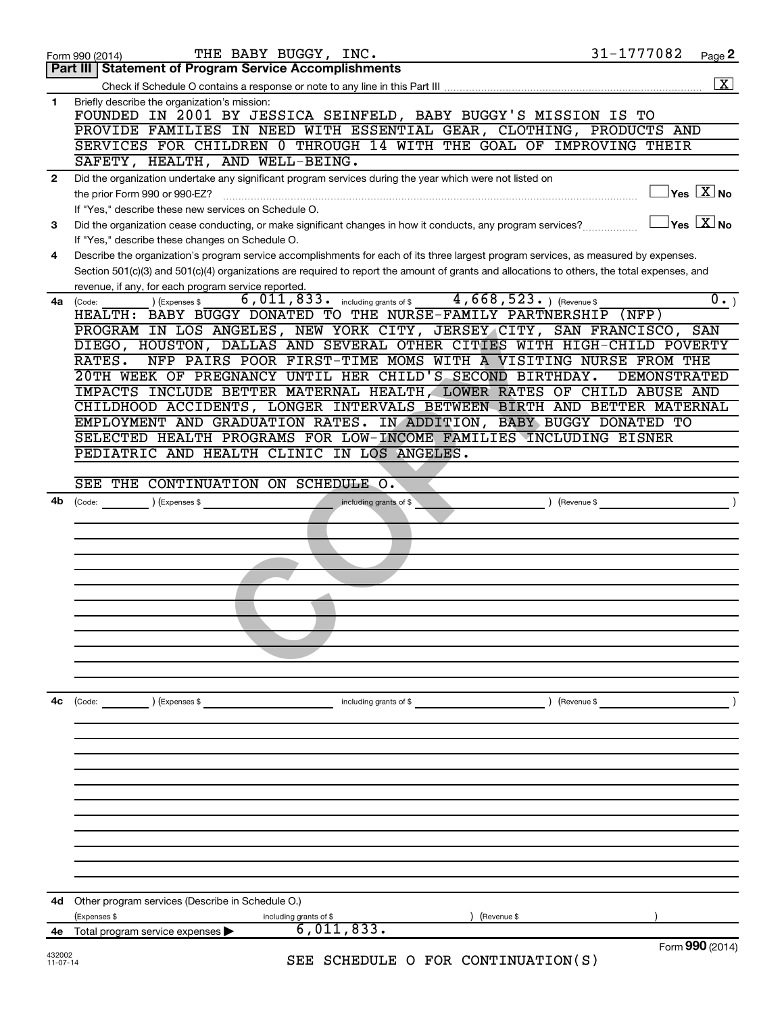|                    | 31-1777082<br>THE BABY BUGGY, INC.<br>Form 990 (2014)                                                                                                           |                     | Page 2                               |
|--------------------|-----------------------------------------------------------------------------------------------------------------------------------------------------------------|---------------------|--------------------------------------|
|                    | Part III   Statement of Program Service Accomplishments                                                                                                         |                     |                                      |
|                    |                                                                                                                                                                 |                     | $\boxed{\text{X}}$                   |
| 1                  | Briefly describe the organization's mission:                                                                                                                    |                     |                                      |
|                    | FOUNDED IN 2001 BY JESSICA SEINFELD, BABY BUGGY'S MISSION IS TO                                                                                                 |                     |                                      |
|                    | PROVIDE FAMILIES IN NEED WITH ESSENTIAL GEAR, CLOTHING, PRODUCTS AND                                                                                            |                     |                                      |
|                    | SERVICES FOR CHILDREN 0 THROUGH 14 WITH THE GOAL OF IMPROVING THEIR                                                                                             |                     |                                      |
|                    | SAFETY, HEALTH, AND WELL-BEING.                                                                                                                                 |                     |                                      |
| $\mathbf{2}$       | Did the organization undertake any significant program services during the year which were not listed on                                                        |                     |                                      |
|                    | the prior Form 990 or 990-EZ?                                                                                                                                   |                     | $\sqrt{\mathsf{Yes}\ \mathbf{X}}$ No |
|                    | If "Yes," describe these new services on Schedule O.                                                                                                            |                     |                                      |
| 3                  | Did the organization cease conducting, or make significant changes in how it conducts, any program services?                                                    |                     | $\gamma$ es $\boxed{X}$ No           |
|                    | If "Yes," describe these changes on Schedule O.                                                                                                                 |                     |                                      |
| 4                  | Describe the organization's program service accomplishments for each of its three largest program services, as measured by expenses.                            |                     |                                      |
|                    | Section 501(c)(3) and 501(c)(4) organizations are required to report the amount of grants and allocations to others, the total expenses, and                    |                     |                                      |
|                    | revenue, if any, for each program service reported.                                                                                                             |                     |                                      |
| 4a                 | $6,011,833$ . including grants of $$4,668,523$ . $($ Revenue \$<br>) (Expenses \$<br>(Code:<br>HEALTH: BABY BUGGY DONATED TO THE NURSE-FAMILY PARTNERSHIP (NFP) |                     | $\overline{0}$ .)                    |
|                    | PROGRAM IN LOS ANGELES, NEW YORK CITY, JERSEY CITY, SAN FRANCISCO, SAN                                                                                          |                     |                                      |
|                    |                                                                                                                                                                 |                     |                                      |
|                    | DIEGO, HOUSTON, DALLAS AND SEVERAL OTHER CITIES WITH HIGH-CHILD POVERTY<br>NFP PAIRS POOR FIRST-TIME MOMS WITH A VISITING NURSE FROM THE<br>RATES.              |                     |                                      |
|                    | 20TH WEEK OF PREGNANCY UNTIL HER CHILD'S SECOND BIRTHDAY.                                                                                                       | <b>DEMONSTRATED</b> |                                      |
|                    | IMPACTS INCLUDE BETTER MATERNAL HEALTH, LOWER RATES OF CHILD ABUSE AND                                                                                          |                     |                                      |
|                    | CHILDHOOD ACCIDENTS, LONGER INTERVALS BETWEEN BIRTH AND BETTER MATERNAL                                                                                         |                     |                                      |
|                    | EMPLOYMENT AND GRADUATION RATES. IN ADDITION, BABY BUGGY DONATED TO                                                                                             |                     |                                      |
|                    | SELECTED HEALTH PROGRAMS FOR LOW-INCOME FAMILIES INCLUDING EISNER                                                                                               |                     |                                      |
|                    | PEDIATRIC AND HEALTH CLINIC IN LOS ANGELES.                                                                                                                     |                     |                                      |
|                    |                                                                                                                                                                 |                     |                                      |
|                    | SEE THE CONTINUATION ON SCHEDULE O.                                                                                                                             |                     |                                      |
| 4b                 | including grants of \$<br>$\left($ Revenue \$<br>(Code: ) (Expenses \$                                                                                          |                     |                                      |
|                    |                                                                                                                                                                 |                     |                                      |
|                    |                                                                                                                                                                 |                     |                                      |
|                    |                                                                                                                                                                 |                     |                                      |
|                    |                                                                                                                                                                 |                     |                                      |
|                    |                                                                                                                                                                 |                     |                                      |
|                    |                                                                                                                                                                 |                     |                                      |
|                    |                                                                                                                                                                 |                     |                                      |
|                    |                                                                                                                                                                 |                     |                                      |
|                    |                                                                                                                                                                 |                     |                                      |
|                    |                                                                                                                                                                 |                     |                                      |
|                    |                                                                                                                                                                 |                     |                                      |
|                    |                                                                                                                                                                 |                     |                                      |
| 4с                 | ) (Revenue \$<br>(Code:<br>) (Expenses \$<br>including grants of \$                                                                                             |                     |                                      |
|                    |                                                                                                                                                                 |                     |                                      |
|                    |                                                                                                                                                                 |                     |                                      |
|                    |                                                                                                                                                                 |                     |                                      |
|                    |                                                                                                                                                                 |                     |                                      |
|                    |                                                                                                                                                                 |                     |                                      |
|                    |                                                                                                                                                                 |                     |                                      |
|                    |                                                                                                                                                                 |                     |                                      |
|                    |                                                                                                                                                                 |                     |                                      |
|                    |                                                                                                                                                                 |                     |                                      |
|                    |                                                                                                                                                                 |                     |                                      |
|                    |                                                                                                                                                                 |                     |                                      |
|                    |                                                                                                                                                                 |                     |                                      |
| 4d                 | Other program services (Describe in Schedule O.)                                                                                                                |                     |                                      |
|                    | (Expenses \$<br>including grants of \$<br>(Revenue \$<br>6,011,833.                                                                                             |                     |                                      |
| 4е                 | Total program service expenses                                                                                                                                  |                     | Form 990 (2014)                      |
| 432002<br>11-07-14 | SEE SCHEDULE O FOR CONTINUATION(S)                                                                                                                              |                     |                                      |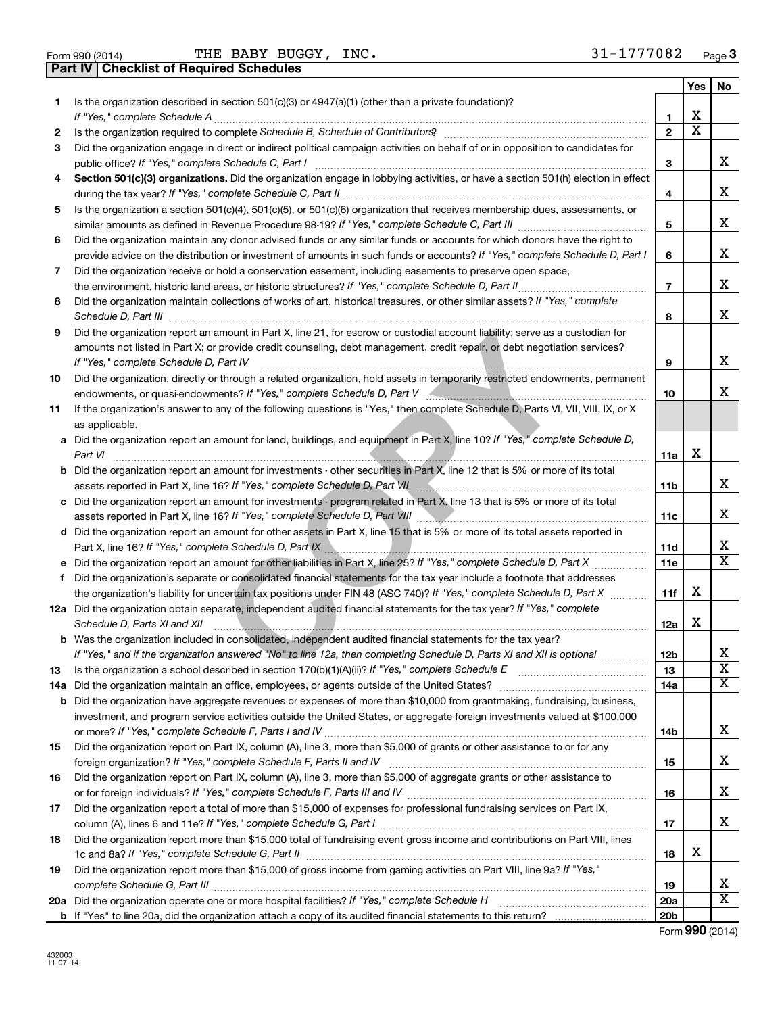| Form 990 (2014) |  |  |
|-----------------|--|--|

Form 990 (2014) **PHE BABY BUGGY, INC.**  $31-1777082$  Page **Part IV Checklist of Required Schedules**

| Is the organization described in section 501(c)(3) or 4947(a)(1) (other than a private foundation)?<br>1.<br>х<br>If "Yes," complete Schedule A<br>1<br>$\overline{\text{x}}$<br>$\mathbf{2}$<br>2<br>Did the organization engage in direct or indirect political campaign activities on behalf of or in opposition to candidates for<br>3<br>public office? If "Yes," complete Schedule C, Part I<br>3<br>Section 501(c)(3) organizations. Did the organization engage in lobbying activities, or have a section 501(h) election in effect<br>4<br>4<br>Is the organization a section 501(c)(4), 501(c)(5), or 501(c)(6) organization that receives membership dues, assessments, or<br>5<br>5<br>Did the organization maintain any donor advised funds or any similar funds or accounts for which donors have the right to<br>6<br>provide advice on the distribution or investment of amounts in such funds or accounts? If "Yes," complete Schedule D, Part I<br>6<br>Did the organization receive or hold a conservation easement, including easements to preserve open space,<br>7<br>$\overline{7}$<br>Did the organization maintain collections of works of art, historical treasures, or other similar assets? If "Yes," complete<br>8<br>8<br>Did the organization report an amount in Part X, line 21, for escrow or custodial account liability; serve as a custodian for<br>9<br>amounts not listed in Part X; or provide credit counseling, debt management, credit repair, or debt negotiation services?<br>If "Yes," complete Schedule D, Part IV<br>9<br>Did the organization, directly or through a related organization, hold assets in temporarily restricted endowments, permanent<br>10 | No                      |
|---------------------------------------------------------------------------------------------------------------------------------------------------------------------------------------------------------------------------------------------------------------------------------------------------------------------------------------------------------------------------------------------------------------------------------------------------------------------------------------------------------------------------------------------------------------------------------------------------------------------------------------------------------------------------------------------------------------------------------------------------------------------------------------------------------------------------------------------------------------------------------------------------------------------------------------------------------------------------------------------------------------------------------------------------------------------------------------------------------------------------------------------------------------------------------------------------------------------------------------------------------------------------------------------------------------------------------------------------------------------------------------------------------------------------------------------------------------------------------------------------------------------------------------------------------------------------------------------------------------------------------------------------------------------------------------------------------------|-------------------------|
|                                                                                                                                                                                                                                                                                                                                                                                                                                                                                                                                                                                                                                                                                                                                                                                                                                                                                                                                                                                                                                                                                                                                                                                                                                                                                                                                                                                                                                                                                                                                                                                                                                                                                                               |                         |
|                                                                                                                                                                                                                                                                                                                                                                                                                                                                                                                                                                                                                                                                                                                                                                                                                                                                                                                                                                                                                                                                                                                                                                                                                                                                                                                                                                                                                                                                                                                                                                                                                                                                                                               |                         |
|                                                                                                                                                                                                                                                                                                                                                                                                                                                                                                                                                                                                                                                                                                                                                                                                                                                                                                                                                                                                                                                                                                                                                                                                                                                                                                                                                                                                                                                                                                                                                                                                                                                                                                               |                         |
|                                                                                                                                                                                                                                                                                                                                                                                                                                                                                                                                                                                                                                                                                                                                                                                                                                                                                                                                                                                                                                                                                                                                                                                                                                                                                                                                                                                                                                                                                                                                                                                                                                                                                                               |                         |
| 10                                                                                                                                                                                                                                                                                                                                                                                                                                                                                                                                                                                                                                                                                                                                                                                                                                                                                                                                                                                                                                                                                                                                                                                                                                                                                                                                                                                                                                                                                                                                                                                                                                                                                                            | х                       |
|                                                                                                                                                                                                                                                                                                                                                                                                                                                                                                                                                                                                                                                                                                                                                                                                                                                                                                                                                                                                                                                                                                                                                                                                                                                                                                                                                                                                                                                                                                                                                                                                                                                                                                               |                         |
|                                                                                                                                                                                                                                                                                                                                                                                                                                                                                                                                                                                                                                                                                                                                                                                                                                                                                                                                                                                                                                                                                                                                                                                                                                                                                                                                                                                                                                                                                                                                                                                                                                                                                                               | х                       |
|                                                                                                                                                                                                                                                                                                                                                                                                                                                                                                                                                                                                                                                                                                                                                                                                                                                                                                                                                                                                                                                                                                                                                                                                                                                                                                                                                                                                                                                                                                                                                                                                                                                                                                               |                         |
|                                                                                                                                                                                                                                                                                                                                                                                                                                                                                                                                                                                                                                                                                                                                                                                                                                                                                                                                                                                                                                                                                                                                                                                                                                                                                                                                                                                                                                                                                                                                                                                                                                                                                                               | х                       |
|                                                                                                                                                                                                                                                                                                                                                                                                                                                                                                                                                                                                                                                                                                                                                                                                                                                                                                                                                                                                                                                                                                                                                                                                                                                                                                                                                                                                                                                                                                                                                                                                                                                                                                               | х                       |
|                                                                                                                                                                                                                                                                                                                                                                                                                                                                                                                                                                                                                                                                                                                                                                                                                                                                                                                                                                                                                                                                                                                                                                                                                                                                                                                                                                                                                                                                                                                                                                                                                                                                                                               |                         |
|                                                                                                                                                                                                                                                                                                                                                                                                                                                                                                                                                                                                                                                                                                                                                                                                                                                                                                                                                                                                                                                                                                                                                                                                                                                                                                                                                                                                                                                                                                                                                                                                                                                                                                               | х                       |
|                                                                                                                                                                                                                                                                                                                                                                                                                                                                                                                                                                                                                                                                                                                                                                                                                                                                                                                                                                                                                                                                                                                                                                                                                                                                                                                                                                                                                                                                                                                                                                                                                                                                                                               |                         |
|                                                                                                                                                                                                                                                                                                                                                                                                                                                                                                                                                                                                                                                                                                                                                                                                                                                                                                                                                                                                                                                                                                                                                                                                                                                                                                                                                                                                                                                                                                                                                                                                                                                                                                               | х                       |
|                                                                                                                                                                                                                                                                                                                                                                                                                                                                                                                                                                                                                                                                                                                                                                                                                                                                                                                                                                                                                                                                                                                                                                                                                                                                                                                                                                                                                                                                                                                                                                                                                                                                                                               |                         |
|                                                                                                                                                                                                                                                                                                                                                                                                                                                                                                                                                                                                                                                                                                                                                                                                                                                                                                                                                                                                                                                                                                                                                                                                                                                                                                                                                                                                                                                                                                                                                                                                                                                                                                               |                         |
|                                                                                                                                                                                                                                                                                                                                                                                                                                                                                                                                                                                                                                                                                                                                                                                                                                                                                                                                                                                                                                                                                                                                                                                                                                                                                                                                                                                                                                                                                                                                                                                                                                                                                                               | х                       |
|                                                                                                                                                                                                                                                                                                                                                                                                                                                                                                                                                                                                                                                                                                                                                                                                                                                                                                                                                                                                                                                                                                                                                                                                                                                                                                                                                                                                                                                                                                                                                                                                                                                                                                               |                         |
|                                                                                                                                                                                                                                                                                                                                                                                                                                                                                                                                                                                                                                                                                                                                                                                                                                                                                                                                                                                                                                                                                                                                                                                                                                                                                                                                                                                                                                                                                                                                                                                                                                                                                                               | x                       |
| If the organization's answer to any of the following questions is "Yes," then complete Schedule D, Parts VI, VII, VIII, IX, or X<br>11                                                                                                                                                                                                                                                                                                                                                                                                                                                                                                                                                                                                                                                                                                                                                                                                                                                                                                                                                                                                                                                                                                                                                                                                                                                                                                                                                                                                                                                                                                                                                                        |                         |
| as applicable.                                                                                                                                                                                                                                                                                                                                                                                                                                                                                                                                                                                                                                                                                                                                                                                                                                                                                                                                                                                                                                                                                                                                                                                                                                                                                                                                                                                                                                                                                                                                                                                                                                                                                                |                         |
| a Did the organization report an amount for land, buildings, and equipment in Part X, line 10? If "Yes," complete Schedule D,                                                                                                                                                                                                                                                                                                                                                                                                                                                                                                                                                                                                                                                                                                                                                                                                                                                                                                                                                                                                                                                                                                                                                                                                                                                                                                                                                                                                                                                                                                                                                                                 |                         |
| х<br>Part VI<br>11a                                                                                                                                                                                                                                                                                                                                                                                                                                                                                                                                                                                                                                                                                                                                                                                                                                                                                                                                                                                                                                                                                                                                                                                                                                                                                                                                                                                                                                                                                                                                                                                                                                                                                           |                         |
| <b>b</b> Did the organization report an amount for investments - other securities in Part X, line 12 that is 5% or more of its total                                                                                                                                                                                                                                                                                                                                                                                                                                                                                                                                                                                                                                                                                                                                                                                                                                                                                                                                                                                                                                                                                                                                                                                                                                                                                                                                                                                                                                                                                                                                                                          |                         |
| 11b                                                                                                                                                                                                                                                                                                                                                                                                                                                                                                                                                                                                                                                                                                                                                                                                                                                                                                                                                                                                                                                                                                                                                                                                                                                                                                                                                                                                                                                                                                                                                                                                                                                                                                           | х                       |
| c Did the organization report an amount for investments - program related in Part X, line 13 that is 5% or more of its total                                                                                                                                                                                                                                                                                                                                                                                                                                                                                                                                                                                                                                                                                                                                                                                                                                                                                                                                                                                                                                                                                                                                                                                                                                                                                                                                                                                                                                                                                                                                                                                  |                         |
| 11c                                                                                                                                                                                                                                                                                                                                                                                                                                                                                                                                                                                                                                                                                                                                                                                                                                                                                                                                                                                                                                                                                                                                                                                                                                                                                                                                                                                                                                                                                                                                                                                                                                                                                                           | х                       |
| d Did the organization report an amount for other assets in Part X, line 15 that is 5% or more of its total assets reported in                                                                                                                                                                                                                                                                                                                                                                                                                                                                                                                                                                                                                                                                                                                                                                                                                                                                                                                                                                                                                                                                                                                                                                                                                                                                                                                                                                                                                                                                                                                                                                                |                         |
| 11d                                                                                                                                                                                                                                                                                                                                                                                                                                                                                                                                                                                                                                                                                                                                                                                                                                                                                                                                                                                                                                                                                                                                                                                                                                                                                                                                                                                                                                                                                                                                                                                                                                                                                                           | X                       |
| 11e                                                                                                                                                                                                                                                                                                                                                                                                                                                                                                                                                                                                                                                                                                                                                                                                                                                                                                                                                                                                                                                                                                                                                                                                                                                                                                                                                                                                                                                                                                                                                                                                                                                                                                           | $\overline{\mathtt{x}}$ |
| Did the organization's separate or consolidated financial statements for the tax year include a footnote that addresses<br>f.                                                                                                                                                                                                                                                                                                                                                                                                                                                                                                                                                                                                                                                                                                                                                                                                                                                                                                                                                                                                                                                                                                                                                                                                                                                                                                                                                                                                                                                                                                                                                                                 |                         |
| х<br>the organization's liability for uncertain tax positions under FIN 48 (ASC 740)? If "Yes," complete Schedule D, Part X<br>11f                                                                                                                                                                                                                                                                                                                                                                                                                                                                                                                                                                                                                                                                                                                                                                                                                                                                                                                                                                                                                                                                                                                                                                                                                                                                                                                                                                                                                                                                                                                                                                            |                         |
| 12a Did the organization obtain separate, independent audited financial statements for the tax year? If "Yes," complete                                                                                                                                                                                                                                                                                                                                                                                                                                                                                                                                                                                                                                                                                                                                                                                                                                                                                                                                                                                                                                                                                                                                                                                                                                                                                                                                                                                                                                                                                                                                                                                       |                         |
| х<br>Schedule D, Parts XI and XII<br>12a                                                                                                                                                                                                                                                                                                                                                                                                                                                                                                                                                                                                                                                                                                                                                                                                                                                                                                                                                                                                                                                                                                                                                                                                                                                                                                                                                                                                                                                                                                                                                                                                                                                                      |                         |
| <b>b</b> Was the organization included in consolidated, independent audited financial statements for the tax year?                                                                                                                                                                                                                                                                                                                                                                                                                                                                                                                                                                                                                                                                                                                                                                                                                                                                                                                                                                                                                                                                                                                                                                                                                                                                                                                                                                                                                                                                                                                                                                                            |                         |
| If "Yes," and if the organization answered "No" to line 12a, then completing Schedule D, Parts XI and XII is optional<br>12 <sub>b</sub>                                                                                                                                                                                                                                                                                                                                                                                                                                                                                                                                                                                                                                                                                                                                                                                                                                                                                                                                                                                                                                                                                                                                                                                                                                                                                                                                                                                                                                                                                                                                                                      |                         |
| 13<br>13                                                                                                                                                                                                                                                                                                                                                                                                                                                                                                                                                                                                                                                                                                                                                                                                                                                                                                                                                                                                                                                                                                                                                                                                                                                                                                                                                                                                                                                                                                                                                                                                                                                                                                      | $\overline{\textbf{x}}$ |
| 14a                                                                                                                                                                                                                                                                                                                                                                                                                                                                                                                                                                                                                                                                                                                                                                                                                                                                                                                                                                                                                                                                                                                                                                                                                                                                                                                                                                                                                                                                                                                                                                                                                                                                                                           | $\overline{\mathbf{X}}$ |
| <b>b</b> Did the organization have aggregate revenues or expenses of more than \$10,000 from grantmaking, fundraising, business,                                                                                                                                                                                                                                                                                                                                                                                                                                                                                                                                                                                                                                                                                                                                                                                                                                                                                                                                                                                                                                                                                                                                                                                                                                                                                                                                                                                                                                                                                                                                                                              |                         |
| investment, and program service activities outside the United States, or aggregate foreign investments valued at \$100,000                                                                                                                                                                                                                                                                                                                                                                                                                                                                                                                                                                                                                                                                                                                                                                                                                                                                                                                                                                                                                                                                                                                                                                                                                                                                                                                                                                                                                                                                                                                                                                                    |                         |
| 14b                                                                                                                                                                                                                                                                                                                                                                                                                                                                                                                                                                                                                                                                                                                                                                                                                                                                                                                                                                                                                                                                                                                                                                                                                                                                                                                                                                                                                                                                                                                                                                                                                                                                                                           | х                       |
| Did the organization report on Part IX, column (A), line 3, more than \$5,000 of grants or other assistance to or for any<br>15                                                                                                                                                                                                                                                                                                                                                                                                                                                                                                                                                                                                                                                                                                                                                                                                                                                                                                                                                                                                                                                                                                                                                                                                                                                                                                                                                                                                                                                                                                                                                                               | х                       |
| 15                                                                                                                                                                                                                                                                                                                                                                                                                                                                                                                                                                                                                                                                                                                                                                                                                                                                                                                                                                                                                                                                                                                                                                                                                                                                                                                                                                                                                                                                                                                                                                                                                                                                                                            |                         |
| Did the organization report on Part IX, column (A), line 3, more than \$5,000 of aggregate grants or other assistance to<br>16                                                                                                                                                                                                                                                                                                                                                                                                                                                                                                                                                                                                                                                                                                                                                                                                                                                                                                                                                                                                                                                                                                                                                                                                                                                                                                                                                                                                                                                                                                                                                                                | x                       |
| 16                                                                                                                                                                                                                                                                                                                                                                                                                                                                                                                                                                                                                                                                                                                                                                                                                                                                                                                                                                                                                                                                                                                                                                                                                                                                                                                                                                                                                                                                                                                                                                                                                                                                                                            |                         |
| Did the organization report a total of more than \$15,000 of expenses for professional fundraising services on Part IX,<br>17                                                                                                                                                                                                                                                                                                                                                                                                                                                                                                                                                                                                                                                                                                                                                                                                                                                                                                                                                                                                                                                                                                                                                                                                                                                                                                                                                                                                                                                                                                                                                                                 | х                       |
| 17<br>Did the organization report more than \$15,000 total of fundraising event gross income and contributions on Part VIII, lines                                                                                                                                                                                                                                                                                                                                                                                                                                                                                                                                                                                                                                                                                                                                                                                                                                                                                                                                                                                                                                                                                                                                                                                                                                                                                                                                                                                                                                                                                                                                                                            |                         |
| 18<br>х                                                                                                                                                                                                                                                                                                                                                                                                                                                                                                                                                                                                                                                                                                                                                                                                                                                                                                                                                                                                                                                                                                                                                                                                                                                                                                                                                                                                                                                                                                                                                                                                                                                                                                       |                         |
| 18<br>Did the organization report more than \$15,000 of gross income from gaming activities on Part VIII, line 9a? If "Yes,"<br>19                                                                                                                                                                                                                                                                                                                                                                                                                                                                                                                                                                                                                                                                                                                                                                                                                                                                                                                                                                                                                                                                                                                                                                                                                                                                                                                                                                                                                                                                                                                                                                            |                         |
| 19                                                                                                                                                                                                                                                                                                                                                                                                                                                                                                                                                                                                                                                                                                                                                                                                                                                                                                                                                                                                                                                                                                                                                                                                                                                                                                                                                                                                                                                                                                                                                                                                                                                                                                            | x                       |
| 20a                                                                                                                                                                                                                                                                                                                                                                                                                                                                                                                                                                                                                                                                                                                                                                                                                                                                                                                                                                                                                                                                                                                                                                                                                                                                                                                                                                                                                                                                                                                                                                                                                                                                                                           | $\overline{\text{X}}$   |
| 20 <sub>b</sub>                                                                                                                                                                                                                                                                                                                                                                                                                                                                                                                                                                                                                                                                                                                                                                                                                                                                                                                                                                                                                                                                                                                                                                                                                                                                                                                                                                                                                                                                                                                                                                                                                                                                                               |                         |

Form (2014) **990**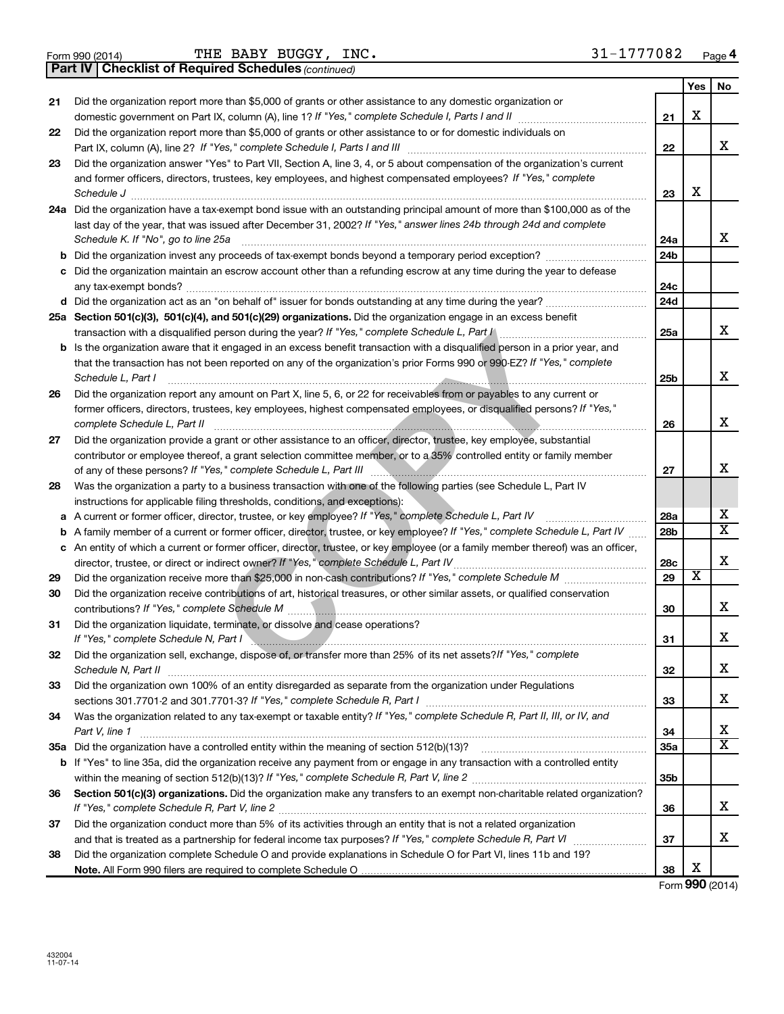|  | Form 990 (2014) |
|--|-----------------|
|  |                 |

|    | <b>Part IV   Checklist of Required Schedules (continued)</b>                                                                                                                                                                   |                 |                         |                         |
|----|--------------------------------------------------------------------------------------------------------------------------------------------------------------------------------------------------------------------------------|-----------------|-------------------------|-------------------------|
|    |                                                                                                                                                                                                                                |                 | Yes                     | No                      |
| 21 | Did the organization report more than \$5,000 of grants or other assistance to any domestic organization or                                                                                                                    |                 |                         |                         |
|    |                                                                                                                                                                                                                                | 21              | X                       |                         |
| 22 | Did the organization report more than \$5,000 of grants or other assistance to or for domestic individuals on                                                                                                                  |                 |                         |                         |
|    |                                                                                                                                                                                                                                | 22              |                         | x                       |
| 23 | Did the organization answer "Yes" to Part VII, Section A, line 3, 4, or 5 about compensation of the organization's current                                                                                                     |                 |                         |                         |
|    | and former officers, directors, trustees, key employees, and highest compensated employees? If "Yes," complete                                                                                                                 |                 |                         |                         |
|    | Schedule J                                                                                                                                                                                                                     | 23              | X                       |                         |
|    | 24a Did the organization have a tax-exempt bond issue with an outstanding principal amount of more than \$100,000 as of the                                                                                                    |                 |                         |                         |
|    | last day of the year, that was issued after December 31, 2002? If "Yes," answer lines 24b through 24d and complete                                                                                                             |                 |                         |                         |
|    | Schedule K. If "No", go to line 25a                                                                                                                                                                                            | 24a             |                         | x                       |
|    |                                                                                                                                                                                                                                | 24 <sub>b</sub> |                         |                         |
|    | Did the organization maintain an escrow account other than a refunding escrow at any time during the year to defease                                                                                                           |                 |                         |                         |
|    |                                                                                                                                                                                                                                | 24c             |                         |                         |
|    |                                                                                                                                                                                                                                | 24d             |                         |                         |
|    | 25a Section 501(c)(3), 501(c)(4), and 501(c)(29) organizations. Did the organization engage in an excess benefit                                                                                                               |                 |                         |                         |
|    | transaction with a disqualified person during the year? If "Yes," complete Schedule L, Part I manual manual manual manual manual manual manual manual manual manual manual manual manual manual manual manual manual manual ma | 25a             |                         | x                       |
| b  | Is the organization aware that it engaged in an excess benefit transaction with a disqualified person in a prior year, and                                                                                                     |                 |                         |                         |
|    | that the transaction has not been reported on any of the organization's prior Forms 990 or 990-EZ? If "Yes," complete                                                                                                          |                 |                         |                         |
|    | Schedule L, Part I                                                                                                                                                                                                             | 25b             |                         | x                       |
| 26 | Did the organization report any amount on Part X, line 5, 6, or 22 for receivables from or payables to any current or                                                                                                          |                 |                         |                         |
|    | former officers, directors, trustees, key employees, highest compensated employees, or disqualified persons? If "Yes,"                                                                                                         |                 |                         |                         |
|    | complete Schedule L, Part II                                                                                                                                                                                                   | 26              |                         | x                       |
| 27 | Did the organization provide a grant or other assistance to an officer, director, trustee, key employee, substantial                                                                                                           |                 |                         |                         |
|    | contributor or employee thereof, a grant selection committee member, or to a 35% controlled entity or family member                                                                                                            |                 |                         |                         |
|    | of any of these persons? If "Yes," complete Schedule L, Part III                                                                                                                                                               | 27              |                         | x                       |
| 28 | Was the organization a party to a business transaction with one of the following parties (see Schedule L, Part IV                                                                                                              |                 |                         |                         |
|    | instructions for applicable filing thresholds, conditions, and exceptions):                                                                                                                                                    |                 |                         |                         |
| а  | A current or former officer, director, trustee, or key employee? If "Yes," complete Schedule L, Part IV                                                                                                                        | 28a             |                         | x                       |
| b  | A family member of a current or former officer, director, trustee, or key employee? If "Yes," complete Schedule L, Part IV                                                                                                     | 28 <sub>b</sub> |                         | $\overline{\text{X}}$   |
|    | c An entity of which a current or former officer, director, trustee, or key employee (or a family member thereof) was an officer,                                                                                              |                 |                         |                         |
|    | director, trustee, or direct or indirect owner? If "Yes," complete Schedule L, Part IV                                                                                                                                         | 28c             |                         | х                       |
| 29 |                                                                                                                                                                                                                                | 29              | $\overline{\textbf{x}}$ |                         |
| 30 | Did the organization receive contributions of art, historical treasures, or other similar assets, or qualified conservation                                                                                                    |                 |                         |                         |
|    | contributions? If "Yes," complete Schedule M                                                                                                                                                                                   | 30              |                         | x                       |
| 31 | Did the organization liquidate, terminate, or dissolve and cease operations?                                                                                                                                                   |                 |                         |                         |
|    | If "Yes," complete Schedule N, Part I                                                                                                                                                                                          | 31              |                         | 4                       |
| 32 | Did the organization sell, exchange, dispose of, or transfer more than 25% of its net assets?/f "Yes," complete                                                                                                                |                 |                         |                         |
|    | Schedule N, Part II                                                                                                                                                                                                            | 32              |                         | x                       |
| 33 | Did the organization own 100% of an entity disregarded as separate from the organization under Regulations                                                                                                                     |                 |                         |                         |
|    |                                                                                                                                                                                                                                | 33              |                         | x                       |
| 34 | Was the organization related to any tax-exempt or taxable entity? If "Yes," complete Schedule R, Part II, III, or IV, and                                                                                                      |                 |                         |                         |
|    | Part V, line 1                                                                                                                                                                                                                 | 34              |                         | x                       |
|    |                                                                                                                                                                                                                                | 35a             |                         | $\overline{\mathtt{x}}$ |
|    | b If "Yes" to line 35a, did the organization receive any payment from or engage in any transaction with a controlled entity                                                                                                    |                 |                         |                         |
|    |                                                                                                                                                                                                                                | 35b             |                         |                         |
| 36 | Section 501(c)(3) organizations. Did the organization make any transfers to an exempt non-charitable related organization?                                                                                                     |                 |                         |                         |
|    |                                                                                                                                                                                                                                | 36              |                         | x                       |
| 37 | Did the organization conduct more than 5% of its activities through an entity that is not a related organization                                                                                                               |                 |                         |                         |
|    |                                                                                                                                                                                                                                | 37              |                         | x                       |
| 38 | Did the organization complete Schedule O and provide explanations in Schedule O for Part VI, lines 11b and 19?                                                                                                                 |                 |                         |                         |
|    |                                                                                                                                                                                                                                | 38              | х                       |                         |

Form (2014) **990**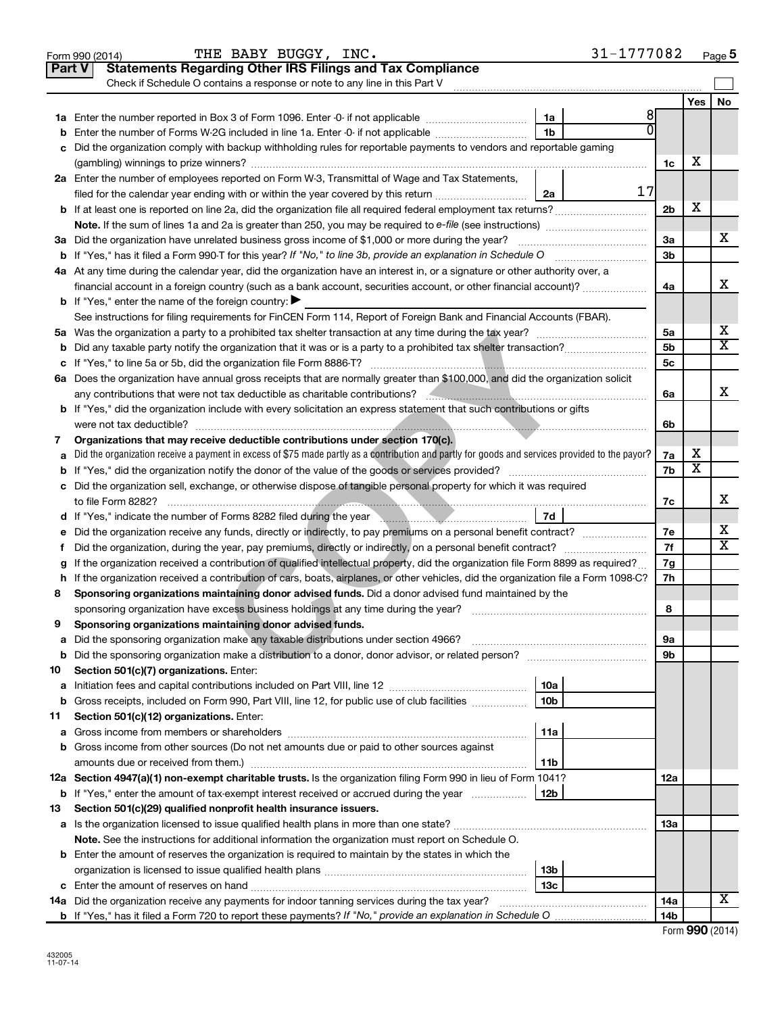|    | THE BABY BUGGY, INC.<br>31-1777082<br>Form 990 (2014)                                                                                                                       |                 |                         | Page 5                  |
|----|-----------------------------------------------------------------------------------------------------------------------------------------------------------------------------|-----------------|-------------------------|-------------------------|
|    | <b>Statements Regarding Other IRS Filings and Tax Compliance</b><br><b>Part V</b>                                                                                           |                 |                         |                         |
|    | Check if Schedule O contains a response or note to any line in this Part V                                                                                                  |                 |                         |                         |
|    |                                                                                                                                                                             |                 | Yes                     | No                      |
|    | 8<br>1a                                                                                                                                                                     |                 |                         |                         |
| b  | 1 <sub>b</sub><br>Enter the number of Forms W-2G included in line 1a. Enter -0- if not applicable                                                                           |                 |                         |                         |
|    | c Did the organization comply with backup withholding rules for reportable payments to vendors and reportable gaming                                                        |                 |                         |                         |
|    |                                                                                                                                                                             | 1c              | х                       |                         |
|    | 2a Enter the number of employees reported on Form W-3, Transmittal of Wage and Tax Statements,                                                                              |                 |                         |                         |
|    | 17<br>filed for the calendar year ending with or within the year covered by this return<br>2a                                                                               |                 |                         |                         |
|    |                                                                                                                                                                             | 2 <sub>b</sub>  | х                       |                         |
|    |                                                                                                                                                                             |                 |                         |                         |
|    | 3a Did the organization have unrelated business gross income of \$1,000 or more during the year?                                                                            | 3a              |                         | х                       |
|    |                                                                                                                                                                             | 3b              |                         |                         |
|    | 4a At any time during the calendar year, did the organization have an interest in, or a signature or other authority over, a                                                |                 |                         |                         |
|    | financial account in a foreign country (such as a bank account, securities account, or other financial account)?                                                            | 4a              |                         | X                       |
|    | <b>b</b> If "Yes," enter the name of the foreign country:                                                                                                                   |                 |                         |                         |
|    | See instructions for filing requirements for FinCEN Form 114, Report of Foreign Bank and Financial Accounts (FBAR).                                                         |                 |                         |                         |
|    |                                                                                                                                                                             | 5a              |                         | х                       |
|    |                                                                                                                                                                             | 5 <sub>b</sub>  |                         | $\overline{\texttt{X}}$ |
|    |                                                                                                                                                                             | 5 <sub>c</sub>  |                         |                         |
|    | 6a Does the organization have annual gross receipts that are normally greater than \$100,000, and did the organization solicit                                              |                 |                         |                         |
|    |                                                                                                                                                                             | 6a              |                         | X                       |
|    | <b>b</b> If "Yes," did the organization include with every solicitation an express statement that such contributions or gifts                                               |                 |                         |                         |
|    |                                                                                                                                                                             | 6b              |                         |                         |
| 7  | Organizations that may receive deductible contributions under section 170(c).                                                                                               |                 |                         |                         |
| a  | Did the organization receive a payment in excess of \$75 made partly as a contribution and partly for goods and services provided to the payor?                             | 7a              | х                       |                         |
|    |                                                                                                                                                                             | 7b              | $\overline{\textbf{x}}$ |                         |
|    | c Did the organization sell, exchange, or otherwise dispose of tangible personal property for which it was required                                                         |                 |                         |                         |
|    |                                                                                                                                                                             | 7c              |                         | x                       |
|    | d If "Yes," indicate the number of Forms 8282 filed during the year manuscription and the Ves," indicate the number of Forms 8282 filed during the year manuscription of Td |                 |                         |                         |
| е  | Did the organization receive any funds, directly or indirectly, to pay premiums on a personal benefit contract?                                                             | 7e              |                         | х                       |
| f. | Did the organization, during the year, pay premiums, directly or indirectly, on a personal benefit contract?                                                                | 7f              |                         | $\overline{\text{X}}$   |
|    | If the organization received a contribution of qualified intellectual property, did the organization file Form 8899 as required?                                            | 7g              |                         |                         |
|    | h If the organization received a contribution of cars, boats, airplanes, or other vehicles, did the organization file a Form 1098-C?                                        | 7h              |                         |                         |
| 8  | Sponsoring organizations maintaining donor advised funds. Did a donor advised fund maintained by the                                                                        |                 |                         |                         |
|    |                                                                                                                                                                             | 8               |                         |                         |
|    | Sponsoring organizations maintaining donor advised funds.                                                                                                                   |                 |                         |                         |
| а  | Did the sponsoring organization make any taxable distributions under section 4966?                                                                                          | 9а              |                         |                         |
| b  |                                                                                                                                                                             | 9b              |                         |                         |
| 10 | Section 501(c)(7) organizations. Enter:                                                                                                                                     |                 |                         |                         |
| a  | 10a                                                                                                                                                                         |                 |                         |                         |
| b  | 10 <sub>b</sub><br>Gross receipts, included on Form 990, Part VIII, line 12, for public use of club facilities                                                              |                 |                         |                         |
| 11 | Section 501(c)(12) organizations. Enter:                                                                                                                                    |                 |                         |                         |
| а  | 11a                                                                                                                                                                         |                 |                         |                         |
|    | b Gross income from other sources (Do not net amounts due or paid to other sources against                                                                                  |                 |                         |                         |
|    | amounts due or received from them.)<br>11b                                                                                                                                  |                 |                         |                         |
|    | 12a Section 4947(a)(1) non-exempt charitable trusts. Is the organization filing Form 990 in lieu of Form 1041?                                                              | 12a             |                         |                         |
|    | 12b<br><b>b</b> If "Yes," enter the amount of tax-exempt interest received or accrued during the year                                                                       |                 |                         |                         |
| 13 | Section 501(c)(29) qualified nonprofit health insurance issuers.                                                                                                            |                 |                         |                         |
|    | a Is the organization licensed to issue qualified health plans in more than one state?                                                                                      | 13a             |                         |                         |
|    | Note. See the instructions for additional information the organization must report on Schedule O.                                                                           |                 |                         |                         |
|    | <b>b</b> Enter the amount of reserves the organization is required to maintain by the states in which the                                                                   |                 |                         |                         |
|    | 13b                                                                                                                                                                         |                 |                         |                         |
|    | 13 <sub>c</sub>                                                                                                                                                             |                 |                         |                         |
|    | 14a Did the organization receive any payments for indoor tanning services during the tax year?                                                                              | 14a             |                         | x                       |
|    |                                                                                                                                                                             | 14 <sub>b</sub> |                         |                         |

| Form 990 (2014) |  |
|-----------------|--|
|-----------------|--|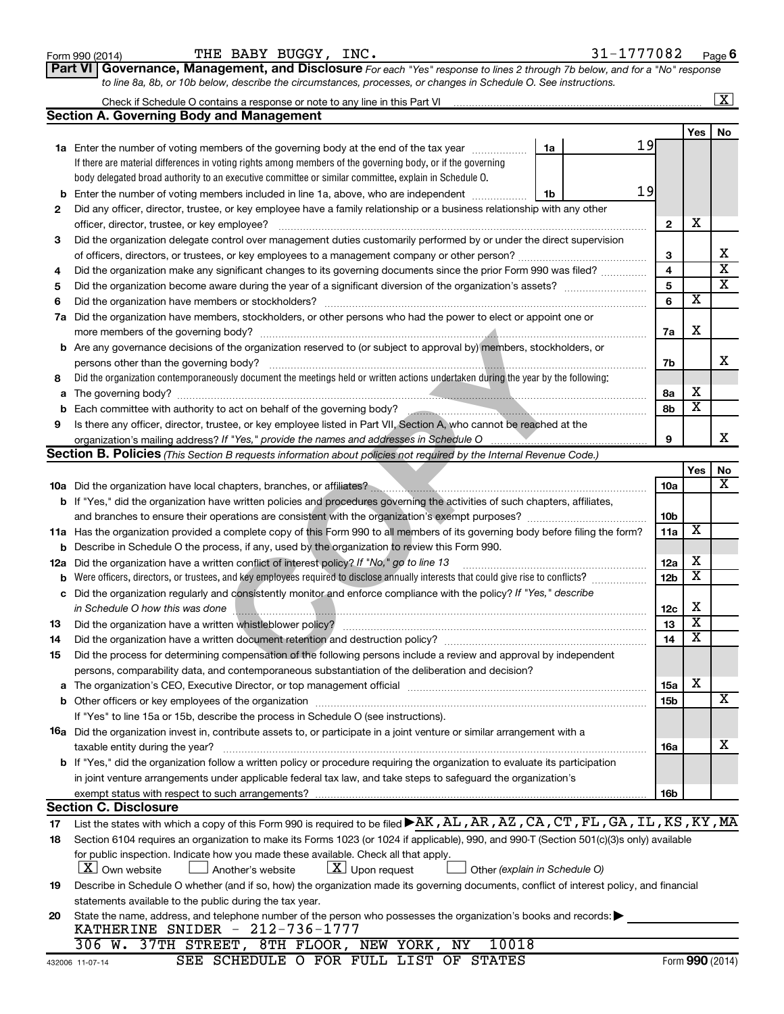| Form 990 (2014) |  |  |
|-----------------|--|--|
|-----------------|--|--|

Form 990 (2014) Page THE BABY BUGGY, INC. 31-1777082

**Part VI** Governance, Management, and Disclosure For each "Yes" response to lines 2 through 7b below, and for a "No" response *to line 8a, 8b, or 10b below, describe the circumstances, processes, or changes in Schedule O. See instructions.*

|     |                                                                                                                                                                                                                               |                 |                         | $\overline{\text{X}}$   |
|-----|-------------------------------------------------------------------------------------------------------------------------------------------------------------------------------------------------------------------------------|-----------------|-------------------------|-------------------------|
|     | <b>Section A. Governing Body and Management</b>                                                                                                                                                                               |                 |                         |                         |
|     |                                                                                                                                                                                                                               |                 | Yes                     | No                      |
|     | 19<br><b>1a</b> Enter the number of voting members of the governing body at the end of the tax year<br>1a                                                                                                                     |                 |                         |                         |
|     | If there are material differences in voting rights among members of the governing body, or if the governing                                                                                                                   |                 |                         |                         |
|     | body delegated broad authority to an executive committee or similar committee, explain in Schedule O.                                                                                                                         |                 |                         |                         |
| b   | 19<br>Enter the number of voting members included in line 1a, above, who are independent<br>1b                                                                                                                                |                 |                         |                         |
| 2   | Did any officer, director, trustee, or key employee have a family relationship or a business relationship with any other                                                                                                      |                 |                         |                         |
|     | officer, director, trustee, or key employee?                                                                                                                                                                                  | $\mathbf{2}$    | х                       |                         |
| 3   | Did the organization delegate control over management duties customarily performed by or under the direct supervision                                                                                                         |                 |                         |                         |
|     |                                                                                                                                                                                                                               | 3               |                         | х                       |
| 4   | Did the organization make any significant changes to its governing documents since the prior Form 990 was filed?                                                                                                              | 4               |                         | $\overline{\textbf{x}}$ |
| 5   |                                                                                                                                                                                                                               | 5               |                         | X                       |
| 6   | Did the organization have members or stockholders?                                                                                                                                                                            | 6               | $\overline{\textbf{x}}$ |                         |
| 7a  | Did the organization have members, stockholders, or other persons who had the power to elect or appoint one or                                                                                                                |                 |                         |                         |
|     |                                                                                                                                                                                                                               | 7a              | X                       |                         |
|     | <b>b</b> Are any governance decisions of the organization reserved to (or subject to approval by) members, stockholders, or                                                                                                   |                 |                         |                         |
|     | persons other than the governing body?                                                                                                                                                                                        | 7b              |                         | x                       |
| 8   | Did the organization contemporaneously document the meetings held or written actions undertaken during the year by the following:                                                                                             |                 |                         |                         |
| a   |                                                                                                                                                                                                                               | 8а              | х                       |                         |
| b   | Each committee with authority to act on behalf of the governing body?                                                                                                                                                         | 8b              | $\overline{\textbf{x}}$ |                         |
| 9   | Is there any officer, director, trustee, or key employee listed in Part VII, Section A, who cannot be reached at the                                                                                                          |                 |                         |                         |
|     |                                                                                                                                                                                                                               | 9               |                         | x                       |
|     | <b>Section B. Policies</b> (This Section B requests information about policies not required by the Internal Revenue Code.)                                                                                                    |                 |                         |                         |
|     |                                                                                                                                                                                                                               |                 | Yes                     | No                      |
|     | 10a Did the organization have local chapters, branches, or affiliates?                                                                                                                                                        | 10a             |                         | x                       |
|     | b If "Yes," did the organization have written policies and procedures governing the activities of such chapters, affiliates,                                                                                                  |                 |                         |                         |
|     |                                                                                                                                                                                                                               | 10 <sub>b</sub> |                         |                         |
|     | 11a Has the organization provided a complete copy of this Form 990 to all members of its governing body before filing the form?                                                                                               | 11a             | X                       |                         |
| b   | Describe in Schedule O the process, if any, used by the organization to review this Form 990.                                                                                                                                 |                 |                         |                         |
| 12a | Did the organization have a written conflict of interest policy? If "No," go to line 13                                                                                                                                       | 12a             | х                       |                         |
| b   | Were officers, directors, or trustees, and key employees required to disclose annually interests that could give rise to conflicts?                                                                                           | 12 <sub>b</sub> | $\overline{\textbf{x}}$ |                         |
| с   | Did the organization regularly and consistently monitor and enforce compliance with the policy? If "Yes," describe                                                                                                            |                 |                         |                         |
|     | in Schedule O how this was done                                                                                                                                                                                               | 12c             | X                       |                         |
| 13  | Did the organization have a written whistleblower policy?                                                                                                                                                                     | 13              | $\overline{\textbf{x}}$ |                         |
| 14  |                                                                                                                                                                                                                               | 14              | $\overline{\mathbf{X}}$ |                         |
| 15  | Did the process for determining compensation of the following persons include a review and approval by independent                                                                                                            |                 |                         |                         |
|     | persons, comparability data, and contemporaneous substantiation of the deliberation and decision?                                                                                                                             |                 |                         |                         |
|     | The organization's CEO, Executive Director, or top management official manufactured content content of the organization's CEO, Executive Director, or top management official manufactured content of the original content of | <b>15a</b>      | х                       |                         |
|     |                                                                                                                                                                                                                               | 15b             |                         | х                       |
|     | If "Yes" to line 15a or 15b, describe the process in Schedule O (see instructions).                                                                                                                                           |                 |                         |                         |
|     | <b>16a</b> Did the organization invest in, contribute assets to, or participate in a joint venture or similar arrangement with a                                                                                              |                 |                         |                         |
|     | taxable entity during the year?                                                                                                                                                                                               | 16a             |                         | x                       |
|     | <b>b</b> If "Yes," did the organization follow a written policy or procedure requiring the organization to evaluate its participation                                                                                         |                 |                         |                         |
|     | in joint venture arrangements under applicable federal tax law, and take steps to safequard the organization's                                                                                                                |                 |                         |                         |
|     | exempt status with respect to such arrangements?                                                                                                                                                                              | 16b             |                         |                         |
|     | <b>Section C. Disclosure</b>                                                                                                                                                                                                  |                 |                         |                         |
| 17  | List the states with which a copy of this Form 990 is required to be filed <b>&gt;AK, AL, AR, AZ, CA, CT, FL, GA, IL, KS, KY, MA</b>                                                                                          |                 |                         |                         |
| 18  | Section 6104 requires an organization to make its Forms 1023 (or 1024 if applicable), 990, and 990-T (Section 501(c)(3)s only) available                                                                                      |                 |                         |                         |
|     | for public inspection. Indicate how you made these available. Check all that apply.                                                                                                                                           |                 |                         |                         |
|     | $ \mathbf{X} $ Own website<br>$\lfloor \underline{X} \rfloor$ Upon request<br>Another's website<br>Other (explain in Schedule O)                                                                                              |                 |                         |                         |
| 19  | Describe in Schedule O whether (and if so, how) the organization made its governing documents, conflict of interest policy, and financial                                                                                     |                 |                         |                         |
|     | statements available to the public during the tax year.                                                                                                                                                                       |                 |                         |                         |
| 20  | State the name, address, and telephone number of the person who possesses the organization's books and records:                                                                                                               |                 |                         |                         |
|     | KATHERINE SNIDER - 212-736-1777                                                                                                                                                                                               |                 |                         |                         |
|     | 306 W. 37TH STREET, 8TH FLOOR, NEW YORK, NY<br>10018                                                                                                                                                                          |                 |                         |                         |

SEE SCHEDULE O FOR FULL LIST OF STATES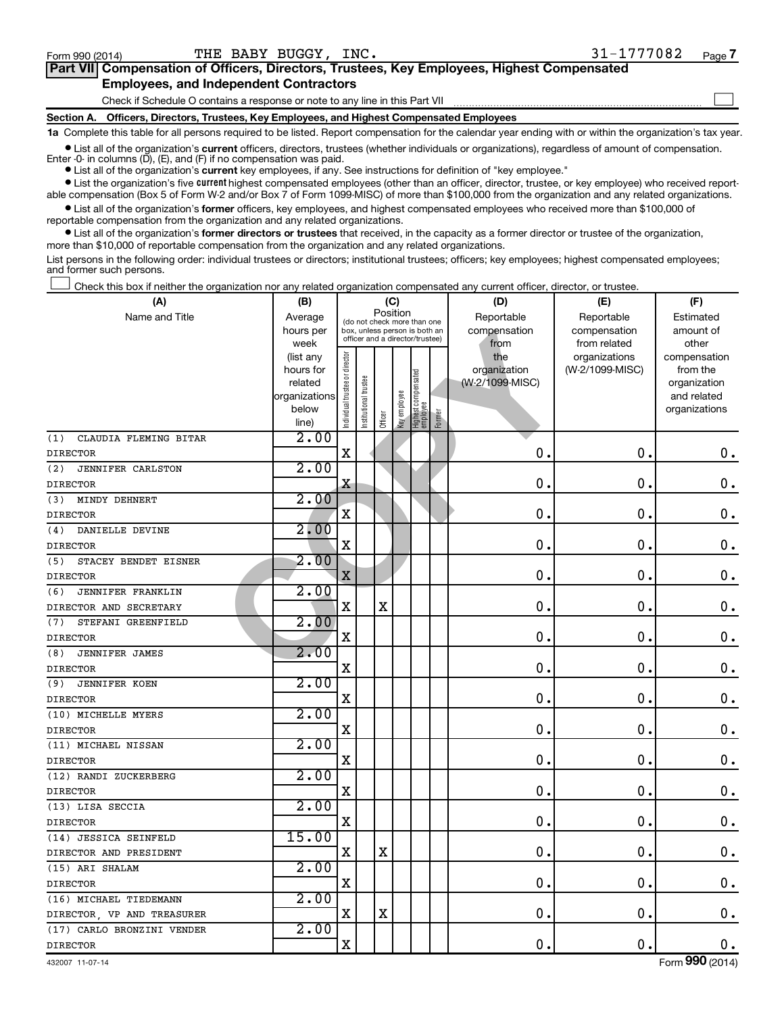$\Box$ 

| Part VII Compensation of Officers, Directors, Trustees, Key Employees, Highest Compensated |
|--------------------------------------------------------------------------------------------|
| <b>Employees, and Independent Contractors</b>                                              |

Check if Schedule O contains a response or note to any line in this Part VII

**Section A. Officers, Directors, Trustees, Key Employees, and Highest Compensated Employees**

**1a**  Complete this table for all persons required to be listed. Report compensation for the calendar year ending with or within the organization's tax year.

**•** List all of the organization's current officers, directors, trustees (whether individuals or organizations), regardless of amount of compensation. Enter  $-0$ - in columns  $(D)$ ,  $(E)$ , and  $(F)$  if no compensation was paid.

**•** List all of the organization's **current** key employees, if any. See instructions for definition of "key employee."

**•** List the organization's five current highest compensated employees (other than an officer, director, trustee, or key employee) who received reportable compensation (Box 5 of Form W-2 and/or Box 7 of Form 1099-MISC) of more than \$100,000 from the organization and any related organizations.

**•** List all of the organization's former officers, key employees, and highest compensated employees who received more than \$100,000 of reportable compensation from the organization and any related organizations.

**•** List all of the organization's former directors or trustees that received, in the capacity as a former director or trustee of the organization, more than \$10,000 of reportable compensation from the organization and any related organizations.

List persons in the following order: individual trustees or directors; institutional trustees; officers; key employees; highest compensated employees; and former such persons.

Check this box if neither the organization nor any related organization compensated any current officer, director, or trustee.  $\Box$ 

| (A)                             | (B)                    |                                |                       |                                                                  | (C)          |                                 |        | (D)                 | (E)                              | (F)                      |
|---------------------------------|------------------------|--------------------------------|-----------------------|------------------------------------------------------------------|--------------|---------------------------------|--------|---------------------|----------------------------------|--------------------------|
| Name and Title                  | Average                |                                |                       | Position<br>(do not check more than one                          |              |                                 |        | Reportable          | Reportable                       | Estimated                |
|                                 | hours per              |                                |                       | box, unless person is both an<br>officer and a director/trustee) |              |                                 |        | compensation        | compensation                     | amount of                |
|                                 | week                   |                                |                       |                                                                  |              |                                 |        | from                | from related                     | other                    |
|                                 | (list any<br>hours for |                                |                       |                                                                  |              |                                 |        | the<br>organization | organizations<br>(W-2/1099-MISC) | compensation<br>from the |
|                                 | related                |                                |                       |                                                                  |              |                                 |        | (W-2/1099-MISC)     |                                  | organization             |
|                                 | organizations          |                                |                       |                                                                  |              |                                 |        |                     |                                  | and related              |
|                                 | below                  | Individual trustee or director | Institutional trustee |                                                                  | Key employee |                                 |        |                     |                                  | organizations            |
|                                 | line)                  |                                |                       | Officer                                                          |              | Highest compensated<br>employee | Former |                     |                                  |                          |
| CLAUDIA FLEMING BITAR<br>(1)    | 2.00                   |                                |                       |                                                                  |              |                                 |        |                     |                                  |                          |
| <b>DIRECTOR</b>                 |                        | $\mathbf X$                    |                       |                                                                  |              |                                 |        | $\mathbf 0$ .       | $\mathbf 0$ .                    | $\mathbf 0$ .            |
| (2)<br><b>JENNIFER CARLSTON</b> | 2.00                   |                                |                       |                                                                  |              |                                 |        |                     |                                  |                          |
| <b>DIRECTOR</b>                 |                        | $\mathbf x$                    |                       |                                                                  |              |                                 |        | $\mathbf 0$         | 0.                               | $\mathbf 0$ .            |
| MINDY DEHNERT<br>(3)            | 2.00                   |                                |                       |                                                                  |              |                                 |        |                     |                                  |                          |
| <b>DIRECTOR</b>                 |                        | X                              |                       |                                                                  |              |                                 |        | $\mathbf 0$         | $\mathbf 0$ .                    | $\mathbf 0$ .            |
| DANIELLE DEVINE<br>(4)          | 2.00                   |                                |                       |                                                                  |              |                                 |        |                     |                                  |                          |
| <b>DIRECTOR</b>                 |                        | $\mathbf X$                    |                       |                                                                  |              |                                 |        | $\mathbf 0$         | 0.                               | $\mathbf 0$ .            |
| STACEY BENDET EISNER<br>(5)     | 2.00                   |                                |                       |                                                                  |              |                                 |        |                     |                                  |                          |
| <b>DIRECTOR</b>                 |                        | $\mathbf X$                    |                       |                                                                  |              |                                 |        | $\mathbf 0$         | 0.                               | $\mathbf 0$ .            |
| (6)<br>JENNIFER FRANKLIN        | 2.00                   |                                |                       |                                                                  |              |                                 |        |                     |                                  |                          |
| DIRECTOR AND SECRETARY          |                        | $\mathbf X$                    |                       | $\mathbf X$                                                      |              |                                 |        | $\mathbf 0$         | $\mathbf 0$                      | $\mathbf 0$ .            |
| (7)<br>STEFANI GREENFIELD       | 2.00                   |                                |                       |                                                                  |              |                                 |        |                     |                                  |                          |
| <b>DIRECTOR</b>                 |                        | $\mathbf X$                    |                       |                                                                  |              |                                 |        | 0                   | $\mathbf 0$                      | $\mathbf 0$ .            |
| <b>JENNIFER JAMES</b><br>(8)    | 2.00                   |                                |                       |                                                                  |              |                                 |        |                     |                                  |                          |
| <b>DIRECTOR</b>                 |                        | $\mathbf X$                    |                       |                                                                  |              |                                 |        | $\mathbf 0$         | $\mathbf 0$                      | $0$ .                    |
| (9)<br><b>JENNIFER KOEN</b>     | 2.00                   |                                |                       |                                                                  |              |                                 |        |                     |                                  |                          |
| <b>DIRECTOR</b>                 |                        | $\mathbf X$                    |                       |                                                                  |              |                                 |        | $\mathbf 0$         | $\mathbf 0$ .                    | $\mathbf 0$ .            |
| (10) MICHELLE MYERS             | 2.00                   |                                |                       |                                                                  |              |                                 |        |                     |                                  |                          |
| <b>DIRECTOR</b>                 |                        | $\mathbf X$                    |                       |                                                                  |              |                                 |        | $\mathbf 0$         | $\mathbf 0$ .                    | $\mathbf 0$ .            |
| (11) MICHAEL NISSAN             | 2.00                   |                                |                       |                                                                  |              |                                 |        |                     |                                  |                          |
| <b>DIRECTOR</b>                 |                        | $\mathbf X$                    |                       |                                                                  |              |                                 |        | $\mathbf 0$         | $\mathbf 0$ .                    | $\mathbf 0$ .            |
| (12) RANDI ZUCKERBERG           | 2.00                   |                                |                       |                                                                  |              |                                 |        |                     |                                  |                          |
| <b>DIRECTOR</b>                 |                        | $\mathbf X$                    |                       |                                                                  |              |                                 |        | $\mathbf 0$         | 0.                               | $\mathbf 0$ .            |
| (13) LISA SECCIA                | 2.00                   |                                |                       |                                                                  |              |                                 |        |                     |                                  |                          |
| <b>DIRECTOR</b>                 |                        | $\mathbf X$                    |                       |                                                                  |              |                                 |        | 0                   | 0.                               | $\mathbf 0$ .            |
| (14) JESSICA SEINFELD           | 15.00                  |                                |                       |                                                                  |              |                                 |        |                     |                                  |                          |
| DIRECTOR AND PRESIDENT          |                        | $\mathbf X$                    |                       | $\mathbf X$                                                      |              |                                 |        | $\mathbf 0$         | $\mathbf 0$ .                    | $\mathbf 0$ .            |
| (15) ARI SHALAM                 | 2.00                   |                                |                       |                                                                  |              |                                 |        |                     |                                  |                          |
| <b>DIRECTOR</b>                 |                        | $\mathbf X$                    |                       |                                                                  |              |                                 |        | $\mathbf 0$         | $\mathbf 0$ .                    | $\mathbf 0$ .            |
| (16) MICHAEL TIEDEMANN          | 2.00                   |                                |                       |                                                                  |              |                                 |        |                     |                                  |                          |
| DIRECTOR, VP AND TREASURER      |                        | $\mathbf X$                    |                       | $\mathbf X$                                                      |              |                                 |        | $\mathbf 0$ .       | $\mathbf 0$ .                    | 0.                       |
| (17) CARLO BRONZINI VENDER      | 2.00                   |                                |                       |                                                                  |              |                                 |        |                     |                                  |                          |
| <b>DIRECTOR</b>                 |                        | X                              |                       |                                                                  |              |                                 |        | $\mathbf 0$ .       | $\mathbf 0$ .                    | 0.                       |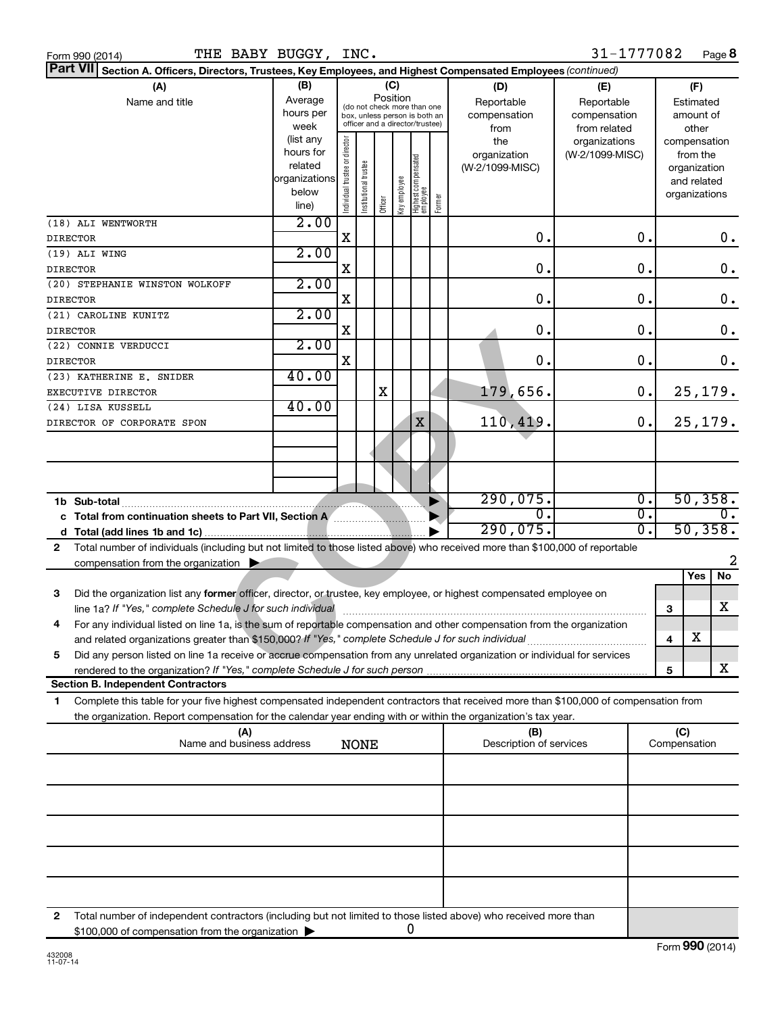|                   | Part VII Section A. Officers, Directors, Trustees, Key Employees, and Highest Compensated Employees (continued)                      |                   |                                |                                                                  |          |              |                                   |        |                         |                                  |               |     |                          |                    |
|-------------------|--------------------------------------------------------------------------------------------------------------------------------------|-------------------|--------------------------------|------------------------------------------------------------------|----------|--------------|-----------------------------------|--------|-------------------------|----------------------------------|---------------|-----|--------------------------|--------------------|
|                   | (A)                                                                                                                                  | (B)               |                                |                                                                  |          | (C)          |                                   |        | (D)                     | (E)                              |               | (F) |                          |                    |
|                   | Name and title                                                                                                                       | Average           |                                | (do not check more than one                                      | Position |              |                                   |        | Reportable              | Reportable                       |               |     | Estimated                |                    |
|                   |                                                                                                                                      | hours per         |                                | box, unless person is both an<br>officer and a director/trustee) |          |              |                                   |        | compensation            | compensation                     |               |     | amount of                |                    |
|                   |                                                                                                                                      | week<br>(list any |                                |                                                                  |          |              |                                   |        | from                    | from related                     |               |     | other                    |                    |
|                   |                                                                                                                                      | hours for         | Individual trustee or director |                                                                  |          |              |                                   |        | the<br>organization     | organizations<br>(W-2/1099-MISC) |               |     | compensation<br>from the |                    |
|                   |                                                                                                                                      | related           |                                |                                                                  |          |              |                                   |        | (W-2/1099-MISC)         |                                  |               |     | organization             |                    |
|                   |                                                                                                                                      | organizations     |                                | nstitutional trustee                                             |          |              |                                   |        |                         |                                  |               |     | and related              |                    |
|                   |                                                                                                                                      | below             |                                |                                                                  |          | Key employee |                                   |        |                         |                                  |               |     | organizations            |                    |
|                   |                                                                                                                                      | line)             |                                |                                                                  | Officer  |              | Highest compensated<br>  employee | Former |                         |                                  |               |     |                          |                    |
|                   | (18) ALI WENTWORTH                                                                                                                   | 2.00              |                                |                                                                  |          |              |                                   |        |                         |                                  |               |     |                          |                    |
| <b>DIRECTOR</b>   |                                                                                                                                      |                   | X                              |                                                                  |          |              |                                   |        | 0.                      |                                  | 0.            |     |                          | $0$ .              |
| (19) ALI WING     |                                                                                                                                      | 2.00              |                                |                                                                  |          |              |                                   |        |                         |                                  |               |     |                          |                    |
| <b>DIRECTOR</b>   |                                                                                                                                      |                   | X                              |                                                                  |          |              |                                   |        | $\mathbf 0$ .           |                                  | $\mathbf 0$ . |     |                          | $\mathbf 0$ .      |
|                   | (20) STEPHANIE WINSTON WOLKOFF                                                                                                       | 2.00              | X                              |                                                                  |          |              |                                   |        | $\mathbf 0$ .           |                                  | $\mathbf 0$ . |     |                          | $\boldsymbol{0}$ . |
| <b>DIRECTOR</b>   | (21) CAROLINE KUNITZ                                                                                                                 | 2.00              |                                |                                                                  |          |              |                                   |        |                         |                                  |               |     |                          |                    |
| <b>DIRECTOR</b>   |                                                                                                                                      |                   | X                              |                                                                  |          |              |                                   |        | $\mathbf 0$ .           |                                  | $\mathbf 0$ . |     |                          | $\mathbf 0$ .      |
|                   | (22) CONNIE VERDUCCI                                                                                                                 | 2.00              |                                |                                                                  |          |              |                                   |        |                         |                                  |               |     |                          |                    |
| <b>DIRECTOR</b>   |                                                                                                                                      |                   | X                              |                                                                  |          |              |                                   |        | $\mathbf 0$ .           |                                  | $\mathbf 0$ . |     |                          | 0.                 |
|                   | (23) KATHERINE E. SNIDER                                                                                                             | 40.00             |                                |                                                                  |          |              |                                   |        |                         |                                  |               |     |                          |                    |
|                   | EXECUTIVE DIRECTOR                                                                                                                   |                   |                                |                                                                  | X        |              |                                   |        | 179,656.                |                                  | 0.            |     | 25,179.                  |                    |
| (24) LISA KUSSELL |                                                                                                                                      | 40.00             |                                |                                                                  |          |              |                                   |        |                         |                                  |               |     |                          |                    |
|                   | DIRECTOR OF CORPORATE SPON                                                                                                           |                   |                                |                                                                  |          |              | $\mathbf X$                       |        | 110, 419.               |                                  | 0.            |     | 25, 179.                 |                    |
|                   |                                                                                                                                      |                   |                                |                                                                  |          |              |                                   |        |                         |                                  |               |     |                          |                    |
|                   |                                                                                                                                      |                   |                                |                                                                  |          |              |                                   |        |                         |                                  |               |     |                          |                    |
|                   |                                                                                                                                      |                   |                                |                                                                  |          |              |                                   |        |                         |                                  |               |     |                          |                    |
| 1b Sub-total      |                                                                                                                                      |                   |                                |                                                                  |          |              |                                   |        | 290,075.                |                                  | σ.            |     | 50,358.                  |                    |
|                   | c Total from continuation sheets to Part VII, Section A                                                                              |                   |                                |                                                                  |          |              |                                   |        | 0.                      |                                  | σ.            |     |                          | 0.                 |
|                   |                                                                                                                                      |                   |                                |                                                                  |          |              |                                   |        | 290,075.                |                                  | σ.            |     | 50, 358.                 |                    |
| 2                 | Total number of individuals (including but not limited to those listed above) who received more than \$100,000 of reportable         |                   |                                |                                                                  |          |              |                                   |        |                         |                                  |               |     |                          |                    |
|                   | compensation from the organization $\blacktriangleright$                                                                             |                   |                                |                                                                  |          |              |                                   |        |                         |                                  |               |     |                          | 2                  |
|                   |                                                                                                                                      |                   |                                |                                                                  |          |              |                                   |        |                         |                                  |               |     | Yes                      | <b>No</b>          |
| 3                 | Did the organization list any former officer, director, or trustee, key employee, or highest compensated employee on                 |                   |                                |                                                                  |          |              |                                   |        |                         |                                  |               |     |                          |                    |
|                   | line 1a? If "Yes," complete Schedule J for such individual                                                                           |                   |                                |                                                                  |          |              |                                   |        |                         |                                  |               | 3   |                          | x                  |
| 4                 | For any individual listed on line 1a, is the sum of reportable compensation and other compensation from the organization             |                   |                                |                                                                  |          |              |                                   |        |                         |                                  |               |     |                          |                    |
|                   | and related organizations greater than \$150,000? If "Yes," complete Schedule J for such individual                                  |                   |                                |                                                                  |          |              |                                   |        |                         |                                  |               | 4   | $\mathbf X$              |                    |
| 5                 | Did any person listed on line 1a receive or accrue compensation from any unrelated organization or individual for services           |                   |                                |                                                                  |          |              |                                   |        |                         |                                  |               |     |                          | x                  |
|                   | <b>Section B. Independent Contractors</b>                                                                                            |                   |                                |                                                                  |          |              |                                   |        |                         |                                  |               | 5   |                          |                    |
| 1.                | Complete this table for your five highest compensated independent contractors that received more than \$100,000 of compensation from |                   |                                |                                                                  |          |              |                                   |        |                         |                                  |               |     |                          |                    |
|                   | the organization. Report compensation for the calendar year ending with or within the organization's tax year.                       |                   |                                |                                                                  |          |              |                                   |        |                         |                                  |               |     |                          |                    |
|                   | (A)                                                                                                                                  |                   |                                |                                                                  |          |              |                                   |        | (B)                     |                                  |               |     | (C)                      |                    |
|                   | Name and business address                                                                                                            |                   |                                | <b>NONE</b>                                                      |          |              |                                   |        | Description of services |                                  |               |     | Compensation             |                    |
|                   |                                                                                                                                      |                   |                                |                                                                  |          |              |                                   |        |                         |                                  |               |     |                          |                    |
|                   |                                                                                                                                      |                   |                                |                                                                  |          |              |                                   |        |                         |                                  |               |     |                          |                    |
|                   |                                                                                                                                      |                   |                                |                                                                  |          |              |                                   |        |                         |                                  |               |     |                          |                    |
|                   |                                                                                                                                      |                   |                                |                                                                  |          |              |                                   |        |                         |                                  |               |     |                          |                    |
|                   |                                                                                                                                      |                   |                                |                                                                  |          |              |                                   |        |                         |                                  |               |     |                          |                    |
|                   |                                                                                                                                      |                   |                                |                                                                  |          |              |                                   |        |                         |                                  |               |     |                          |                    |
|                   |                                                                                                                                      |                   |                                |                                                                  |          |              |                                   |        |                         |                                  |               |     |                          |                    |
|                   |                                                                                                                                      |                   |                                |                                                                  |          |              |                                   |        |                         |                                  |               |     |                          |                    |
| 2                 | Total number of independent contractors (including but not limited to those listed above) who received more than                     |                   |                                |                                                                  |          |              |                                   |        |                         |                                  |               |     |                          |                    |
|                   | \$100,000 of compensation from the organization                                                                                      |                   |                                |                                                                  |          |              | 0                                 |        |                         |                                  |               |     |                          |                    |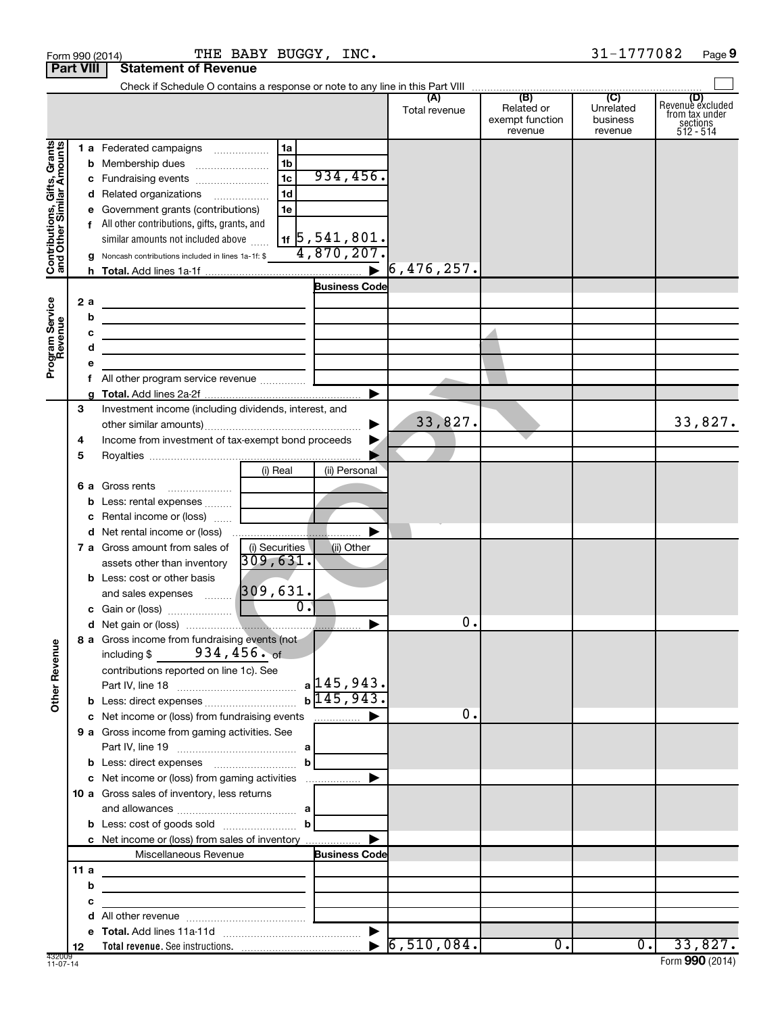|                                                           | Form 990 (2014)  | THE BABY BUGGY, INC.                                                       |                                  |                                                 | 31-1777082                                         | Page 9                                                      |
|-----------------------------------------------------------|------------------|----------------------------------------------------------------------------|----------------------------------|-------------------------------------------------|----------------------------------------------------|-------------------------------------------------------------|
|                                                           | <b>Part VIII</b> | <b>Statement of Revenue</b>                                                |                                  |                                                 |                                                    |                                                             |
|                                                           |                  |                                                                            |                                  |                                                 |                                                    |                                                             |
|                                                           |                  |                                                                            | (A)<br>Total revenue             | (B)<br>Related or<br>exempt function<br>revenue | $\overline{C}$<br>Unrelated<br>business<br>revenue | Revenuè excluded<br>from tax under<br>sections<br>512 - 514 |
|                                                           |                  | 1 a Federated campaigns<br>1a                                              |                                  |                                                 |                                                    |                                                             |
| Contributions, Gifts, Grants<br>and Other Similar Amounts |                  | 1 <sub>b</sub><br><b>b</b> Membership dues                                 |                                  |                                                 |                                                    |                                                             |
|                                                           |                  | 934,456.<br>$\overline{1}$<br>c Fundraising events                         |                                  |                                                 |                                                    |                                                             |
|                                                           |                  | 1d<br>d Related organizations                                              |                                  |                                                 |                                                    |                                                             |
|                                                           |                  | e Government grants (contributions)<br>1e                                  |                                  |                                                 |                                                    |                                                             |
|                                                           |                  | f All other contributions, gifts, grants, and                              |                                  |                                                 |                                                    |                                                             |
|                                                           |                  | $\vert$ 1f $\vert$ 5,541,801.<br>similar amounts not included above        |                                  |                                                 |                                                    |                                                             |
|                                                           |                  | $4,870,207$ .<br>g Noncash contributions included in lines 1a-1f: \$       |                                  |                                                 |                                                    |                                                             |
|                                                           |                  |                                                                            | $\blacktriangleright$ 6,476,257. |                                                 |                                                    |                                                             |
|                                                           |                  | <b>Business Code</b>                                                       |                                  |                                                 |                                                    |                                                             |
| Program Service<br>Revenue                                | 2a               | the control of the control of the control of the control of the control of |                                  |                                                 |                                                    |                                                             |
|                                                           | b                |                                                                            |                                  |                                                 |                                                    |                                                             |
|                                                           | c                | the control of the control of the control of the control of the control of |                                  |                                                 |                                                    |                                                             |
|                                                           | d                | the control of the control of the control of the control of the control of |                                  |                                                 |                                                    |                                                             |
|                                                           | е                |                                                                            |                                  |                                                 |                                                    |                                                             |
|                                                           | f.               | All other program service revenue <i></i>                                  |                                  |                                                 |                                                    |                                                             |
|                                                           | 3                | Investment income (including dividends, interest, and                      |                                  |                                                 |                                                    |                                                             |
|                                                           |                  | ▶                                                                          | 33,827.                          |                                                 |                                                    | 33,827.                                                     |
|                                                           | 4                | Income from investment of tax-exempt bond proceeds<br>▶                    |                                  |                                                 |                                                    |                                                             |
|                                                           | 5                |                                                                            |                                  |                                                 |                                                    |                                                             |
|                                                           |                  | (i) Real<br>(ii) Personal                                                  |                                  |                                                 |                                                    |                                                             |
|                                                           |                  | 6 a Gross rents                                                            |                                  |                                                 |                                                    |                                                             |
|                                                           |                  | <b>b</b> Less: rental expenses                                             |                                  |                                                 |                                                    |                                                             |
|                                                           |                  | c Rental income or (loss)                                                  |                                  |                                                 |                                                    |                                                             |
|                                                           |                  | d Net rental income or (loss)                                              |                                  |                                                 |                                                    |                                                             |
|                                                           |                  | (i) Securities<br>7 a Gross amount from sales of<br>(ii) Other             |                                  |                                                 |                                                    |                                                             |
|                                                           |                  | 309,631.<br>assets other than inventory                                    |                                  |                                                 |                                                    |                                                             |
|                                                           |                  | <b>b</b> Less: cost or other basis                                         |                                  |                                                 |                                                    |                                                             |
|                                                           |                  | and sales expenses  309,631.                                               |                                  |                                                 |                                                    |                                                             |
|                                                           |                  | $\overline{0}$ .                                                           |                                  |                                                 |                                                    |                                                             |
|                                                           |                  |                                                                            | $\overline{0}$ .                 |                                                 |                                                    |                                                             |
|                                                           |                  | 8 a Gross income from fundraising events (not                              |                                  |                                                 |                                                    |                                                             |
|                                                           |                  | 934,456. <sub>of</sub><br>including \$                                     |                                  |                                                 |                                                    |                                                             |
|                                                           |                  | contributions reported on line 1c). See                                    |                                  |                                                 |                                                    |                                                             |
| <b>Other Revenue</b>                                      |                  |                                                                            |                                  |                                                 |                                                    |                                                             |
|                                                           |                  | c Net income or (loss) from fundraising events                             | 0.                               |                                                 |                                                    |                                                             |
|                                                           |                  | 9 a Gross income from gaming activities. See                               |                                  |                                                 |                                                    |                                                             |
|                                                           |                  |                                                                            |                                  |                                                 |                                                    |                                                             |
|                                                           |                  | b                                                                          |                                  |                                                 |                                                    |                                                             |
|                                                           |                  |                                                                            |                                  |                                                 |                                                    |                                                             |
|                                                           |                  | <b>10 a</b> Gross sales of inventory, less returns                         |                                  |                                                 |                                                    |                                                             |
|                                                           |                  |                                                                            |                                  |                                                 |                                                    |                                                             |
|                                                           |                  | <b>b</b> Less: cost of goods sold $\ldots$ <b>b</b>                        |                                  |                                                 |                                                    |                                                             |
|                                                           |                  | c Net income or (loss) from sales of inventory                             |                                  |                                                 |                                                    |                                                             |
|                                                           |                  | Miscellaneous Revenue<br><b>Business Code</b>                              |                                  |                                                 |                                                    |                                                             |
|                                                           | 11 a             | the control of the control of the control of the control of the control of |                                  |                                                 |                                                    |                                                             |
|                                                           | b                |                                                                            |                                  |                                                 |                                                    |                                                             |
|                                                           | с                |                                                                            |                                  |                                                 |                                                    |                                                             |
|                                                           |                  |                                                                            |                                  |                                                 |                                                    |                                                             |
|                                                           |                  | $\blacktriangleright$                                                      |                                  |                                                 |                                                    |                                                             |
|                                                           | 12               |                                                                            |                                  | 0.                                              | 0.                                                 | 33,827.                                                     |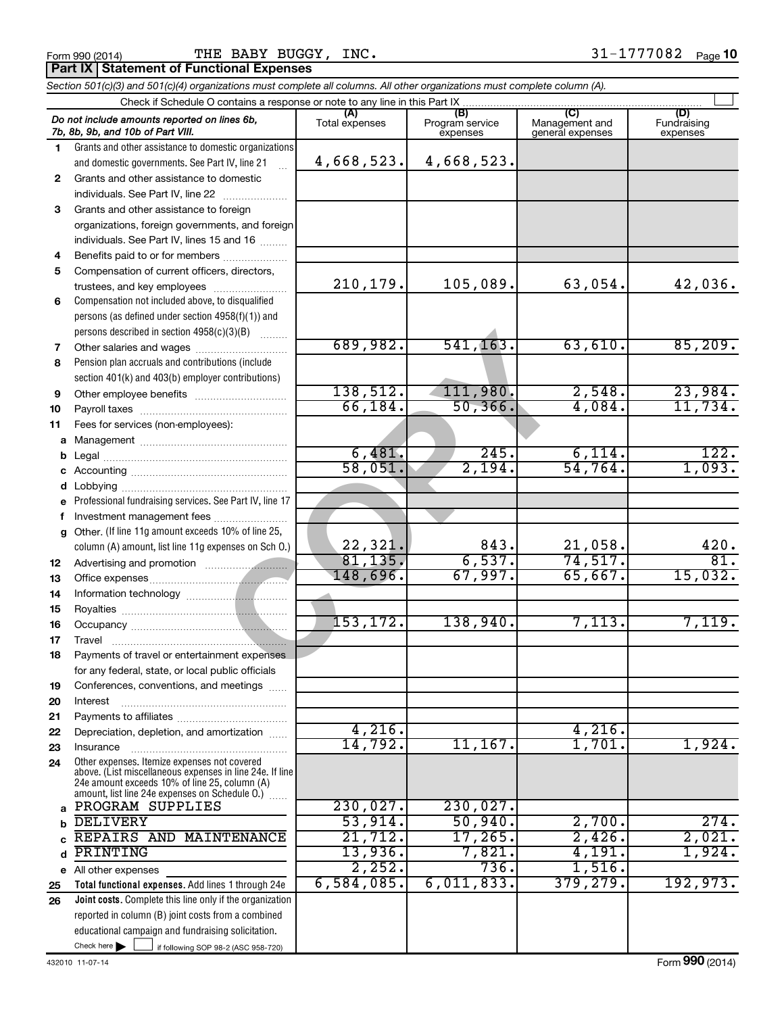Form 990 (2014) **PHE BABY BUGGY, INC.**  $31-1777082$  Page

**Part IX Statement of Functional Expenses** 

|        | Section 501(c)(3) and 501(c)(4) organizations must complete all columns. All other organizations must complete column (A).                                                                                  |                       |                                    |                                           |                                |
|--------|-------------------------------------------------------------------------------------------------------------------------------------------------------------------------------------------------------------|-----------------------|------------------------------------|-------------------------------------------|--------------------------------|
|        | Check if Schedule O contains a response or note to any line in this Part IX.                                                                                                                                |                       |                                    |                                           |                                |
|        | Do not include amounts reported on lines 6b,<br>7b, 8b, 9b, and 10b of Part VIII.                                                                                                                           | (A)<br>Total expenses | (B)<br>Program service<br>expenses | (C)<br>Management and<br>general expenses | (D)<br>Fundraising<br>expenses |
| 1.     | Grants and other assistance to domestic organizations                                                                                                                                                       |                       |                                    |                                           |                                |
|        | and domestic governments. See Part IV, line 21                                                                                                                                                              | 4,668,523.            | 4,668,523.                         |                                           |                                |
| 2      | Grants and other assistance to domestic                                                                                                                                                                     |                       |                                    |                                           |                                |
|        | individuals. See Part IV, line 22                                                                                                                                                                           |                       |                                    |                                           |                                |
| 3      | Grants and other assistance to foreign                                                                                                                                                                      |                       |                                    |                                           |                                |
|        | organizations, foreign governments, and foreign                                                                                                                                                             |                       |                                    |                                           |                                |
|        | individuals. See Part IV, lines 15 and 16                                                                                                                                                                   |                       |                                    |                                           |                                |
| 4      | Benefits paid to or for members                                                                                                                                                                             |                       |                                    |                                           |                                |
| 5      | Compensation of current officers, directors,                                                                                                                                                                |                       |                                    |                                           |                                |
|        | trustees, and key employees                                                                                                                                                                                 | 210,179.              | 105,089.                           | 63,054.                                   | 42,036.                        |
| 6      | Compensation not included above, to disqualified                                                                                                                                                            |                       |                                    |                                           |                                |
|        | persons (as defined under section 4958(f)(1)) and                                                                                                                                                           |                       |                                    |                                           |                                |
|        | persons described in section 4958(c)(3)(B)                                                                                                                                                                  |                       |                                    |                                           |                                |
| 7      | Other salaries and wages                                                                                                                                                                                    | 689,982.              | 541, 163.                          | 63,610.                                   | 85,209.                        |
| 8      | Pension plan accruals and contributions (include                                                                                                                                                            |                       |                                    |                                           |                                |
|        | section 401(k) and 403(b) employer contributions)                                                                                                                                                           |                       |                                    |                                           |                                |
| 9      |                                                                                                                                                                                                             | 138,512.<br>66, 184.  | 111,980.<br>50, 366.               | 2,548.<br>4,084.                          | $\frac{23,984.}{11,734.}$      |
| 10     |                                                                                                                                                                                                             |                       |                                    |                                           |                                |
| 11     | Fees for services (non-employees):                                                                                                                                                                          |                       |                                    |                                           |                                |
| a      |                                                                                                                                                                                                             | 6,481.                | 245.                               | 6,114.                                    | 122.                           |
| b      |                                                                                                                                                                                                             | 58,051.               | 2,194.                             | 54,764.                                   | 1,093.                         |
|        |                                                                                                                                                                                                             |                       |                                    |                                           |                                |
|        | Professional fundraising services. See Part IV, line 17                                                                                                                                                     |                       |                                    |                                           |                                |
| е<br>f | Investment management fees                                                                                                                                                                                  |                       |                                    |                                           |                                |
| g      | Other. (If line 11g amount exceeds 10% of line 25,                                                                                                                                                          |                       |                                    |                                           |                                |
|        | column (A) amount, list line 11g expenses on Sch O.)                                                                                                                                                        | 22,321.               | 843.                               | 21,058.                                   | 420.                           |
| 12     |                                                                                                                                                                                                             | 81, 135.              | 6,537.                             | 74,517.                                   | 81.                            |
| 13     |                                                                                                                                                                                                             | 148,696.              | 67,997.                            | 65,667.                                   | 15,032.                        |
| 14     |                                                                                                                                                                                                             |                       |                                    |                                           |                                |
| 15     |                                                                                                                                                                                                             |                       |                                    |                                           |                                |
| 16     |                                                                                                                                                                                                             | 153, 172.             | 138,940.                           | 7,113.                                    | 7,119.                         |
| 17     |                                                                                                                                                                                                             |                       |                                    |                                           |                                |
| 18     | Payments of travel or entertainment expenses                                                                                                                                                                |                       |                                    |                                           |                                |
|        | for any federal, state, or local public officials                                                                                                                                                           |                       |                                    |                                           |                                |
| 19     | Conferences, conventions, and meetings                                                                                                                                                                      |                       |                                    |                                           |                                |
| 20     | Interest                                                                                                                                                                                                    |                       |                                    |                                           |                                |
| 21     |                                                                                                                                                                                                             |                       |                                    |                                           |                                |
| 22     | Depreciation, depletion, and amortization                                                                                                                                                                   | 4,216.                |                                    | 4,216.                                    |                                |
| 23     | Insurance                                                                                                                                                                                                   | 14,792.               | 11, 167.                           | 1,701                                     | 1,924.                         |
| 24     | Other expenses. Itemize expenses not covered<br>above. (List miscellaneous expenses in line 24e. If line<br>24e amount exceeds 10% of line 25, column (A)<br>amount, list line 24e expenses on Schedule O.) |                       |                                    |                                           |                                |
| a      | PROGRAM SUPPLIES                                                                                                                                                                                            | 230,027.              | 230,027.                           |                                           |                                |
| b      | <b>DELIVERY</b>                                                                                                                                                                                             | 53,914.               | 50,940.                            | 2,700.                                    | 274.                           |
|        | REPAIRS AND MAINTENANCE                                                                                                                                                                                     | 21,712.               | 17,265.                            | 2,426.                                    | 2,021.                         |
| d      | PRINTING                                                                                                                                                                                                    | 13,936.               | 7,821.                             | 4,191.                                    | 1,924.                         |
|        | e All other expenses                                                                                                                                                                                        | 2,252.                | 736.                               | 1,516.                                    |                                |
| 25     | Total functional expenses. Add lines 1 through 24e                                                                                                                                                          | 6,584,085.            | 6,011,833.                         | 379,279.                                  | 192,973.                       |
| 26     | <b>Joint costs.</b> Complete this line only if the organization                                                                                                                                             |                       |                                    |                                           |                                |
|        | reported in column (B) joint costs from a combined                                                                                                                                                          |                       |                                    |                                           |                                |
|        | educational campaign and fundraising solicitation.                                                                                                                                                          |                       |                                    |                                           |                                |
|        | Check here $\blacktriangleright$<br>if following SOP 98-2 (ASC 958-720)                                                                                                                                     |                       |                                    |                                           |                                |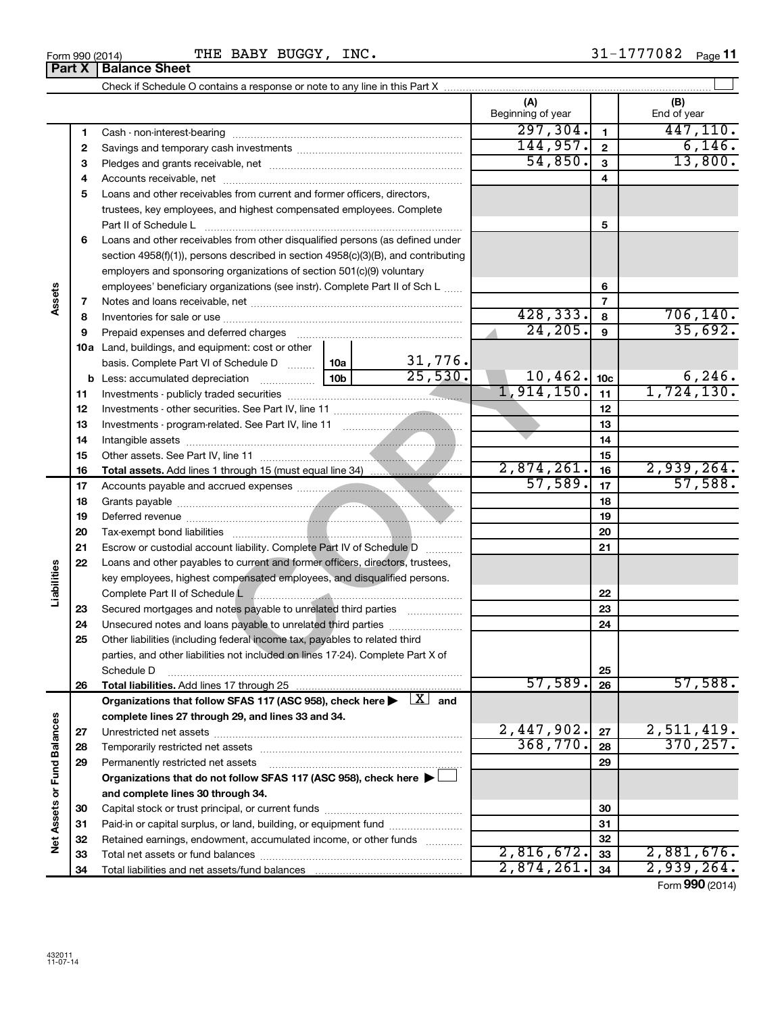**1 2 3**

**Part X Balance Sheet** 

|                          | з  |                                                                                                                                                                                    |     |         | 54,850.                    | 3               | 13,800.     |
|--------------------------|----|------------------------------------------------------------------------------------------------------------------------------------------------------------------------------------|-----|---------|----------------------------|-----------------|-------------|
|                          | 4  |                                                                                                                                                                                    |     |         |                            | 4               |             |
|                          | 5  | Loans and other receivables from current and former officers, directors,                                                                                                           |     |         |                            |                 |             |
|                          |    | trustees, key employees, and highest compensated employees. Complete                                                                                                               |     |         |                            |                 |             |
|                          |    |                                                                                                                                                                                    |     |         |                            | 5               |             |
|                          | 6  | Loans and other receivables from other disqualified persons (as defined under                                                                                                      |     |         |                            |                 |             |
|                          |    | section 4958(f)(1)), persons described in section 4958(c)(3)(B), and contributing                                                                                                  |     |         |                            |                 |             |
|                          |    | employers and sponsoring organizations of section 501(c)(9) voluntary                                                                                                              |     |         |                            |                 |             |
|                          |    | employees' beneficiary organizations (see instr). Complete Part II of Sch L                                                                                                        |     |         |                            | 6               |             |
| Assets                   | 7  |                                                                                                                                                                                    |     |         |                            | $\overline{7}$  |             |
|                          | 8  |                                                                                                                                                                                    |     |         | 428, 333.                  | 8               | 706, 140.   |
|                          | 9  | Prepaid expenses and deferred charges                                                                                                                                              |     |         | 24, 205.                   | 9               | 35,692.     |
|                          |    | <b>10a</b> Land, buildings, and equipment: cost or other                                                                                                                           |     |         |                            |                 |             |
|                          |    | basis. Complete Part VI of Schedule D                                                                                                                                              | 10a | 31,776. |                            |                 |             |
|                          |    | <b>b</b> Less: accumulated depreciation<br>$\ldots \ldots \ldots \ldots$                                                                                                           | 10b | 25,530. | 10,462.                    | 10 <sub>c</sub> | 6, 246.     |
|                          | 11 |                                                                                                                                                                                    |     |         | 1,914,150.                 | 11              | 1,724,130.  |
|                          | 12 |                                                                                                                                                                                    |     |         |                            | 12              |             |
|                          | 13 |                                                                                                                                                                                    |     |         |                            | 13              |             |
|                          | 14 |                                                                                                                                                                                    |     |         |                            | 14              |             |
|                          | 15 |                                                                                                                                                                                    |     |         |                            | 15              |             |
|                          | 16 |                                                                                                                                                                                    |     |         | 2,874,261.                 | 16              | 2,939,264.  |
|                          | 17 |                                                                                                                                                                                    |     |         | 57,589.                    | 17              | 57,588.     |
|                          | 18 |                                                                                                                                                                                    |     |         |                            | 18              |             |
|                          | 19 |                                                                                                                                                                                    |     |         |                            | 19              |             |
|                          | 20 |                                                                                                                                                                                    |     |         |                            | 20              |             |
|                          | 21 | Escrow or custodial account liability. Complete Part IV of Schedule D                                                                                                              |     |         |                            | 21              |             |
|                          | 22 | Loans and other payables to current and former officers, directors, trustees,                                                                                                      |     |         |                            |                 |             |
| Liabilities              |    | key employees, highest compensated employees, and disqualified persons.                                                                                                            |     |         |                            |                 |             |
|                          |    | Complete Part II of Schedule Later Manuscritt, Manuscritt, Manuscritt, Manuscritt, Manuscritt, Manuscritt, Ma                                                                      |     |         |                            | 22              |             |
|                          | 23 | Secured mortgages and notes payable to unrelated third parties                                                                                                                     |     |         |                            | 23              |             |
|                          | 24 | Unsecured notes and loans payable to unrelated third parties                                                                                                                       |     |         |                            | 24              |             |
|                          | 25 | Other liabilities (including federal income tax, payables to related third                                                                                                         |     |         |                            |                 |             |
|                          |    | parties, and other liabilities not included on lines 17-24). Complete Part X of                                                                                                    |     |         |                            |                 |             |
|                          |    | Schedule D                                                                                                                                                                         |     |         | 57,589.                    | 25              | 57,588.     |
|                          | 26 |                                                                                                                                                                                    |     |         |                            | 26              |             |
|                          |    | Organizations that follow SFAS 117 (ASC 958), check here $\blacktriangleright \begin{array}{c} \boxed{X} \\ \end{array}$ and<br>complete lines 27 through 29, and lines 33 and 34. |     |         |                            |                 |             |
| <b>ces</b>               |    |                                                                                                                                                                                    |     |         | 2,447,902.                 | ${\bf 27}$      | 2,511,419.  |
|                          | 28 |                                                                                                                                                                                    |     |         | 368,770.                   | 28              | 370, 257.   |
|                          | 29 | Permanently restricted net assets                                                                                                                                                  |     |         |                            | 29              |             |
|                          |    | Organizations that do not follow SFAS 117 (ASC 958), check here >                                                                                                                  |     |         |                            |                 |             |
|                          |    | and complete lines 30 through 34.                                                                                                                                                  |     |         |                            |                 |             |
|                          | 30 |                                                                                                                                                                                    |     |         |                            | 30              |             |
|                          | 31 | Paid-in or capital surplus, or land, building, or equipment fund                                                                                                                   |     |         |                            | 31              |             |
| Net Assets or Fund Balan | 32 | Retained earnings, endowment, accumulated income, or other funds                                                                                                                   |     |         |                            | 32              |             |
|                          |    |                                                                                                                                                                                    |     |         | $2.816$ 672 $\frac{1}{20}$ |                 | $2.891$ 676 |

# Form 990 (2014) **Page 19th Contract Page 19th Contract Page 19th Contract Page 19th Contract Page 19th Contract Page**

Cash - non-interest-bearing ~~~~~~~~~~~~~~~~~~~~~~~~~ Savings and temporary cash investments ~~~~~~~~~~~~~~~~~~

Capital stock or trust principal, or current funds ~~~~~~~~~~~~~~~ Paid-in or capital surplus, or land, building, or equipment fund ...................... Retained earnings, endowment, accumulated income, or other funds ............ Total net assets or fund balances ~~~~~~~~~~~~~~~~~~~~~~

Total liabilities and net assets/fund balances

Check if Schedule O contains a response or note to any line in this Part X

31-1777082 Page 11

**(A) (B)**

Beginning of year | | End of year

**1 2**

 $297,304.$   $1$   $447,110.$  $144,957$ .  $2$  6,146.

 $2,816,672.$  33 2,881,676.  $2,874,261$ .  $34$  | 2,939,264.

Form (2014) **990**

 $\perp$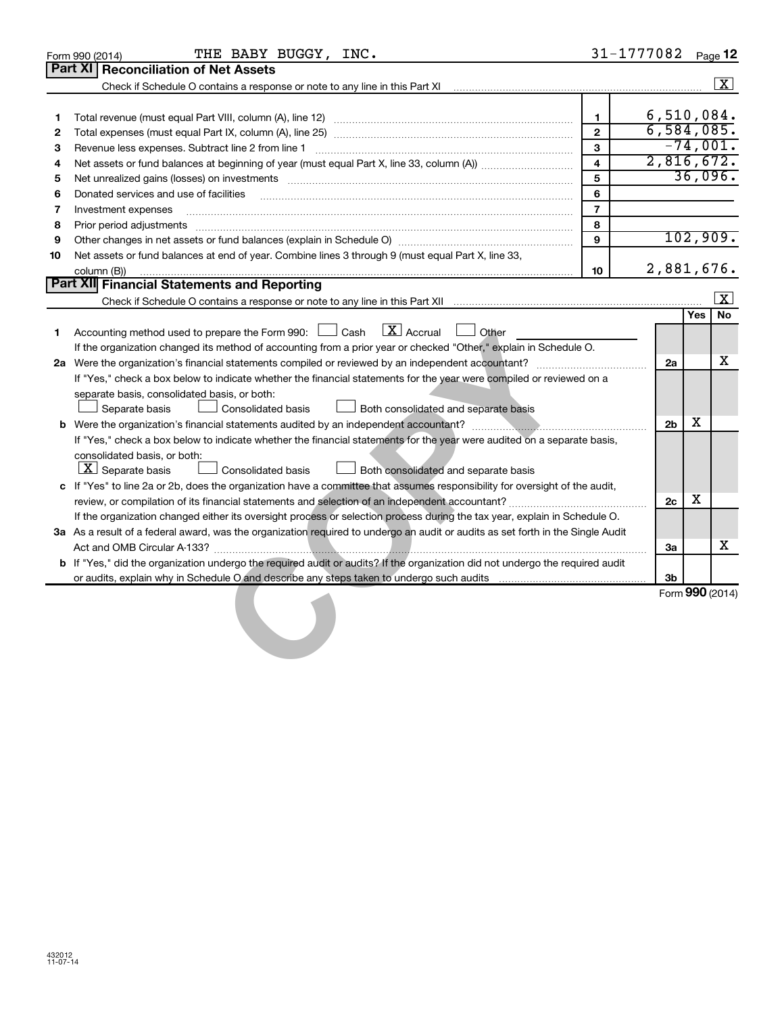|    | THE BABY BUGGY, INC.<br>Form 990 (2014)                                                                                         |                         | 31-1777082 |                |     | Page 12                 |
|----|---------------------------------------------------------------------------------------------------------------------------------|-------------------------|------------|----------------|-----|-------------------------|
|    | <b>Part XI Reconciliation of Net Assets</b>                                                                                     |                         |            |                |     |                         |
|    |                                                                                                                                 |                         |            |                |     | $\overline{\mathbf{X}}$ |
|    |                                                                                                                                 |                         |            | 6,510,084.     |     |                         |
| 1  |                                                                                                                                 | 1<br>$\overline{2}$     |            | 6,584,085.     |     |                         |
| 2  |                                                                                                                                 | 3                       |            |                |     | $-74,001.$              |
| з  | Revenue less expenses. Subtract line 2 from line 1                                                                              | $\overline{\mathbf{4}}$ |            | 2,816,672.     |     |                         |
| 4  |                                                                                                                                 | 5                       |            |                |     | 36,096.                 |
| 5  |                                                                                                                                 | 6                       |            |                |     |                         |
| 6  |                                                                                                                                 | $\overline{7}$          |            |                |     |                         |
| 7  | Investment expenses                                                                                                             |                         |            |                |     |                         |
| 8  | Prior period adjustments www.communication.communication.communication.com/news-managements                                     | 8                       |            |                |     |                         |
| 9  |                                                                                                                                 | 9                       |            |                |     | 102,909.                |
| 10 | Net assets or fund balances at end of year. Combine lines 3 through 9 (must equal Part X, line 33,                              |                         |            |                |     |                         |
|    | column (B))                                                                                                                     | 10                      |            | 2,881,676.     |     |                         |
|    | Part XII Financial Statements and Reporting                                                                                     |                         |            |                |     | $\lfloor x \rfloor$     |
|    |                                                                                                                                 |                         |            |                | Yes | No                      |
|    |                                                                                                                                 |                         |            |                |     |                         |
| 1  | $\boxed{\text{X}}$ Accrual<br>Accounting method used to prepare the Form 990: [130] Cash<br>Other                               |                         |            |                |     |                         |
|    | If the organization changed its method of accounting from a prior year or checked "Other," explain in Schedule O.               |                         |            |                |     |                         |
|    | 2a Were the organization's financial statements compiled or reviewed by an independent accountant?                              |                         |            | 2a             |     | x.                      |
|    | If "Yes," check a box below to indicate whether the financial statements for the year were compiled or reviewed on a            |                         |            |                |     |                         |
|    | separate basis, consolidated basis, or both:                                                                                    |                         |            |                |     |                         |
|    | Separate basis<br>Consolidated basis<br>Both consolidated and separate basis                                                    |                         |            |                |     |                         |
|    |                                                                                                                                 |                         |            | 2 <sub>b</sub> | X   |                         |
|    | If "Yes," check a box below to indicate whether the financial statements for the year were audited on a separate basis,         |                         |            |                |     |                         |
|    | consolidated basis, or both:                                                                                                    |                         |            |                |     |                         |
|    | $ \mathbf{X} $ Separate basis<br><b>Consolidated basis</b><br>Both consolidated and separate basis                              |                         |            |                |     |                         |
|    | c If "Yes" to line 2a or 2b, does the organization have a committee that assumes responsibility for oversight of the audit,     |                         |            |                |     |                         |
|    |                                                                                                                                 |                         |            | 2c             | х   |                         |
|    | If the organization changed either its oversight process or selection process during the tax year, explain in Schedule O.       |                         |            |                |     |                         |
|    | 3a As a result of a federal award, was the organization required to undergo an audit or audits as set forth in the Single Audit |                         |            |                |     |                         |
|    |                                                                                                                                 |                         |            | 3a             |     | x                       |
|    | b If "Yes," did the organization undergo the required audit or audits? If the organization did not undergo the required audit   |                         |            |                |     |                         |
|    |                                                                                                                                 |                         |            | 3b             |     |                         |
|    |                                                                                                                                 |                         |            |                |     | Form 990 (2014)         |
|    |                                                                                                                                 |                         |            |                |     |                         |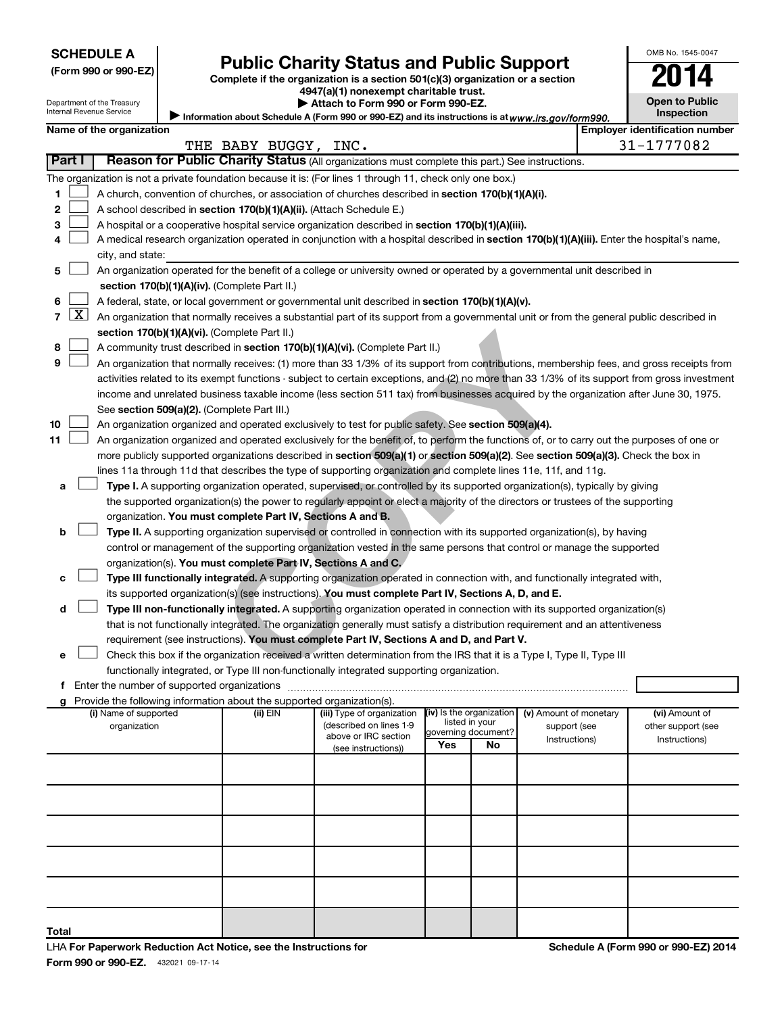| <b>SCHEDULE A</b> |  |
|-------------------|--|
|-------------------|--|

Department of the Treasury Internal Revenue Service

| (Form 990 or 990-EZ) |  |  |  |  |
|----------------------|--|--|--|--|
|----------------------|--|--|--|--|

# Form 990 or 990-EZ) **Public Charity Status and Public Support**<br>
Complete if the organization is a section 501(c)(3) organization or a section<br> **2014**

**4947(a)(1) nonexempt charitable trust. | Attach to Form 990 or Form 990-EZ.** 

| .<br>LU               |
|-----------------------|
| <b>Open to Public</b> |
| <b>Inspection</b>     |

OMB No. 1545-0047

|  | Name of the organization |  |  |
|--|--------------------------|--|--|

Information about Schedule A (Form 990 or 990-EZ) and its instructions is at www.irs.gov/form990.

|        | Name of the organization                                                                                                                                         |                 |                                                 |                                            |    |                        | <b>Employer identification number</b> |
|--------|------------------------------------------------------------------------------------------------------------------------------------------------------------------|-----------------|-------------------------------------------------|--------------------------------------------|----|------------------------|---------------------------------------|
|        |                                                                                                                                                                  | THE BABY BUGGY, | INC.                                            |                                            |    |                        | 31-1777082                            |
| Part I | Reason for Public Charity Status (All organizations must complete this part.) See instructions.                                                                  |                 |                                                 |                                            |    |                        |                                       |
|        | The organization is not a private foundation because it is: (For lines 1 through 11, check only one box.)                                                        |                 |                                                 |                                            |    |                        |                                       |
| 1      | A church, convention of churches, or association of churches described in section 170(b)(1)(A)(i).                                                               |                 |                                                 |                                            |    |                        |                                       |
| 2      | A school described in section 170(b)(1)(A)(ii). (Attach Schedule E.)                                                                                             |                 |                                                 |                                            |    |                        |                                       |
| 3      | A hospital or a cooperative hospital service organization described in section 170(b)(1)(A)(iii).                                                                |                 |                                                 |                                            |    |                        |                                       |
| 4      | A medical research organization operated in conjunction with a hospital described in section 170(b)(1)(A)(iii). Enter the hospital's name,                       |                 |                                                 |                                            |    |                        |                                       |
|        | city, and state:                                                                                                                                                 |                 |                                                 |                                            |    |                        |                                       |
| 5      | An organization operated for the benefit of a college or university owned or operated by a governmental unit described in                                        |                 |                                                 |                                            |    |                        |                                       |
|        | section 170(b)(1)(A)(iv). (Complete Part II.)                                                                                                                    |                 |                                                 |                                            |    |                        |                                       |
| 6      | A federal, state, or local government or governmental unit described in section 170(b)(1)(A)(v).                                                                 |                 |                                                 |                                            |    |                        |                                       |
| 7      | $\lfloor x \rfloor$<br>An organization that normally receives a substantial part of its support from a governmental unit or from the general public described in |                 |                                                 |                                            |    |                        |                                       |
|        | section 170(b)(1)(A)(vi). (Complete Part II.)                                                                                                                    |                 |                                                 |                                            |    |                        |                                       |
| 8      | A community trust described in section 170(b)(1)(A)(vi). (Complete Part II.)                                                                                     |                 |                                                 |                                            |    |                        |                                       |
| 9      | An organization that normally receives: (1) more than 33 1/3% of its support from contributions, membership fees, and gross receipts from                        |                 |                                                 |                                            |    |                        |                                       |
|        | activities related to its exempt functions - subject to certain exceptions, and (2) no more than 33 1/3% of its support from gross investment                    |                 |                                                 |                                            |    |                        |                                       |
|        | income and unrelated business taxable income (less section 511 tax) from businesses acquired by the organization after June 30, 1975.                            |                 |                                                 |                                            |    |                        |                                       |
|        | See section 509(a)(2). (Complete Part III.)                                                                                                                      |                 |                                                 |                                            |    |                        |                                       |
| 10     | An organization organized and operated exclusively to test for public safety. See section 509(a)(4).                                                             |                 |                                                 |                                            |    |                        |                                       |
| 11     | An organization organized and operated exclusively for the benefit of, to perform the functions of, or to carry out the purposes of one or                       |                 |                                                 |                                            |    |                        |                                       |
|        | more publicly supported organizations described in section 509(a)(1) or section 509(a)(2). See section 509(a)(3). Check the box in                               |                 |                                                 |                                            |    |                        |                                       |
|        | lines 11a through 11d that describes the type of supporting organization and complete lines 11e, 11f, and 11g.                                                   |                 |                                                 |                                            |    |                        |                                       |
| а      | Type I. A supporting organization operated, supervised, or controlled by its supported organization(s), typically by giving                                      |                 |                                                 |                                            |    |                        |                                       |
|        | the supported organization(s) the power to regularly appoint or elect a majority of the directors or trustees of the supporting                                  |                 |                                                 |                                            |    |                        |                                       |
|        | organization. You must complete Part IV, Sections A and B.                                                                                                       |                 |                                                 |                                            |    |                        |                                       |
| b      | Type II. A supporting organization supervised or controlled in connection with its supported organization(s), by having                                          |                 |                                                 |                                            |    |                        |                                       |
|        | control or management of the supporting organization vested in the same persons that control or manage the supported                                             |                 |                                                 |                                            |    |                        |                                       |
|        | organization(s). You must complete Part IV, Sections A and C.                                                                                                    |                 |                                                 |                                            |    |                        |                                       |
| с      | Type III functionally integrated. A supporting organization operated in connection with, and functionally integrated with,                                       |                 |                                                 |                                            |    |                        |                                       |
|        | its supported organization(s) (see instructions). You must complete Part IV, Sections A, D, and E.                                                               |                 |                                                 |                                            |    |                        |                                       |
| d      | Type III non-functionally integrated. A supporting organization operated in connection with its supported organization(s)                                        |                 |                                                 |                                            |    |                        |                                       |
|        | that is not functionally integrated. The organization generally must satisfy a distribution requirement and an attentiveness                                     |                 |                                                 |                                            |    |                        |                                       |
|        | requirement (see instructions). You must complete Part IV, Sections A and D, and Part V.                                                                         |                 |                                                 |                                            |    |                        |                                       |
| е      | Check this box if the organization received a written determination from the IRS that it is a Type I, Type II, Type III                                          |                 |                                                 |                                            |    |                        |                                       |
|        | functionally integrated, or Type III non-functionally integrated supporting organization.                                                                        |                 |                                                 |                                            |    |                        |                                       |
|        |                                                                                                                                                                  |                 |                                                 |                                            |    |                        |                                       |
|        | g Provide the following information about the supported organization(s).                                                                                         |                 |                                                 |                                            |    |                        |                                       |
|        | (i) Name of supported                                                                                                                                            | (ii) EIN        | (iii) Type of organization                      | (iv) Is the organization<br>listed in your |    | (v) Amount of monetary | (vi) Amount of                        |
|        | organization                                                                                                                                                     |                 | (described on lines 1-9<br>above or IRC section | governing document?                        |    | support (see           | other support (see                    |
|        |                                                                                                                                                                  |                 | (see instructions))                             | Yes                                        | No | Instructions)          | Instructions)                         |
|        |                                                                                                                                                                  |                 |                                                 |                                            |    |                        |                                       |
|        |                                                                                                                                                                  |                 |                                                 |                                            |    |                        |                                       |
|        |                                                                                                                                                                  |                 |                                                 |                                            |    |                        |                                       |
|        |                                                                                                                                                                  |                 |                                                 |                                            |    |                        |                                       |
|        |                                                                                                                                                                  |                 |                                                 |                                            |    |                        |                                       |
|        |                                                                                                                                                                  |                 |                                                 |                                            |    |                        |                                       |
|        |                                                                                                                                                                  |                 |                                                 |                                            |    |                        |                                       |
|        |                                                                                                                                                                  |                 |                                                 |                                            |    |                        |                                       |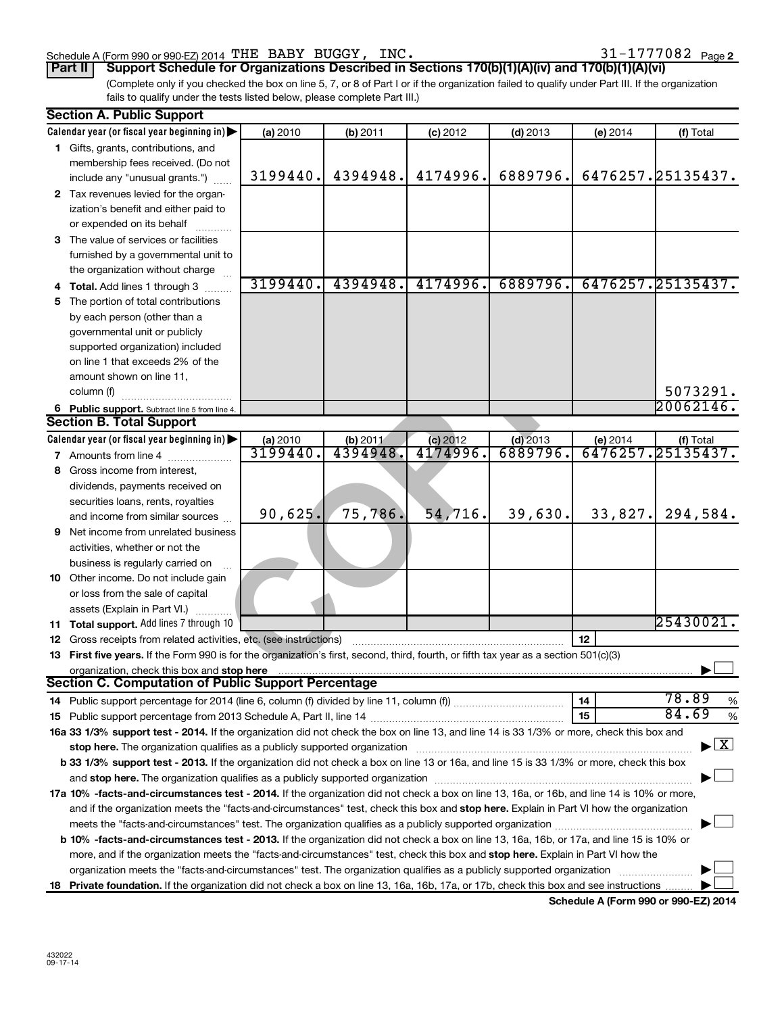#### Schedule A (Form 990 or 990-EZ) 2014 THE BABY BUGGY, INC.  $31-1777082$  Page THE BABY BUGGY, INC. 31-1777082

31-1777082 Page 2

(Complete only if you checked the box on line 5, 7, or 8 of Part I or if the organization failed to qualify under Part III. If the organization **Part II** | Support Schedule for Organizations Described in Sections 170(b)(1)(A)(iv) and 170(b)(1)(A)(vi)

fails to qualify under the tests listed below, please complete Part III.)

| <b>Section A. Public Support</b>                                                                                                                                                                                              |          |          |            |            |            |                                    |
|-------------------------------------------------------------------------------------------------------------------------------------------------------------------------------------------------------------------------------|----------|----------|------------|------------|------------|------------------------------------|
| Calendar year (or fiscal year beginning in)                                                                                                                                                                                   | (a) 2010 | (b) 2011 | $(c)$ 2012 | $(d)$ 2013 | $(e)$ 2014 | (f) Total                          |
| 1 Gifts, grants, contributions, and                                                                                                                                                                                           |          |          |            |            |            |                                    |
| membership fees received. (Do not                                                                                                                                                                                             |          |          |            |            |            |                                    |
| include any "unusual grants.")                                                                                                                                                                                                | 3199440. | 4394948. | 4174996.   | 6889796.   |            | 6476257.25135437.                  |
| 2 Tax revenues levied for the organ-                                                                                                                                                                                          |          |          |            |            |            |                                    |
| ization's benefit and either paid to                                                                                                                                                                                          |          |          |            |            |            |                                    |
| or expended on its behalf                                                                                                                                                                                                     |          |          |            |            |            |                                    |
| 3 The value of services or facilities                                                                                                                                                                                         |          |          |            |            |            |                                    |
| furnished by a governmental unit to                                                                                                                                                                                           |          |          |            |            |            |                                    |
|                                                                                                                                                                                                                               |          |          |            |            |            |                                    |
| the organization without charge                                                                                                                                                                                               | 3199440. | 4394948. | 4174996.   | 6889796.   |            | 6476257.25135437.                  |
| 4 Total. Add lines 1 through 3                                                                                                                                                                                                |          |          |            |            |            |                                    |
| 5 The portion of total contributions                                                                                                                                                                                          |          |          |            |            |            |                                    |
| by each person (other than a                                                                                                                                                                                                  |          |          |            |            |            |                                    |
| governmental unit or publicly                                                                                                                                                                                                 |          |          |            |            |            |                                    |
| supported organization) included                                                                                                                                                                                              |          |          |            |            |            |                                    |
| on line 1 that exceeds 2% of the                                                                                                                                                                                              |          |          |            |            |            |                                    |
| amount shown on line 11,                                                                                                                                                                                                      |          |          |            |            |            |                                    |
| column (f)                                                                                                                                                                                                                    |          |          |            |            |            | 5073291.                           |
| 6 Public support. Subtract line 5 from line 4.                                                                                                                                                                                |          |          |            |            |            | 20062146.                          |
| <b>Section B. Total Support</b>                                                                                                                                                                                               |          |          |            |            |            |                                    |
| Calendar year (or fiscal year beginning in) $\blacktriangleright$                                                                                                                                                             | (a) 2010 | (b) 2011 | (c) 2012   | $(d)$ 2013 | (e) 2014   | (f) Total                          |
| 7 Amounts from line 4                                                                                                                                                                                                         | 3199440  | 4394948. | 4174996.   | 6889796    |            | 6476257.25135437.                  |
| 8 Gross income from interest,                                                                                                                                                                                                 |          |          |            |            |            |                                    |
| dividends, payments received on                                                                                                                                                                                               |          |          |            |            |            |                                    |
| securities loans, rents, royalties                                                                                                                                                                                            |          |          |            |            |            |                                    |
| and income from similar sources                                                                                                                                                                                               | 90,625.  | 75,786.  | 54,716.    | 39,630.    | 33,827.    | 294,584.                           |
| 9 Net income from unrelated business                                                                                                                                                                                          |          |          |            |            |            |                                    |
| activities, whether or not the                                                                                                                                                                                                |          |          |            |            |            |                                    |
|                                                                                                                                                                                                                               |          |          |            |            |            |                                    |
| business is regularly carried on                                                                                                                                                                                              |          |          |            |            |            |                                    |
| 10 Other income. Do not include gain                                                                                                                                                                                          |          |          |            |            |            |                                    |
| or loss from the sale of capital                                                                                                                                                                                              |          |          |            |            |            |                                    |
| assets (Explain in Part VI.)                                                                                                                                                                                                  |          |          |            |            |            | 25430021.                          |
| 11 Total support. Add lines 7 through 10                                                                                                                                                                                      |          |          |            |            |            |                                    |
| 12 Gross receipts from related activities, etc. (see instructions)                                                                                                                                                            |          |          |            |            | 12         |                                    |
| 13 First five years. If the Form 990 is for the organization's first, second, third, fourth, or fifth tax year as a section 501(c)(3)                                                                                         |          |          |            |            |            |                                    |
| organization, check this box and stop here                                                                                                                                                                                    |          |          |            |            |            |                                    |
| <b>Section C. Computation of Public Support Percentage</b>                                                                                                                                                                    |          |          |            |            |            |                                    |
|                                                                                                                                                                                                                               |          |          |            |            | 14         | 78.89<br>%                         |
|                                                                                                                                                                                                                               |          |          |            |            | 15         | 84.69<br>$\%$                      |
| 16a 33 1/3% support test - 2014. If the organization did not check the box on line 13, and line 14 is 33 1/3% or more, check this box and                                                                                     |          |          |            |            |            |                                    |
| stop here. The organization qualifies as a publicly supported organization manufaction manufacture or manufacture manufacture manufacture manufacture manufacture manufacture manufacture manufacture manufacture manufacture |          |          |            |            |            | $\blacktriangleright$ $\mathbf{X}$ |
| b 33 1/3% support test - 2013. If the organization did not check a box on line 13 or 16a, and line 15 is 33 1/3% or more, check this box                                                                                      |          |          |            |            |            |                                    |
|                                                                                                                                                                                                                               |          |          |            |            |            |                                    |
| 17a 10% -facts-and-circumstances test - 2014. If the organization did not check a box on line 13, 16a, or 16b, and line 14 is 10% or more,                                                                                    |          |          |            |            |            |                                    |
| and if the organization meets the "facts-and-circumstances" test, check this box and stop here. Explain in Part VI how the organization                                                                                       |          |          |            |            |            |                                    |
|                                                                                                                                                                                                                               |          |          |            |            |            |                                    |
| b 10% -facts-and-circumstances test - 2013. If the organization did not check a box on line 13, 16a, 16b, or 17a, and line 15 is 10% or                                                                                       |          |          |            |            |            |                                    |
|                                                                                                                                                                                                                               |          |          |            |            |            |                                    |
| more, and if the organization meets the "facts-and-circumstances" test, check this box and stop here. Explain in Part VI how the                                                                                              |          |          |            |            |            |                                    |
| organization meets the "facts-and-circumstances" test. The organization qualifies as a publicly supported organization                                                                                                        |          |          |            |            |            |                                    |
| 18 Private foundation. If the organization did not check a box on line 13, 16a, 16b, 17a, or 17b, check this box and see instructions                                                                                         |          |          |            |            |            |                                    |

**Schedule A (Form 990 or 990-EZ) 2014**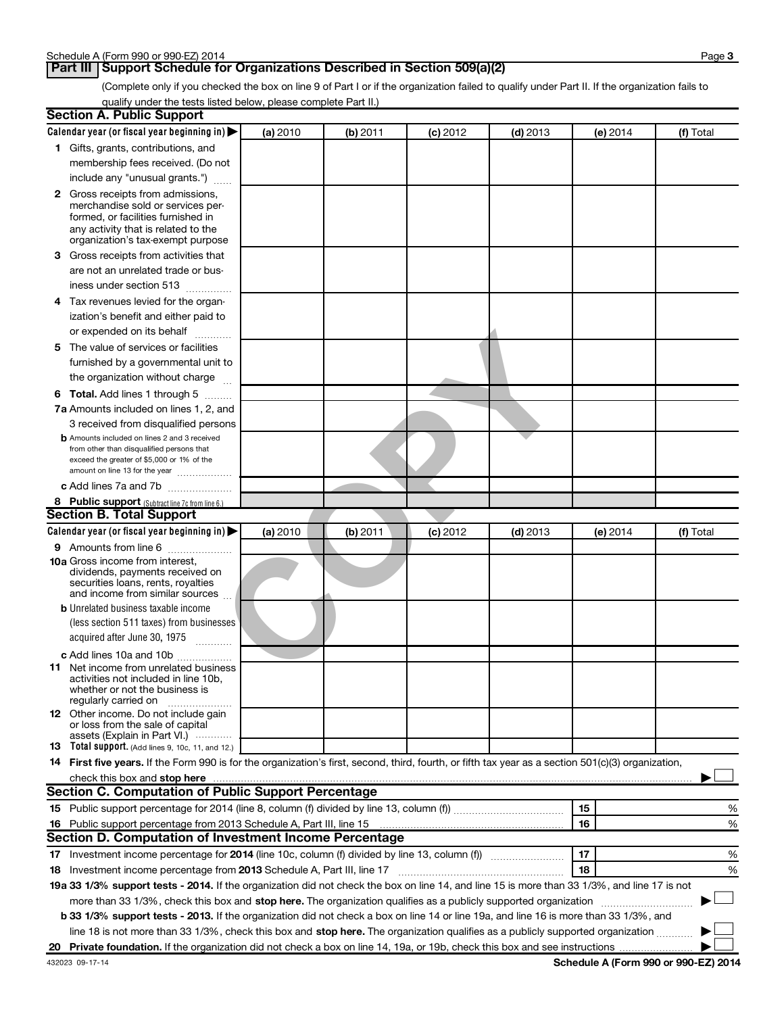## **Part III | Support Schedule for Organizations Described in Section 509(a)(2)**

(Complete only if you checked the box on line 9 of Part I or if the organization failed to qualify under Part II. If the organization fails to qualify under the tests listed below, please complete Part II.)

|     | <b>Section A. Public Support</b>                                                                                                                    |          |          |            |            |          |           |
|-----|-----------------------------------------------------------------------------------------------------------------------------------------------------|----------|----------|------------|------------|----------|-----------|
|     | Calendar year (or fiscal year beginning in)                                                                                                         | (a) 2010 | (b) 2011 | $(c)$ 2012 | $(d)$ 2013 | (e) 2014 | (f) Total |
|     | 1 Gifts, grants, contributions, and                                                                                                                 |          |          |            |            |          |           |
|     | membership fees received. (Do not                                                                                                                   |          |          |            |            |          |           |
|     | include any "unusual grants.")                                                                                                                      |          |          |            |            |          |           |
|     | 2 Gross receipts from admissions,                                                                                                                   |          |          |            |            |          |           |
|     | merchandise sold or services per-                                                                                                                   |          |          |            |            |          |           |
|     | formed, or facilities furnished in                                                                                                                  |          |          |            |            |          |           |
|     | any activity that is related to the<br>organization's tax-exempt purpose                                                                            |          |          |            |            |          |           |
|     | 3 Gross receipts from activities that                                                                                                               |          |          |            |            |          |           |
|     | are not an unrelated trade or bus-                                                                                                                  |          |          |            |            |          |           |
|     | iness under section 513                                                                                                                             |          |          |            |            |          |           |
|     | 4 Tax revenues levied for the organ-                                                                                                                |          |          |            |            |          |           |
|     | ization's benefit and either paid to                                                                                                                |          |          |            |            |          |           |
|     | or expended on its behalf<br>.                                                                                                                      |          |          |            |            |          |           |
|     | 5 The value of services or facilities                                                                                                               |          |          |            |            |          |           |
|     | furnished by a governmental unit to                                                                                                                 |          |          |            |            |          |           |
|     | the organization without charge                                                                                                                     |          |          |            |            |          |           |
|     | 6 Total. Add lines 1 through 5                                                                                                                      |          |          |            |            |          |           |
|     | 7a Amounts included on lines 1, 2, and                                                                                                              |          |          |            |            |          |           |
|     | 3 received from disqualified persons                                                                                                                |          |          |            |            |          |           |
|     | <b>b</b> Amounts included on lines 2 and 3 received                                                                                                 |          |          |            |            |          |           |
|     | from other than disqualified persons that                                                                                                           |          |          |            |            |          |           |
|     | exceed the greater of \$5,000 or 1% of the<br>amount on line 13 for the year                                                                        |          |          |            |            |          |           |
|     | c Add lines 7a and 7b                                                                                                                               |          |          |            |            |          |           |
|     | 8 Public support (Subtract line 7c from line 6.)                                                                                                    |          |          |            |            |          |           |
|     | <b>Section B. Total Support</b>                                                                                                                     |          |          |            |            |          |           |
|     | Calendar year (or fiscal year beginning in) $\blacktriangleright$                                                                                   | (a) 2010 | (b) 2011 | $(c)$ 2012 | $(d)$ 2013 | (e) 2014 | (f) Total |
|     | 9 Amounts from line 6                                                                                                                               |          |          |            |            |          |           |
|     | <b>10a</b> Gross income from interest,                                                                                                              |          |          |            |            |          |           |
|     | dividends, payments received on                                                                                                                     |          |          |            |            |          |           |
|     | securities loans, rents, royalties<br>and income from similar sources                                                                               |          |          |            |            |          |           |
|     | <b>b</b> Unrelated business taxable income                                                                                                          |          |          |            |            |          |           |
|     | (less section 511 taxes) from businesses                                                                                                            |          |          |            |            |          |           |
|     | acquired after June 30, 1975                                                                                                                        |          |          |            |            |          |           |
|     |                                                                                                                                                     |          |          |            |            |          |           |
| 11. | c Add lines 10a and 10b<br>Net income from unrelated business                                                                                       |          |          |            |            |          |           |
|     | activities not included in line 10b.                                                                                                                |          |          |            |            |          |           |
|     | whether or not the business is                                                                                                                      |          |          |            |            |          |           |
|     | regularly carried on<br>12 Other income. Do not include gain                                                                                        |          |          |            |            |          |           |
|     | or loss from the sale of capital                                                                                                                    |          |          |            |            |          |           |
|     | assets (Explain in Part VI.) $\cdots$                                                                                                               |          |          |            |            |          |           |
|     | <b>13</b> Total support. (Add lines 9, 10c, 11, and 12.)                                                                                            |          |          |            |            |          |           |
|     | 14 First five years. If the Form 990 is for the organization's first, second, third, fourth, or fifth tax year as a section 501(c)(3) organization, |          |          |            |            |          |           |
|     | Section C. Computation of Public Support Percentage                                                                                                 |          |          |            |            |          |           |
|     |                                                                                                                                                     |          |          |            |            | 15       | %         |
|     |                                                                                                                                                     |          |          |            |            | 16       | %         |
|     | <b>Section D. Computation of Investment Income Percentage</b>                                                                                       |          |          |            |            |          |           |
|     |                                                                                                                                                     |          |          |            |            | 17       |           |
|     | 17 Investment income percentage for 2014 (line 10c, column (f) divided by line 13, column (f))                                                      |          |          |            |            |          | %         |
|     | 18 Investment income percentage from 2013 Schedule A, Part III, line 17                                                                             |          |          |            |            | 18       | %         |
|     | 19a 33 1/3% support tests - 2014. If the organization did not check the box on line 14, and line 15 is more than 33 1/3%, and line 17 is not        |          |          |            |            |          |           |
|     | more than 33 1/3%, check this box and stop here. The organization qualifies as a publicly supported organization                                    |          |          |            |            |          |           |
|     | b 33 1/3% support tests - 2013. If the organization did not check a box on line 14 or line 19a, and line 16 is more than 33 1/3%, and               |          |          |            |            |          |           |
|     | line 18 is not more than 33 1/3%, check this box and stop here. The organization qualifies as a publicly supported organization                     |          |          |            |            |          |           |
|     |                                                                                                                                                     |          |          |            |            |          |           |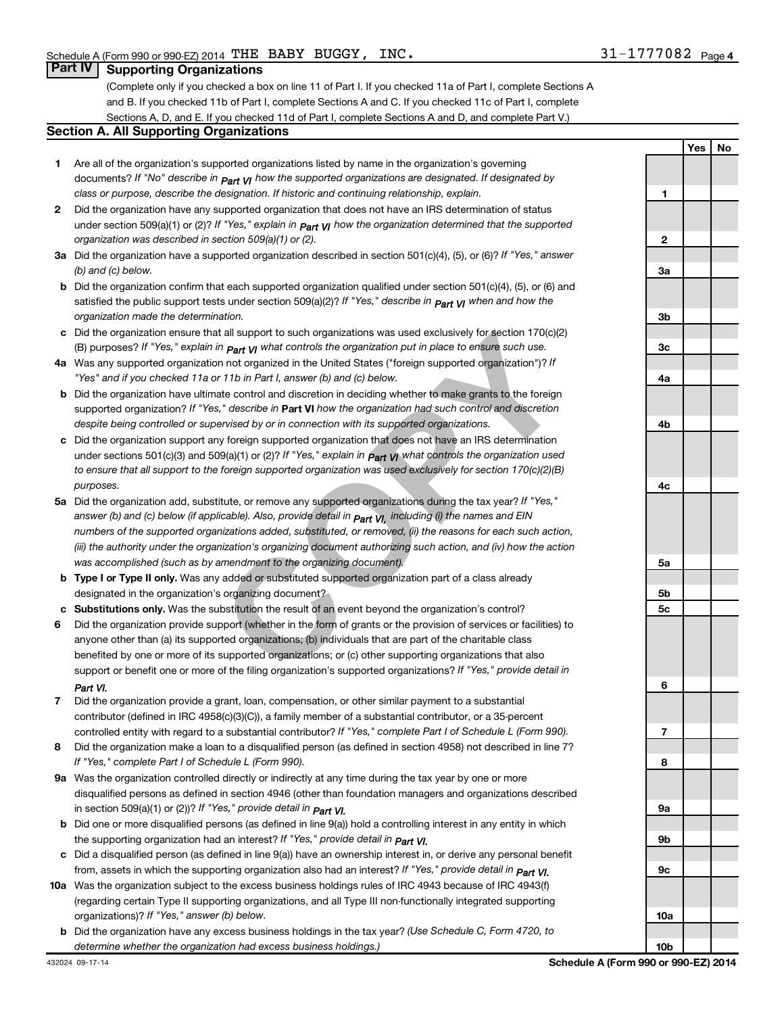**Yes No**

## **Part IV Supporting Organizations**

(Complete only if you checked a box on line 11 of Part I. If you checked 11a of Part I, complete Sections A and B. If you checked 11b of Part I, complete Sections A and C. If you checked 11c of Part I, complete Sections A, D, and E. If you checked 11d of Part I, complete Sections A and D, and complete Part V.)

### **Section A. All Supporting Organizations**

- **1** Are all of the organization's supported organizations listed by name in the organization's governing documents? If "No" describe in  $_{\mathsf{Part}}$   $_{\mathsf{V}}$  how the supported organizations are designated. If designated by *class or purpose, describe the designation. If historic and continuing relationship, explain.*
- **2** Did the organization have any supported organization that does not have an IRS determination of status under section 509(a)(1) or (2)? If "Yes," explain in  $_{\sf Part}$   $_{\sf VI}$  how the organization determined that the supported *organization was described in section 509(a)(1) or (2).*
- **3a** Did the organization have a supported organization described in section 501(c)(4), (5), or (6)? If "Yes," answer *(b) and (c) below.*
- **b** Did the organization confirm that each supported organization qualified under section 501(c)(4), (5), or (6) and satisfied the public support tests under section 509(a)(2)? If "Yes," describe in  $_{\rm Part}$   $_{\rm VI}$  when and how the *organization made the determination.*
- **c** Did the organization ensure that all support to such organizations was used exclusively for section 170(c)(2) (B) purposes? If "Yes," explain in  $_{\mathsf{Part}}$   $_{\mathsf{V}}$  what controls the organization put in place to ensure such use.
- **4 a** *If* Was any supported organization not organized in the United States ("foreign supported organization")? *"Yes" and if you checked 11a or 11b in Part I, answer (b) and (c) below.*
- **b** Did the organization have ultimate control and discretion in deciding whether to make grants to the foreign supported organization? If "Yes," describe in Part VI how the organization had such control and discretion *despite being controlled or supervised by or in connection with its supported organizations.*
- **c** Did the organization support any foreign supported organization that does not have an IRS determination under sections 501(c)(3) and 509(a)(1) or (2)? If "Yes," explain in  $\rho_{\pmb{a}\pmb{r}\pmb{t}}$  **y**) what controls the organization used *to ensure that all support to the foreign supported organization was used exclusively for section 170(c)(2)(B) purposes.*
- t all support to such organizations was used exclusively for section 170(c)(2)<br>
In **Part VI** what controls the organization put in place to ensure such use.<br>
In not organization put United States ("foreign supported organi **5a** Did the organization add, substitute, or remove any supported organizations during the tax year? If "Yes," answer (b) and (c) below (if applicable). Also, provide detail in  $_{\mathsf{Part}}$   $_{\mathsf{V{\mathsf{I}}},}$  including (i) the names and EIN *numbers of the supported organizations added, substituted, or removed, (ii) the reasons for each such action, (iii) the authority under the organization's organizing document authorizing such action, and (iv) how the action was accomplished (such as by amendment to the organizing document).*
- **b** Type I or Type II only. Was any added or substituted supported organization part of a class already designated in the organization's organizing document?
- **c Substitutions only.**  Was the substitution the result of an event beyond the organization's control?
- **6** Did the organization provide support (whether in the form of grants or the provision of services or facilities) to support or benefit one or more of the filing organization's supported organizations? If "Yes," provide detail in anyone other than (a) its supported organizations; (b) individuals that are part of the charitable class benefited by one or more of its supported organizations; or (c) other supporting organizations that also *Part VI.*
- **7** Did the organization provide a grant, loan, compensation, or other similar payment to a substantial controlled entity with regard to a substantial contributor? If "Yes," complete Part I of Schedule L (Form 990). contributor (defined in IRC 4958(c)(3)(C)), a family member of a substantial contributor, or a 35-percent
- **8** Did the organization make a loan to a disqualified person (as defined in section 4958) not described in line 7? *If "Yes," complete Part I of Schedule L (Form 990).*
- **9 a** Was the organization controlled directly or indirectly at any time during the tax year by one or more *If "Yes," provide detail in*  in section 509(a)(1) or (2))? *Part VI.* disqualified persons as defined in section 4946 (other than foundation managers and organizations described
- **b** Did one or more disqualified persons (as defined in line 9(a)) hold a controlling interest in any entity in which  *If "Yes," provide detail in*  the supporting organization had an interest? *Part VI.*
- **c** Did a disqualified person (as defined in line 9(a)) have an ownership interest in, or derive any personal benefit from, assets in which the supporting organization also had an interest? If "Yes," *provide detail in Part VI.*
- **10 a** Was the organization subject to the excess business holdings rules of IRC 4943 because of IRC 4943(f)  *If "Yes," answer (b) below.* organizations)? (regarding certain Type II supporting organizations, and all Type III non-functionally integrated supporting
- **b** Did the organization have any excess business holdings in the tax year? (Use Schedule C, Form 4720, to *determine whether the organization had excess business holdings.)*

**1 2 3a 3b 3c 4a 4b 4c 5a 5b 5c 6 7 8 9a 9b 9c 10a**

**10b**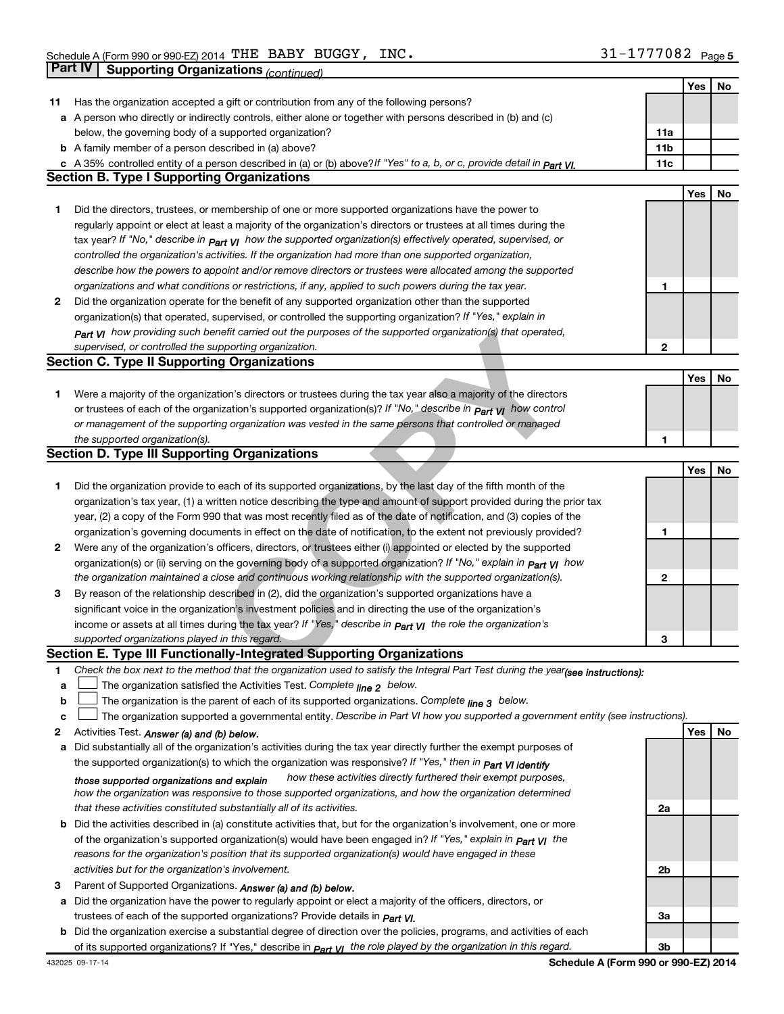|    |                                                                                                                                  |     | Yes | No |
|----|----------------------------------------------------------------------------------------------------------------------------------|-----|-----|----|
| 11 | Has the organization accepted a gift or contribution from any of the following persons?                                          |     |     |    |
|    | <b>a</b> A person who directly or indirectly controls, either alone or together with persons described in (b) and (c)            |     |     |    |
|    | below, the governing body of a supported organization?                                                                           | 11a |     |    |
|    | <b>b</b> A family member of a person described in (a) above?                                                                     | 11b |     |    |
|    | c A 35% controlled entity of a person described in (a) or (b) above? If "Yes" to a, b, or c, provide detail in part VI.          | 11c |     |    |
|    | <b>Section B. Type I Supporting Organizations</b>                                                                                |     |     |    |
|    |                                                                                                                                  |     | Yes | No |
| 1. | Did the directors, trustees, or membership of one or more supported organizations have the power to                              |     |     |    |
|    | regularly appoint or elect at least a majority of the organization's directors or trustees at all times during the               |     |     |    |
|    | tax year? If "No," describe in $P_{art}$ VI how the supported organization(s) effectively operated, supervised, or               |     |     |    |
|    | controlled the organization's activities. If the organization had more than one supported organization,                          |     |     |    |
|    | describe how the powers to appoint and/or remove directors or trustees were allocated among the supported                        |     |     |    |
|    | organizations and what conditions or restrictions, if any, applied to such powers during the tax year.                           | 1   |     |    |
| 2  | Did the organization operate for the benefit of any supported organization other than the supported                              |     |     |    |
|    | organization(s) that operated, supervised, or controlled the supporting organization? If "Yes," explain in                       |     |     |    |
|    | Part VI how providing such benefit carried out the purposes of the supported organization(s) that operated,                      |     |     |    |
|    | supervised, or controlled the supporting organization.                                                                           | 2   |     |    |
|    | <b>Section C. Type II Supporting Organizations</b>                                                                               |     |     |    |
|    |                                                                                                                                  |     | Yes | No |
| 1  | Were a majority of the organization's directors or trustees during the tax year also a majority of the directors                 |     |     |    |
|    | or trustees of each of the organization's supported organization(s)? If "No," describe in $P_{\text{art } V1}$ how control       |     |     |    |
|    | or management of the supporting organization was vested in the same persons that controlled or managed                           |     |     |    |
|    | the supported organization(s).                                                                                                   | 1   |     |    |
|    | <b>Section D. Type III Supporting Organizations</b>                                                                              |     |     |    |
|    |                                                                                                                                  |     | Yes | No |
| 1  | Did the organization provide to each of its supported organizations, by the last day of the fifth month of the                   |     |     |    |
|    | organization's tax year, (1) a written notice describing the type and amount of support provided during the prior tax            |     |     |    |
|    | year, (2) a copy of the Form 990 that was most recently filed as of the date of notification, and (3) copies of the              |     |     |    |
|    | organization's governing documents in effect on the date of notification, to the extent not previously provided?                 | 1   |     |    |
| 2  | Were any of the organization's officers, directors, or trustees either (i) appointed or elected by the supported                 |     |     |    |
|    | organization(s) or (ii) serving on the governing body of a supported organization? If "No," explain in Part VI how               |     |     |    |
|    | the organization maintained a close and continuous working relationship with the supported organization(s).                      | 2   |     |    |
| 3  | By reason of the relationship described in (2), did the organization's supported organizations have a                            |     |     |    |
|    | significant voice in the organization's investment policies and in directing the use of the organization's                       |     |     |    |
|    | income or assets at all times during the tax year? If "Yes," describe in $P_{art}$ $\gamma$ the role the organization's          |     |     |    |
|    | supported organizations played in this regard.                                                                                   | З   |     |    |
|    | Section E. Type III Functionally-Integrated Supporting Organizations                                                             |     |     |    |
| 1  | Check the box next to the method that the organization used to satisfy the Integral Part Test during the year(see instructions): |     |     |    |
| a  | The organization satisfied the Activities Test. Complete line 2 below.                                                           |     |     |    |
| b  | The organization is the parent of each of its supported organizations. Complete $_{\text{line 3}}$ below.                        |     |     |    |
| с  | The organization supported a governmental entity. Describe in Part VI how you supported a government entity (see instructions).  |     |     |    |
| 2  | Activities Test. Answer (a) and (b) below.                                                                                       |     | Yes | No |
| а  | Did substantially all of the organization's activities during the tax year directly further the exempt purposes of               |     |     |    |
|    | the supported organization(s) to which the organization was responsive? If "Yes," then in Part VI identify                       |     |     |    |
|    | how these activities directly furthered their exempt purposes,<br>those supported organizations and explain                      |     |     |    |
|    | how the organization was responsive to those supported organizations, and how the organization determined                        |     |     |    |
|    | that these activities constituted substantially all of its activities.                                                           | 2a  |     |    |
| b  | Did the activities described in (a) constitute activities that, but for the organization's involvement, one or more              |     |     |    |
|    | of the organization's supported organization(s) would have been engaged in? If "Yes," explain in $P_{art}$ $V_I$ the             |     |     |    |
|    | reasons for the organization's position that its supported organization(s) would have engaged in these                           |     |     |    |
|    | activities but for the organization's involvement.                                                                               | 2b  |     |    |
| З  | Parent of Supported Organizations. Answer (a) and (b) below.                                                                     |     |     |    |
| а  | Did the organization have the power to regularly appoint or elect a majority of the officers, directors, or                      |     |     |    |
|    | trustees of each of the supported organizations? Provide details in <i>Part VI.</i>                                              | За  |     |    |
|    | <b>b</b> Did the organization exercise a substantial degree of direction over the policies, programs, and activities of each     |     |     |    |
|    | of its supported organizations? If "Yes," describe in $P_{\text{art}}$ VI the role played by the organization in this regard.    | 3b  |     |    |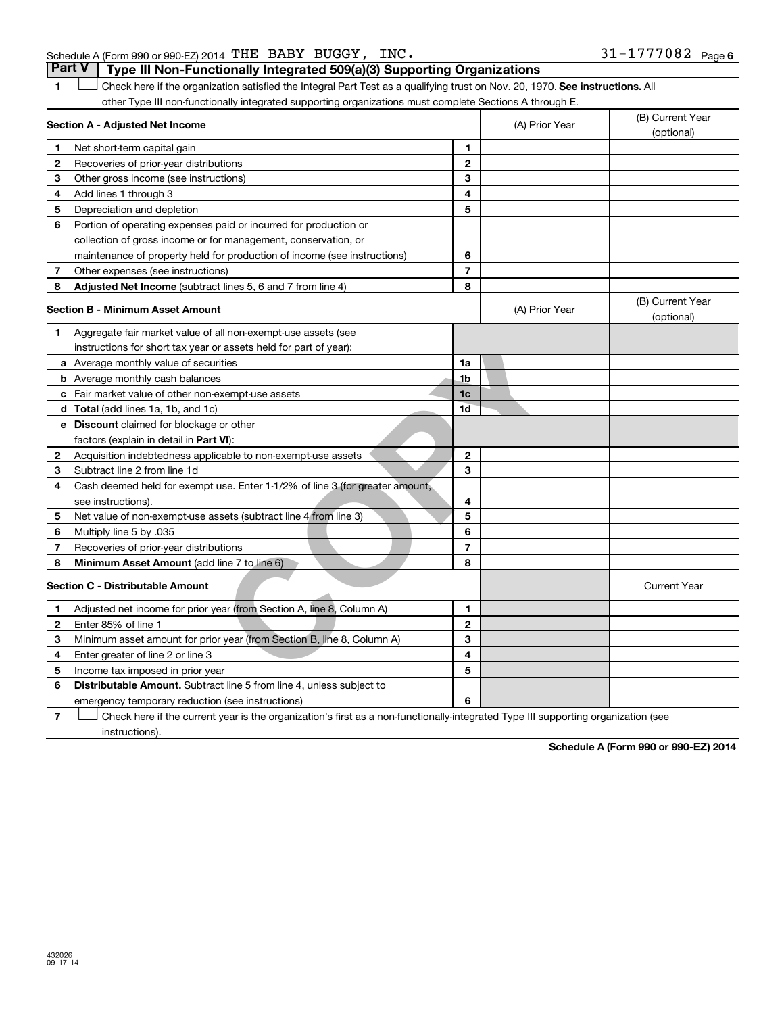# Schedule A (Form 990 or 990-EZ) 2014  $\,$  THE BABY BUGGY, INC.  $31$  -  $1777082$  Page

1 **Letter on Reck here if the organization satisfied the Integral Part Test as a qualifying trust on Nov. 20, 1970. See instructions. All** other Type III non-functionally integrated supporting organizations must complete Sections A through E. **Part V Type III Non-Functionally Integrated 509(a)(3) Supporting Organizations** 

|                | Section A - Adjusted Net Income                                              |                | (A) Prior Year | (B) Current Year<br>(optional) |
|----------------|------------------------------------------------------------------------------|----------------|----------------|--------------------------------|
| 1              | Net short-term capital gain                                                  | 1              |                |                                |
| $\mathbf{2}$   | Recoveries of prior-year distributions                                       | $\mathbf{2}$   |                |                                |
| 3              | Other gross income (see instructions)                                        | 3              |                |                                |
| 4              | Add lines 1 through 3                                                        | 4              |                |                                |
| 5              | Depreciation and depletion                                                   | 5              |                |                                |
| 6              | Portion of operating expenses paid or incurred for production or             |                |                |                                |
|                | collection of gross income or for management, conservation, or               |                |                |                                |
|                | maintenance of property held for production of income (see instructions)     | 6              |                |                                |
| 7              | Other expenses (see instructions)                                            | $\overline{7}$ |                |                                |
| 8              | <b>Adjusted Net Income</b> (subtract lines 5, 6 and 7 from line 4)           | 8              |                |                                |
|                | <b>Section B - Minimum Asset Amount</b>                                      |                | (A) Prior Year | (B) Current Year<br>(optional) |
| 1              | Aggregate fair market value of all non-exempt-use assets (see                |                |                |                                |
|                | instructions for short tax year or assets held for part of year):            |                |                |                                |
|                | a Average monthly value of securities                                        | 1a             |                |                                |
|                | <b>b</b> Average monthly cash balances                                       | 1 <sub>b</sub> |                |                                |
|                | c Fair market value of other non-exempt-use assets                           | 1 <sub>c</sub> |                |                                |
|                | <b>d</b> Total (add lines 1a, 1b, and 1c)                                    | 1d             |                |                                |
|                | e Discount claimed for blockage or other                                     |                |                |                                |
|                | factors (explain in detail in <b>Part VI</b> ):                              |                |                |                                |
| 2              | Acquisition indebtedness applicable to non-exempt-use assets                 | $\mathbf{2}$   |                |                                |
| 3              | Subtract line 2 from line 1d                                                 | 3              |                |                                |
| 4              | Cash deemed held for exempt use. Enter 1-1/2% of line 3 (for greater amount, |                |                |                                |
|                | see instructions).                                                           | 4              |                |                                |
| 5              | Net value of non-exempt-use assets (subtract line 4 from line 3)             | 5              |                |                                |
| 6              | Multiply line 5 by .035                                                      | 6              |                |                                |
| 7              | Recoveries of prior-year distributions                                       | $\overline{7}$ |                |                                |
| 8              | <b>Minimum Asset Amount</b> (add line 7 to line 6)                           | 8              |                |                                |
|                | <b>Section C - Distributable Amount</b>                                      |                |                | <b>Current Year</b>            |
| 1              | Adjusted net income for prior year (from Section A, line 8, Column A)        | 1              |                |                                |
| $\overline{2}$ | Enter 85% of line 1                                                          | $\mathbf{2}$   |                |                                |
| З              | Minimum asset amount for prior year (from Section B, line 8, Column A)       | 3              |                |                                |
| 4              | Enter greater of line 2 or line 3                                            | 4              |                |                                |
| 5              | Income tax imposed in prior year                                             | 5              |                |                                |
| 6              | Distributable Amount. Subtract line 5 from line 4, unless subject to         |                |                |                                |
|                | emergency temporary reduction (see instructions)                             | 6              |                |                                |

**7** Check here if the current year is the organization's first as a non-functionally-integrated Type III supporting organization (see † instructions).

**Schedule A (Form 990 or 990-EZ) 2014**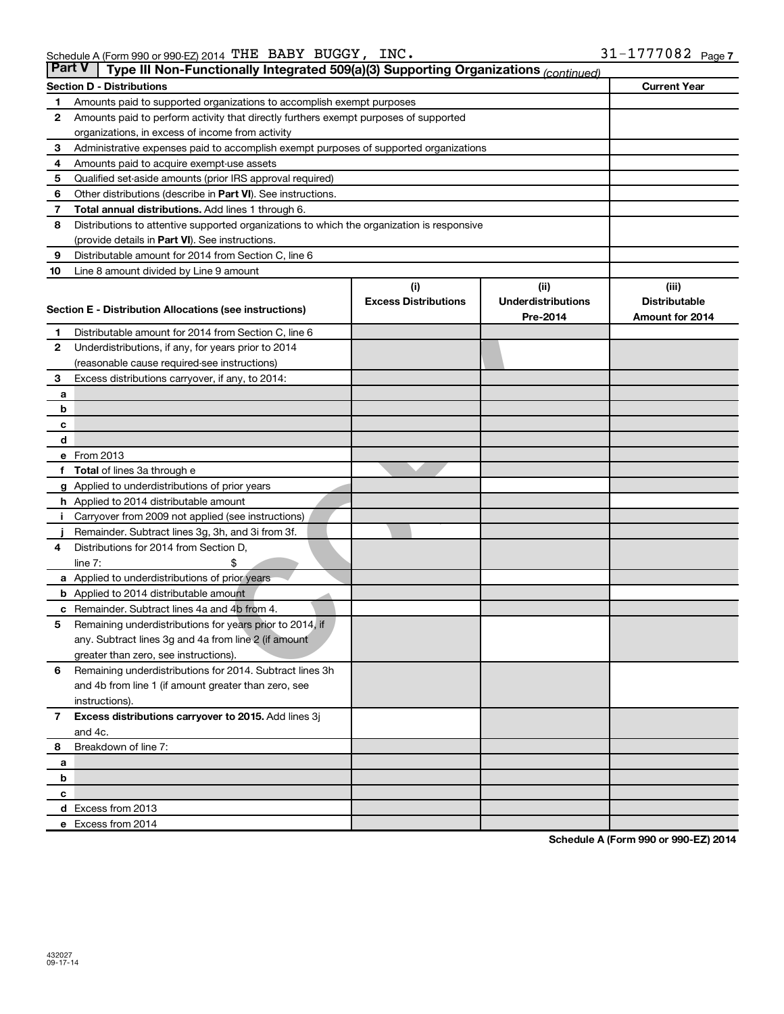| ∣ Part V∣    | Type III Non-Functionally Integrated 509(a)(3) Supporting Organizations (continued)        |                             |                           |                      |
|--------------|--------------------------------------------------------------------------------------------|-----------------------------|---------------------------|----------------------|
|              | Section D - Distributions                                                                  |                             |                           | <b>Current Year</b>  |
| 1            | Amounts paid to supported organizations to accomplish exempt purposes                      |                             |                           |                      |
| 2            | Amounts paid to perform activity that directly furthers exempt purposes of supported       |                             |                           |                      |
|              | organizations, in excess of income from activity                                           |                             |                           |                      |
| 3            | Administrative expenses paid to accomplish exempt purposes of supported organizations      |                             |                           |                      |
| 4            | Amounts paid to acquire exempt-use assets                                                  |                             |                           |                      |
| 5            | Qualified set-aside amounts (prior IRS approval required)                                  |                             |                           |                      |
| 6            | Other distributions (describe in Part VI). See instructions.                               |                             |                           |                      |
| 7            | <b>Total annual distributions.</b> Add lines 1 through 6.                                  |                             |                           |                      |
| 8            | Distributions to attentive supported organizations to which the organization is responsive |                             |                           |                      |
|              | (provide details in Part VI). See instructions.                                            |                             |                           |                      |
| 9            | Distributable amount for 2014 from Section C, line 6                                       |                             |                           |                      |
| 10           | Line 8 amount divided by Line 9 amount                                                     |                             |                           |                      |
|              |                                                                                            | (i)                         | (i)                       | (iii)                |
|              | Section E - Distribution Allocations (see instructions)                                    | <b>Excess Distributions</b> | <b>Underdistributions</b> | <b>Distributable</b> |
|              |                                                                                            |                             | Pre-2014                  | Amount for 2014      |
| 1            | Distributable amount for 2014 from Section C, line 6                                       |                             |                           |                      |
| $\mathbf{2}$ | Underdistributions, if any, for years prior to 2014                                        |                             |                           |                      |
|              | (reasonable cause required-see instructions)                                               |                             |                           |                      |
| 3            | Excess distributions carryover, if any, to 2014:                                           |                             |                           |                      |
| a            |                                                                                            |                             |                           |                      |
| b            |                                                                                            |                             |                           |                      |
| с<br>d       |                                                                                            |                             |                           |                      |
|              | e From 2013                                                                                |                             |                           |                      |
| f            | <b>Total</b> of lines 3a through e                                                         |                             |                           |                      |
|              | g Applied to underdistributions of prior years                                             |                             |                           |                      |
|              | h Applied to 2014 distributable amount                                                     |                             |                           |                      |
|              | Carryover from 2009 not applied (see instructions)                                         |                             |                           |                      |
|              | Remainder. Subtract lines 3g, 3h, and 3i from 3f.                                          |                             |                           |                      |
| 4            | Distributions for 2014 from Section D,                                                     |                             |                           |                      |
|              | line $7:$                                                                                  |                             |                           |                      |
|              | a Applied to underdistributions of prior years                                             |                             |                           |                      |
|              | <b>b</b> Applied to 2014 distributable amount                                              |                             |                           |                      |
| с            | Remainder. Subtract lines 4a and 4b from 4.                                                |                             |                           |                      |
| 5            | Remaining underdistributions for years prior to 2014, if                                   |                             |                           |                      |
|              | any. Subtract lines 3g and 4a from line 2 (if amount                                       |                             |                           |                      |
|              | greater than zero, see instructions).                                                      |                             |                           |                      |
| 6            | Remaining underdistributions for 2014. Subtract lines 3h                                   |                             |                           |                      |
|              | and 4b from line 1 (if amount greater than zero, see                                       |                             |                           |                      |
|              | instructions).                                                                             |                             |                           |                      |
| $\mathbf{7}$ | Excess distributions carryover to 2015. Add lines 3j                                       |                             |                           |                      |
|              | and 4c.                                                                                    |                             |                           |                      |
| 8            | Breakdown of line 7:                                                                       |                             |                           |                      |
| а            |                                                                                            |                             |                           |                      |
| b            |                                                                                            |                             |                           |                      |
| c            |                                                                                            |                             |                           |                      |
|              | d Excess from 2013                                                                         |                             |                           |                      |
|              | e Excess from 2014                                                                         |                             |                           |                      |

**Schedule A (Form 990 or 990-EZ) 2014**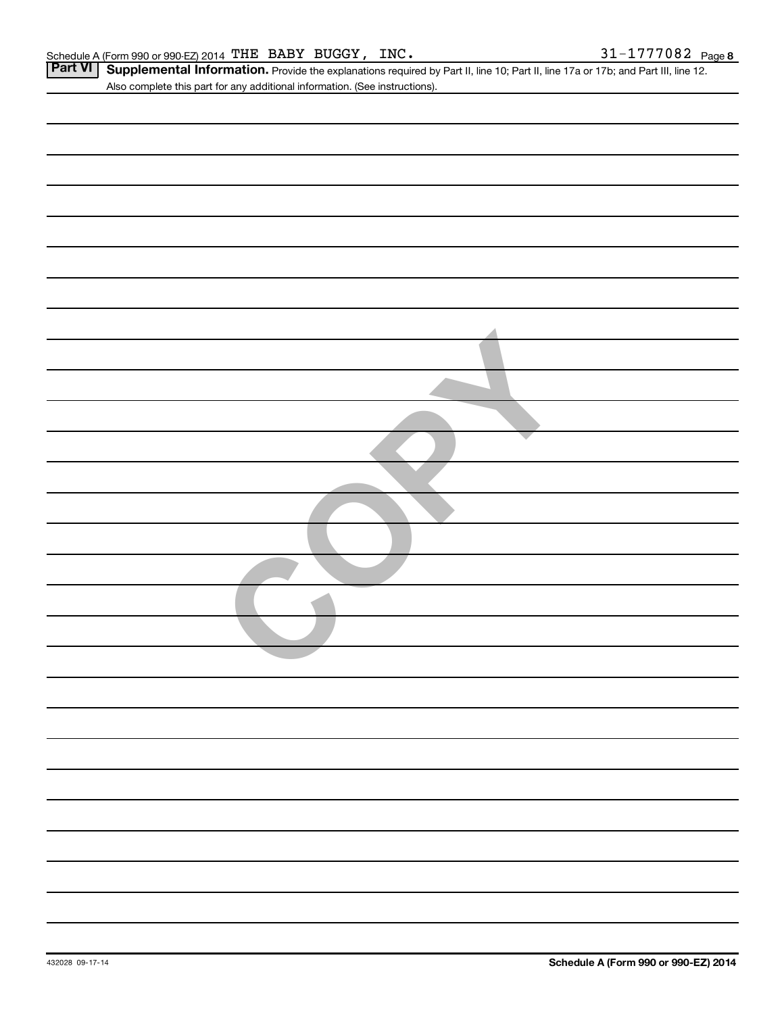| Part VI Supplemental Information. Provide the explanations required by Part II, line 10; Part II, line 17a or 17b; and Part III, line 12 |  |
|------------------------------------------------------------------------------------------------------------------------------------------|--|
| Also complete this part for any additional information. (See instructions).                                                              |  |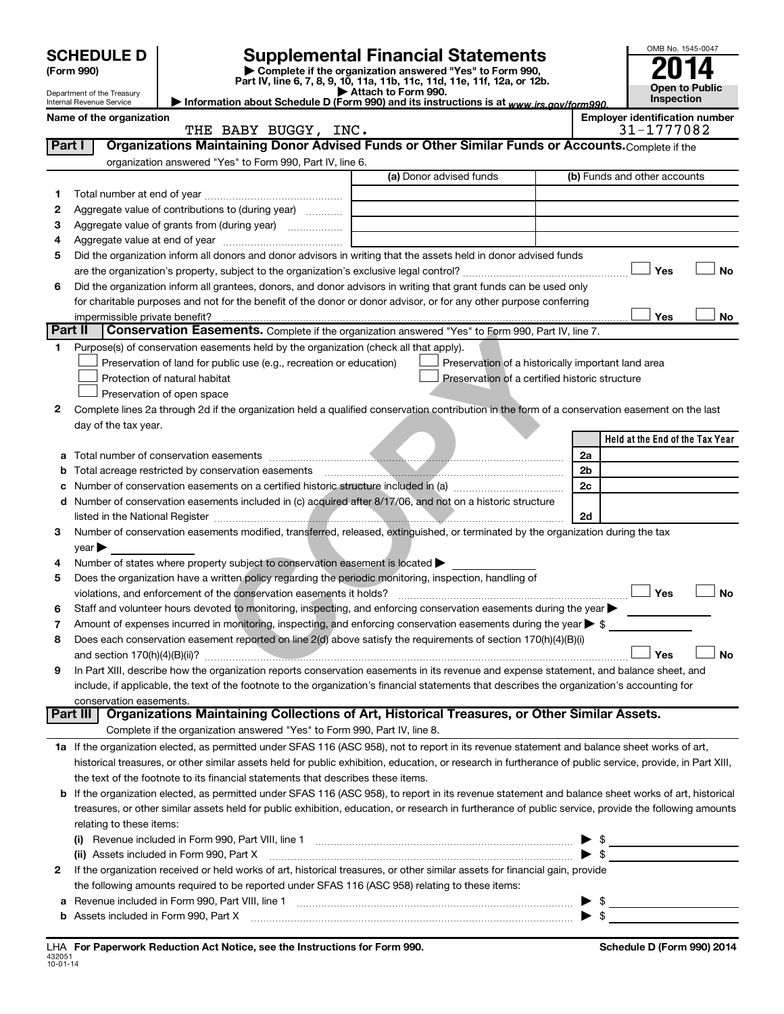| <b>Supplemental Financial Statements</b><br><b>SCHEDULE D</b><br>Complete if the organization answered "Yes" to Form 990,<br>(Form 990)<br>Part IV, line 6, 7, 8, 9, 10, 11a, 11b, 11c, 11d, 11e, 11f, 12a, or 12b.<br><b>Open to Public</b><br>Attach to Form 990.<br>Department of the Treasury<br>Inspection<br>Information about Schedule D (Form 990) and its instructions is at www.irs.gov/form990.<br>Internal Revenue Service<br><b>Employer identification number</b><br>Name of the organization<br>31-1777082<br>THE BABY BUGGY, INC.<br>Organizations Maintaining Donor Advised Funds or Other Similar Funds or Accounts. Complete if the<br>Part I<br>organization answered "Yes" to Form 990, Part IV, line 6.<br>(a) Donor advised funds<br>(b) Funds and other accounts<br>1<br>Aggregate value of contributions to (during year)<br>2<br>Aggregate value of grants from (during year)<br>з<br>4<br>Did the organization inform all donors and donor advisors in writing that the assets held in donor advised funds<br>5<br>Yes<br><b>No</b><br>Did the organization inform all grantees, donors, and donor advisors in writing that grant funds can be used only<br>6<br>for charitable purposes and not for the benefit of the donor or donor advisor, or for any other purpose conferring<br>Yes<br>impermissible private benefit?<br>No<br>Conservation Easements. Complete if the organization answered "Yes" to Form 990, Part IV, line 7.<br>Part II<br>Purpose(s) of conservation easements held by the organization (check all that apply).<br>1.<br>Preservation of land for public use (e.g., recreation or education)<br>Preservation of a historically important land area<br>Protection of natural habitat<br>Preservation of a certified historic structure<br>Preservation of open space<br>Complete lines 2a through 2d if the organization held a qualified conservation contribution in the form of a conservation easement on the last<br>2<br>day of the tax year.<br>Held at the End of the Tax Year<br>2a<br>а<br>2 <sub>b</sub><br>Total acreage restricted by conservation easements<br>b<br>2c<br>Number of conservation easements on a certified historic structure included in (a) manufacture included in (a)<br>с<br>Number of conservation easements included in (c) acquired after 8/17/06, and not on a historic structure<br>d<br>listed in the National Register <b>contract and the Community of the National Action</b><br>2d<br>Number of conservation easements modified, transferred, released, extinguished, or terminated by the organization during the tax<br>З<br>$year \triangleright$<br>Number of states where property subject to conservation easement is located ><br>Does the organization have a written policy regarding the periodic monitoring, inspection, handling of<br>5<br>Yes<br>violations, and enforcement of the conservation easements it holds?<br>No<br>Staff and volunteer hours devoted to monitoring, inspecting, and enforcing conservation easements during the year<br>6<br>Amount of expenses incurred in monitoring, inspecting, and enforcing conservation easements during the year $\triangleright$ \$<br>7<br>Does each conservation easement reported on line 2(d) above satisfy the requirements of section 170(h)(4)(B)(i)<br>8<br>Yes<br><b>No</b><br>In Part XIII, describe how the organization reports conservation easements in its revenue and expense statement, and balance sheet, and<br>9<br>include, if applicable, the text of the footnote to the organization's financial statements that describes the organization's accounting for<br>conservation easements.<br>Part III   Organizations Maintaining Collections of Art, Historical Treasures, or Other Similar Assets.<br>Complete if the organization answered "Yes" to Form 990, Part IV, line 8.<br>1a If the organization elected, as permitted under SFAS 116 (ASC 958), not to report in its revenue statement and balance sheet works of art,<br>historical treasures, or other similar assets held for public exhibition, education, or research in furtherance of public service, provide, in Part XIII,<br>the text of the footnote to its financial statements that describes these items.<br>If the organization elected, as permitted under SFAS 116 (ASC 958), to report in its revenue statement and balance sheet works of art, historical<br>b<br>treasures, or other similar assets held for public exhibition, education, or research in furtherance of public service, provide the following amounts<br>relating to these items:<br>(i) Revenue included in Form 990, Part VIII, line 1 [2000] [2010] Contract the included in Form 990, Part VIII, line 1<br>$\frac{1}{\sqrt{2}}$<br>▶<br>$\blacktriangleright$ \$<br>(ii) Assets included in Form 990, Part X [1] [1] [1] [1] [1] [1] Assets included in Form 990, Part X<br>If the organization received or held works of art, historical treasures, or other similar assets for financial gain, provide<br>2<br>the following amounts required to be reported under SFAS 116 (ASC 958) relating to these items:<br>$\triangleright$ \$<br>а<br>$\blacktriangleright$ \$<br>b Assets included in Form 990, Part X [111] Martin Martin Martin Martin Martin Martin Martin Martin Martin Mar |  |  |  |  | OMB No. 1545-0047 |  |
|-------------------------------------------------------------------------------------------------------------------------------------------------------------------------------------------------------------------------------------------------------------------------------------------------------------------------------------------------------------------------------------------------------------------------------------------------------------------------------------------------------------------------------------------------------------------------------------------------------------------------------------------------------------------------------------------------------------------------------------------------------------------------------------------------------------------------------------------------------------------------------------------------------------------------------------------------------------------------------------------------------------------------------------------------------------------------------------------------------------------------------------------------------------------------------------------------------------------------------------------------------------------------------------------------------------------------------------------------------------------------------------------------------------------------------------------------------------------------------------------------------------------------------------------------------------------------------------------------------------------------------------------------------------------------------------------------------------------------------------------------------------------------------------------------------------------------------------------------------------------------------------------------------------------------------------------------------------------------------------------------------------------------------------------------------------------------------------------------------------------------------------------------------------------------------------------------------------------------------------------------------------------------------------------------------------------------------------------------------------------------------------------------------------------------------------------------------------------------------------------------------------------------------------------------------------------------------------------------------------------------------------------------------------------------------------------------------------------------------------------------------------------------------------------------------------------------------------------------------------------------------------------------------------------------------------------------------------------------------------------------------------------------------------------------------------------------------------------------------------------------------------------------------------------------------------------------------------------------------------------------------------------------------------------------------------------------------------------------------------------------------------------------------------------------------------------------------------------------------------------------------------------------------------------------------------------------------------------------------------------------------------------------------------------------------------------------------------------------------------------------------------------------------------------------------------------------------------------------------------------------------------------------------------------------------------------------------------------------------------------------------------------------------------------------------------------------------------------------------------------------------------------------------------------------------------------------------------------------------------------------------------------------------------------------------------------------------------------------------------------------------------------------------------------------------------------------------------------------------------------------------------------------------------------------------------------------------------------------------------------------------------------------------------------------------------------------------------------------------------------------------------------------------------------------------------------------------------------------------------------------------------------------------------------------------------------------------------------------------------------------------------------------------------------------------------------------------------------------------------------------------------------------------------------------------------------------------------------------------------------------------------------------------------------------------------------------------------------|--|--|--|--|-------------------|--|
|                                                                                                                                                                                                                                                                                                                                                                                                                                                                                                                                                                                                                                                                                                                                                                                                                                                                                                                                                                                                                                                                                                                                                                                                                                                                                                                                                                                                                                                                                                                                                                                                                                                                                                                                                                                                                                                                                                                                                                                                                                                                                                                                                                                                                                                                                                                                                                                                                                                                                                                                                                                                                                                                                                                                                                                                                                                                                                                                                                                                                                                                                                                                                                                                                                                                                                                                                                                                                                                                                                                                                                                                                                                                                                                                                                                                                                                                                                                                                                                                                                                                                                                                                                                                                                                                                                                                                                                                                                                                                                                                                                                                                                                                                                                                                                                                                                                                                                                                                                                                                                                                                                                                                                                                                                                                                                                                           |  |  |  |  |                   |  |
|                                                                                                                                                                                                                                                                                                                                                                                                                                                                                                                                                                                                                                                                                                                                                                                                                                                                                                                                                                                                                                                                                                                                                                                                                                                                                                                                                                                                                                                                                                                                                                                                                                                                                                                                                                                                                                                                                                                                                                                                                                                                                                                                                                                                                                                                                                                                                                                                                                                                                                                                                                                                                                                                                                                                                                                                                                                                                                                                                                                                                                                                                                                                                                                                                                                                                                                                                                                                                                                                                                                                                                                                                                                                                                                                                                                                                                                                                                                                                                                                                                                                                                                                                                                                                                                                                                                                                                                                                                                                                                                                                                                                                                                                                                                                                                                                                                                                                                                                                                                                                                                                                                                                                                                                                                                                                                                                           |  |  |  |  |                   |  |
|                                                                                                                                                                                                                                                                                                                                                                                                                                                                                                                                                                                                                                                                                                                                                                                                                                                                                                                                                                                                                                                                                                                                                                                                                                                                                                                                                                                                                                                                                                                                                                                                                                                                                                                                                                                                                                                                                                                                                                                                                                                                                                                                                                                                                                                                                                                                                                                                                                                                                                                                                                                                                                                                                                                                                                                                                                                                                                                                                                                                                                                                                                                                                                                                                                                                                                                                                                                                                                                                                                                                                                                                                                                                                                                                                                                                                                                                                                                                                                                                                                                                                                                                                                                                                                                                                                                                                                                                                                                                                                                                                                                                                                                                                                                                                                                                                                                                                                                                                                                                                                                                                                                                                                                                                                                                                                                                           |  |  |  |  |                   |  |
|                                                                                                                                                                                                                                                                                                                                                                                                                                                                                                                                                                                                                                                                                                                                                                                                                                                                                                                                                                                                                                                                                                                                                                                                                                                                                                                                                                                                                                                                                                                                                                                                                                                                                                                                                                                                                                                                                                                                                                                                                                                                                                                                                                                                                                                                                                                                                                                                                                                                                                                                                                                                                                                                                                                                                                                                                                                                                                                                                                                                                                                                                                                                                                                                                                                                                                                                                                                                                                                                                                                                                                                                                                                                                                                                                                                                                                                                                                                                                                                                                                                                                                                                                                                                                                                                                                                                                                                                                                                                                                                                                                                                                                                                                                                                                                                                                                                                                                                                                                                                                                                                                                                                                                                                                                                                                                                                           |  |  |  |  |                   |  |
|                                                                                                                                                                                                                                                                                                                                                                                                                                                                                                                                                                                                                                                                                                                                                                                                                                                                                                                                                                                                                                                                                                                                                                                                                                                                                                                                                                                                                                                                                                                                                                                                                                                                                                                                                                                                                                                                                                                                                                                                                                                                                                                                                                                                                                                                                                                                                                                                                                                                                                                                                                                                                                                                                                                                                                                                                                                                                                                                                                                                                                                                                                                                                                                                                                                                                                                                                                                                                                                                                                                                                                                                                                                                                                                                                                                                                                                                                                                                                                                                                                                                                                                                                                                                                                                                                                                                                                                                                                                                                                                                                                                                                                                                                                                                                                                                                                                                                                                                                                                                                                                                                                                                                                                                                                                                                                                                           |  |  |  |  |                   |  |
|                                                                                                                                                                                                                                                                                                                                                                                                                                                                                                                                                                                                                                                                                                                                                                                                                                                                                                                                                                                                                                                                                                                                                                                                                                                                                                                                                                                                                                                                                                                                                                                                                                                                                                                                                                                                                                                                                                                                                                                                                                                                                                                                                                                                                                                                                                                                                                                                                                                                                                                                                                                                                                                                                                                                                                                                                                                                                                                                                                                                                                                                                                                                                                                                                                                                                                                                                                                                                                                                                                                                                                                                                                                                                                                                                                                                                                                                                                                                                                                                                                                                                                                                                                                                                                                                                                                                                                                                                                                                                                                                                                                                                                                                                                                                                                                                                                                                                                                                                                                                                                                                                                                                                                                                                                                                                                                                           |  |  |  |  |                   |  |
|                                                                                                                                                                                                                                                                                                                                                                                                                                                                                                                                                                                                                                                                                                                                                                                                                                                                                                                                                                                                                                                                                                                                                                                                                                                                                                                                                                                                                                                                                                                                                                                                                                                                                                                                                                                                                                                                                                                                                                                                                                                                                                                                                                                                                                                                                                                                                                                                                                                                                                                                                                                                                                                                                                                                                                                                                                                                                                                                                                                                                                                                                                                                                                                                                                                                                                                                                                                                                                                                                                                                                                                                                                                                                                                                                                                                                                                                                                                                                                                                                                                                                                                                                                                                                                                                                                                                                                                                                                                                                                                                                                                                                                                                                                                                                                                                                                                                                                                                                                                                                                                                                                                                                                                                                                                                                                                                           |  |  |  |  |                   |  |
|                                                                                                                                                                                                                                                                                                                                                                                                                                                                                                                                                                                                                                                                                                                                                                                                                                                                                                                                                                                                                                                                                                                                                                                                                                                                                                                                                                                                                                                                                                                                                                                                                                                                                                                                                                                                                                                                                                                                                                                                                                                                                                                                                                                                                                                                                                                                                                                                                                                                                                                                                                                                                                                                                                                                                                                                                                                                                                                                                                                                                                                                                                                                                                                                                                                                                                                                                                                                                                                                                                                                                                                                                                                                                                                                                                                                                                                                                                                                                                                                                                                                                                                                                                                                                                                                                                                                                                                                                                                                                                                                                                                                                                                                                                                                                                                                                                                                                                                                                                                                                                                                                                                                                                                                                                                                                                                                           |  |  |  |  |                   |  |
|                                                                                                                                                                                                                                                                                                                                                                                                                                                                                                                                                                                                                                                                                                                                                                                                                                                                                                                                                                                                                                                                                                                                                                                                                                                                                                                                                                                                                                                                                                                                                                                                                                                                                                                                                                                                                                                                                                                                                                                                                                                                                                                                                                                                                                                                                                                                                                                                                                                                                                                                                                                                                                                                                                                                                                                                                                                                                                                                                                                                                                                                                                                                                                                                                                                                                                                                                                                                                                                                                                                                                                                                                                                                                                                                                                                                                                                                                                                                                                                                                                                                                                                                                                                                                                                                                                                                                                                                                                                                                                                                                                                                                                                                                                                                                                                                                                                                                                                                                                                                                                                                                                                                                                                                                                                                                                                                           |  |  |  |  |                   |  |
|                                                                                                                                                                                                                                                                                                                                                                                                                                                                                                                                                                                                                                                                                                                                                                                                                                                                                                                                                                                                                                                                                                                                                                                                                                                                                                                                                                                                                                                                                                                                                                                                                                                                                                                                                                                                                                                                                                                                                                                                                                                                                                                                                                                                                                                                                                                                                                                                                                                                                                                                                                                                                                                                                                                                                                                                                                                                                                                                                                                                                                                                                                                                                                                                                                                                                                                                                                                                                                                                                                                                                                                                                                                                                                                                                                                                                                                                                                                                                                                                                                                                                                                                                                                                                                                                                                                                                                                                                                                                                                                                                                                                                                                                                                                                                                                                                                                                                                                                                                                                                                                                                                                                                                                                                                                                                                                                           |  |  |  |  |                   |  |
|                                                                                                                                                                                                                                                                                                                                                                                                                                                                                                                                                                                                                                                                                                                                                                                                                                                                                                                                                                                                                                                                                                                                                                                                                                                                                                                                                                                                                                                                                                                                                                                                                                                                                                                                                                                                                                                                                                                                                                                                                                                                                                                                                                                                                                                                                                                                                                                                                                                                                                                                                                                                                                                                                                                                                                                                                                                                                                                                                                                                                                                                                                                                                                                                                                                                                                                                                                                                                                                                                                                                                                                                                                                                                                                                                                                                                                                                                                                                                                                                                                                                                                                                                                                                                                                                                                                                                                                                                                                                                                                                                                                                                                                                                                                                                                                                                                                                                                                                                                                                                                                                                                                                                                                                                                                                                                                                           |  |  |  |  |                   |  |
|                                                                                                                                                                                                                                                                                                                                                                                                                                                                                                                                                                                                                                                                                                                                                                                                                                                                                                                                                                                                                                                                                                                                                                                                                                                                                                                                                                                                                                                                                                                                                                                                                                                                                                                                                                                                                                                                                                                                                                                                                                                                                                                                                                                                                                                                                                                                                                                                                                                                                                                                                                                                                                                                                                                                                                                                                                                                                                                                                                                                                                                                                                                                                                                                                                                                                                                                                                                                                                                                                                                                                                                                                                                                                                                                                                                                                                                                                                                                                                                                                                                                                                                                                                                                                                                                                                                                                                                                                                                                                                                                                                                                                                                                                                                                                                                                                                                                                                                                                                                                                                                                                                                                                                                                                                                                                                                                           |  |  |  |  |                   |  |
|                                                                                                                                                                                                                                                                                                                                                                                                                                                                                                                                                                                                                                                                                                                                                                                                                                                                                                                                                                                                                                                                                                                                                                                                                                                                                                                                                                                                                                                                                                                                                                                                                                                                                                                                                                                                                                                                                                                                                                                                                                                                                                                                                                                                                                                                                                                                                                                                                                                                                                                                                                                                                                                                                                                                                                                                                                                                                                                                                                                                                                                                                                                                                                                                                                                                                                                                                                                                                                                                                                                                                                                                                                                                                                                                                                                                                                                                                                                                                                                                                                                                                                                                                                                                                                                                                                                                                                                                                                                                                                                                                                                                                                                                                                                                                                                                                                                                                                                                                                                                                                                                                                                                                                                                                                                                                                                                           |  |  |  |  |                   |  |
|                                                                                                                                                                                                                                                                                                                                                                                                                                                                                                                                                                                                                                                                                                                                                                                                                                                                                                                                                                                                                                                                                                                                                                                                                                                                                                                                                                                                                                                                                                                                                                                                                                                                                                                                                                                                                                                                                                                                                                                                                                                                                                                                                                                                                                                                                                                                                                                                                                                                                                                                                                                                                                                                                                                                                                                                                                                                                                                                                                                                                                                                                                                                                                                                                                                                                                                                                                                                                                                                                                                                                                                                                                                                                                                                                                                                                                                                                                                                                                                                                                                                                                                                                                                                                                                                                                                                                                                                                                                                                                                                                                                                                                                                                                                                                                                                                                                                                                                                                                                                                                                                                                                                                                                                                                                                                                                                           |  |  |  |  |                   |  |
|                                                                                                                                                                                                                                                                                                                                                                                                                                                                                                                                                                                                                                                                                                                                                                                                                                                                                                                                                                                                                                                                                                                                                                                                                                                                                                                                                                                                                                                                                                                                                                                                                                                                                                                                                                                                                                                                                                                                                                                                                                                                                                                                                                                                                                                                                                                                                                                                                                                                                                                                                                                                                                                                                                                                                                                                                                                                                                                                                                                                                                                                                                                                                                                                                                                                                                                                                                                                                                                                                                                                                                                                                                                                                                                                                                                                                                                                                                                                                                                                                                                                                                                                                                                                                                                                                                                                                                                                                                                                                                                                                                                                                                                                                                                                                                                                                                                                                                                                                                                                                                                                                                                                                                                                                                                                                                                                           |  |  |  |  |                   |  |
|                                                                                                                                                                                                                                                                                                                                                                                                                                                                                                                                                                                                                                                                                                                                                                                                                                                                                                                                                                                                                                                                                                                                                                                                                                                                                                                                                                                                                                                                                                                                                                                                                                                                                                                                                                                                                                                                                                                                                                                                                                                                                                                                                                                                                                                                                                                                                                                                                                                                                                                                                                                                                                                                                                                                                                                                                                                                                                                                                                                                                                                                                                                                                                                                                                                                                                                                                                                                                                                                                                                                                                                                                                                                                                                                                                                                                                                                                                                                                                                                                                                                                                                                                                                                                                                                                                                                                                                                                                                                                                                                                                                                                                                                                                                                                                                                                                                                                                                                                                                                                                                                                                                                                                                                                                                                                                                                           |  |  |  |  |                   |  |
|                                                                                                                                                                                                                                                                                                                                                                                                                                                                                                                                                                                                                                                                                                                                                                                                                                                                                                                                                                                                                                                                                                                                                                                                                                                                                                                                                                                                                                                                                                                                                                                                                                                                                                                                                                                                                                                                                                                                                                                                                                                                                                                                                                                                                                                                                                                                                                                                                                                                                                                                                                                                                                                                                                                                                                                                                                                                                                                                                                                                                                                                                                                                                                                                                                                                                                                                                                                                                                                                                                                                                                                                                                                                                                                                                                                                                                                                                                                                                                                                                                                                                                                                                                                                                                                                                                                                                                                                                                                                                                                                                                                                                                                                                                                                                                                                                                                                                                                                                                                                                                                                                                                                                                                                                                                                                                                                           |  |  |  |  |                   |  |
|                                                                                                                                                                                                                                                                                                                                                                                                                                                                                                                                                                                                                                                                                                                                                                                                                                                                                                                                                                                                                                                                                                                                                                                                                                                                                                                                                                                                                                                                                                                                                                                                                                                                                                                                                                                                                                                                                                                                                                                                                                                                                                                                                                                                                                                                                                                                                                                                                                                                                                                                                                                                                                                                                                                                                                                                                                                                                                                                                                                                                                                                                                                                                                                                                                                                                                                                                                                                                                                                                                                                                                                                                                                                                                                                                                                                                                                                                                                                                                                                                                                                                                                                                                                                                                                                                                                                                                                                                                                                                                                                                                                                                                                                                                                                                                                                                                                                                                                                                                                                                                                                                                                                                                                                                                                                                                                                           |  |  |  |  |                   |  |
|                                                                                                                                                                                                                                                                                                                                                                                                                                                                                                                                                                                                                                                                                                                                                                                                                                                                                                                                                                                                                                                                                                                                                                                                                                                                                                                                                                                                                                                                                                                                                                                                                                                                                                                                                                                                                                                                                                                                                                                                                                                                                                                                                                                                                                                                                                                                                                                                                                                                                                                                                                                                                                                                                                                                                                                                                                                                                                                                                                                                                                                                                                                                                                                                                                                                                                                                                                                                                                                                                                                                                                                                                                                                                                                                                                                                                                                                                                                                                                                                                                                                                                                                                                                                                                                                                                                                                                                                                                                                                                                                                                                                                                                                                                                                                                                                                                                                                                                                                                                                                                                                                                                                                                                                                                                                                                                                           |  |  |  |  |                   |  |
|                                                                                                                                                                                                                                                                                                                                                                                                                                                                                                                                                                                                                                                                                                                                                                                                                                                                                                                                                                                                                                                                                                                                                                                                                                                                                                                                                                                                                                                                                                                                                                                                                                                                                                                                                                                                                                                                                                                                                                                                                                                                                                                                                                                                                                                                                                                                                                                                                                                                                                                                                                                                                                                                                                                                                                                                                                                                                                                                                                                                                                                                                                                                                                                                                                                                                                                                                                                                                                                                                                                                                                                                                                                                                                                                                                                                                                                                                                                                                                                                                                                                                                                                                                                                                                                                                                                                                                                                                                                                                                                                                                                                                                                                                                                                                                                                                                                                                                                                                                                                                                                                                                                                                                                                                                                                                                                                           |  |  |  |  |                   |  |
|                                                                                                                                                                                                                                                                                                                                                                                                                                                                                                                                                                                                                                                                                                                                                                                                                                                                                                                                                                                                                                                                                                                                                                                                                                                                                                                                                                                                                                                                                                                                                                                                                                                                                                                                                                                                                                                                                                                                                                                                                                                                                                                                                                                                                                                                                                                                                                                                                                                                                                                                                                                                                                                                                                                                                                                                                                                                                                                                                                                                                                                                                                                                                                                                                                                                                                                                                                                                                                                                                                                                                                                                                                                                                                                                                                                                                                                                                                                                                                                                                                                                                                                                                                                                                                                                                                                                                                                                                                                                                                                                                                                                                                                                                                                                                                                                                                                                                                                                                                                                                                                                                                                                                                                                                                                                                                                                           |  |  |  |  |                   |  |
|                                                                                                                                                                                                                                                                                                                                                                                                                                                                                                                                                                                                                                                                                                                                                                                                                                                                                                                                                                                                                                                                                                                                                                                                                                                                                                                                                                                                                                                                                                                                                                                                                                                                                                                                                                                                                                                                                                                                                                                                                                                                                                                                                                                                                                                                                                                                                                                                                                                                                                                                                                                                                                                                                                                                                                                                                                                                                                                                                                                                                                                                                                                                                                                                                                                                                                                                                                                                                                                                                                                                                                                                                                                                                                                                                                                                                                                                                                                                                                                                                                                                                                                                                                                                                                                                                                                                                                                                                                                                                                                                                                                                                                                                                                                                                                                                                                                                                                                                                                                                                                                                                                                                                                                                                                                                                                                                           |  |  |  |  |                   |  |
|                                                                                                                                                                                                                                                                                                                                                                                                                                                                                                                                                                                                                                                                                                                                                                                                                                                                                                                                                                                                                                                                                                                                                                                                                                                                                                                                                                                                                                                                                                                                                                                                                                                                                                                                                                                                                                                                                                                                                                                                                                                                                                                                                                                                                                                                                                                                                                                                                                                                                                                                                                                                                                                                                                                                                                                                                                                                                                                                                                                                                                                                                                                                                                                                                                                                                                                                                                                                                                                                                                                                                                                                                                                                                                                                                                                                                                                                                                                                                                                                                                                                                                                                                                                                                                                                                                                                                                                                                                                                                                                                                                                                                                                                                                                                                                                                                                                                                                                                                                                                                                                                                                                                                                                                                                                                                                                                           |  |  |  |  |                   |  |
|                                                                                                                                                                                                                                                                                                                                                                                                                                                                                                                                                                                                                                                                                                                                                                                                                                                                                                                                                                                                                                                                                                                                                                                                                                                                                                                                                                                                                                                                                                                                                                                                                                                                                                                                                                                                                                                                                                                                                                                                                                                                                                                                                                                                                                                                                                                                                                                                                                                                                                                                                                                                                                                                                                                                                                                                                                                                                                                                                                                                                                                                                                                                                                                                                                                                                                                                                                                                                                                                                                                                                                                                                                                                                                                                                                                                                                                                                                                                                                                                                                                                                                                                                                                                                                                                                                                                                                                                                                                                                                                                                                                                                                                                                                                                                                                                                                                                                                                                                                                                                                                                                                                                                                                                                                                                                                                                           |  |  |  |  |                   |  |
|                                                                                                                                                                                                                                                                                                                                                                                                                                                                                                                                                                                                                                                                                                                                                                                                                                                                                                                                                                                                                                                                                                                                                                                                                                                                                                                                                                                                                                                                                                                                                                                                                                                                                                                                                                                                                                                                                                                                                                                                                                                                                                                                                                                                                                                                                                                                                                                                                                                                                                                                                                                                                                                                                                                                                                                                                                                                                                                                                                                                                                                                                                                                                                                                                                                                                                                                                                                                                                                                                                                                                                                                                                                                                                                                                                                                                                                                                                                                                                                                                                                                                                                                                                                                                                                                                                                                                                                                                                                                                                                                                                                                                                                                                                                                                                                                                                                                                                                                                                                                                                                                                                                                                                                                                                                                                                                                           |  |  |  |  |                   |  |
|                                                                                                                                                                                                                                                                                                                                                                                                                                                                                                                                                                                                                                                                                                                                                                                                                                                                                                                                                                                                                                                                                                                                                                                                                                                                                                                                                                                                                                                                                                                                                                                                                                                                                                                                                                                                                                                                                                                                                                                                                                                                                                                                                                                                                                                                                                                                                                                                                                                                                                                                                                                                                                                                                                                                                                                                                                                                                                                                                                                                                                                                                                                                                                                                                                                                                                                                                                                                                                                                                                                                                                                                                                                                                                                                                                                                                                                                                                                                                                                                                                                                                                                                                                                                                                                                                                                                                                                                                                                                                                                                                                                                                                                                                                                                                                                                                                                                                                                                                                                                                                                                                                                                                                                                                                                                                                                                           |  |  |  |  |                   |  |
|                                                                                                                                                                                                                                                                                                                                                                                                                                                                                                                                                                                                                                                                                                                                                                                                                                                                                                                                                                                                                                                                                                                                                                                                                                                                                                                                                                                                                                                                                                                                                                                                                                                                                                                                                                                                                                                                                                                                                                                                                                                                                                                                                                                                                                                                                                                                                                                                                                                                                                                                                                                                                                                                                                                                                                                                                                                                                                                                                                                                                                                                                                                                                                                                                                                                                                                                                                                                                                                                                                                                                                                                                                                                                                                                                                                                                                                                                                                                                                                                                                                                                                                                                                                                                                                                                                                                                                                                                                                                                                                                                                                                                                                                                                                                                                                                                                                                                                                                                                                                                                                                                                                                                                                                                                                                                                                                           |  |  |  |  |                   |  |
|                                                                                                                                                                                                                                                                                                                                                                                                                                                                                                                                                                                                                                                                                                                                                                                                                                                                                                                                                                                                                                                                                                                                                                                                                                                                                                                                                                                                                                                                                                                                                                                                                                                                                                                                                                                                                                                                                                                                                                                                                                                                                                                                                                                                                                                                                                                                                                                                                                                                                                                                                                                                                                                                                                                                                                                                                                                                                                                                                                                                                                                                                                                                                                                                                                                                                                                                                                                                                                                                                                                                                                                                                                                                                                                                                                                                                                                                                                                                                                                                                                                                                                                                                                                                                                                                                                                                                                                                                                                                                                                                                                                                                                                                                                                                                                                                                                                                                                                                                                                                                                                                                                                                                                                                                                                                                                                                           |  |  |  |  |                   |  |
|                                                                                                                                                                                                                                                                                                                                                                                                                                                                                                                                                                                                                                                                                                                                                                                                                                                                                                                                                                                                                                                                                                                                                                                                                                                                                                                                                                                                                                                                                                                                                                                                                                                                                                                                                                                                                                                                                                                                                                                                                                                                                                                                                                                                                                                                                                                                                                                                                                                                                                                                                                                                                                                                                                                                                                                                                                                                                                                                                                                                                                                                                                                                                                                                                                                                                                                                                                                                                                                                                                                                                                                                                                                                                                                                                                                                                                                                                                                                                                                                                                                                                                                                                                                                                                                                                                                                                                                                                                                                                                                                                                                                                                                                                                                                                                                                                                                                                                                                                                                                                                                                                                                                                                                                                                                                                                                                           |  |  |  |  |                   |  |
|                                                                                                                                                                                                                                                                                                                                                                                                                                                                                                                                                                                                                                                                                                                                                                                                                                                                                                                                                                                                                                                                                                                                                                                                                                                                                                                                                                                                                                                                                                                                                                                                                                                                                                                                                                                                                                                                                                                                                                                                                                                                                                                                                                                                                                                                                                                                                                                                                                                                                                                                                                                                                                                                                                                                                                                                                                                                                                                                                                                                                                                                                                                                                                                                                                                                                                                                                                                                                                                                                                                                                                                                                                                                                                                                                                                                                                                                                                                                                                                                                                                                                                                                                                                                                                                                                                                                                                                                                                                                                                                                                                                                                                                                                                                                                                                                                                                                                                                                                                                                                                                                                                                                                                                                                                                                                                                                           |  |  |  |  |                   |  |
|                                                                                                                                                                                                                                                                                                                                                                                                                                                                                                                                                                                                                                                                                                                                                                                                                                                                                                                                                                                                                                                                                                                                                                                                                                                                                                                                                                                                                                                                                                                                                                                                                                                                                                                                                                                                                                                                                                                                                                                                                                                                                                                                                                                                                                                                                                                                                                                                                                                                                                                                                                                                                                                                                                                                                                                                                                                                                                                                                                                                                                                                                                                                                                                                                                                                                                                                                                                                                                                                                                                                                                                                                                                                                                                                                                                                                                                                                                                                                                                                                                                                                                                                                                                                                                                                                                                                                                                                                                                                                                                                                                                                                                                                                                                                                                                                                                                                                                                                                                                                                                                                                                                                                                                                                                                                                                                                           |  |  |  |  |                   |  |
|                                                                                                                                                                                                                                                                                                                                                                                                                                                                                                                                                                                                                                                                                                                                                                                                                                                                                                                                                                                                                                                                                                                                                                                                                                                                                                                                                                                                                                                                                                                                                                                                                                                                                                                                                                                                                                                                                                                                                                                                                                                                                                                                                                                                                                                                                                                                                                                                                                                                                                                                                                                                                                                                                                                                                                                                                                                                                                                                                                                                                                                                                                                                                                                                                                                                                                                                                                                                                                                                                                                                                                                                                                                                                                                                                                                                                                                                                                                                                                                                                                                                                                                                                                                                                                                                                                                                                                                                                                                                                                                                                                                                                                                                                                                                                                                                                                                                                                                                                                                                                                                                                                                                                                                                                                                                                                                                           |  |  |  |  |                   |  |
|                                                                                                                                                                                                                                                                                                                                                                                                                                                                                                                                                                                                                                                                                                                                                                                                                                                                                                                                                                                                                                                                                                                                                                                                                                                                                                                                                                                                                                                                                                                                                                                                                                                                                                                                                                                                                                                                                                                                                                                                                                                                                                                                                                                                                                                                                                                                                                                                                                                                                                                                                                                                                                                                                                                                                                                                                                                                                                                                                                                                                                                                                                                                                                                                                                                                                                                                                                                                                                                                                                                                                                                                                                                                                                                                                                                                                                                                                                                                                                                                                                                                                                                                                                                                                                                                                                                                                                                                                                                                                                                                                                                                                                                                                                                                                                                                                                                                                                                                                                                                                                                                                                                                                                                                                                                                                                                                           |  |  |  |  |                   |  |
|                                                                                                                                                                                                                                                                                                                                                                                                                                                                                                                                                                                                                                                                                                                                                                                                                                                                                                                                                                                                                                                                                                                                                                                                                                                                                                                                                                                                                                                                                                                                                                                                                                                                                                                                                                                                                                                                                                                                                                                                                                                                                                                                                                                                                                                                                                                                                                                                                                                                                                                                                                                                                                                                                                                                                                                                                                                                                                                                                                                                                                                                                                                                                                                                                                                                                                                                                                                                                                                                                                                                                                                                                                                                                                                                                                                                                                                                                                                                                                                                                                                                                                                                                                                                                                                                                                                                                                                                                                                                                                                                                                                                                                                                                                                                                                                                                                                                                                                                                                                                                                                                                                                                                                                                                                                                                                                                           |  |  |  |  |                   |  |
|                                                                                                                                                                                                                                                                                                                                                                                                                                                                                                                                                                                                                                                                                                                                                                                                                                                                                                                                                                                                                                                                                                                                                                                                                                                                                                                                                                                                                                                                                                                                                                                                                                                                                                                                                                                                                                                                                                                                                                                                                                                                                                                                                                                                                                                                                                                                                                                                                                                                                                                                                                                                                                                                                                                                                                                                                                                                                                                                                                                                                                                                                                                                                                                                                                                                                                                                                                                                                                                                                                                                                                                                                                                                                                                                                                                                                                                                                                                                                                                                                                                                                                                                                                                                                                                                                                                                                                                                                                                                                                                                                                                                                                                                                                                                                                                                                                                                                                                                                                                                                                                                                                                                                                                                                                                                                                                                           |  |  |  |  |                   |  |
|                                                                                                                                                                                                                                                                                                                                                                                                                                                                                                                                                                                                                                                                                                                                                                                                                                                                                                                                                                                                                                                                                                                                                                                                                                                                                                                                                                                                                                                                                                                                                                                                                                                                                                                                                                                                                                                                                                                                                                                                                                                                                                                                                                                                                                                                                                                                                                                                                                                                                                                                                                                                                                                                                                                                                                                                                                                                                                                                                                                                                                                                                                                                                                                                                                                                                                                                                                                                                                                                                                                                                                                                                                                                                                                                                                                                                                                                                                                                                                                                                                                                                                                                                                                                                                                                                                                                                                                                                                                                                                                                                                                                                                                                                                                                                                                                                                                                                                                                                                                                                                                                                                                                                                                                                                                                                                                                           |  |  |  |  |                   |  |
|                                                                                                                                                                                                                                                                                                                                                                                                                                                                                                                                                                                                                                                                                                                                                                                                                                                                                                                                                                                                                                                                                                                                                                                                                                                                                                                                                                                                                                                                                                                                                                                                                                                                                                                                                                                                                                                                                                                                                                                                                                                                                                                                                                                                                                                                                                                                                                                                                                                                                                                                                                                                                                                                                                                                                                                                                                                                                                                                                                                                                                                                                                                                                                                                                                                                                                                                                                                                                                                                                                                                                                                                                                                                                                                                                                                                                                                                                                                                                                                                                                                                                                                                                                                                                                                                                                                                                                                                                                                                                                                                                                                                                                                                                                                                                                                                                                                                                                                                                                                                                                                                                                                                                                                                                                                                                                                                           |  |  |  |  |                   |  |
|                                                                                                                                                                                                                                                                                                                                                                                                                                                                                                                                                                                                                                                                                                                                                                                                                                                                                                                                                                                                                                                                                                                                                                                                                                                                                                                                                                                                                                                                                                                                                                                                                                                                                                                                                                                                                                                                                                                                                                                                                                                                                                                                                                                                                                                                                                                                                                                                                                                                                                                                                                                                                                                                                                                                                                                                                                                                                                                                                                                                                                                                                                                                                                                                                                                                                                                                                                                                                                                                                                                                                                                                                                                                                                                                                                                                                                                                                                                                                                                                                                                                                                                                                                                                                                                                                                                                                                                                                                                                                                                                                                                                                                                                                                                                                                                                                                                                                                                                                                                                                                                                                                                                                                                                                                                                                                                                           |  |  |  |  |                   |  |
|                                                                                                                                                                                                                                                                                                                                                                                                                                                                                                                                                                                                                                                                                                                                                                                                                                                                                                                                                                                                                                                                                                                                                                                                                                                                                                                                                                                                                                                                                                                                                                                                                                                                                                                                                                                                                                                                                                                                                                                                                                                                                                                                                                                                                                                                                                                                                                                                                                                                                                                                                                                                                                                                                                                                                                                                                                                                                                                                                                                                                                                                                                                                                                                                                                                                                                                                                                                                                                                                                                                                                                                                                                                                                                                                                                                                                                                                                                                                                                                                                                                                                                                                                                                                                                                                                                                                                                                                                                                                                                                                                                                                                                                                                                                                                                                                                                                                                                                                                                                                                                                                                                                                                                                                                                                                                                                                           |  |  |  |  |                   |  |
|                                                                                                                                                                                                                                                                                                                                                                                                                                                                                                                                                                                                                                                                                                                                                                                                                                                                                                                                                                                                                                                                                                                                                                                                                                                                                                                                                                                                                                                                                                                                                                                                                                                                                                                                                                                                                                                                                                                                                                                                                                                                                                                                                                                                                                                                                                                                                                                                                                                                                                                                                                                                                                                                                                                                                                                                                                                                                                                                                                                                                                                                                                                                                                                                                                                                                                                                                                                                                                                                                                                                                                                                                                                                                                                                                                                                                                                                                                                                                                                                                                                                                                                                                                                                                                                                                                                                                                                                                                                                                                                                                                                                                                                                                                                                                                                                                                                                                                                                                                                                                                                                                                                                                                                                                                                                                                                                           |  |  |  |  |                   |  |
|                                                                                                                                                                                                                                                                                                                                                                                                                                                                                                                                                                                                                                                                                                                                                                                                                                                                                                                                                                                                                                                                                                                                                                                                                                                                                                                                                                                                                                                                                                                                                                                                                                                                                                                                                                                                                                                                                                                                                                                                                                                                                                                                                                                                                                                                                                                                                                                                                                                                                                                                                                                                                                                                                                                                                                                                                                                                                                                                                                                                                                                                                                                                                                                                                                                                                                                                                                                                                                                                                                                                                                                                                                                                                                                                                                                                                                                                                                                                                                                                                                                                                                                                                                                                                                                                                                                                                                                                                                                                                                                                                                                                                                                                                                                                                                                                                                                                                                                                                                                                                                                                                                                                                                                                                                                                                                                                           |  |  |  |  |                   |  |
|                                                                                                                                                                                                                                                                                                                                                                                                                                                                                                                                                                                                                                                                                                                                                                                                                                                                                                                                                                                                                                                                                                                                                                                                                                                                                                                                                                                                                                                                                                                                                                                                                                                                                                                                                                                                                                                                                                                                                                                                                                                                                                                                                                                                                                                                                                                                                                                                                                                                                                                                                                                                                                                                                                                                                                                                                                                                                                                                                                                                                                                                                                                                                                                                                                                                                                                                                                                                                                                                                                                                                                                                                                                                                                                                                                                                                                                                                                                                                                                                                                                                                                                                                                                                                                                                                                                                                                                                                                                                                                                                                                                                                                                                                                                                                                                                                                                                                                                                                                                                                                                                                                                                                                                                                                                                                                                                           |  |  |  |  |                   |  |
|                                                                                                                                                                                                                                                                                                                                                                                                                                                                                                                                                                                                                                                                                                                                                                                                                                                                                                                                                                                                                                                                                                                                                                                                                                                                                                                                                                                                                                                                                                                                                                                                                                                                                                                                                                                                                                                                                                                                                                                                                                                                                                                                                                                                                                                                                                                                                                                                                                                                                                                                                                                                                                                                                                                                                                                                                                                                                                                                                                                                                                                                                                                                                                                                                                                                                                                                                                                                                                                                                                                                                                                                                                                                                                                                                                                                                                                                                                                                                                                                                                                                                                                                                                                                                                                                                                                                                                                                                                                                                                                                                                                                                                                                                                                                                                                                                                                                                                                                                                                                                                                                                                                                                                                                                                                                                                                                           |  |  |  |  |                   |  |
|                                                                                                                                                                                                                                                                                                                                                                                                                                                                                                                                                                                                                                                                                                                                                                                                                                                                                                                                                                                                                                                                                                                                                                                                                                                                                                                                                                                                                                                                                                                                                                                                                                                                                                                                                                                                                                                                                                                                                                                                                                                                                                                                                                                                                                                                                                                                                                                                                                                                                                                                                                                                                                                                                                                                                                                                                                                                                                                                                                                                                                                                                                                                                                                                                                                                                                                                                                                                                                                                                                                                                                                                                                                                                                                                                                                                                                                                                                                                                                                                                                                                                                                                                                                                                                                                                                                                                                                                                                                                                                                                                                                                                                                                                                                                                                                                                                                                                                                                                                                                                                                                                                                                                                                                                                                                                                                                           |  |  |  |  |                   |  |
|                                                                                                                                                                                                                                                                                                                                                                                                                                                                                                                                                                                                                                                                                                                                                                                                                                                                                                                                                                                                                                                                                                                                                                                                                                                                                                                                                                                                                                                                                                                                                                                                                                                                                                                                                                                                                                                                                                                                                                                                                                                                                                                                                                                                                                                                                                                                                                                                                                                                                                                                                                                                                                                                                                                                                                                                                                                                                                                                                                                                                                                                                                                                                                                                                                                                                                                                                                                                                                                                                                                                                                                                                                                                                                                                                                                                                                                                                                                                                                                                                                                                                                                                                                                                                                                                                                                                                                                                                                                                                                                                                                                                                                                                                                                                                                                                                                                                                                                                                                                                                                                                                                                                                                                                                                                                                                                                           |  |  |  |  |                   |  |
|                                                                                                                                                                                                                                                                                                                                                                                                                                                                                                                                                                                                                                                                                                                                                                                                                                                                                                                                                                                                                                                                                                                                                                                                                                                                                                                                                                                                                                                                                                                                                                                                                                                                                                                                                                                                                                                                                                                                                                                                                                                                                                                                                                                                                                                                                                                                                                                                                                                                                                                                                                                                                                                                                                                                                                                                                                                                                                                                                                                                                                                                                                                                                                                                                                                                                                                                                                                                                                                                                                                                                                                                                                                                                                                                                                                                                                                                                                                                                                                                                                                                                                                                                                                                                                                                                                                                                                                                                                                                                                                                                                                                                                                                                                                                                                                                                                                                                                                                                                                                                                                                                                                                                                                                                                                                                                                                           |  |  |  |  |                   |  |
|                                                                                                                                                                                                                                                                                                                                                                                                                                                                                                                                                                                                                                                                                                                                                                                                                                                                                                                                                                                                                                                                                                                                                                                                                                                                                                                                                                                                                                                                                                                                                                                                                                                                                                                                                                                                                                                                                                                                                                                                                                                                                                                                                                                                                                                                                                                                                                                                                                                                                                                                                                                                                                                                                                                                                                                                                                                                                                                                                                                                                                                                                                                                                                                                                                                                                                                                                                                                                                                                                                                                                                                                                                                                                                                                                                                                                                                                                                                                                                                                                                                                                                                                                                                                                                                                                                                                                                                                                                                                                                                                                                                                                                                                                                                                                                                                                                                                                                                                                                                                                                                                                                                                                                                                                                                                                                                                           |  |  |  |  |                   |  |
|                                                                                                                                                                                                                                                                                                                                                                                                                                                                                                                                                                                                                                                                                                                                                                                                                                                                                                                                                                                                                                                                                                                                                                                                                                                                                                                                                                                                                                                                                                                                                                                                                                                                                                                                                                                                                                                                                                                                                                                                                                                                                                                                                                                                                                                                                                                                                                                                                                                                                                                                                                                                                                                                                                                                                                                                                                                                                                                                                                                                                                                                                                                                                                                                                                                                                                                                                                                                                                                                                                                                                                                                                                                                                                                                                                                                                                                                                                                                                                                                                                                                                                                                                                                                                                                                                                                                                                                                                                                                                                                                                                                                                                                                                                                                                                                                                                                                                                                                                                                                                                                                                                                                                                                                                                                                                                                                           |  |  |  |  |                   |  |
|                                                                                                                                                                                                                                                                                                                                                                                                                                                                                                                                                                                                                                                                                                                                                                                                                                                                                                                                                                                                                                                                                                                                                                                                                                                                                                                                                                                                                                                                                                                                                                                                                                                                                                                                                                                                                                                                                                                                                                                                                                                                                                                                                                                                                                                                                                                                                                                                                                                                                                                                                                                                                                                                                                                                                                                                                                                                                                                                                                                                                                                                                                                                                                                                                                                                                                                                                                                                                                                                                                                                                                                                                                                                                                                                                                                                                                                                                                                                                                                                                                                                                                                                                                                                                                                                                                                                                                                                                                                                                                                                                                                                                                                                                                                                                                                                                                                                                                                                                                                                                                                                                                                                                                                                                                                                                                                                           |  |  |  |  |                   |  |
|                                                                                                                                                                                                                                                                                                                                                                                                                                                                                                                                                                                                                                                                                                                                                                                                                                                                                                                                                                                                                                                                                                                                                                                                                                                                                                                                                                                                                                                                                                                                                                                                                                                                                                                                                                                                                                                                                                                                                                                                                                                                                                                                                                                                                                                                                                                                                                                                                                                                                                                                                                                                                                                                                                                                                                                                                                                                                                                                                                                                                                                                                                                                                                                                                                                                                                                                                                                                                                                                                                                                                                                                                                                                                                                                                                                                                                                                                                                                                                                                                                                                                                                                                                                                                                                                                                                                                                                                                                                                                                                                                                                                                                                                                                                                                                                                                                                                                                                                                                                                                                                                                                                                                                                                                                                                                                                                           |  |  |  |  |                   |  |
|                                                                                                                                                                                                                                                                                                                                                                                                                                                                                                                                                                                                                                                                                                                                                                                                                                                                                                                                                                                                                                                                                                                                                                                                                                                                                                                                                                                                                                                                                                                                                                                                                                                                                                                                                                                                                                                                                                                                                                                                                                                                                                                                                                                                                                                                                                                                                                                                                                                                                                                                                                                                                                                                                                                                                                                                                                                                                                                                                                                                                                                                                                                                                                                                                                                                                                                                                                                                                                                                                                                                                                                                                                                                                                                                                                                                                                                                                                                                                                                                                                                                                                                                                                                                                                                                                                                                                                                                                                                                                                                                                                                                                                                                                                                                                                                                                                                                                                                                                                                                                                                                                                                                                                                                                                                                                                                                           |  |  |  |  |                   |  |
|                                                                                                                                                                                                                                                                                                                                                                                                                                                                                                                                                                                                                                                                                                                                                                                                                                                                                                                                                                                                                                                                                                                                                                                                                                                                                                                                                                                                                                                                                                                                                                                                                                                                                                                                                                                                                                                                                                                                                                                                                                                                                                                                                                                                                                                                                                                                                                                                                                                                                                                                                                                                                                                                                                                                                                                                                                                                                                                                                                                                                                                                                                                                                                                                                                                                                                                                                                                                                                                                                                                                                                                                                                                                                                                                                                                                                                                                                                                                                                                                                                                                                                                                                                                                                                                                                                                                                                                                                                                                                                                                                                                                                                                                                                                                                                                                                                                                                                                                                                                                                                                                                                                                                                                                                                                                                                                                           |  |  |  |  |                   |  |
|                                                                                                                                                                                                                                                                                                                                                                                                                                                                                                                                                                                                                                                                                                                                                                                                                                                                                                                                                                                                                                                                                                                                                                                                                                                                                                                                                                                                                                                                                                                                                                                                                                                                                                                                                                                                                                                                                                                                                                                                                                                                                                                                                                                                                                                                                                                                                                                                                                                                                                                                                                                                                                                                                                                                                                                                                                                                                                                                                                                                                                                                                                                                                                                                                                                                                                                                                                                                                                                                                                                                                                                                                                                                                                                                                                                                                                                                                                                                                                                                                                                                                                                                                                                                                                                                                                                                                                                                                                                                                                                                                                                                                                                                                                                                                                                                                                                                                                                                                                                                                                                                                                                                                                                                                                                                                                                                           |  |  |  |  |                   |  |

|                          |  | LHA For Paperwork Reduction Act Notice, see the Instructions for Form 990. |  |
|--------------------------|--|----------------------------------------------------------------------------|--|
| 432051<br>$10 - 01 - 14$ |  |                                                                            |  |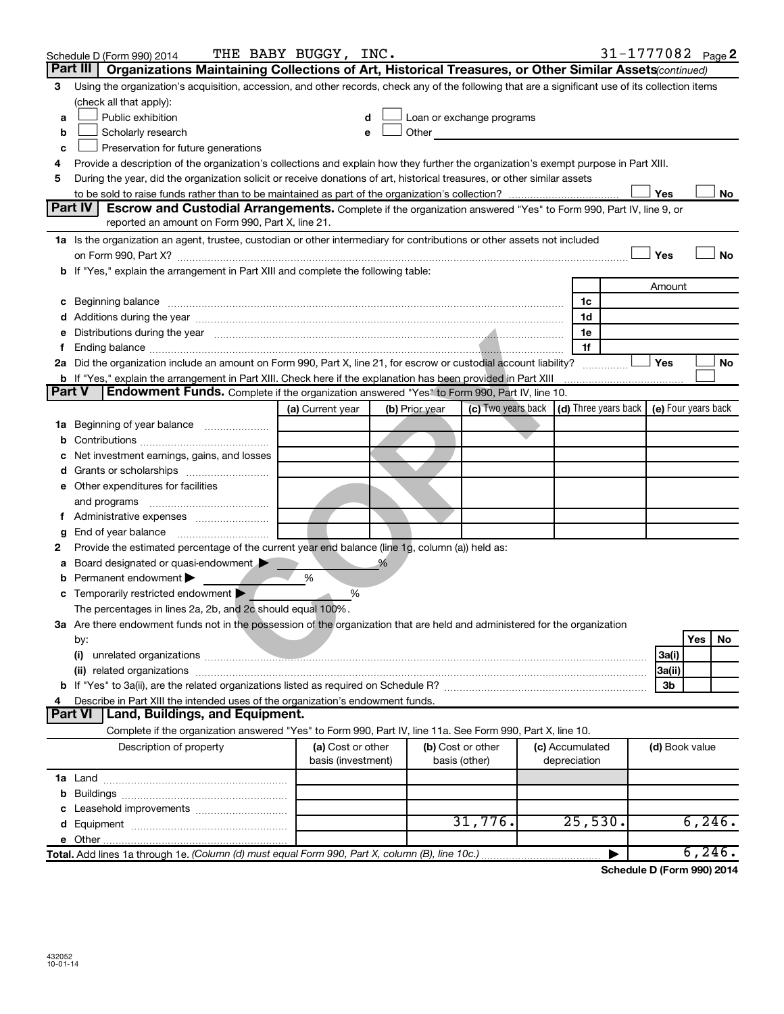|               | Schedule D (Form 990) 2014                                                                                                                                                                                                     | THE BABY BUGGY, INC.                    |                |                                    |                                            | 31-1777082 Page 2 |           |
|---------------|--------------------------------------------------------------------------------------------------------------------------------------------------------------------------------------------------------------------------------|-----------------------------------------|----------------|------------------------------------|--------------------------------------------|-------------------|-----------|
|               | Organizations Maintaining Collections of Art, Historical Treasures, or Other Similar Assets (continued)<br>Part III                                                                                                            |                                         |                |                                    |                                            |                   |           |
| з             | Using the organization's acquisition, accession, and other records, check any of the following that are a significant use of its collection items                                                                              |                                         |                |                                    |                                            |                   |           |
|               | (check all that apply):                                                                                                                                                                                                        |                                         |                |                                    |                                            |                   |           |
| a             | Public exhibition                                                                                                                                                                                                              |                                         | d              | Loan or exchange programs          |                                            |                   |           |
| b             | Scholarly research                                                                                                                                                                                                             |                                         | Other<br>e     |                                    |                                            |                   |           |
| с             | Preservation for future generations                                                                                                                                                                                            |                                         |                |                                    |                                            |                   |           |
|               | Provide a description of the organization's collections and explain how they further the organization's exempt purpose in Part XIII.                                                                                           |                                         |                |                                    |                                            |                   |           |
| 5             | During the year, did the organization solicit or receive donations of art, historical treasures, or other similar assets                                                                                                       |                                         |                |                                    |                                            |                   |           |
|               |                                                                                                                                                                                                                                |                                         |                |                                    |                                            | Yes               | No        |
|               | Part IV<br><b>Escrow and Custodial Arrangements.</b> Complete if the organization answered "Yes" to Form 990, Part IV, line 9, or<br>reported an amount on Form 990, Part X, line 21.                                          |                                         |                |                                    |                                            |                   |           |
|               |                                                                                                                                                                                                                                |                                         |                |                                    |                                            |                   |           |
|               | 1a Is the organization an agent, trustee, custodian or other intermediary for contributions or other assets not included                                                                                                       |                                         |                |                                    |                                            |                   |           |
|               | b If "Yes," explain the arrangement in Part XIII and complete the following table:                                                                                                                                             |                                         |                |                                    |                                            | Yes               | No        |
|               |                                                                                                                                                                                                                                |                                         |                |                                    |                                            | Amount            |           |
| c             | Beginning balance material contracts and contracts and contracts and contracts and contracts and contracts and contracts and contracts and contracts and contracts and contracts and contracts and contracts and contracts and |                                         |                |                                    | 1c                                         |                   |           |
|               |                                                                                                                                                                                                                                |                                         |                |                                    | 1d                                         |                   |           |
|               | e Distributions during the year measurement contained and all the year of the year measurement of the year measurement of the year measurement of the year measurement of the year and the year of the year of the year of the |                                         |                |                                    | 1e                                         |                   |           |
|               |                                                                                                                                                                                                                                |                                         |                |                                    | 1f                                         |                   |           |
|               | 2a Did the organization include an amount on Form 990, Part X, line 21, for escrow or custodial account liability?                                                                                                             |                                         |                |                                    |                                            | <b>Yes</b>        | <b>No</b> |
|               | <b>b</b> If "Yes," explain the arrangement in Part XIII. Check here if the explanation has been provided in Part XIII                                                                                                          |                                         |                |                                    | . <u>.</u> .                               |                   |           |
| <b>Part V</b> | Endowment Funds. Complete if the organization answered "Yes" to Form 990, Part IV, line 10.                                                                                                                                    |                                         |                |                                    |                                            |                   |           |
|               |                                                                                                                                                                                                                                | (a) Current year                        | (b) Prior year | (c) Two years back                 | (d) Three years back   (e) Four years back |                   |           |
| 1а            | Beginning of year balance                                                                                                                                                                                                      |                                         |                |                                    |                                            |                   |           |
|               |                                                                                                                                                                                                                                |                                         |                |                                    |                                            |                   |           |
|               | Net investment earnings, gains, and losses                                                                                                                                                                                     |                                         |                |                                    |                                            |                   |           |
|               | Grants or scholarships                                                                                                                                                                                                         |                                         |                |                                    |                                            |                   |           |
|               | e Other expenditures for facilities                                                                                                                                                                                            |                                         |                |                                    |                                            |                   |           |
|               | and programs                                                                                                                                                                                                                   |                                         |                |                                    |                                            |                   |           |
|               |                                                                                                                                                                                                                                |                                         |                |                                    |                                            |                   |           |
| g             |                                                                                                                                                                                                                                |                                         |                |                                    |                                            |                   |           |
| 2             | Provide the estimated percentage of the current year end balance (line 1g, column (a)) held as:                                                                                                                                |                                         |                |                                    |                                            |                   |           |
|               | Board designated or quasi-endowment                                                                                                                                                                                            |                                         | %              |                                    |                                            |                   |           |
|               | Permanent endowment                                                                                                                                                                                                            | %                                       |                |                                    |                                            |                   |           |
|               | c Temporarily restricted endowment                                                                                                                                                                                             | %                                       |                |                                    |                                            |                   |           |
|               | The percentages in lines 2a, 2b, and 2c should equal 100%.                                                                                                                                                                     |                                         |                |                                    |                                            |                   |           |
|               | 3a Are there endowment funds not in the possession of the organization that are held and administered for the organization                                                                                                     |                                         |                |                                    |                                            |                   |           |
|               | by:<br>(i)                                                                                                                                                                                                                     |                                         |                |                                    |                                            | 3a(i)             | Yes<br>No |
|               |                                                                                                                                                                                                                                |                                         |                |                                    |                                            | 3a(ii)            |           |
|               |                                                                                                                                                                                                                                |                                         |                |                                    |                                            | Зb                |           |
|               | Describe in Part XIII the intended uses of the organization's endowment funds.                                                                                                                                                 |                                         |                |                                    |                                            |                   |           |
|               | Land, Buildings, and Equipment.<br>Part VI                                                                                                                                                                                     |                                         |                |                                    |                                            |                   |           |
|               | Complete if the organization answered "Yes" to Form 990, Part IV, line 11a. See Form 990, Part X, line 10.                                                                                                                     |                                         |                |                                    |                                            |                   |           |
|               | Description of property                                                                                                                                                                                                        | (a) Cost or other<br>basis (investment) |                | (b) Cost or other<br>basis (other) | (c) Accumulated<br>depreciation            | (d) Book value    |           |
|               |                                                                                                                                                                                                                                |                                         |                |                                    |                                            |                   |           |
|               |                                                                                                                                                                                                                                |                                         |                |                                    |                                            |                   |           |
|               |                                                                                                                                                                                                                                |                                         |                |                                    |                                            |                   |           |
|               |                                                                                                                                                                                                                                |                                         |                | 31,776.                            | 25,530.                                    |                   | 6, 246.   |
|               |                                                                                                                                                                                                                                |                                         |                |                                    |                                            |                   |           |
|               | Total. Add lines 1a through 1e. (Column (d) must equal Form 990, Part X, column (B), line 10c.)                                                                                                                                |                                         |                |                                    |                                            |                   | 6,246.    |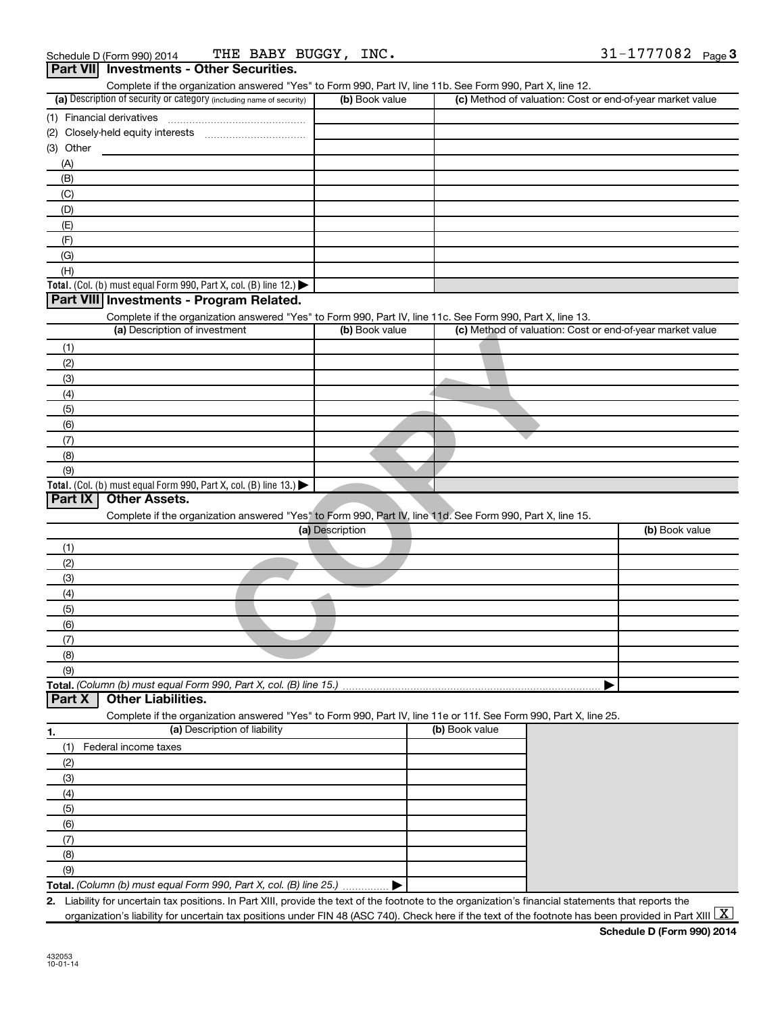| Complete if the organization answered "Yes" to Form 990, Part IV, line 11b. See Form 990, Part X, line 12.        |                 |                |                                                           |
|-------------------------------------------------------------------------------------------------------------------|-----------------|----------------|-----------------------------------------------------------|
| (a) Description of security or category (including name of security)                                              | (b) Book value  |                | (c) Method of valuation: Cost or end-of-year market value |
| (1) Financial derivatives                                                                                         |                 |                |                                                           |
|                                                                                                                   |                 |                |                                                           |
| (3) Other                                                                                                         |                 |                |                                                           |
| (A)                                                                                                               |                 |                |                                                           |
| (B)                                                                                                               |                 |                |                                                           |
| (C)                                                                                                               |                 |                |                                                           |
| (D)                                                                                                               |                 |                |                                                           |
| (E)                                                                                                               |                 |                |                                                           |
| (F)                                                                                                               |                 |                |                                                           |
| (G)                                                                                                               |                 |                |                                                           |
| (H)                                                                                                               |                 |                |                                                           |
| Total. (Col. (b) must equal Form 990, Part X, col. (B) line 12.)                                                  |                 |                |                                                           |
| Part VIII Investments - Program Related.                                                                          |                 |                |                                                           |
| Complete if the organization answered "Yes" to Form 990, Part IV, line 11c. See Form 990, Part X, line 13.        |                 |                |                                                           |
| (a) Description of investment                                                                                     | (b) Book value  |                | (c) Method of valuation: Cost or end-of-year market value |
| (1)                                                                                                               |                 |                |                                                           |
| (2)                                                                                                               |                 |                |                                                           |
| (3)                                                                                                               |                 |                |                                                           |
| (4)                                                                                                               |                 |                |                                                           |
| (5)                                                                                                               |                 |                |                                                           |
| (6)                                                                                                               |                 |                |                                                           |
| (7)                                                                                                               |                 |                |                                                           |
|                                                                                                                   |                 |                |                                                           |
|                                                                                                                   |                 |                |                                                           |
| (8)                                                                                                               |                 |                |                                                           |
| (9)                                                                                                               |                 |                |                                                           |
| Total. (Col. (b) must equal Form 990, Part X, col. (B) line $13.$ )                                               |                 |                |                                                           |
| <b>Part IX</b><br><b>Other Assets.</b>                                                                            |                 |                |                                                           |
| Complete if the organization answered "Yes" to Form 990, Part IV, line 11d. See Form 990, Part X, line 15.        |                 |                |                                                           |
|                                                                                                                   | (a) Description |                | (b) Book value                                            |
| (1)                                                                                                               |                 |                |                                                           |
| (2)                                                                                                               |                 |                |                                                           |
| (3)                                                                                                               |                 |                |                                                           |
|                                                                                                                   |                 |                |                                                           |
|                                                                                                                   |                 |                |                                                           |
| (4)<br>(5)<br>(6)                                                                                                 |                 |                |                                                           |
|                                                                                                                   |                 |                |                                                           |
| (7)<br>(8)                                                                                                        |                 |                |                                                           |
|                                                                                                                   |                 |                |                                                           |
| (9)<br><b>Other Liabilities.</b>                                                                                  |                 |                |                                                           |
| Complete if the organization answered "Yes" to Form 990, Part IV, line 11e or 11f. See Form 990, Part X, line 25. |                 |                |                                                           |
| (a) Description of liability                                                                                      |                 | (b) Book value |                                                           |
| Federal income taxes                                                                                              |                 |                |                                                           |
|                                                                                                                   |                 |                |                                                           |
| (1)                                                                                                               |                 |                |                                                           |
|                                                                                                                   |                 |                |                                                           |
| (2)<br>(3)<br>(4)                                                                                                 |                 |                |                                                           |
| (5)                                                                                                               |                 |                |                                                           |
| Total. (Column (b) must equal Form 990, Part X, col. (B) line 15.)<br>Part X<br>(6)                               |                 |                |                                                           |
| (7)                                                                                                               |                 |                |                                                           |
| (8)<br>(9)                                                                                                        |                 |                |                                                           |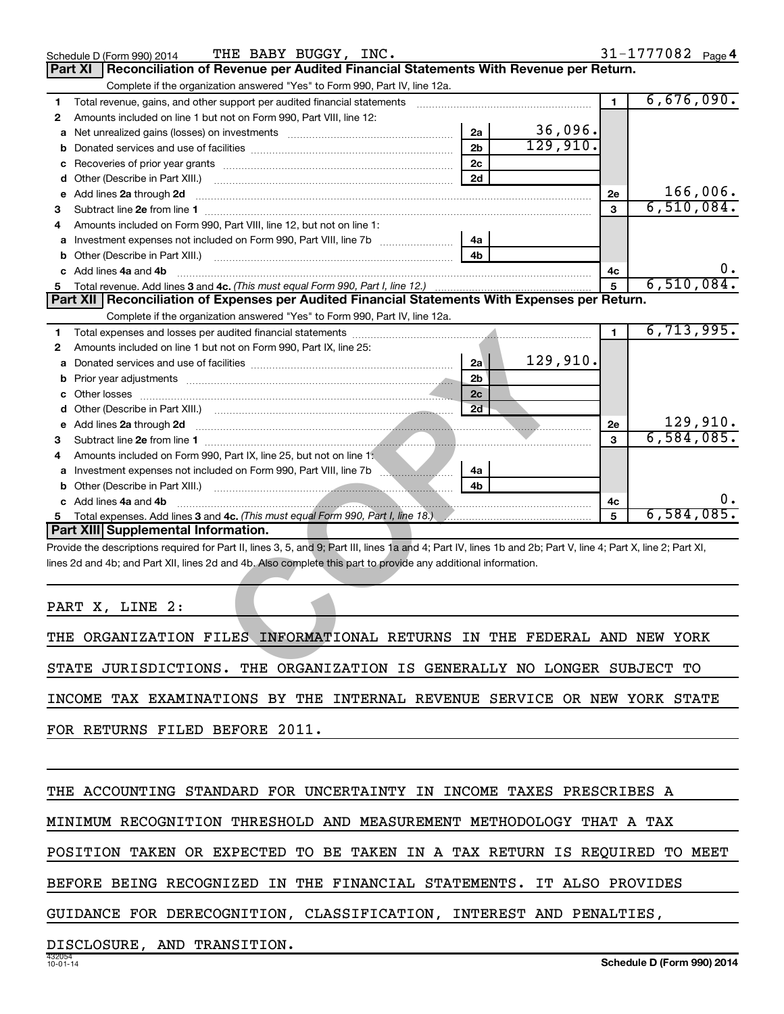|     | THE BABY BUGGY, INC.<br>Schedule D (Form 990) 2014                                                                                                                                                                             |                |          |                | 31-1777082 Page 4             |
|-----|--------------------------------------------------------------------------------------------------------------------------------------------------------------------------------------------------------------------------------|----------------|----------|----------------|-------------------------------|
|     | Reconciliation of Revenue per Audited Financial Statements With Revenue per Return.<br>Part XI                                                                                                                                 |                |          |                |                               |
|     | Complete if the organization answered "Yes" to Form 990, Part IV, line 12a.                                                                                                                                                    |                |          |                |                               |
| 1   | Total revenue, gains, and other support per audited financial statements                                                                                                                                                       |                |          | $\blacksquare$ | 6,676,090.                    |
| 2   | Amounts included on line 1 but not on Form 990, Part VIII, line 12:                                                                                                                                                            |                |          |                |                               |
|     | a Net unrealized gains (losses) on investments [111] [12] Net unrealized gains (losses) on investments [11] [1                                                                                                                 | 2a             | 36,096.  |                |                               |
| b   |                                                                                                                                                                                                                                | 2 <sub>b</sub> | 129,910. |                |                               |
| с   |                                                                                                                                                                                                                                | 2c             |          |                |                               |
| d   |                                                                                                                                                                                                                                | 2d             |          |                |                               |
|     | e Add lines 2a through 2d                                                                                                                                                                                                      |                |          | 2e             | $\frac{166,006.}{6,510,084.}$ |
| 3   |                                                                                                                                                                                                                                |                |          | 3              |                               |
| 4   | Amounts included on Form 990, Part VIII, line 12, but not on line 1:                                                                                                                                                           |                |          |                |                               |
|     |                                                                                                                                                                                                                                | 4a             |          |                |                               |
| b   |                                                                                                                                                                                                                                | 4h             |          |                |                               |
|     | c Add lines 4a and 4b                                                                                                                                                                                                          |                |          | 4c             |                               |
| 5   |                                                                                                                                                                                                                                |                |          | 5              | 6,510,084.                    |
|     | Part XII   Reconciliation of Expenses per Audited Financial Statements With Expenses per Return.                                                                                                                               |                |          |                |                               |
|     | Complete if the organization answered "Yes" to Form 990, Part IV, line 12a.                                                                                                                                                    |                |          |                |                               |
| 1   |                                                                                                                                                                                                                                |                |          | $\blacksquare$ | 6, 713, 995.                  |
| 2   | Amounts included on line 1 but not on Form 990, Part IX, line 25:                                                                                                                                                              |                |          |                |                               |
|     |                                                                                                                                                                                                                                | 2a             | 129,910. |                |                               |
| b   |                                                                                                                                                                                                                                | 2 <sub>b</sub> |          |                |                               |
|     |                                                                                                                                                                                                                                | 2c             |          |                |                               |
| d   |                                                                                                                                                                                                                                | 2d             |          |                |                               |
| е   | Add lines 2a through 2d <b>contained a contained a contact and a contact a contact a contact and a contact a contact a</b>                                                                                                     |                |          | 2e             | 129,910.                      |
| 3   |                                                                                                                                                                                                                                |                |          | 3              | 6,584,085.                    |
| 4   | Amounts included on Form 990, Part IX, line 25, but not on line 1:                                                                                                                                                             |                |          |                |                               |
|     |                                                                                                                                                                                                                                | 4а             |          |                |                               |
| b   | Other (Describe in Part XIII.) [11] [2000] [2010] [2010] [2010] [2010] [2010] [2010] [2010] [2010] [2010] [2010] [2010] [2010] [2010] [2010] [2010] [2010] [2010] [2010] [2010] [2010] [2010] [2010] [2010] [2010] [2010] [201 | 4 <sub>b</sub> |          |                |                               |
|     | c Add lines 4a and 4b                                                                                                                                                                                                          |                |          | 4c             |                               |
| 5   |                                                                                                                                                                                                                                |                |          | 5              | 6,584,085.                    |
|     | Part XIII Supplemental Information.                                                                                                                                                                                            |                |          |                |                               |
|     | Provide the descriptions required for Part II, lines 3, 5, and 9; Part III, lines 1a and 4; Part IV, lines 1b and 2b; Part V, line 4; Part X, line 2; Part XI,                                                                 |                |          |                |                               |
|     | lines 2d and 4b; and Part XII, lines 2d and 4b. Also complete this part to provide any additional information.                                                                                                                 |                |          |                |                               |
|     |                                                                                                                                                                                                                                |                |          |                |                               |
|     |                                                                                                                                                                                                                                |                |          |                |                               |
|     | PART X, LINE 2:                                                                                                                                                                                                                |                |          |                |                               |
| THE | ORGANIZATION FILES INFORMATIONAL RETURNS IN THE FEDERAL AND NEW YORK                                                                                                                                                           |                |          |                |                               |
|     | STATE JURISDICTIONS. THE ORGANIZATION IS GENERALLY NO LONGER SUBJECT TO                                                                                                                                                        |                |          |                |                               |

THE ORGANIZATION FILES INFORMATIONAL RETURNS IN THE FEDERAL AND NEW YORK STATE JURISDICTIONS. THE ORGANIZATION IS GENERALLY NO LONGER SUBJECT TO INCOME TAX EXAMINATIONS BY THE INTERNAL REVENUE SERVICE OR NEW YORK STATE FOR RETURNS FILED BEFORE 2011.

THE ACCOUNTING STANDARD FOR UNCERTAINTY IN INCOME TAXES PRESCRIBES A

MINIMUM RECOGNITION THRESHOLD AND MEASUREMENT METHODOLOGY THAT A TAX

POSITION TAKEN OR EXPECTED TO BE TAKEN IN A TAX RETURN IS REQUIRED TO MEET

BEFORE BEING RECOGNIZED IN THE FINANCIAL STATEMENTS. IT ALSO PROVIDES

GUIDANCE FOR DERECOGNITION, CLASSIFICATION, INTEREST AND PENALTIES,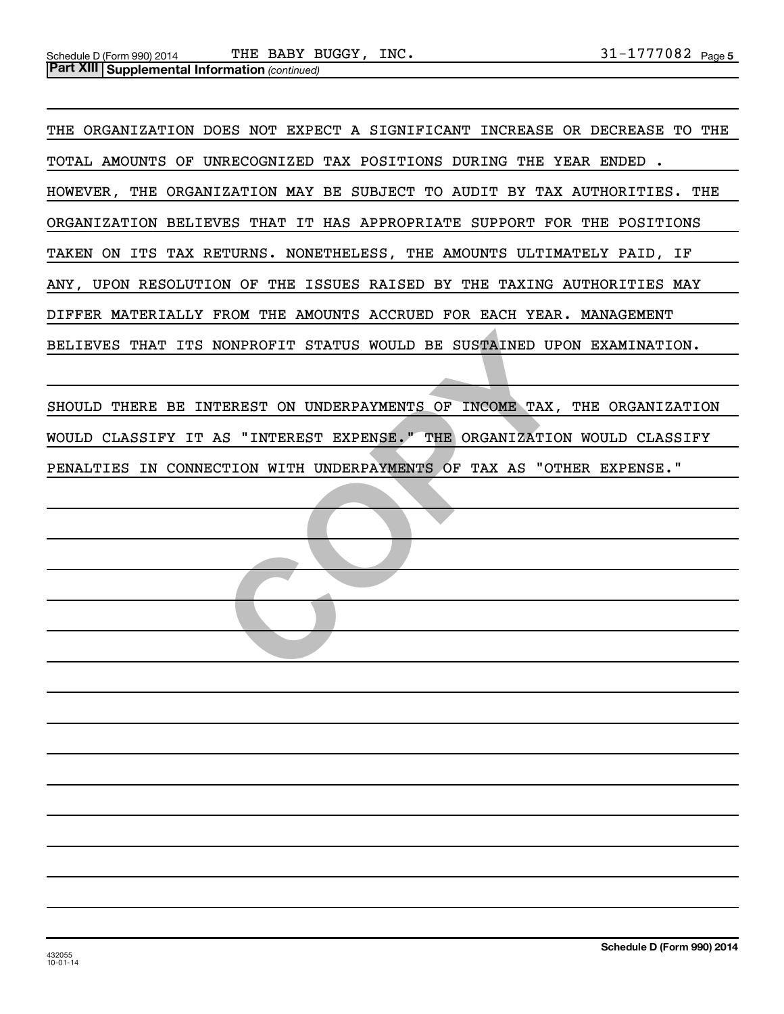THE ORGANIZATION DOES NOT EXPECT A SIGNIFICANT INCREASE OR DECREASE TO THE TOTAL AMOUNTS OF UNRECOGNIZED TAX POSITIONS DURING THE YEAR ENDED . HOWEVER, THE ORGANIZATION MAY BE SUBJECT TO AUDIT BY TAX AUTHORITIES. THE ORGANIZATION BELIEVES THAT IT HAS APPROPRIATE SUPPORT FOR THE POSITIONS TAKEN ON ITS TAX RETURNS. NONETHELESS, THE AMOUNTS ULTIMATELY PAID, IF ANY, UPON RESOLUTION OF THE ISSUES RAISED BY THE TAXING AUTHORITIES MAY DIFFER MATERIALLY FROM THE AMOUNTS ACCRUED FOR EACH YEAR. MANAGEMENT BELIEVES THAT ITS NONPROFIT STATUS WOULD BE SUSTAINED UPON EXAMINATION.

NONPROFIT STATUS WOULD BE SUSTAINED UPCTREEST ON UNDERPAYMENTS OF INCOME TAX, AS "INTEREST EXPENSE." THE ORGANIZATION WITH UNDERPAYMENTS OF TAX AS "OTH SHOULD THERE BE INTEREST ON UNDERPAYMENTS OF INCOME TAX, THE ORGANIZATION WOULD CLASSIFY IT AS "INTEREST EXPENSE." THE ORGANIZATION WOULD CLASSIFY PENALTIES IN CONNECTION WITH UNDERPAYMENTS OF TAX AS "OTHER EXPENSE."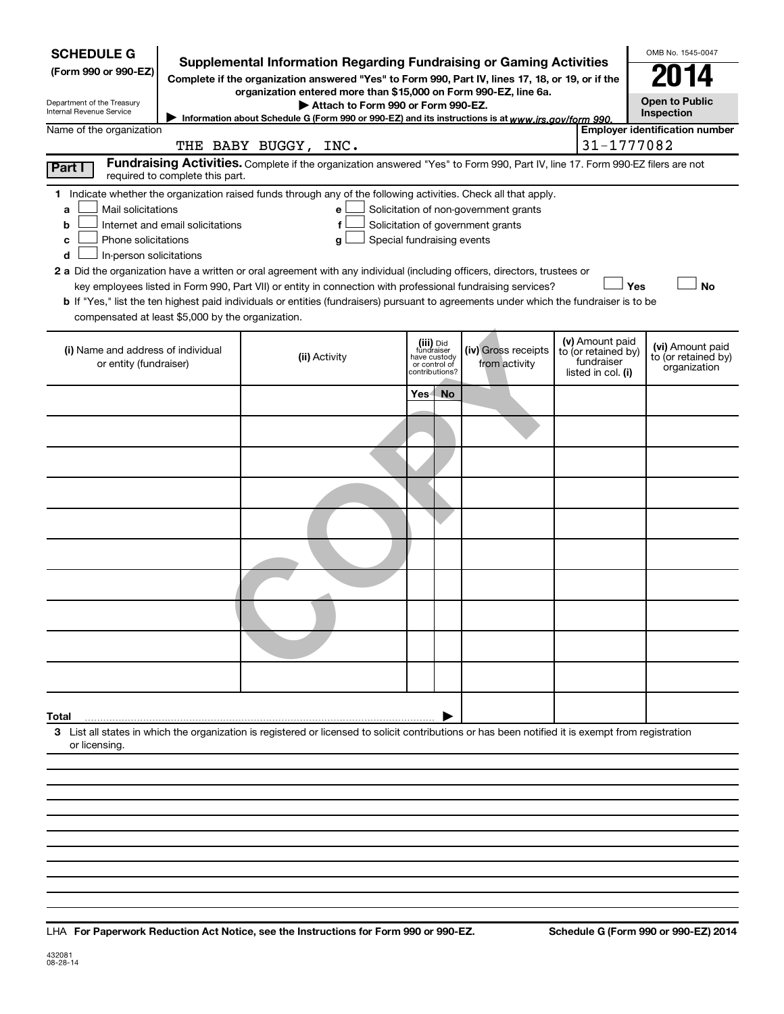| <b>SCHEDULE G</b><br>(Form 990 or 990-EZ)<br>Department of the Treasury<br>Internal Revenue Service<br>Name of the organization                                                                                                                                                                                                                                                                                                                                                                                                                                                                                                                                                            |                      | Attach to Form 990 or Form 990-EZ.        |                                                                            |           | Supplemental Information Regarding Fundraising or Gaming Activities<br>Complete if the organization answered "Yes" to Form 990, Part IV, lines 17, 18, or 19, or if the<br>organization entered more than \$15,000 on Form 990-EZ, line 6a.<br>Information about Schedule G (Form 990 or 990-EZ) and its instructions is at www.irs.gov/form 990. |                                                                            | OMB No. 1545-0047<br><b>Open to Public</b><br>Inspection<br><b>Employer identification number</b> |
|--------------------------------------------------------------------------------------------------------------------------------------------------------------------------------------------------------------------------------------------------------------------------------------------------------------------------------------------------------------------------------------------------------------------------------------------------------------------------------------------------------------------------------------------------------------------------------------------------------------------------------------------------------------------------------------------|----------------------|-------------------------------------------|----------------------------------------------------------------------------|-----------|---------------------------------------------------------------------------------------------------------------------------------------------------------------------------------------------------------------------------------------------------------------------------------------------------------------------------------------------------|----------------------------------------------------------------------------|---------------------------------------------------------------------------------------------------|
|                                                                                                                                                                                                                                                                                                                                                                                                                                                                                                                                                                                                                                                                                            | THE BABY BUGGY, INC. |                                           |                                                                            |           |                                                                                                                                                                                                                                                                                                                                                   | 31-1777082                                                                 |                                                                                                   |
| Part I<br>required to complete this part.                                                                                                                                                                                                                                                                                                                                                                                                                                                                                                                                                                                                                                                  |                      |                                           |                                                                            |           | Fundraising Activities. Complete if the organization answered "Yes" to Form 990, Part IV, line 17. Form 990-EZ filers are not                                                                                                                                                                                                                     |                                                                            |                                                                                                   |
| 1 Indicate whether the organization raised funds through any of the following activities. Check all that apply.<br>Mail solicitations<br>a<br>Internet and email solicitations<br>b<br>Phone solicitations<br>с<br>In-person solicitations<br>d<br>2 a Did the organization have a written or oral agreement with any individual (including officers, directors, trustees or<br>key employees listed in Form 990, Part VII) or entity in connection with professional fundraising services?<br>b If "Yes," list the ten highest paid individuals or entities (fundraisers) pursuant to agreements under which the fundraiser is to be<br>compensated at least \$5,000 by the organization. |                      | е<br>f<br>Special fundraising events<br>g |                                                                            |           | Solicitation of non-government grants<br>Solicitation of government grants                                                                                                                                                                                                                                                                        |                                                                            | Yes<br><b>No</b>                                                                                  |
| (i) Name and address of individual<br>or entity (fundraiser)                                                                                                                                                                                                                                                                                                                                                                                                                                                                                                                                                                                                                               |                      | (ii) Activity                             | (iii) Did<br>fundraiser<br>have custody<br>or control of<br>contributions? |           | (iv) Gross receipts<br>from activity                                                                                                                                                                                                                                                                                                              | (v) Amount paid<br>to (or retained by)<br>fundraiser<br>listed in col. (i) | (vi) Amount paid<br>to (or retained by)<br>organization                                           |
|                                                                                                                                                                                                                                                                                                                                                                                                                                                                                                                                                                                                                                                                                            |                      |                                           | <b>Yes</b>                                                                 | <b>No</b> |                                                                                                                                                                                                                                                                                                                                                   |                                                                            |                                                                                                   |
|                                                                                                                                                                                                                                                                                                                                                                                                                                                                                                                                                                                                                                                                                            |                      |                                           |                                                                            |           |                                                                                                                                                                                                                                                                                                                                                   |                                                                            |                                                                                                   |
|                                                                                                                                                                                                                                                                                                                                                                                                                                                                                                                                                                                                                                                                                            |                      |                                           |                                                                            |           |                                                                                                                                                                                                                                                                                                                                                   |                                                                            |                                                                                                   |
|                                                                                                                                                                                                                                                                                                                                                                                                                                                                                                                                                                                                                                                                                            |                      |                                           |                                                                            |           |                                                                                                                                                                                                                                                                                                                                                   |                                                                            |                                                                                                   |
|                                                                                                                                                                                                                                                                                                                                                                                                                                                                                                                                                                                                                                                                                            |                      |                                           |                                                                            |           |                                                                                                                                                                                                                                                                                                                                                   |                                                                            |                                                                                                   |
|                                                                                                                                                                                                                                                                                                                                                                                                                                                                                                                                                                                                                                                                                            |                      |                                           |                                                                            |           |                                                                                                                                                                                                                                                                                                                                                   |                                                                            |                                                                                                   |
|                                                                                                                                                                                                                                                                                                                                                                                                                                                                                                                                                                                                                                                                                            |                      |                                           |                                                                            |           |                                                                                                                                                                                                                                                                                                                                                   |                                                                            |                                                                                                   |
|                                                                                                                                                                                                                                                                                                                                                                                                                                                                                                                                                                                                                                                                                            |                      |                                           |                                                                            |           |                                                                                                                                                                                                                                                                                                                                                   |                                                                            |                                                                                                   |
|                                                                                                                                                                                                                                                                                                                                                                                                                                                                                                                                                                                                                                                                                            |                      |                                           |                                                                            |           |                                                                                                                                                                                                                                                                                                                                                   |                                                                            |                                                                                                   |
|                                                                                                                                                                                                                                                                                                                                                                                                                                                                                                                                                                                                                                                                                            |                      |                                           |                                                                            |           |                                                                                                                                                                                                                                                                                                                                                   |                                                                            |                                                                                                   |
| Total                                                                                                                                                                                                                                                                                                                                                                                                                                                                                                                                                                                                                                                                                      |                      |                                           |                                                                            |           |                                                                                                                                                                                                                                                                                                                                                   |                                                                            |                                                                                                   |
| 3 List all states in which the organization is registered or licensed to solicit contributions or has been notified it is exempt from registration<br>or licensing.                                                                                                                                                                                                                                                                                                                                                                                                                                                                                                                        |                      |                                           |                                                                            |           |                                                                                                                                                                                                                                                                                                                                                   |                                                                            |                                                                                                   |
|                                                                                                                                                                                                                                                                                                                                                                                                                                                                                                                                                                                                                                                                                            |                      |                                           |                                                                            |           |                                                                                                                                                                                                                                                                                                                                                   |                                                                            |                                                                                                   |
|                                                                                                                                                                                                                                                                                                                                                                                                                                                                                                                                                                                                                                                                                            |                      |                                           |                                                                            |           |                                                                                                                                                                                                                                                                                                                                                   |                                                                            |                                                                                                   |
|                                                                                                                                                                                                                                                                                                                                                                                                                                                                                                                                                                                                                                                                                            |                      |                                           |                                                                            |           |                                                                                                                                                                                                                                                                                                                                                   |                                                                            |                                                                                                   |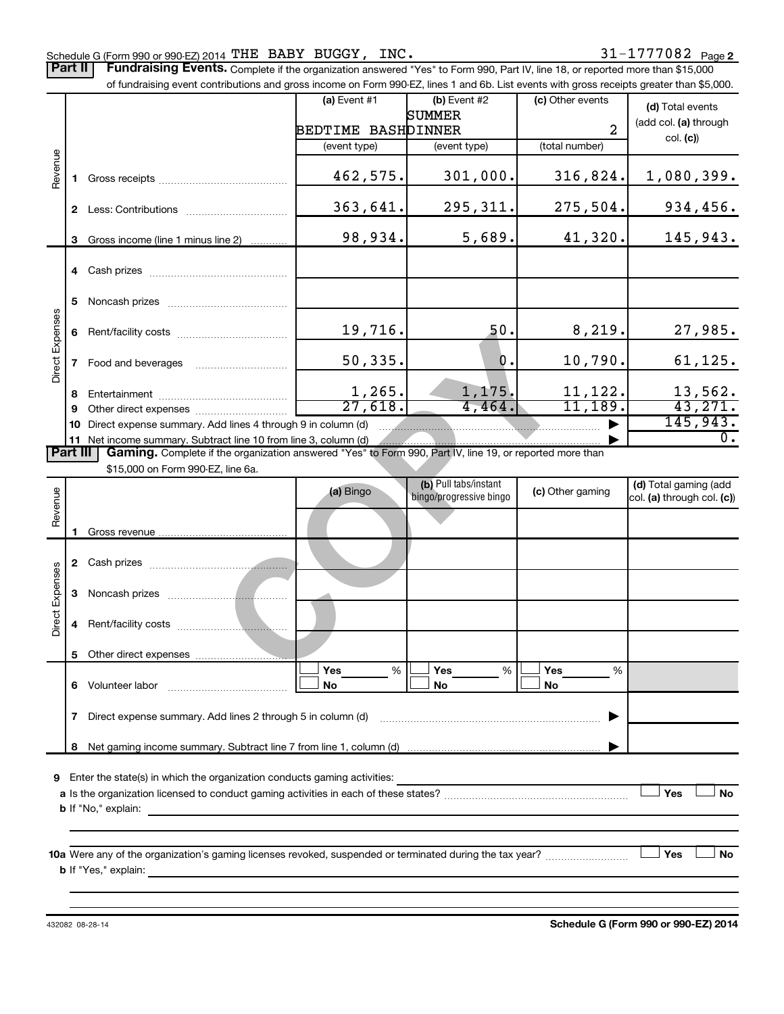Part II | Fundraising Events. Complete if the organization answered "Yes" to Form 990, Part IV, line 18, or reported more than \$15,000 of fundraising event contributions and gross income on Form 990-EZ, lines 1 and 6b. List events with gross receipts greater than \$5,000.

|                        |              |                                                                                                                                                                                                                                | $(a)$ Event #1     | (b) Event $#2$                                                                  | (c) Other events  | (d) Total events      |
|------------------------|--------------|--------------------------------------------------------------------------------------------------------------------------------------------------------------------------------------------------------------------------------|--------------------|---------------------------------------------------------------------------------|-------------------|-----------------------|
|                        |              |                                                                                                                                                                                                                                |                    | SUMMER                                                                          |                   |                       |
|                        |              |                                                                                                                                                                                                                                | BEDTIME BASHDINNER |                                                                                 | $\overline{2}$    | (add col. (a) through |
|                        |              |                                                                                                                                                                                                                                | (event type)       | (event type)                                                                    | (total number)    | col. (c)              |
|                        |              |                                                                                                                                                                                                                                |                    |                                                                                 |                   |                       |
| Revenue                |              |                                                                                                                                                                                                                                | 462,575.           | 301,000.                                                                        | 316,824.          | 1,080,399.            |
|                        |              |                                                                                                                                                                                                                                |                    |                                                                                 |                   |                       |
|                        | $\mathbf{2}$ |                                                                                                                                                                                                                                | 363,641.           | 295,311.                                                                        | 275,504.          | 934,456.              |
|                        |              |                                                                                                                                                                                                                                |                    |                                                                                 |                   |                       |
|                        | 3            | Gross income (line 1 minus line 2)                                                                                                                                                                                             | 98,934.            | 5,689.                                                                          | 41,320.           | 145,943.              |
|                        |              |                                                                                                                                                                                                                                |                    |                                                                                 |                   |                       |
|                        |              | 4 Cash prizes and the cash of the cash of the cash of the cash of the cash of the cash of the cash of the cash                                                                                                                 |                    |                                                                                 |                   |                       |
|                        |              |                                                                                                                                                                                                                                |                    |                                                                                 |                   |                       |
|                        | 5            | Noncash prizes and the state of the state of the state of the state of the state of the state of the state of the state of the state of the state of the state of the state of the state of the state of the state of the stat |                    |                                                                                 |                   |                       |
| <b>Direct Expenses</b> |              |                                                                                                                                                                                                                                | 19,716.            | 50.                                                                             | 8,219.            | 27,985.               |
|                        | 6            |                                                                                                                                                                                                                                |                    |                                                                                 |                   |                       |
|                        |              |                                                                                                                                                                                                                                | 50, 335.           | $\mathbf 0$ .                                                                   | 10,790.           | 61, 125.              |
|                        |              | Food and beverages                                                                                                                                                                                                             |                    |                                                                                 |                   |                       |
|                        | 8            |                                                                                                                                                                                                                                | 1,265.             | 1,175.                                                                          | 11,122.           | 13,562.               |
|                        | 9            | Other direct expenses of the state of the state of the state of the state of the state of the state of the state of the state of the state of the state of the state of the state of the state of the state of the state of th | 27,618.            | 4,464.                                                                          | 11,189.           | 43,271.               |
|                        | 10           | Direct expense summary. Add lines 4 through 9 in column (d)                                                                                                                                                                    |                    |                                                                                 |                   | 145,943.              |
|                        |              | 11 Net income summary. Subtract line 10 from line 3, column (d)                                                                                                                                                                |                    | the contract of the contract of the contract of the contract of the contract of |                   | 0.                    |
| <b>Part III</b>        |              | Gaming. Complete if the organization answered "Yes" to Form 990, Part IV, line 19, or reported more than                                                                                                                       |                    |                                                                                 |                   |                       |
|                        |              | \$15,000 on Form 990-EZ, line 6a.                                                                                                                                                                                              |                    |                                                                                 |                   |                       |
|                        |              |                                                                                                                                                                                                                                |                    |                                                                                 |                   |                       |
| $\sim$                 |              |                                                                                                                                                                                                                                | $IA$ Dies          | (b) Pull tabs/instant                                                           | $I = \sqrt{2\pi}$ | (d) Total gaming (add |

|                        |          |                                                                                                                      | 19,710.        | ov.                                              | <b>8,419.</b>    | 21,985 <b>.</b>                                     |
|------------------------|----------|----------------------------------------------------------------------------------------------------------------------|----------------|--------------------------------------------------|------------------|-----------------------------------------------------|
| Direct Exper           | 7        | Food and beverages                                                                                                   | 50, 335.       | $\mathbf{0}$ .                                   | 10, 790.         | 61, 125.                                            |
|                        | 8        |                                                                                                                      | 1,265.         | 1, 175.                                          | 11,122.          | 13,562.                                             |
|                        | 9        |                                                                                                                      | 27,618.        | 4,464.                                           | 11, 189.         | 43,271.                                             |
|                        | 10       |                                                                                                                      |                |                                                  |                  | 145,943.                                            |
|                        | 11       | Net income summary. Subtract line 10 from line 3, column (d) <b>Alteration Container and Container and Container</b> |                |                                                  |                  | $\overline{\mathbf{0}}$ .                           |
|                        | Part III | Gaming. Complete if the organization answered "Yes" to Form 990, Part IV, line 19, or reported more than             |                |                                                  |                  |                                                     |
|                        |          | \$15,000 on Form 990-EZ, line 6a.                                                                                    |                |                                                  |                  |                                                     |
| Revenue                |          |                                                                                                                      | (a) Bingo      | (b) Pull tabs/instant<br>bingo/progressive bingo | (c) Other gaming | (d) Total gaming (add<br>col. (a) through col. (c)) |
|                        |          |                                                                                                                      |                |                                                  |                  |                                                     |
|                        | 2        |                                                                                                                      |                |                                                  |                  |                                                     |
| <b>Direct Expenses</b> | 3        |                                                                                                                      |                |                                                  |                  |                                                     |
|                        | 4        |                                                                                                                      |                |                                                  |                  |                                                     |
|                        | 5        |                                                                                                                      |                |                                                  |                  |                                                     |
|                        | 6        | Volunteer labor                                                                                                      | Yes<br>%<br>No | Yes<br>%<br>No                                   | Yes<br>%<br>No   |                                                     |
|                        | 7        | Direct expense summary. Add lines 2 through 5 in column (d)                                                          |                |                                                  |                  |                                                     |
|                        | 8        |                                                                                                                      |                |                                                  |                  |                                                     |
| 9                      |          | Enter the state(s) in which the organization conducts gaming activities:                                             |                |                                                  |                  |                                                     |
|                        |          |                                                                                                                      |                |                                                  |                  | Yes<br><b>No</b>                                    |
|                        |          | <b>b</b> If "No," explain:<br><u> 1989 - John Stein, Amerikaansk politiker (* 1908)</u>                              |                |                                                  |                  |                                                     |
|                        |          |                                                                                                                      |                |                                                  |                  |                                                     |
|                        |          |                                                                                                                      |                |                                                  |                  |                                                     |
|                        |          |                                                                                                                      |                |                                                  |                  | Yes<br><b>No</b>                                    |
|                        |          | <b>b</b> If "Yes," explain:                                                                                          |                |                                                  |                  |                                                     |

432082 08-28-14

**Schedule G (Form 990 or 990-EZ) 2014**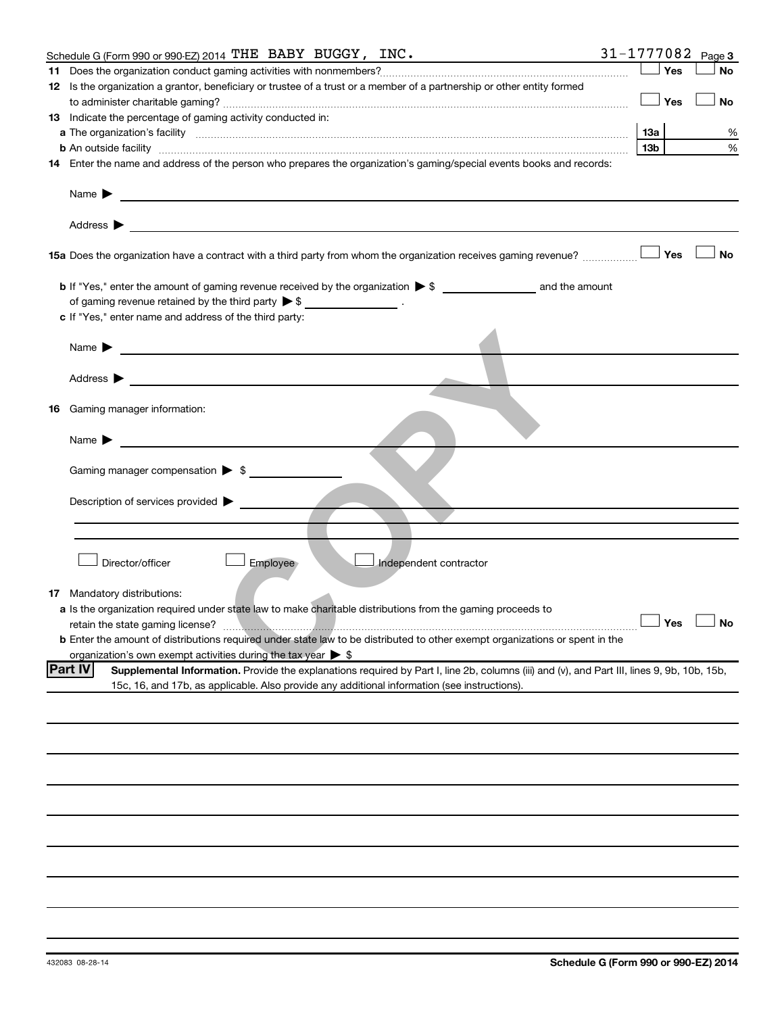|  | Schedule G (Form 990 or 990-EZ) 2014 THE BABY BUGGY, INC.                                                                                                                                                           |                 |     | $31 - 1777082$ Page 3 |
|--|---------------------------------------------------------------------------------------------------------------------------------------------------------------------------------------------------------------------|-----------------|-----|-----------------------|
|  |                                                                                                                                                                                                                     |                 | Yes | No                    |
|  | 12 Is the organization a grantor, beneficiary or trustee of a trust or a member of a partnership or other entity formed                                                                                             |                 | Yes | No                    |
|  | 13 Indicate the percentage of gaming activity conducted in:                                                                                                                                                         |                 |     |                       |
|  |                                                                                                                                                                                                                     | 13a             |     | %                     |
|  | <b>b</b> An outside facility <i>www.communicality www.communicality.communicality www.communicality www.communicality.com</i>                                                                                       | 13 <sub>b</sub> |     | %                     |
|  | 14 Enter the name and address of the person who prepares the organization's gaming/special events books and records:                                                                                                |                 |     |                       |
|  | Name $\blacktriangleright$<br><u> 1989 - John Harry Harry Harry Harry Harry Harry Harry Harry Harry Harry Harry Harry Harry Harry Harry Harry</u>                                                                   |                 |     |                       |
|  | Address $\blacktriangleright$<br><u> 1989 - Johann John Stoff, deutscher Stoffen und der Stoffen und der Stoffen und der Stoffen und der Stoffen und</u>                                                            |                 |     |                       |
|  | 15a Does the organization have a contract with a third party from whom the organization receives gaming revenue?                                                                                                    |                 | Yes | No                    |
|  |                                                                                                                                                                                                                     |                 |     |                       |
|  | of gaming revenue retained by the third party $\triangleright$ \$ _________________.                                                                                                                                |                 |     |                       |
|  | c If "Yes," enter name and address of the third party:                                                                                                                                                              |                 |     |                       |
|  |                                                                                                                                                                                                                     |                 |     |                       |
|  | Name $\blacktriangleright$<br><u> 1980 - Johann Barbara, martin amerikan basal dan berasal dan berasal dalam basal dan berasal dan berasal dan</u>                                                                  |                 |     |                       |
|  |                                                                                                                                                                                                                     |                 |     |                       |
|  |                                                                                                                                                                                                                     |                 |     |                       |
|  |                                                                                                                                                                                                                     |                 |     |                       |
|  | 16 Gaming manager information:                                                                                                                                                                                      |                 |     |                       |
|  | Name $\blacktriangleright$<br>the contract of the contract of the contract of the contract of the contract of                                                                                                       |                 |     |                       |
|  |                                                                                                                                                                                                                     |                 |     |                       |
|  | Gaming manager compensation > \$                                                                                                                                                                                    |                 |     |                       |
|  | Description of services provided >                                                                                                                                                                                  |                 |     |                       |
|  |                                                                                                                                                                                                                     |                 |     |                       |
|  |                                                                                                                                                                                                                     |                 |     |                       |
|  | Director/officer<br>Employee<br>Independent contractor                                                                                                                                                              |                 |     |                       |
|  |                                                                                                                                                                                                                     |                 |     |                       |
|  | <b>17</b> Mandatory distributions:                                                                                                                                                                                  |                 |     |                       |
|  | a Is the organization required under state law to make charitable distributions from the gaming proceeds to                                                                                                         |                 |     |                       |
|  |                                                                                                                                                                                                                     |                 |     | $\Box$ Yes $\Box$ No  |
|  | <b>b</b> Enter the amount of distributions required under state law to be distributed to other exempt organizations or spent in the<br>organization's own exempt activities during the tax year $\triangleright$ \$ |                 |     |                       |
|  | <b>Part IV</b><br>Supplemental Information. Provide the explanations required by Part I, line 2b, columns (iii) and (v), and Part III, lines 9, 9b, 10b, 15b,                                                       |                 |     |                       |
|  | 15c, 16, and 17b, as applicable. Also provide any additional information (see instructions).                                                                                                                        |                 |     |                       |
|  |                                                                                                                                                                                                                     |                 |     |                       |
|  |                                                                                                                                                                                                                     |                 |     |                       |
|  |                                                                                                                                                                                                                     |                 |     |                       |
|  |                                                                                                                                                                                                                     |                 |     |                       |
|  |                                                                                                                                                                                                                     |                 |     |                       |
|  |                                                                                                                                                                                                                     |                 |     |                       |
|  |                                                                                                                                                                                                                     |                 |     |                       |
|  |                                                                                                                                                                                                                     |                 |     |                       |
|  |                                                                                                                                                                                                                     |                 |     |                       |
|  |                                                                                                                                                                                                                     |                 |     |                       |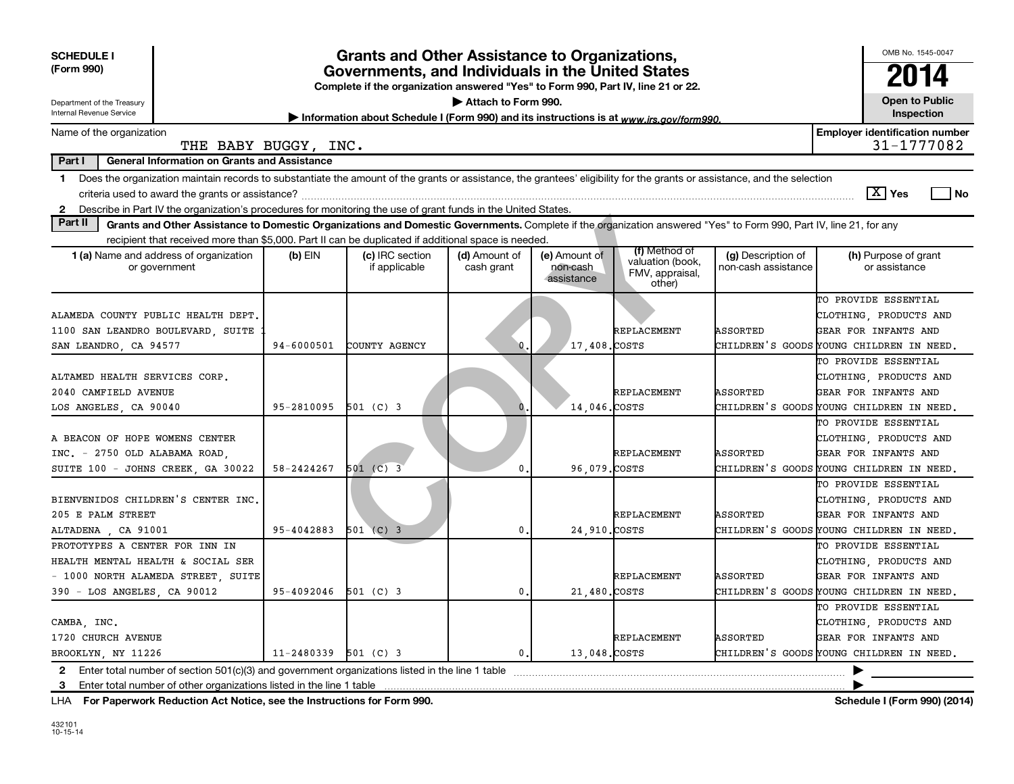| <b>SCHEDULE I</b><br>(Form 990)<br>Department of the Treasury<br><b>Internal Revenue Service</b>                                                                                                                                                                                                                                                                                                                                                                                                                                        |                          | <b>Grants and Other Assistance to Organizations,</b><br>Governments, and Individuals in the United States<br>Complete if the organization answered "Yes" to Form 990, Part IV, line 21 or 22.<br>Information about Schedule I (Form 990) and its instructions is at www.irs.gov/form990 | Attach to Form 990.         |                                         |                                                                |                                           | OMB No. 1545-0047<br>2014<br><b>Open to Public</b><br>Inspection                                                   |  |  |  |
|-----------------------------------------------------------------------------------------------------------------------------------------------------------------------------------------------------------------------------------------------------------------------------------------------------------------------------------------------------------------------------------------------------------------------------------------------------------------------------------------------------------------------------------------|--------------------------|-----------------------------------------------------------------------------------------------------------------------------------------------------------------------------------------------------------------------------------------------------------------------------------------|-----------------------------|-----------------------------------------|----------------------------------------------------------------|-------------------------------------------|--------------------------------------------------------------------------------------------------------------------|--|--|--|
| Name of the organization                                                                                                                                                                                                                                                                                                                                                                                                                                                                                                                |                          |                                                                                                                                                                                                                                                                                         |                             |                                         |                                                                |                                           | <b>Employer identification number</b>                                                                              |  |  |  |
| THE BABY BUGGY, INC.<br>Part I<br><b>General Information on Grants and Assistance</b>                                                                                                                                                                                                                                                                                                                                                                                                                                                   |                          |                                                                                                                                                                                                                                                                                         |                             |                                         |                                                                |                                           | 31-1777082                                                                                                         |  |  |  |
| Does the organization maintain records to substantiate the amount of the grants or assistance, the grantees' eligibility for the grants or assistance, and the selection<br>$\mathbf 1$<br>$ \mathbf{X} $ Yes<br>l No<br>Describe in Part IV the organization's procedures for monitoring the use of grant funds in the United States.<br>$\mathbf{2}$<br>Part II<br>Grants and Other Assistance to Domestic Organizations and Domestic Governments. Complete if the organization answered "Yes" to Form 990, Part IV, line 21, for any |                          |                                                                                                                                                                                                                                                                                         |                             |                                         |                                                                |                                           |                                                                                                                    |  |  |  |
|                                                                                                                                                                                                                                                                                                                                                                                                                                                                                                                                         |                          |                                                                                                                                                                                                                                                                                         |                             |                                         |                                                                |                                           |                                                                                                                    |  |  |  |
| recipient that received more than \$5,000. Part II can be duplicated if additional space is needed.<br><b>1 (a)</b> Name and address of organization<br>or government                                                                                                                                                                                                                                                                                                                                                                   | $(b)$ EIN                | (c) IRC section<br>if applicable                                                                                                                                                                                                                                                        | (d) Amount of<br>cash grant | (e) Amount of<br>non-cash<br>assistance | (f) Method of<br>valuation (book,<br>FMV, appraisal,<br>other) | (g) Description of<br>non-cash assistance | (h) Purpose of grant<br>or assistance                                                                              |  |  |  |
| ALAMEDA COUNTY PUBLIC HEALTH DEPT.<br>1100 SAN LEANDRO BOULEVARD, SUITE 1<br>SAN LEANDRO, CA 94577                                                                                                                                                                                                                                                                                                                                                                                                                                      | 94-6000501               | COUNTY AGENCY                                                                                                                                                                                                                                                                           | 0                           | 17,408.COSTS                            | REPLACEMENT                                                    | <b>ASSORTED</b>                           | TO PROVIDE ESSENTIAL<br>CLOTHING, PRODUCTS AND<br>GEAR FOR INFANTS AND<br>CHILDREN'S GOODS YOUNG CHILDREN IN NEED. |  |  |  |
| ALTAMED HEALTH SERVICES CORP.<br>2040 CAMFIELD AVENUE<br>LOS ANGELES, CA 90040                                                                                                                                                                                                                                                                                                                                                                                                                                                          | 95-2810095               | $501$ (C) 3                                                                                                                                                                                                                                                                             | $\mathbf{0}$                | 14,046.COSTS                            | REPLACEMENT                                                    | <b>ASSORTED</b>                           | TO PROVIDE ESSENTIAL<br>CLOTHING, PRODUCTS AND<br>GEAR FOR INFANTS AND<br>CHILDREN'S GOODS YOUNG CHILDREN IN NEED. |  |  |  |
| A BEACON OF HOPE WOMENS CENTER<br>INC. - 2750 OLD ALABAMA ROAD,<br>SUITE 100 - JOHNS CREEK, GA 30022                                                                                                                                                                                                                                                                                                                                                                                                                                    | $58 - 2424267$ 501 (C) 3 |                                                                                                                                                                                                                                                                                         | 0                           | 96,079.COSTS                            | REPLACEMENT                                                    | <b>ASSORTED</b>                           | TO PROVIDE ESSENTIAL<br>CLOTHING, PRODUCTS AND<br>GEAR FOR INFANTS AND<br>CHILDREN'S GOODS YOUNG CHILDREN IN NEED. |  |  |  |
| BIENVENIDOS CHILDREN'S CENTER INC.<br>205 E PALM STREET<br>ALTADENA, CA 91001                                                                                                                                                                                                                                                                                                                                                                                                                                                           | 95-4042883               | 501 (C) 3                                                                                                                                                                                                                                                                               | $\mathbf{0}$                | 24.910.COSTS                            | REPLACEMENT                                                    | <b>ASSORTED</b>                           | TO PROVIDE ESSENTIAL<br>CLOTHING, PRODUCTS AND<br>GEAR FOR INFANTS AND<br>CHILDREN'S GOODS YOUNG CHILDREN IN NEED. |  |  |  |
| PROTOTYPES A CENTER FOR INN IN<br>HEALTH MENTAL HEALTH & SOCIAL SER<br>- 1000 NORTH ALAMEDA STREET, SUITE<br>390 - LOS ANGELES, CA 90012                                                                                                                                                                                                                                                                                                                                                                                                | 95-4092046 501 (C) 3     |                                                                                                                                                                                                                                                                                         | $\mathbf{0}$ .              | 21,480.COSTS                            | REPLACEMENT                                                    | <b>ASSORTED</b>                           | TO PROVIDE ESSENTIAL<br>CLOTHING, PRODUCTS AND<br>GEAR FOR INFANTS AND<br>CHILDREN'S GOODS YOUNG CHILDREN IN NEED. |  |  |  |
| CAMBA, INC.<br>1720 CHURCH AVENUE<br>BROOKLYN, NY 11226<br>Enter total number of section 501(c)(3) and government organizations listed in the line 1 table [10] content to the machinaral machinaral machinaral machinary content of the line 1 table<br>$\mathbf{2}$                                                                                                                                                                                                                                                                   | $11 - 2480339$ 501 (C) 3 |                                                                                                                                                                                                                                                                                         | 0.1                         | 13,048. COSTS                           | REPLACEMENT                                                    | <b>ASSORTED</b>                           | TO PROVIDE ESSENTIAL<br>CLOTHING, PRODUCTS AND<br>GEAR FOR INFANTS AND<br>CHILDREN'S GOODS YOUNG CHILDREN IN NEED. |  |  |  |
| Enter total number of other organizations listed in the line 1 table<br>3                                                                                                                                                                                                                                                                                                                                                                                                                                                               |                          |                                                                                                                                                                                                                                                                                         |                             |                                         |                                                                |                                           |                                                                                                                    |  |  |  |

**For Paperwork Reduction Act Notice, see the Instructions for Form 990. Schedule I (Form 990) (2014)** LHA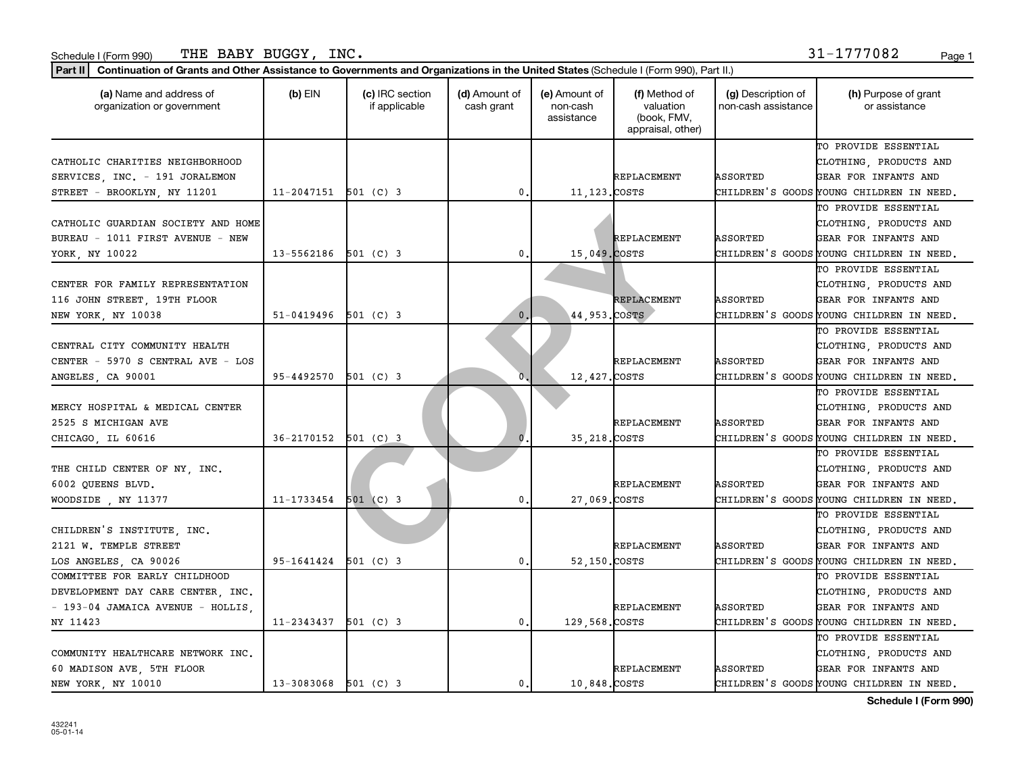| Part II   Continuation of Grants and Other Assistance to Governments and Organizations in the United States (Schedule I (Form 990), Part II.) |                          |                                  |                             |                                         |                                                                |                                           |                                          |
|-----------------------------------------------------------------------------------------------------------------------------------------------|--------------------------|----------------------------------|-----------------------------|-----------------------------------------|----------------------------------------------------------------|-------------------------------------------|------------------------------------------|
| (a) Name and address of<br>organization or government                                                                                         | (b) $EIN$                | (c) IRC section<br>if applicable | (d) Amount of<br>cash grant | (e) Amount of<br>non-cash<br>assistance | (f) Method of<br>valuation<br>(book, FMV,<br>appraisal, other) | (g) Description of<br>non-cash assistance | (h) Purpose of grant<br>or assistance    |
|                                                                                                                                               |                          |                                  |                             |                                         |                                                                |                                           | TO PROVIDE ESSENTIAL                     |
| CATHOLIC CHARITIES NEIGHBORHOOD                                                                                                               |                          |                                  |                             |                                         |                                                                |                                           | CLOTHING, PRODUCTS AND                   |
| SERVICES, INC. - 191 JORALEMON                                                                                                                |                          |                                  |                             |                                         | REPLACEMENT                                                    | <b>ASSORTED</b>                           | GEAR FOR INFANTS AND                     |
| STREET - BROOKLYN, NY 11201                                                                                                                   | $11 - 2047151$ 501 (C) 3 |                                  | $\mathbf{0}$ .              | 11, 123. COSTS                          |                                                                |                                           | CHILDREN'S GOODS YOUNG CHILDREN IN NEED. |
|                                                                                                                                               |                          |                                  |                             |                                         |                                                                |                                           | TO PROVIDE ESSENTIAL                     |
| CATHOLIC GUARDIAN SOCIETY AND HOME                                                                                                            |                          |                                  |                             |                                         |                                                                |                                           | CLOTHING, PRODUCTS AND                   |
| BUREAU - 1011 FIRST AVENUE - NEW                                                                                                              |                          |                                  |                             |                                         | REPLACEMENT                                                    | ASSORTED                                  | GEAR FOR INFANTS AND                     |
| YORK, NY 10022                                                                                                                                | 13-5562186               | $501$ (C) 3                      | 0.                          | 15,049.COSTS                            |                                                                |                                           | CHILDREN'S GOODS YOUNG CHILDREN IN NEED. |
|                                                                                                                                               |                          |                                  |                             |                                         |                                                                |                                           | TO PROVIDE ESSENTIAL                     |
| CENTER FOR FAMILY REPRESENTATION                                                                                                              |                          |                                  |                             |                                         |                                                                |                                           | CLOTHING, PRODUCTS AND                   |
| 116 JOHN STREET, 19TH FLOOR                                                                                                                   |                          |                                  |                             |                                         | REPLACEMENT                                                    | <b>ASSORTED</b>                           | GEAR FOR INFANTS AND                     |
| NEW YORK, NY 10038                                                                                                                            | $51-0419496$ 501 (C) 3   |                                  | 0.                          | 44.953.COSTS                            |                                                                |                                           | CHILDREN'S GOODS YOUNG CHILDREN IN NEED. |
|                                                                                                                                               |                          |                                  |                             |                                         |                                                                |                                           | TO PROVIDE ESSENTIAL                     |
| CENTRAL CITY COMMUNITY HEALTH                                                                                                                 |                          |                                  |                             |                                         |                                                                |                                           | CLOTHING, PRODUCTS AND                   |
| CENTER - 5970 S CENTRAL AVE - LOS                                                                                                             |                          |                                  |                             |                                         | REPLACEMENT                                                    | <b>ASSORTED</b>                           | GEAR FOR INFANTS AND                     |
| ANGELES, CA 90001                                                                                                                             | 95-4492570               | $501$ (C) 3                      | 0.                          | 12,427.COSTS                            |                                                                |                                           | CHILDREN'S GOODS YOUNG CHILDREN IN NEED. |
|                                                                                                                                               |                          |                                  |                             |                                         |                                                                |                                           | TO PROVIDE ESSENTIAL                     |
| MERCY HOSPITAL & MEDICAL CENTER                                                                                                               |                          |                                  |                             |                                         |                                                                |                                           | CLOTHING, PRODUCTS AND                   |
| 2525 S MICHIGAN AVE                                                                                                                           |                          |                                  |                             |                                         | REPLACEMENT                                                    | <b>ASSORTED</b>                           | GEAR FOR INFANTS AND                     |
| CHICAGO, IL 60616                                                                                                                             | $36 - 2170152$           | 501 (C) 3                        | $\mathbf{0}$ .              | 35, 218. COSTS                          |                                                                |                                           | CHILDREN'S GOODS YOUNG CHILDREN IN NEED. |
|                                                                                                                                               |                          |                                  |                             |                                         |                                                                |                                           | TO PROVIDE ESSENTIAL                     |
| THE CHILD CENTER OF NY, INC.                                                                                                                  |                          |                                  |                             |                                         |                                                                |                                           | CLOTHING, PRODUCTS AND                   |
| 6002 QUEENS BLVD.                                                                                                                             |                          |                                  |                             |                                         | REPLACEMENT                                                    | ASSORTED                                  | GEAR FOR INFANTS AND                     |
| WOODSIDE, NY 11377                                                                                                                            | 11-1733454               | 501 (C) 3                        | $\mathbf{0}$ .              | 27,069.COSTS                            |                                                                |                                           | CHILDREN'S GOODS YOUNG CHILDREN IN NEED. |
|                                                                                                                                               |                          |                                  |                             |                                         |                                                                |                                           | TO PROVIDE ESSENTIAL                     |
| CHILDREN'S INSTITUTE, INC.                                                                                                                    |                          |                                  |                             |                                         |                                                                |                                           | CLOTHING, PRODUCTS AND                   |
| 2121 W. TEMPLE STREET                                                                                                                         |                          |                                  |                             |                                         | REPLACEMENT                                                    | <b>ASSORTED</b>                           | GEAR FOR INFANTS AND                     |
| LOS ANGELES, CA 90026                                                                                                                         | 95-1641424               | $501$ (C) 3                      | $\mathbf{0}$ .              | 52,150.COSTS                            |                                                                |                                           | CHILDREN'S GOODS YOUNG CHILDREN IN NEED. |
| COMMITTEE FOR EARLY CHILDHOOD                                                                                                                 |                          |                                  |                             |                                         |                                                                |                                           | TO PROVIDE ESSENTIAL                     |
| DEVELOPMENT DAY CARE CENTER, INC.                                                                                                             |                          |                                  |                             |                                         |                                                                |                                           | CLOTHING, PRODUCTS AND                   |
| - 193-04 JAMAICA AVENUE - HOLLIS.                                                                                                             |                          |                                  |                             |                                         | REPLACEMENT                                                    | <b>ASSORTED</b>                           | GEAR FOR INFANTS AND                     |
| NY 11423                                                                                                                                      | 11-2343437               | $501$ (C) 3                      | $\mathbf{0}$ .              | 129,568.COSTS                           |                                                                |                                           | CHILDREN'S GOODS YOUNG CHILDREN IN NEED. |
|                                                                                                                                               |                          |                                  |                             |                                         |                                                                |                                           | TO PROVIDE ESSENTIAL                     |
| COMMUNITY HEALTHCARE NETWORK INC.                                                                                                             |                          |                                  |                             |                                         |                                                                |                                           | CLOTHING, PRODUCTS AND                   |
| 60 MADISON AVE, 5TH FLOOR                                                                                                                     |                          |                                  |                             |                                         | REPLACEMENT                                                    | <b>ASSORTED</b>                           | GEAR FOR INFANTS AND                     |
| NEW YORK, NY 10010                                                                                                                            | $13 - 3083068$ 501 (C) 3 |                                  | $\mathbf{0}$ .              | 10,848.COSTS                            |                                                                |                                           | CHILDREN'S GOODSYOUNG CHILDREN IN NEED,  |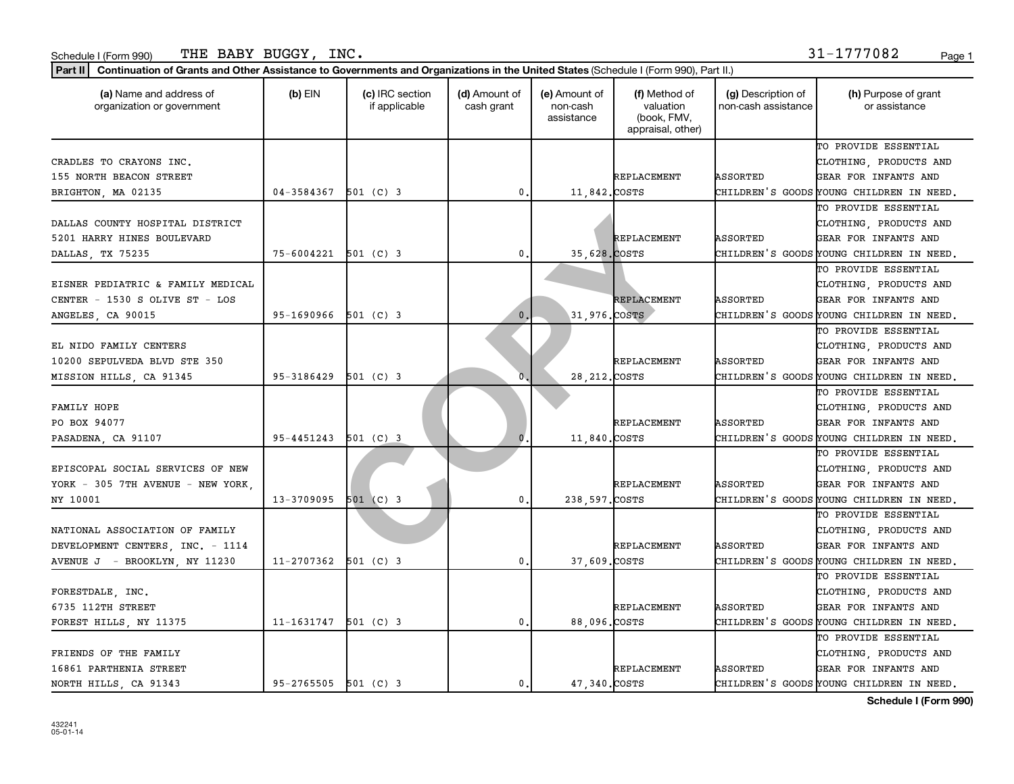### Schedule I (Form 990) THE BABY BUGGY, INC.  $\begin{array}{cc} 31 - 1777082 & \quad \ \text{Page 1} \end{array}$

**Schedule I (Form 990)**

| (a) Name and address of<br>organization or government | $(b)$ EIN                | (c) IRC section<br>if applicable | (d) Amount of<br>cash grant | (e) Amount of<br>non-cash<br>assistance | (f) Method of<br>valuation<br>(book, FMV,<br>appraisal, other) | (g) Description of<br>non-cash assistance | (h) Purpose of grant<br>or assistance    |
|-------------------------------------------------------|--------------------------|----------------------------------|-----------------------------|-----------------------------------------|----------------------------------------------------------------|-------------------------------------------|------------------------------------------|
|                                                       |                          |                                  |                             |                                         |                                                                |                                           | TO PROVIDE ESSENTIAL                     |
| CRADLES TO CRAYONS INC.                               |                          |                                  |                             |                                         |                                                                |                                           | CLOTHING, PRODUCTS AND                   |
| 155 NORTH BEACON STREET                               |                          |                                  |                             |                                         | <b>REPLACEMENT</b>                                             | <b>ASSORTED</b>                           | GEAR FOR INFANTS AND                     |
| BRIGHTON, MA 02135                                    | 04-3584367               | $501$ (C) 3                      | 0.                          | 11,842.COSTS                            |                                                                |                                           | CHILDREN'S GOODSYOUNG CHILDREN IN NEED.  |
|                                                       |                          |                                  |                             |                                         |                                                                |                                           | TO PROVIDE ESSENTIAL                     |
| DALLAS COUNTY HOSPITAL DISTRICT                       |                          |                                  |                             |                                         |                                                                |                                           | CLOTHING, PRODUCTS AND                   |
| 5201 HARRY HINES BOULEVARD                            |                          |                                  |                             |                                         | REPLACEMENT                                                    | <b>ASSORTED</b>                           | GEAR FOR INFANTS AND                     |
| DALLAS, TX 75235                                      | 75-6004221               | $501$ (C) 3                      | $\mathbf 0$                 | 35.628.COSTS                            |                                                                |                                           | CHILDREN'S GOODS YOUNG CHILDREN IN NEED. |
|                                                       |                          |                                  |                             |                                         |                                                                |                                           | TO PROVIDE ESSENTIAL                     |
| EISNER PEDIATRIC & FAMILY MEDICAL                     |                          |                                  |                             |                                         |                                                                |                                           | CLOTHING, PRODUCTS AND                   |
| CENTER - 1530 S OLIVE ST - LOS                        |                          |                                  |                             |                                         | REPLACEMENT                                                    | <b>ASSORTED</b>                           | GEAR FOR INFANTS AND                     |
| ANGELES, CA 90015                                     | 95-1690966               | 501 (C) 3                        | 0.                          | 31,976.COSTS                            |                                                                |                                           | CHILDREN'S GOODSYOUNG CHILDREN IN NEED.  |
|                                                       |                          |                                  |                             |                                         |                                                                |                                           | TO PROVIDE ESSENTIAL                     |
| EL NIDO FAMILY CENTERS                                |                          |                                  |                             |                                         |                                                                |                                           | CLOTHING, PRODUCTS AND                   |
| 10200 SEPULVEDA BLVD STE 350                          |                          |                                  |                             |                                         | <b>REPLACEMENT</b>                                             | <b>ASSORTED</b>                           | GEAR FOR INFANTS AND                     |
| MISSION HILLS, CA 91345                               | 95-3186429               | $501$ (C) 3                      | $\overline{0}$              | 28, 212. COSTS                          |                                                                |                                           | CHILDREN'S GOODS YOUNG CHILDREN IN NEED. |
|                                                       |                          |                                  |                             |                                         |                                                                |                                           | TO PROVIDE ESSENTIAL                     |
| <b>FAMILY HOPE</b>                                    |                          |                                  |                             |                                         |                                                                |                                           | CLOTHING, PRODUCTS AND                   |
| PO BOX 94077                                          |                          |                                  |                             |                                         | <b>REPLACEMENT</b>                                             | <b>ASSORTED</b>                           | GEAR FOR INFANTS AND                     |
| PASADENA, CA 91107                                    | 95-4451243               | $501$ (C) 3                      | $\mathbf{0}$                | 11,840.COSTS                            |                                                                |                                           | CHILDREN'S GOODS YOUNG CHILDREN IN NEED. |
|                                                       |                          |                                  |                             |                                         |                                                                |                                           | TO PROVIDE ESSENTIAL                     |
| EPISCOPAL SOCIAL SERVICES OF NEW                      |                          |                                  |                             |                                         |                                                                |                                           | CLOTHING, PRODUCTS AND                   |
| YORK - 305 7TH AVENUE - NEW YORK,                     |                          |                                  |                             |                                         | <b>REPLACEMENT</b>                                             | <b>ASSORTED</b>                           | GEAR FOR INFANTS AND                     |
| NY 10001                                              | 13-3709095               | 501 (C) 3                        | 0                           | 238, 597. COSTS                         |                                                                |                                           | CHILDREN'S GOODS YOUNG CHILDREN IN NEED. |
|                                                       |                          |                                  |                             |                                         |                                                                |                                           | TO PROVIDE ESSENTIAL                     |
| NATIONAL ASSOCIATION OF FAMILY                        |                          |                                  |                             |                                         |                                                                |                                           | CLOTHING, PRODUCTS AND                   |
| DEVELOPMENT CENTERS, INC. - 1114                      |                          |                                  |                             |                                         | REPLACEMENT                                                    | <b>ASSORTED</b>                           | GEAR FOR INFANTS AND                     |
| AVENUE J - BROOKLYN, NY 11230                         | 11-2707362               | $501$ (C) 3                      | 0.                          | 37.609.COSTS                            |                                                                |                                           | CHILDREN'S GOODS YOUNG CHILDREN IN NEED. |
|                                                       |                          |                                  |                             |                                         |                                                                |                                           | TO PROVIDE ESSENTIAL                     |
| FORESTDALE, INC.                                      |                          |                                  |                             |                                         |                                                                |                                           | CLOTHING, PRODUCTS AND                   |
| 6735 112TH STREET                                     |                          |                                  |                             |                                         | REPLACEMENT                                                    | <b>ASSORTED</b>                           | GEAR FOR INFANTS AND                     |
| FOREST HILLS, NY 11375                                | 11-1631747               | 501 (C) 3                        | $\mathbf{0}$ .              | 88.096.COSTS                            |                                                                |                                           | CHILDREN'S GOODS YOUNG CHILDREN IN NEED. |
|                                                       |                          |                                  |                             |                                         |                                                                |                                           | TO PROVIDE ESSENTIAL                     |
| FRIENDS OF THE FAMILY                                 |                          |                                  |                             |                                         |                                                                |                                           | CLOTHING, PRODUCTS AND                   |
| 16861 PARTHENIA STREET                                |                          |                                  |                             |                                         | REPLACEMENT                                                    | <b>ASSORTED</b>                           | GEAR FOR INFANTS AND                     |
| NORTH HILLS, CA 91343                                 | $95 - 2765505$ 501 (C) 3 |                                  | $\mathbf{0}$ .              | 47,340.COSTS                            |                                                                |                                           | CHILDREN'S GOODS YOUNG CHILDREN IN NEED. |

Part II | Continuation of Grants and Other Assistance to Governments and Organizations in the United States (Schedule I (Form 990), Part II.)

432241 05-01-14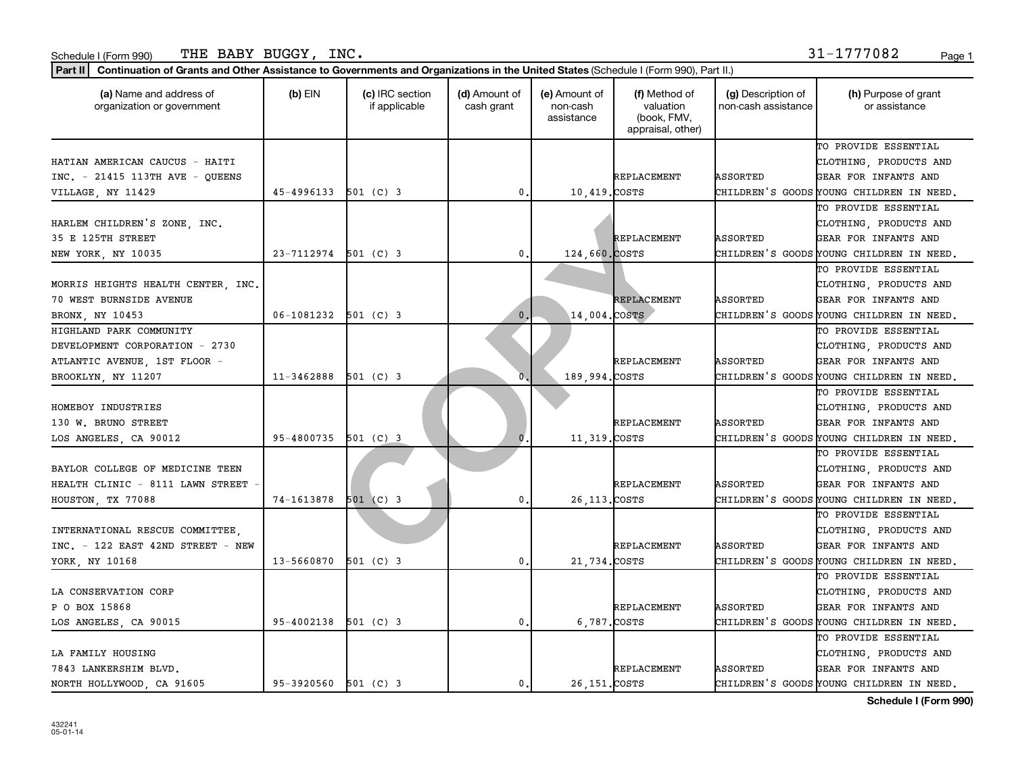| Part II   Continuation of Grants and Other Assistance to Governments and Organizations in the United States (Schedule I (Form 990), Part II.) |                        |                                  |                             |                                         |                                                                |                                           |                                          |
|-----------------------------------------------------------------------------------------------------------------------------------------------|------------------------|----------------------------------|-----------------------------|-----------------------------------------|----------------------------------------------------------------|-------------------------------------------|------------------------------------------|
| (a) Name and address of<br>organization or government                                                                                         | (b) $EIN$              | (c) IRC section<br>if applicable | (d) Amount of<br>cash grant | (e) Amount of<br>non-cash<br>assistance | (f) Method of<br>valuation<br>(book, FMV,<br>appraisal, other) | (g) Description of<br>non-cash assistance | (h) Purpose of grant<br>or assistance    |
|                                                                                                                                               |                        |                                  |                             |                                         |                                                                |                                           | TO PROVIDE ESSENTIAL                     |
| HATIAN AMERICAN CAUCUS - HAITI                                                                                                                |                        |                                  |                             |                                         |                                                                |                                           | CLOTHING, PRODUCTS AND                   |
| INC. - 21415 113TH AVE - QUEENS                                                                                                               |                        |                                  |                             |                                         | REPLACEMENT                                                    | <b>ASSORTED</b>                           | GEAR FOR INFANTS AND                     |
| VILLAGE, NY 11429                                                                                                                             | $45-4996133$ 501 (C) 3 |                                  | $\mathbf{0}$ .              | 10,419.COSTS                            |                                                                |                                           | CHILDREN'S GOODS YOUNG CHILDREN IN NEED. |
|                                                                                                                                               |                        |                                  |                             |                                         |                                                                |                                           | TO PROVIDE ESSENTIAL                     |
| HARLEM CHILDREN'S ZONE, INC.                                                                                                                  |                        |                                  |                             |                                         |                                                                |                                           | CLOTHING, PRODUCTS AND                   |
| 35 E 125TH STREET                                                                                                                             |                        |                                  |                             |                                         | REPLACEMENT                                                    | <b>ASSORTED</b>                           | GEAR FOR INFANTS AND                     |
| NEW YORK, NY 10035                                                                                                                            | 23-7112974             | 501 (C) 3                        | 0.                          | 124,660.COSTS                           |                                                                |                                           | CHILDREN'S GOODS YOUNG CHILDREN IN NEED. |
|                                                                                                                                               |                        |                                  |                             |                                         |                                                                |                                           | TO PROVIDE ESSENTIAL                     |
| MORRIS HEIGHTS HEALTH CENTER, INC.                                                                                                            |                        |                                  |                             |                                         |                                                                |                                           | CLOTHING, PRODUCTS AND                   |
| 70 WEST BURNSIDE AVENUE                                                                                                                       |                        |                                  |                             |                                         | REPLACEMENT                                                    | <b>ASSORTED</b>                           | GEAR FOR INFANTS AND                     |
| BRONX, NY 10453                                                                                                                               | $06-1081232$ 501 (C) 3 |                                  | $\mathbf{0}$ .              | $14.004$ , $COSTS$                      |                                                                |                                           | CHILDREN'S GOODS YOUNG CHILDREN IN NEED. |
| HIGHLAND PARK COMMUNITY                                                                                                                       |                        |                                  |                             |                                         |                                                                |                                           | TO PROVIDE ESSENTIAL                     |
| DEVELOPMENT CORPORATION - 2730                                                                                                                |                        |                                  |                             |                                         |                                                                |                                           | CLOTHING, PRODUCTS AND                   |
| ATLANTIC AVENUE, 1ST FLOOR -                                                                                                                  |                        |                                  |                             |                                         | REPLACEMENT                                                    | <b>ASSORTED</b>                           | GEAR FOR INFANTS AND                     |
| BROOKLYN, NY 11207                                                                                                                            | 11-3462888             | $501$ (C) 3                      | $\overline{0}$ .            | 189,994.COSTS                           |                                                                |                                           | CHILDREN'S GOODS YOUNG CHILDREN IN NEED  |
|                                                                                                                                               |                        |                                  |                             |                                         |                                                                |                                           | TO PROVIDE ESSENTIAL                     |
| HOMEBOY INDUSTRIES                                                                                                                            |                        |                                  |                             |                                         |                                                                |                                           | CLOTHING, PRODUCTS AND                   |
| 130 W. BRUNO STREET                                                                                                                           |                        |                                  |                             |                                         | REPLACEMENT                                                    | <b>ASSORTED</b>                           | GEAR FOR INFANTS AND                     |
| LOS ANGELES, CA 90012                                                                                                                         | 95-4800735             | 501 (C) 3                        | $\mathbf{0}$ .              | 11, 319. COSTS                          |                                                                |                                           | CHILDREN'S GOODS YOUNG CHILDREN IN NEED. |
|                                                                                                                                               |                        |                                  |                             |                                         |                                                                |                                           | TO PROVIDE ESSENTIAL                     |
| BAYLOR COLLEGE OF MEDICINE TEEN                                                                                                               |                        |                                  |                             |                                         |                                                                |                                           | CLOTHING, PRODUCTS AND                   |
| HEALTH CLINIC - 8111 LAWN STREET                                                                                                              |                        |                                  |                             |                                         | <b>REPLACEMENT</b>                                             | <b>ASSORTED</b>                           | GEAR FOR INFANTS AND                     |
| HOUSTON, TX 77088                                                                                                                             | 74-1613878             | 501 (C) 3                        | $\mathbf{0}$ .              | 26, 113. COSTS                          |                                                                |                                           | CHILDREN'S GOODS YOUNG CHILDREN IN NEED. |
|                                                                                                                                               |                        |                                  |                             |                                         |                                                                |                                           | TO PROVIDE ESSENTIAL                     |
| INTERNATIONAL RESCUE COMMITTEE,                                                                                                               |                        |                                  |                             |                                         |                                                                |                                           | CLOTHING, PRODUCTS AND                   |
| $INC. - 122$ EAST 42ND STREET - NEW                                                                                                           |                        |                                  |                             |                                         | REPLACEMENT                                                    | <b>ASSORTED</b>                           | GEAR FOR INFANTS AND                     |
| YORK, NY 10168                                                                                                                                | 13-5660870             | 501 (C) 3                        | $\mathbf{0}$ .              | 21,734.COSTS                            |                                                                |                                           | CHILDREN'S GOODSYOUNG CHILDREN IN NEED.  |
|                                                                                                                                               |                        |                                  |                             |                                         |                                                                |                                           | TO PROVIDE ESSENTIAL                     |
| LA CONSERVATION CORP                                                                                                                          |                        |                                  |                             |                                         |                                                                |                                           | CLOTHING, PRODUCTS AND                   |
| P O BOX 15868                                                                                                                                 |                        |                                  |                             |                                         | REPLACEMENT                                                    | <b>ASSORTED</b>                           | GEAR FOR INFANTS AND                     |
| LOS ANGELES, CA 90015                                                                                                                         | 95-4002138             | $501$ (C) 3                      | $\mathbf{0}$ .              | 6,787.COSTS                             |                                                                |                                           | CHILDREN'S GOODS YOUNG CHILDREN IN NEED. |
|                                                                                                                                               |                        |                                  |                             |                                         |                                                                |                                           | TO PROVIDE ESSENTIAL                     |
| LA FAMILY HOUSING                                                                                                                             |                        |                                  |                             |                                         |                                                                |                                           | CLOTHING, PRODUCTS AND                   |
| 7843 LANKERSHIM BLVD.                                                                                                                         |                        |                                  |                             |                                         | REPLACEMENT                                                    | ASSORTED                                  | GEAR FOR INFANTS AND                     |
| NORTH HOLLYWOOD, CA 91605                                                                                                                     | 95-3920560 501 (C) 3   |                                  | $\mathbf{0}$ .              | 26.151.COSTS                            |                                                                |                                           | CHILDREN'S GOODS YOUNG CHILDREN IN NEED. |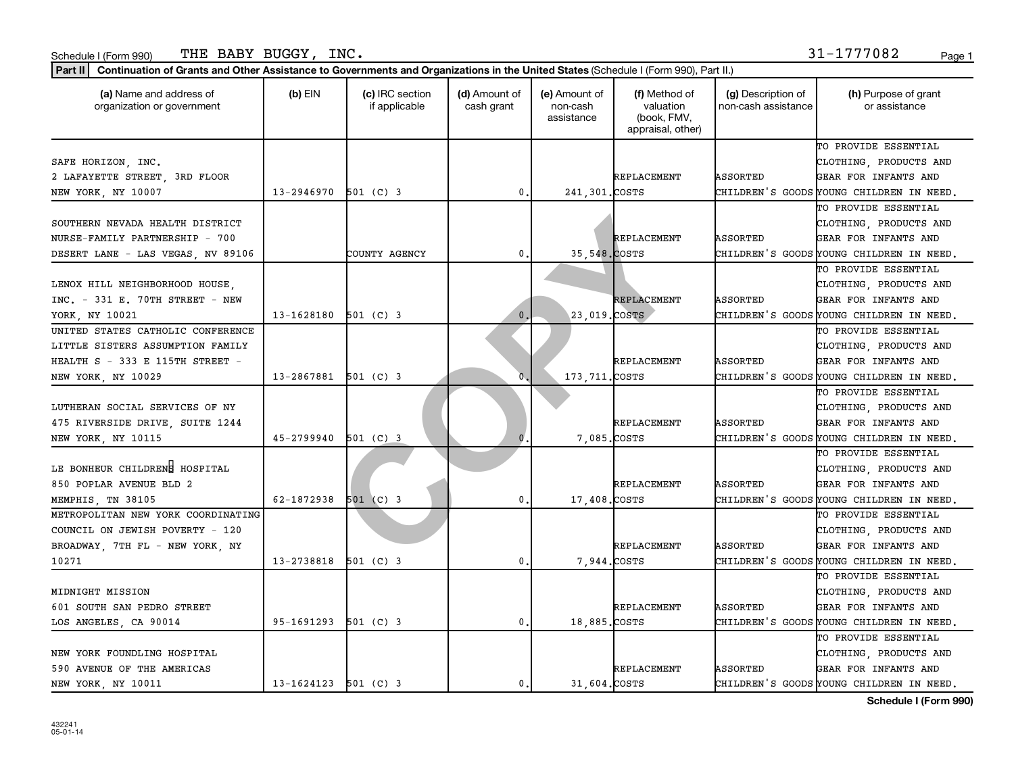| Part II   Continuation of Grants and Other Assistance to Governments and Organizations in the United States (Schedule I (Form 990), Part II.) |                          |                                  |                             |                                         |                                                                |                                           |                                          |
|-----------------------------------------------------------------------------------------------------------------------------------------------|--------------------------|----------------------------------|-----------------------------|-----------------------------------------|----------------------------------------------------------------|-------------------------------------------|------------------------------------------|
| (a) Name and address of<br>organization or government                                                                                         | (b) $EIN$                | (c) IRC section<br>if applicable | (d) Amount of<br>cash grant | (e) Amount of<br>non-cash<br>assistance | (f) Method of<br>valuation<br>(book, FMV,<br>appraisal, other) | (g) Description of<br>non-cash assistance | (h) Purpose of grant<br>or assistance    |
|                                                                                                                                               |                          |                                  |                             |                                         |                                                                |                                           | TO PROVIDE ESSENTIAL                     |
| SAFE HORIZON, INC.                                                                                                                            |                          |                                  |                             |                                         |                                                                |                                           | CLOTHING, PRODUCTS AND                   |
| 2 LAFAYETTE STREET, 3RD FLOOR                                                                                                                 |                          |                                  |                             |                                         | <b>REPLACEMENT</b>                                             | ASSORTED                                  | GEAR FOR INFANTS AND                     |
| NEW YORK, NY 10007                                                                                                                            | 13-2946970               | $501$ (C) 3                      | 0.                          | 241, 301. COSTS                         |                                                                |                                           | CHILDREN'S GOODSYOUNG CHILDREN IN NEED.  |
|                                                                                                                                               |                          |                                  |                             |                                         |                                                                |                                           | TO PROVIDE ESSENTIAL                     |
| SOUTHERN NEVADA HEALTH DISTRICT                                                                                                               |                          |                                  |                             |                                         |                                                                |                                           | CLOTHING, PRODUCTS AND                   |
| NURSE-FAMILY PARTNERSHIP - 700                                                                                                                |                          |                                  |                             |                                         | REPLACEMENT                                                    | ASSORTED                                  | GEAR FOR INFANTS AND                     |
| DESERT LANE - LAS VEGAS, NV 89106                                                                                                             |                          | COUNTY AGENCY                    | 0.                          | 35,548.COSTS                            |                                                                |                                           | CHILDREN'S GOODS YOUNG CHILDREN IN NEED. |
|                                                                                                                                               |                          |                                  |                             |                                         |                                                                |                                           | TO PROVIDE ESSENTIAL                     |
| LENOX HILL NEIGHBORHOOD HOUSE                                                                                                                 |                          |                                  |                             |                                         |                                                                |                                           | CLOTHING, PRODUCTS AND                   |
| $INC. - 331 E. 70TH$ STREET - NEW                                                                                                             |                          |                                  |                             |                                         | REPLACEMENT                                                    | ASSORTED                                  | GEAR FOR INFANTS AND                     |
| YORK, NY 10021                                                                                                                                | 13-1628180               | 501 (C) 3                        | 0.                          | 23,019.COSTS                            |                                                                |                                           | CHILDREN'S GOODS YOUNG CHILDREN IN NEED. |
| UNITED STATES CATHOLIC CONFERENCE                                                                                                             |                          |                                  |                             |                                         |                                                                |                                           | TO PROVIDE ESSENTIAL                     |
| LITTLE SISTERS ASSUMPTION FAMILY                                                                                                              |                          |                                  |                             |                                         |                                                                |                                           | CLOTHING, PRODUCTS AND                   |
| HEALTH S - 333 E 115TH STREET -                                                                                                               |                          |                                  |                             |                                         | <b>REPLACEMENT</b>                                             | ASSORTED                                  | GEAR FOR INFANTS AND                     |
| NEW YORK, NY 10029                                                                                                                            | 13-2867881               | 501 (C) 3                        | $\overline{0}$ .            | 173, 711. COSTS                         |                                                                |                                           | CHILDREN'S GOODS YOUNG CHILDREN IN NEED. |
|                                                                                                                                               |                          |                                  |                             |                                         |                                                                |                                           | TO PROVIDE ESSENTIAL                     |
| LUTHERAN SOCIAL SERVICES OF NY                                                                                                                |                          |                                  |                             |                                         |                                                                |                                           | CLOTHING, PRODUCTS AND                   |
| 475 RIVERSIDE DRIVE, SUITE 1244                                                                                                               |                          |                                  |                             |                                         | <b>REPLACEMENT</b>                                             | ASSORTED                                  | GEAR FOR INFANTS AND                     |
| NEW YORK, NY 10115                                                                                                                            | 45-2799940               | 501 (C) 3                        | $\mathbf{0}$                | 7.085.COSTS                             |                                                                |                                           | CHILDREN'S GOODS YOUNG CHILDREN IN NEED. |
|                                                                                                                                               |                          |                                  |                             |                                         |                                                                |                                           | TO PROVIDE ESSENTIAL                     |
| LE BONHEUR CHILDRENS HOSPITAL                                                                                                                 |                          |                                  |                             |                                         |                                                                |                                           | CLOTHING, PRODUCTS AND                   |
| 850 POPLAR AVENUE BLD 2                                                                                                                       |                          |                                  |                             |                                         | REPLACEMENT                                                    | <b>ASSORTED</b>                           | GEAR FOR INFANTS AND                     |
| MEMPHIS, TN 38105                                                                                                                             | 62-1872938               | 501 (C) 3                        | $\mathbf{0}$ .              | 17,408.COSTS                            |                                                                |                                           | CHILDREN'S GOODSYOUNG CHILDREN IN NEED.  |
| METROPOLITAN NEW YORK COORDINATING                                                                                                            |                          |                                  |                             |                                         |                                                                |                                           | TO PROVIDE ESSENTIAL                     |
| COUNCIL ON JEWISH POVERTY - 120                                                                                                               |                          |                                  |                             |                                         |                                                                |                                           | CLOTHING, PRODUCTS AND                   |
| BROADWAY, 7TH FL - NEW YORK, NY                                                                                                               |                          |                                  |                             |                                         | REPLACEMENT                                                    | <b>ASSORTED</b>                           | GEAR FOR INFANTS AND                     |
| 10271                                                                                                                                         | $13 - 2738818$ 501 (C) 3 |                                  | $\mathbf{0}$ .              |                                         | 7,944.COSTS                                                    |                                           | CHILDREN'S GOODS YOUNG CHILDREN IN NEED. |
|                                                                                                                                               |                          |                                  |                             |                                         |                                                                |                                           | TO PROVIDE ESSENTIAL                     |
| MIDNIGHT MISSION                                                                                                                              |                          |                                  |                             |                                         |                                                                |                                           | CLOTHING, PRODUCTS AND                   |
| 601 SOUTH SAN PEDRO STREET                                                                                                                    |                          |                                  |                             |                                         | REPLACEMENT                                                    | <b>ASSORTED</b>                           | GEAR FOR INFANTS AND                     |
| LOS ANGELES, CA 90014                                                                                                                         | 95-1691293               | $501$ (C) 3                      | $\mathbf{0}$ .              | 18,885.COSTS                            |                                                                |                                           | CHILDREN'S GOODSYOUNG CHILDREN IN NEED.  |
|                                                                                                                                               |                          |                                  |                             |                                         |                                                                |                                           | TO PROVIDE ESSENTIAL                     |
| NEW YORK FOUNDLING HOSPITAL                                                                                                                   |                          |                                  |                             |                                         |                                                                |                                           | CLOTHING, PRODUCTS AND                   |
| 590 AVENUE OF THE AMERICAS                                                                                                                    |                          |                                  |                             |                                         | REPLACEMENT                                                    | <b>ASSORTED</b>                           | GEAR FOR INFANTS AND                     |
| NEW YORK, NY 10011                                                                                                                            | $13 - 1624123$ 501 (C) 3 |                                  | $\mathbf{0}$ .              | 31.604.COSTS                            |                                                                |                                           | CHILDREN'S GOODS YOUNG CHILDREN IN NEED. |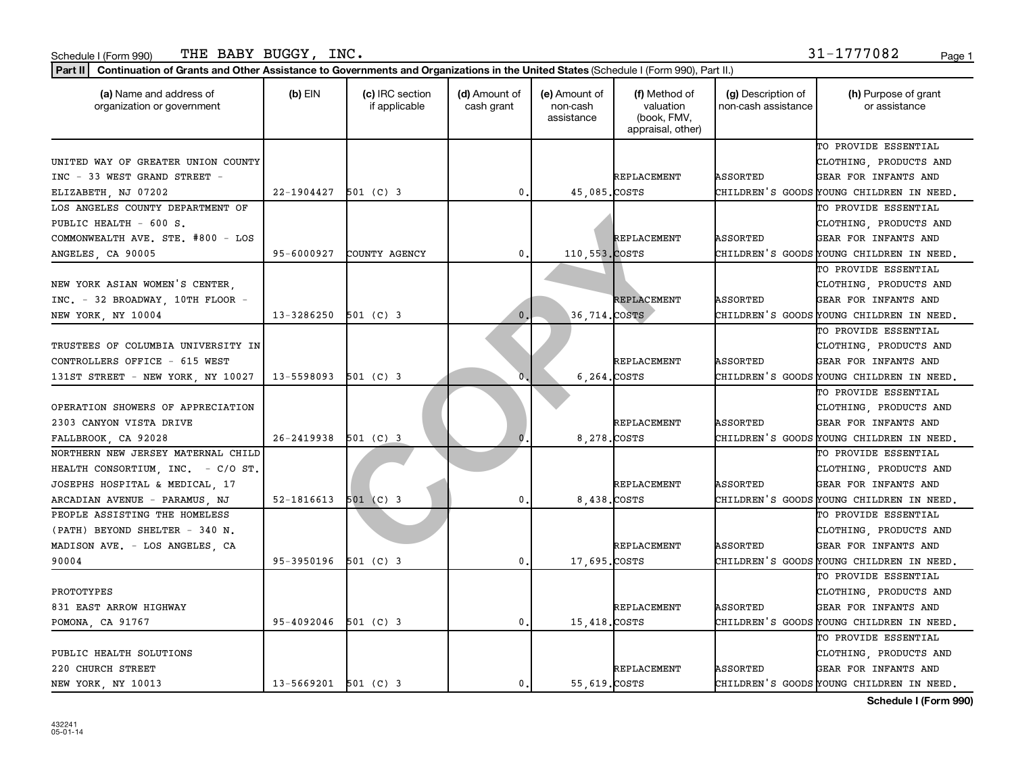| Part II   Continuation of Grants and Other Assistance to Governments and Organizations in the United States (Schedule I (Form 990), Part II.) |                          |                                  |                             |                                         |                                                                |                                           |                                          |
|-----------------------------------------------------------------------------------------------------------------------------------------------|--------------------------|----------------------------------|-----------------------------|-----------------------------------------|----------------------------------------------------------------|-------------------------------------------|------------------------------------------|
| (a) Name and address of<br>organization or government                                                                                         | (b) $EIN$                | (c) IRC section<br>if applicable | (d) Amount of<br>cash grant | (e) Amount of<br>non-cash<br>assistance | (f) Method of<br>valuation<br>(book, FMV,<br>appraisal, other) | (g) Description of<br>non-cash assistance | (h) Purpose of grant<br>or assistance    |
|                                                                                                                                               |                          |                                  |                             |                                         |                                                                |                                           | TO PROVIDE ESSENTIAL                     |
| UNITED WAY OF GREATER UNION COUNTY                                                                                                            |                          |                                  |                             |                                         |                                                                |                                           | CLOTHING, PRODUCTS AND                   |
| INC - 33 WEST GRAND STREET -                                                                                                                  |                          |                                  |                             |                                         | REPLACEMENT                                                    | <b>ASSORTED</b>                           | GEAR FOR INFANTS AND                     |
| ELIZABETH, NJ 07202                                                                                                                           | 22-1904427               | $501$ (C) 3                      | 0.                          | 45,085.COSTS                            |                                                                |                                           | CHILDREN'S GOODS YOUNG CHILDREN IN NEED. |
| LOS ANGELES COUNTY DEPARTMENT OF                                                                                                              |                          |                                  |                             |                                         |                                                                |                                           | TO PROVIDE ESSENTIAL                     |
| PUBLIC HEALTH - 600 S.                                                                                                                        |                          |                                  |                             |                                         |                                                                |                                           | CLOTHING, PRODUCTS AND                   |
| COMMONWEALTH AVE. STE. #800 - LOS                                                                                                             |                          |                                  |                             |                                         | REPLACEMENT                                                    | ASSORTED                                  | GEAR FOR INFANTS AND                     |
| ANGELES, CA 90005                                                                                                                             | 95-6000927               | COUNTY AGENCY                    | 0.                          | 110,553.COSTS                           |                                                                |                                           | CHILDREN'S GOODS YOUNG CHILDREN IN NEED. |
|                                                                                                                                               |                          |                                  |                             |                                         |                                                                |                                           | TO PROVIDE ESSENTIAL                     |
| NEW YORK ASIAN WOMEN'S CENTER                                                                                                                 |                          |                                  |                             |                                         |                                                                |                                           | CLOTHING, PRODUCTS AND                   |
| INC. - 32 BROADWAY, 10TH FLOOR -                                                                                                              |                          |                                  |                             |                                         | REPLACEMENT                                                    | ASSORTED                                  | GEAR FOR INFANTS AND                     |
| NEW YORK, NY 10004                                                                                                                            | 13-3286250               | 501 (C) 3                        | $\mathbf{0}$ .              | 36,714.COSTS                            |                                                                |                                           | CHILDREN'S GOODS YOUNG CHILDREN IN NEED. |
|                                                                                                                                               |                          |                                  |                             |                                         |                                                                |                                           | TO PROVIDE ESSENTIAL                     |
| TRUSTEES OF COLUMBIA UNIVERSITY IN                                                                                                            |                          |                                  |                             |                                         |                                                                |                                           | CLOTHING, PRODUCTS AND                   |
| CONTROLLERS OFFICE - 615 WEST                                                                                                                 |                          |                                  |                             |                                         | REPLACEMENT                                                    | <b>ASSORTED</b>                           | GEAR FOR INFANTS AND                     |
| 131ST STREET - NEW YORK, NY 10027                                                                                                             | 13-5598093               | $501$ (C) 3                      | 0.                          | 6.264.COSTS                             |                                                                |                                           | CHILDREN'S GOODS YOUNG CHILDREN IN NEED. |
|                                                                                                                                               |                          |                                  |                             |                                         |                                                                |                                           | TO PROVIDE ESSENTIAL                     |
| OPERATION SHOWERS OF APPRECIATION                                                                                                             |                          |                                  |                             |                                         |                                                                |                                           | CLOTHING, PRODUCTS AND                   |
| 2303 CANYON VISTA DRIVE                                                                                                                       |                          |                                  |                             |                                         | REPLACEMENT                                                    | ASSORTED                                  | GEAR FOR INFANTS AND                     |
| FALLBROOK, CA 92028                                                                                                                           | 26-2419938               | $501$ (C) 3                      | $\mathbf{0}$                | 8.278.COSTS                             |                                                                |                                           | CHILDREN'S GOODS YOUNG CHILDREN IN NEED. |
| NORTHERN NEW JERSEY MATERNAL CHILD                                                                                                            |                          |                                  |                             |                                         |                                                                |                                           | TO PROVIDE ESSENTIAL                     |
| HEALTH CONSORTIUM, INC. - C/O ST.                                                                                                             |                          |                                  |                             |                                         |                                                                |                                           | CLOTHING, PRODUCTS AND                   |
| JOSEPHS HOSPITAL & MEDICAL, 17                                                                                                                |                          |                                  |                             |                                         | REPLACEMENT                                                    | <b>ASSORTED</b>                           | GEAR FOR INFANTS AND                     |
| ARCADIAN AVENUE - PARAMUS, NJ                                                                                                                 | 52-1816613               | $501$ (C) 3                      | $\mathbf{0}$                | 8,438.COSTS                             |                                                                |                                           | CHILDREN'S GOODSYOUNG CHILDREN IN NEED.  |
| PEOPLE ASSISTING THE HOMELESS                                                                                                                 |                          |                                  |                             |                                         |                                                                |                                           | TO PROVIDE ESSENTIAL                     |
| (PATH) BEYOND SHELTER - 340 N.                                                                                                                |                          |                                  |                             |                                         |                                                                |                                           | CLOTHING, PRODUCTS AND                   |
| MADISON AVE. - LOS ANGELES, CA                                                                                                                |                          |                                  |                             |                                         | <b>REPLACEMENT</b>                                             | <b>ASSORTED</b>                           | GEAR FOR INFANTS AND                     |
| 90004                                                                                                                                         | $95-3950196$ 501 (C) 3   |                                  | 0.                          | 17.695.COSTS                            |                                                                |                                           | CHILDREN'S GOODS YOUNG CHILDREN IN NEED. |
|                                                                                                                                               |                          |                                  |                             |                                         |                                                                |                                           | TO PROVIDE ESSENTIAL                     |
| PROTOTYPES                                                                                                                                    |                          |                                  |                             |                                         |                                                                |                                           | CLOTHING, PRODUCTS AND                   |
| 831 EAST ARROW HIGHWAY                                                                                                                        |                          |                                  |                             |                                         | REPLACEMENT                                                    | <b>ASSORTED</b>                           | GEAR FOR INFANTS AND                     |
| POMONA, CA 91767                                                                                                                              | 95-4092046               | $501$ (C) 3                      | 0.                          | 15,418.COSTS                            |                                                                |                                           | CHILDREN'S GOODS YOUNG CHILDREN IN NEED. |
|                                                                                                                                               |                          |                                  |                             |                                         |                                                                |                                           | TO PROVIDE ESSENTIAL                     |
| PUBLIC HEALTH SOLUTIONS                                                                                                                       |                          |                                  |                             |                                         |                                                                |                                           | CLOTHING, PRODUCTS AND                   |
| 220 CHURCH STREET                                                                                                                             |                          |                                  |                             |                                         | REPLACEMENT                                                    | <b>ASSORTED</b>                           | GEAR FOR INFANTS AND                     |
| NEW YORK, NY 10013                                                                                                                            | $13 - 5669201$ 501 (C) 3 |                                  | 0.                          | 55,619.COSTS                            |                                                                |                                           | CHILDREN'S GOODS YOUNG CHILDREN IN NEED. |
|                                                                                                                                               |                          |                                  |                             |                                         |                                                                |                                           |                                          |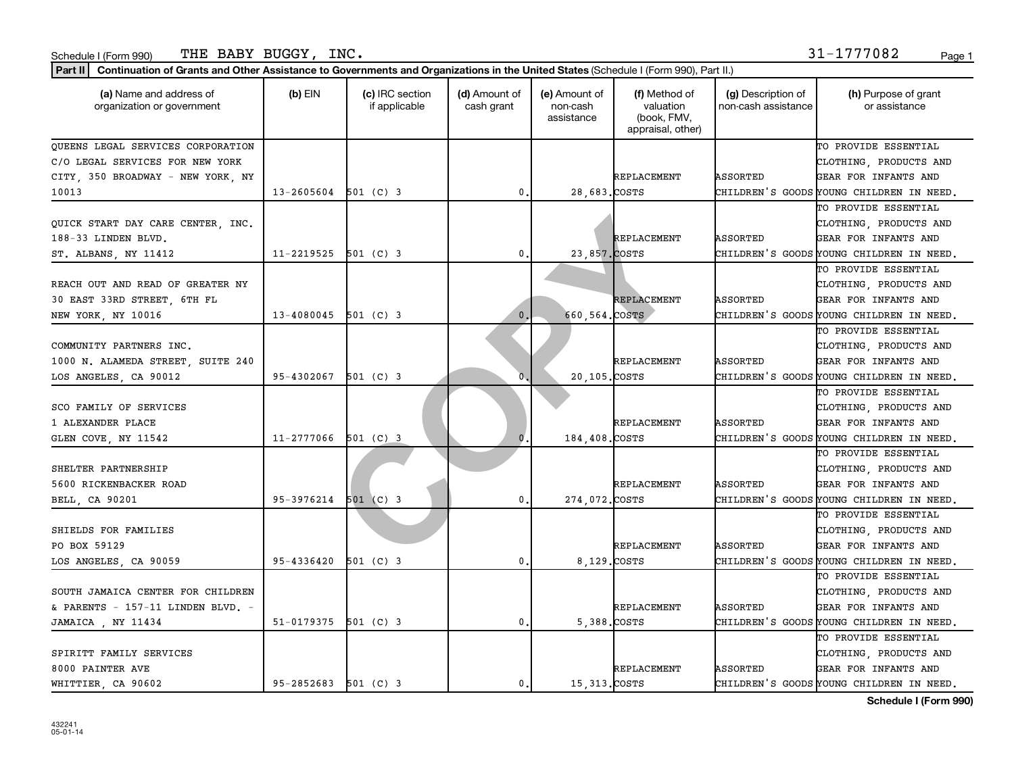| Part II   Continuation of Grants and Other Assistance to Governments and Organizations in the United States (Schedule I (Form 990), Part II.) |                          |                                  |                             |                                         |                                                                |                                           |                                          |
|-----------------------------------------------------------------------------------------------------------------------------------------------|--------------------------|----------------------------------|-----------------------------|-----------------------------------------|----------------------------------------------------------------|-------------------------------------------|------------------------------------------|
| (a) Name and address of<br>organization or government                                                                                         | (b) $EIN$                | (c) IRC section<br>if applicable | (d) Amount of<br>cash grant | (e) Amount of<br>non-cash<br>assistance | (f) Method of<br>valuation<br>(book, FMV,<br>appraisal, other) | (g) Description of<br>non-cash assistance | (h) Purpose of grant<br>or assistance    |
| OUEENS LEGAL SERVICES CORPORATION                                                                                                             |                          |                                  |                             |                                         |                                                                |                                           | TO PROVIDE ESSENTIAL                     |
| C/O LEGAL SERVICES FOR NEW YORK                                                                                                               |                          |                                  |                             |                                         |                                                                |                                           | CLOTHING, PRODUCTS AND                   |
| CITY, 350 BROADWAY - NEW YORK, NY                                                                                                             |                          |                                  |                             |                                         | REPLACEMENT                                                    | <b>ASSORTED</b>                           | GEAR FOR INFANTS AND                     |
| 10013                                                                                                                                         | 13-2605604               | $501$ (C) 3                      | 0.                          | 28,683.COSTS                            |                                                                |                                           | CHILDREN'S GOODS YOUNG CHILDREN IN NEED. |
|                                                                                                                                               |                          |                                  |                             |                                         |                                                                |                                           | TO PROVIDE ESSENTIAL                     |
| QUICK START DAY CARE CENTER, INC.                                                                                                             |                          |                                  |                             |                                         |                                                                |                                           | CLOTHING, PRODUCTS AND                   |
| 188-33 LINDEN BLVD.                                                                                                                           |                          |                                  |                             |                                         | REPLACEMENT                                                    | ASSORTED                                  | GEAR FOR INFANTS AND                     |
| ST. ALBANS, NY 11412                                                                                                                          | 11-2219525               | $501$ (C) 3                      | 0.                          | 23,857.COSTS                            |                                                                |                                           | CHILDREN'S GOODSYOUNG CHILDREN IN NEED.  |
|                                                                                                                                               |                          |                                  |                             |                                         |                                                                |                                           | TO PROVIDE ESSENTIAL                     |
| REACH OUT AND READ OF GREATER NY                                                                                                              |                          |                                  |                             |                                         |                                                                |                                           | CLOTHING, PRODUCTS AND                   |
| 30 EAST 33RD STREET, 6TH FL                                                                                                                   |                          |                                  |                             |                                         | REPLACEMENT                                                    | <b>ASSORTED</b>                           | GEAR FOR INFANTS AND                     |
| NEW YORK, NY 10016                                                                                                                            | 13-4080045               | $501$ (C) 3                      | 0.                          | 660,564.COSTS                           |                                                                |                                           | CHILDREN'S GOODS YOUNG CHILDREN IN NEED. |
|                                                                                                                                               |                          |                                  |                             |                                         |                                                                |                                           | TO PROVIDE ESSENTIAL                     |
| COMMUNITY PARTNERS INC.                                                                                                                       |                          |                                  |                             |                                         |                                                                |                                           | CLOTHING, PRODUCTS AND                   |
| 1000 N. ALAMEDA STREET, SUITE 240                                                                                                             |                          |                                  |                             |                                         | REPLACEMENT                                                    | <b>ASSORTED</b>                           | GEAR FOR INFANTS AND                     |
| LOS ANGELES, CA 90012                                                                                                                         | 95-4302067               | $501$ (C) 3                      | $\overline{0}$ .            | 20,105.COSTS                            |                                                                |                                           | CHILDREN'S GOODS YOUNG CHILDREN IN NEED. |
|                                                                                                                                               |                          |                                  |                             |                                         |                                                                |                                           | TO PROVIDE ESSENTIAL                     |
| SCO FAMILY OF SERVICES                                                                                                                        |                          |                                  |                             |                                         |                                                                |                                           | CLOTHING, PRODUCTS AND                   |
| 1 ALEXANDER PLACE                                                                                                                             |                          |                                  |                             |                                         | REPLACEMENT                                                    | <b>ASSORTED</b>                           | GEAR FOR INFANTS AND                     |
| GLEN COVE, NY 11542                                                                                                                           | 11-2777066               | 501 (C) 3                        | $\mathbf{0}$ .              | 184.408.COSTS                           |                                                                |                                           | CHILDREN'S GOODS YOUNG CHILDREN IN NEED. |
|                                                                                                                                               |                          |                                  |                             |                                         |                                                                |                                           | TO PROVIDE ESSENTIAL                     |
| SHELTER PARTNERSHIP                                                                                                                           |                          |                                  |                             |                                         |                                                                |                                           | CLOTHING, PRODUCTS AND                   |
| 5600 RICKENBACKER ROAD                                                                                                                        |                          |                                  |                             |                                         | <b>REPLACEMENT</b>                                             | <b>ASSORTED</b>                           | GEAR FOR INFANTS AND                     |
| BELL, CA 90201                                                                                                                                | 95-3976214               | 501 (C) 3                        | 0.                          | 274,072.COSTS                           |                                                                |                                           | CHILDREN'S GOODS YOUNG CHILDREN IN NEED. |
|                                                                                                                                               |                          |                                  |                             |                                         |                                                                |                                           | TO PROVIDE ESSENTIAL                     |
| SHIELDS FOR FAMILIES                                                                                                                          |                          |                                  |                             |                                         |                                                                |                                           | CLOTHING, PRODUCTS AND                   |
| PO BOX 59129                                                                                                                                  |                          |                                  |                             |                                         | REPLACEMENT                                                    | <b>ASSORTED</b>                           | GEAR FOR INFANTS AND                     |
| LOS ANGELES, CA 90059                                                                                                                         | 95-4336420               | $501$ (C) 3                      | $\mathbf{0}$ .              | 8,129.COSTS                             |                                                                |                                           | CHILDREN'S GOODS YOUNG CHILDREN IN NEED. |
|                                                                                                                                               |                          |                                  |                             |                                         |                                                                |                                           | TO PROVIDE ESSENTIAL                     |
| SOUTH JAMAICA CENTER FOR CHILDREN                                                                                                             |                          |                                  |                             |                                         |                                                                |                                           | CLOTHING, PRODUCTS AND                   |
| & PARENTS $- 157-11$ LINDEN BLVD. $-$                                                                                                         |                          |                                  |                             |                                         | REPLACEMENT                                                    | ASSORTED                                  | GEAR FOR INFANTS AND                     |
| JAMAICA, NY 11434                                                                                                                             | 51-0179375               | $501$ (C) 3                      | 0.                          | 5.388.COSTS                             |                                                                |                                           | CHILDREN'S GOODS YOUNG CHILDREN IN NEED. |
|                                                                                                                                               |                          |                                  |                             |                                         |                                                                |                                           | TO PROVIDE ESSENTIAL                     |
| SPIRITT FAMILY SERVICES                                                                                                                       |                          |                                  |                             |                                         |                                                                |                                           | CLOTHING, PRODUCTS AND                   |
| 8000 PAINTER AVE                                                                                                                              |                          |                                  |                             |                                         | <b>REPLACEMENT</b>                                             | ASSORTED                                  | GEAR FOR INFANTS AND                     |
| WHITTIER, CA 90602                                                                                                                            | $95 - 2852683$ 501 (C) 3 |                                  | $\mathbf{0}$ .              | 15, 313. COSTS                          |                                                                |                                           | CHILDREN'S GOODS YOUNG CHILDREN IN NEED. |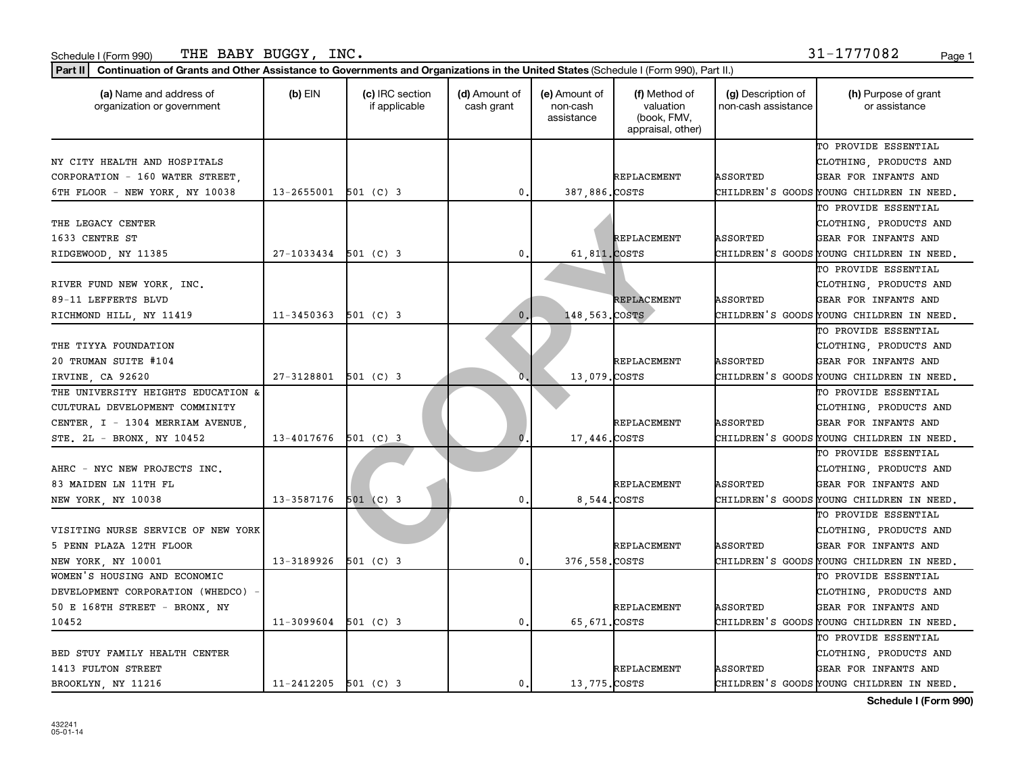| Part II   Continuation of Grants and Other Assistance to Governments and Organizations in the United States (Schedule I (Form 990), Part II.) |                          |                                  |                             |                                         |                                                                |                                           |                                          |
|-----------------------------------------------------------------------------------------------------------------------------------------------|--------------------------|----------------------------------|-----------------------------|-----------------------------------------|----------------------------------------------------------------|-------------------------------------------|------------------------------------------|
| (a) Name and address of<br>organization or government                                                                                         | (b) $EIN$                | (c) IRC section<br>if applicable | (d) Amount of<br>cash grant | (e) Amount of<br>non-cash<br>assistance | (f) Method of<br>valuation<br>(book, FMV,<br>appraisal, other) | (g) Description of<br>non-cash assistance | (h) Purpose of grant<br>or assistance    |
|                                                                                                                                               |                          |                                  |                             |                                         |                                                                |                                           | TO PROVIDE ESSENTIAL                     |
| NY CITY HEALTH AND HOSPITALS                                                                                                                  |                          |                                  |                             |                                         |                                                                |                                           | CLOTHING, PRODUCTS AND                   |
| CORPORATION - 160 WATER STREET                                                                                                                |                          |                                  |                             |                                         | REPLACEMENT                                                    | <b>ASSORTED</b>                           | GEAR FOR INFANTS AND                     |
| 6TH FLOOR - NEW YORK, NY 10038                                                                                                                | 13-2655001               | $501$ (C) 3                      | $\mathbf{0}$ .              | 387,886.COSTS                           |                                                                |                                           | CHILDREN'S GOODS YOUNG CHILDREN IN NEED. |
|                                                                                                                                               |                          |                                  |                             |                                         |                                                                |                                           | TO PROVIDE ESSENTIAL                     |
| THE LEGACY CENTER                                                                                                                             |                          |                                  |                             |                                         |                                                                |                                           | CLOTHING, PRODUCTS AND                   |
| 1633 CENTRE ST                                                                                                                                |                          |                                  |                             |                                         | REPLACEMENT                                                    | ASSORTED                                  | GEAR FOR INFANTS AND                     |
| RIDGEWOOD, NY 11385                                                                                                                           | 27-1033434               | $501$ (C) 3                      | 0.                          | 61.811.COSTS                            |                                                                |                                           | CHILDREN'S GOODS YOUNG CHILDREN IN NEED. |
|                                                                                                                                               |                          |                                  |                             |                                         |                                                                |                                           | TO PROVIDE ESSENTIAL                     |
| RIVER FUND NEW YORK, INC.                                                                                                                     |                          |                                  |                             |                                         |                                                                |                                           | CLOTHING, PRODUCTS AND                   |
| 89-11 LEFFERTS BLVD                                                                                                                           |                          |                                  |                             |                                         | REPLACEMENT                                                    | <b>ASSORTED</b>                           | GEAR FOR INFANTS AND                     |
| RICHMOND HILL, NY 11419                                                                                                                       | 11-3450363               | $501$ (C) 3                      | 0.                          | 148,563.COSTS                           |                                                                |                                           | CHILDREN'S GOODS YOUNG CHILDREN IN NEED. |
|                                                                                                                                               |                          |                                  |                             |                                         |                                                                |                                           | TO PROVIDE ESSENTIAL                     |
| THE TIYYA FOUNDATION                                                                                                                          |                          |                                  |                             |                                         |                                                                |                                           | CLOTHING, PRODUCTS AND                   |
| 20 TRUMAN SUITE #104                                                                                                                          |                          |                                  |                             |                                         | REPLACEMENT                                                    | <b>ASSORTED</b>                           | GEAR FOR INFANTS AND                     |
| IRVINE, CA 92620                                                                                                                              | 27-3128801               | $501$ (C) 3                      | 0.                          | 13,079.COSTS                            |                                                                |                                           | CHILDREN'S GOODSYOUNG CHILDREN IN NEED.  |
| THE UNIVERSITY HEIGHTS EDUCATION &                                                                                                            |                          |                                  |                             |                                         |                                                                |                                           | TO PROVIDE ESSENTIAL                     |
| CULTURAL DEVELOPMENT COMMINITY                                                                                                                |                          |                                  |                             |                                         |                                                                |                                           | CLOTHING, PRODUCTS AND                   |
| CENTER, I - 1304 MERRIAM AVENUE,                                                                                                              |                          |                                  |                             |                                         | REPLACEMENT                                                    | <b>ASSORTED</b>                           | GEAR FOR INFANTS AND                     |
| STE. $2L - BRONX$ , NY 10452                                                                                                                  | 13-4017676               | 501 (C) 3                        | $\mathbf{0}$ .              | 17,446.COSTS                            |                                                                |                                           | CHILDREN'S GOODS YOUNG CHILDREN IN NEED. |
|                                                                                                                                               |                          |                                  |                             |                                         |                                                                |                                           | TO PROVIDE ESSENTIAL                     |
| AHRC - NYC NEW PROJECTS INC.                                                                                                                  |                          |                                  |                             |                                         |                                                                |                                           | CLOTHING, PRODUCTS AND                   |
| 83 MAIDEN LN 11TH FL                                                                                                                          |                          |                                  |                             |                                         | REPLACEMENT                                                    | <b>ASSORTED</b>                           | GEAR FOR INFANTS AND                     |
| NEW YORK, NY 10038                                                                                                                            | 13-3587176               | 501 (C) 3                        | $\mathbf{0}$ .              | 8,544.COSTS                             |                                                                |                                           | CHILDREN'S GOODS YOUNG CHILDREN IN NEED. |
|                                                                                                                                               |                          |                                  |                             |                                         |                                                                |                                           | TO PROVIDE ESSENTIAL                     |
| VISITING NURSE SERVICE OF NEW YORK                                                                                                            |                          |                                  |                             |                                         |                                                                |                                           | CLOTHING, PRODUCTS AND                   |
| 5 PENN PLAZA 12TH FLOOR                                                                                                                       |                          |                                  |                             |                                         | REPLACEMENT                                                    | <b>ASSORTED</b>                           | GEAR FOR INFANTS AND                     |
| NEW YORK, NY 10001                                                                                                                            | 13-3189926               | $501$ (C) 3                      | 0.                          | 376.558.COSTS                           |                                                                |                                           | CHILDREN'S GOODSYOUNG CHILDREN IN NEED.  |
| WOMEN'S HOUSING AND ECONOMIC                                                                                                                  |                          |                                  |                             |                                         |                                                                |                                           | TO PROVIDE ESSENTIAL                     |
| DEVELOPMENT CORPORATION (WHEDCO) -                                                                                                            |                          |                                  |                             |                                         |                                                                |                                           | CLOTHING, PRODUCTS AND                   |
| 50 E 168TH STREET - BRONX, NY                                                                                                                 |                          |                                  |                             |                                         | REPLACEMENT                                                    | <b>ASSORTED</b>                           | GEAR FOR INFANTS AND                     |
| 10452                                                                                                                                         | 11-3099604               | $501$ (C) 3                      | 0.                          | 65,671. COSTS                           |                                                                |                                           | CHILDREN'S GOODSYOUNG CHILDREN IN NEED.  |
|                                                                                                                                               |                          |                                  |                             |                                         |                                                                |                                           | TO PROVIDE ESSENTIAL                     |
| BED STUY FAMILY HEALTH CENTER                                                                                                                 |                          |                                  |                             |                                         |                                                                |                                           | CLOTHING, PRODUCTS AND                   |
| 1413 FULTON STREET                                                                                                                            |                          |                                  |                             |                                         | REPLACEMENT                                                    | <b>ASSORTED</b>                           | GEAR FOR INFANTS AND                     |
| BROOKLYN, NY 11216                                                                                                                            | $11 - 2412205$ 501 (C) 3 |                                  | $\mathbf{0}$ .              | 13,775.COSTS                            |                                                                |                                           | CHILDREN'S GOODS YOUNG CHILDREN IN NEED. |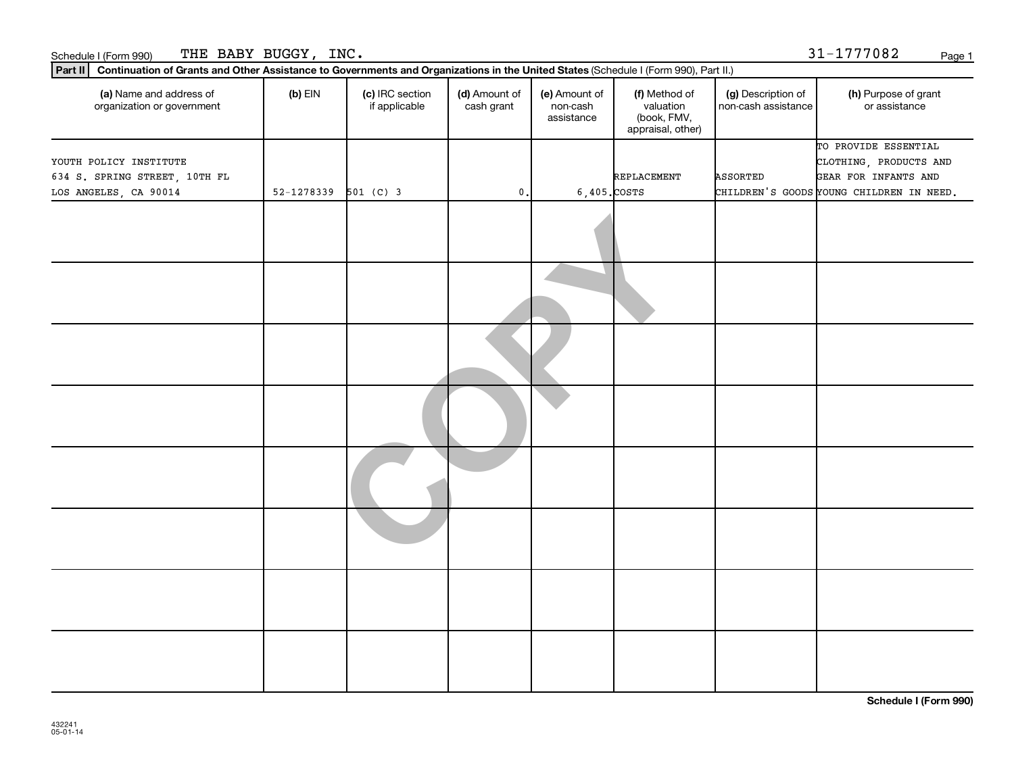|  | 31-1777082 |  |  |  |  |  |  |  | Page 1 |  |
|--|------------|--|--|--|--|--|--|--|--------|--|
|--|------------|--|--|--|--|--|--|--|--------|--|

| Part II   Continuation of Grants and Other Assistance to Governments and Organizations in the United States (Schedule I (Form 990), Part II.) |            |                                  |                             |                                         |                                                                |                                           |                                                                        |
|-----------------------------------------------------------------------------------------------------------------------------------------------|------------|----------------------------------|-----------------------------|-----------------------------------------|----------------------------------------------------------------|-------------------------------------------|------------------------------------------------------------------------|
| (a) Name and address of<br>organization or government                                                                                         | $(b)$ EIN  | (c) IRC section<br>if applicable | (d) Amount of<br>cash grant | (e) Amount of<br>non-cash<br>assistance | (f) Method of<br>valuation<br>(book, FMV,<br>appraisal, other) | (g) Description of<br>non-cash assistance | (h) Purpose of grant<br>or assistance                                  |
| YOUTH POLICY INSTITUTE<br>634 S. SPRING STREET, 10TH FL                                                                                       |            |                                  |                             |                                         | REPLACEMENT                                                    | <b>ASSORTED</b>                           | TO PROVIDE ESSENTIAL<br>CLOTHING, PRODUCTS AND<br>GEAR FOR INFANTS AND |
| LOS ANGELES, CA 90014                                                                                                                         | 52-1278339 | 501 (C) 3                        | $\mathfrak o$ .             | $6,405$ . COSTS                         |                                                                |                                           | CHILDREN'S GOODS YOUNG CHILDREN IN NEED.                               |
|                                                                                                                                               |            |                                  |                             |                                         |                                                                |                                           |                                                                        |
|                                                                                                                                               |            |                                  |                             |                                         |                                                                |                                           |                                                                        |
|                                                                                                                                               |            |                                  |                             |                                         |                                                                |                                           |                                                                        |
|                                                                                                                                               |            |                                  |                             |                                         |                                                                |                                           |                                                                        |
|                                                                                                                                               |            |                                  |                             |                                         |                                                                |                                           |                                                                        |
|                                                                                                                                               |            |                                  |                             |                                         |                                                                |                                           |                                                                        |
|                                                                                                                                               |            |                                  |                             |                                         |                                                                |                                           |                                                                        |
|                                                                                                                                               |            |                                  |                             |                                         |                                                                |                                           |                                                                        |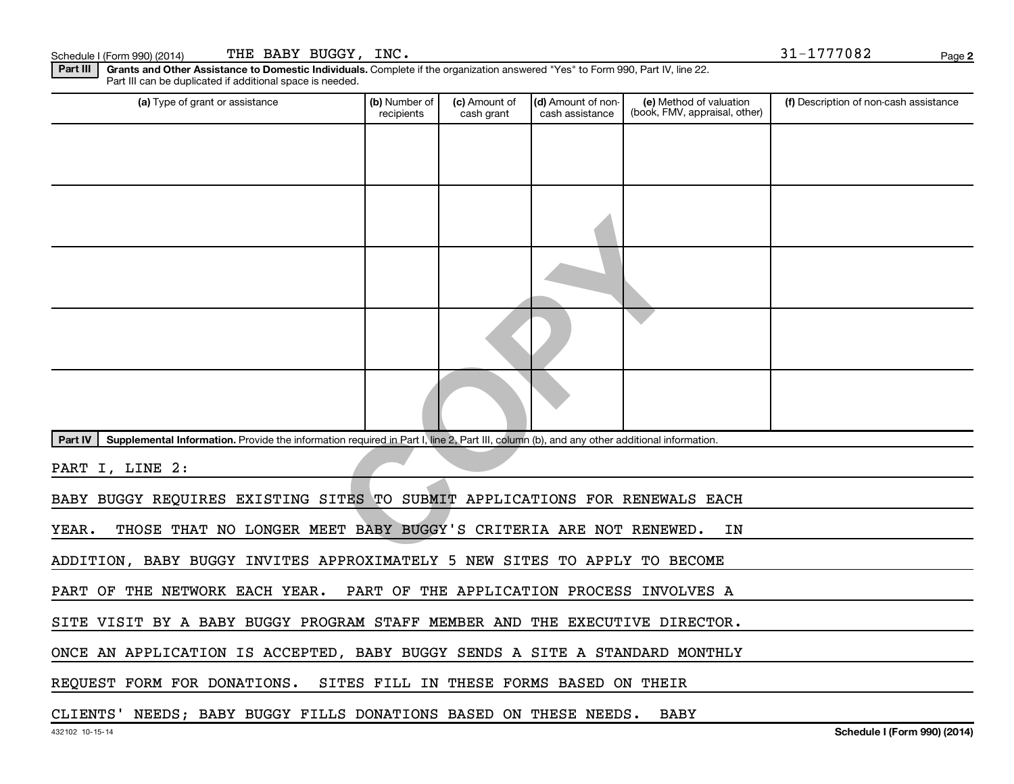FRIED TO SUBMIT APPLICATIONS FOR RENEWALD PROTECTING THE SAFE BABY BUGGY'S CRITERIA ARE NOT RENEWALD PROTECTING THE SAFE BABY BUGGY'S CRITERIA ARE NOT RENEWALD Part IV | Supplemental Information. Provide the information required in Part I, line 2, Part III, column (b), and any other additional information. PART I, LINE 2: BABY BUGGY REQUIRES EXISTING SITES TO SUBMIT APPLICATIONS FOR RENEWALS EACH YEAR. THOSE THAT NO LONGER MEET BABY BUGGY'S CRITERIA ARE NOT RENEWED. IN ADDITION, BABY BUGGY INVITES APPROXIMATELY 5 NEW SITES TO APPLY TO BECOME PART OF THE NETWORK EACH YEAR. PART OF THE APPLICATION PROCESS INVOLVES A SITE VISIT BY A BABY BUGGY PROGRAM STAFF MEMBER AND THE EXECUTIVE DIRECTOR. ONCE AN APPLICATION IS ACCEPTED, BABY BUGGY SENDS A SITE A STANDARD MONTHLY

REQUEST FORM FOR DONATIONS. SITES FILL IN THESE FORMS BASED ON THEIR

CLIENTS' NEEDS; BABY BUGGY FILLS DONATIONS BASED ON THESE NEEDS. BABY

# Part III | Grants and Other Assistance to Domestic Individuals. Complete if the organization answered "Yes" to Form 990, Part IV, line 22. Part III can be duplicated if additional space is needed.

(a) Type of grant or assistance **Audity Commet Audio Commet Commet Commet Commet Commet Commet Commet Commet Comme (e)** Method of valuation (book, FMV, appraisal, other) recipients (c) Amount of cash grant (d) Amount of noncash assistance

Schedule I (Form 990) (2014) THE BABY BUGGY, INC.  $P_{\text{age}}$ 

(f) Description of non-cash assistance

**2**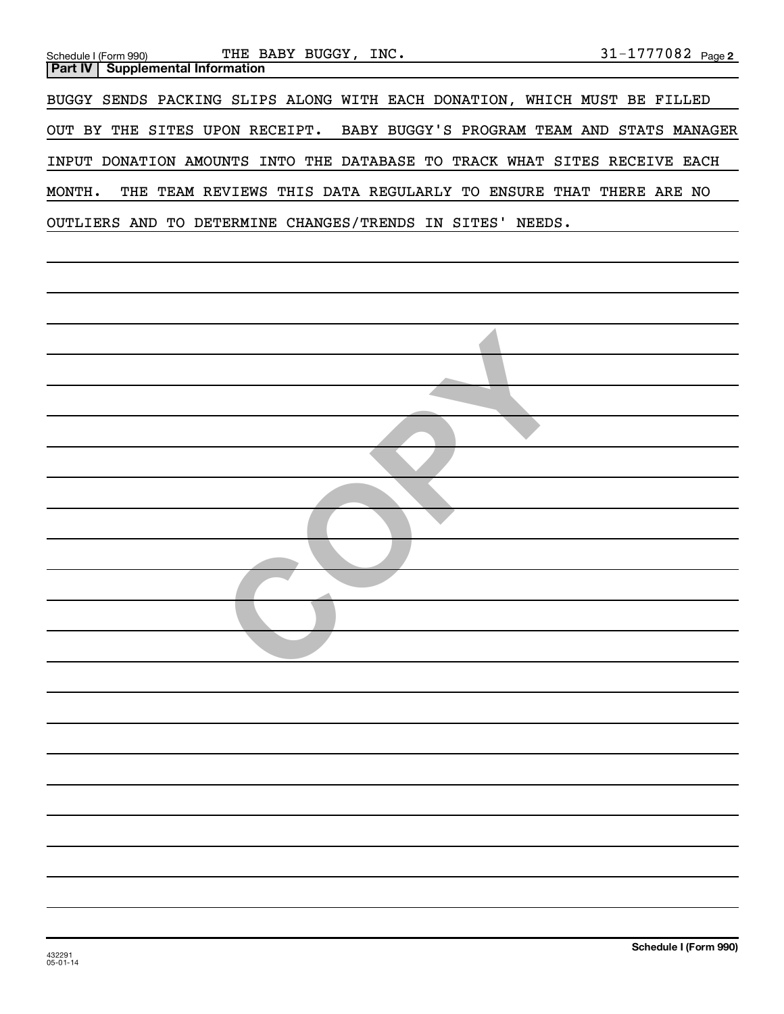| 31-1777082 Page 2<br>THE BABY BUGGY, INC.<br>Schedule I (Form 990)         |
|----------------------------------------------------------------------------|
| Supplemental Information<br><b>Part IV</b>                                 |
| BUGGY SENDS PACKING SLIPS ALONG WITH EACH DONATION, WHICH MUST BE FILLED   |
| OUT BY THE SITES UPON RECEIPT. BABY BUGGY'S PROGRAM TEAM AND STATS MANAGER |
| INPUT DONATION AMOUNTS INTO THE DATABASE TO TRACK WHAT SITES RECEIVE EACH  |
| MONTH.<br>THE TEAM REVIEWS THIS DATA REGULARLY TO ENSURE THAT THERE ARE NO |
| OUTLIERS AND TO DETERMINE CHANGES/TRENDS IN SITES' NEEDS.                  |
|                                                                            |
|                                                                            |
|                                                                            |
|                                                                            |
|                                                                            |
|                                                                            |
|                                                                            |
|                                                                            |
|                                                                            |
|                                                                            |
|                                                                            |
|                                                                            |
|                                                                            |
|                                                                            |
|                                                                            |
|                                                                            |
|                                                                            |
|                                                                            |
|                                                                            |
|                                                                            |
|                                                                            |
|                                                                            |
|                                                                            |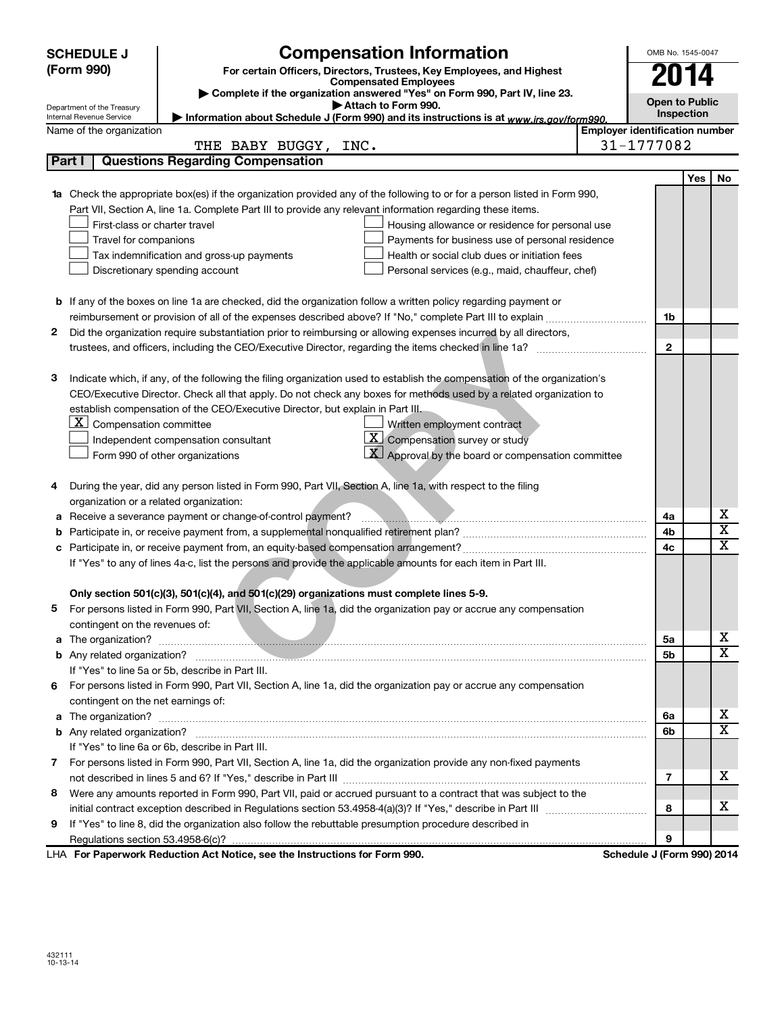|        | <b>SCHEDULE J</b>                                                                   | <b>Compensation Information</b>                                                                                           |                                       | OMB No. 1545-0047     |                   |                              |  |
|--------|-------------------------------------------------------------------------------------|---------------------------------------------------------------------------------------------------------------------------|---------------------------------------|-----------------------|-------------------|------------------------------|--|
|        | (Form 990)<br>For certain Officers, Directors, Trustees, Key Employees, and Highest |                                                                                                                           |                                       |                       |                   |                              |  |
|        | <b>Compensated Employees</b>                                                        |                                                                                                                           |                                       |                       |                   |                              |  |
|        |                                                                                     | Complete if the organization answered "Yes" on Form 990, Part IV, line 23.<br>Attach to Form 990.                         |                                       | <b>Open to Public</b> |                   |                              |  |
|        | Department of the Treasury<br>Internal Revenue Service                              | Information about Schedule J (Form 990) and its instructions is at www.irs.gov/form990.                                   |                                       |                       | <b>Inspection</b> |                              |  |
|        | Name of the organization                                                            |                                                                                                                           | <b>Employer identification number</b> |                       |                   |                              |  |
|        |                                                                                     | THE BABY BUGGY, INC.                                                                                                      | 31-1777082                            |                       |                   |                              |  |
| Part I |                                                                                     | <b>Questions Regarding Compensation</b>                                                                                   |                                       |                       |                   |                              |  |
|        |                                                                                     |                                                                                                                           |                                       |                       | Yes               | No                           |  |
| 1a     |                                                                                     | Check the appropriate box(es) if the organization provided any of the following to or for a person listed in Form 990,    |                                       |                       |                   |                              |  |
|        |                                                                                     | Part VII, Section A, line 1a. Complete Part III to provide any relevant information regarding these items.                |                                       |                       |                   |                              |  |
|        | First-class or charter travel                                                       | Housing allowance or residence for personal use                                                                           |                                       |                       |                   |                              |  |
|        | Travel for companions                                                               | Payments for business use of personal residence                                                                           |                                       |                       |                   |                              |  |
|        |                                                                                     | Tax indemnification and gross-up payments<br>Health or social club dues or initiation fees                                |                                       |                       |                   |                              |  |
|        |                                                                                     | Discretionary spending account<br>Personal services (e.g., maid, chauffeur, chef)                                         |                                       |                       |                   |                              |  |
|        |                                                                                     |                                                                                                                           |                                       |                       |                   |                              |  |
|        |                                                                                     | <b>b</b> If any of the boxes on line 1a are checked, did the organization follow a written policy regarding payment or    |                                       |                       |                   |                              |  |
|        |                                                                                     | Did the organization require substantiation prior to reimbursing or allowing expenses incurred by all directors,          |                                       | 1b                    |                   |                              |  |
| 2      |                                                                                     |                                                                                                                           |                                       | $\mathbf{2}$          |                   |                              |  |
|        |                                                                                     |                                                                                                                           |                                       |                       |                   |                              |  |
| з      |                                                                                     | Indicate which, if any, of the following the filing organization used to establish the compensation of the organization's |                                       |                       |                   |                              |  |
|        |                                                                                     | CEO/Executive Director. Check all that apply. Do not check any boxes for methods used by a related organization to        |                                       |                       |                   |                              |  |
|        |                                                                                     | establish compensation of the CEO/Executive Director, but explain in Part III.                                            |                                       |                       |                   |                              |  |
|        | $ \mathbf{X} $ Compensation committee                                               | Written employment contract                                                                                               |                                       |                       |                   |                              |  |
|        |                                                                                     | $X$ Compensation survey or study<br>Independent compensation consultant                                                   |                                       |                       |                   |                              |  |
|        |                                                                                     | $\underline{\mathbf{X}}$ Approval by the board or compensation committee<br>Form 990 of other organizations               |                                       |                       |                   |                              |  |
|        |                                                                                     |                                                                                                                           |                                       |                       |                   |                              |  |
| 4      |                                                                                     | During the year, did any person listed in Form 990, Part VII, Section A, line 1a, with respect to the filing              |                                       |                       |                   |                              |  |
|        | organization or a related organization:                                             |                                                                                                                           |                                       |                       |                   |                              |  |
| а      |                                                                                     |                                                                                                                           |                                       | 4a                    |                   | х                            |  |
| b      |                                                                                     |                                                                                                                           |                                       | 4b                    |                   | $\overline{\textbf{X}}$      |  |
| с      |                                                                                     |                                                                                                                           |                                       | 4c                    |                   | $\overline{\texttt{x}}$      |  |
|        |                                                                                     | If "Yes" to any of lines 4a-c, list the persons and provide the applicable amounts for each item in Part III.             |                                       |                       |                   |                              |  |
|        |                                                                                     |                                                                                                                           |                                       |                       |                   |                              |  |
|        |                                                                                     | Only section 501(c)(3), 501(c)(4), and 501(c)(29) organizations must complete lines 5-9.                                  |                                       |                       |                   |                              |  |
|        |                                                                                     | For persons listed in Form 990, Part VII, Section A, line 1a, did the organization pay or accrue any compensation         |                                       |                       |                   |                              |  |
|        | contingent on the revenues of:                                                      |                                                                                                                           |                                       |                       |                   |                              |  |
|        |                                                                                     |                                                                                                                           |                                       | 5a                    |                   | x<br>$\overline{\mathtt{x}}$ |  |
|        |                                                                                     |                                                                                                                           |                                       | 5b                    |                   |                              |  |
|        |                                                                                     | If "Yes" to line 5a or 5b, describe in Part III.                                                                          |                                       |                       |                   |                              |  |
| 6      |                                                                                     | For persons listed in Form 990, Part VII, Section A, line 1a, did the organization pay or accrue any compensation         |                                       |                       |                   |                              |  |
|        | contingent on the net earnings of:                                                  |                                                                                                                           |                                       |                       |                   | х                            |  |
|        |                                                                                     |                                                                                                                           |                                       | 6a                    |                   | $\overline{\text{X}}$        |  |
|        |                                                                                     | If "Yes" to line 6a or 6b, describe in Part III.                                                                          |                                       | 6b                    |                   |                              |  |
| 7      |                                                                                     | For persons listed in Form 990, Part VII, Section A, line 1a, did the organization provide any non-fixed payments         |                                       |                       |                   |                              |  |
|        |                                                                                     |                                                                                                                           |                                       | 7                     |                   | х                            |  |
| 8      |                                                                                     | Were any amounts reported in Form 990, Part VII, paid or accrued pursuant to a contract that was subject to the           |                                       |                       |                   |                              |  |
|        |                                                                                     |                                                                                                                           |                                       | 8                     |                   | x                            |  |
| 9      |                                                                                     | If "Yes" to line 8, did the organization also follow the rebuttable presumption procedure described in                    |                                       |                       |                   |                              |  |
|        |                                                                                     |                                                                                                                           |                                       | 9                     |                   |                              |  |
|        |                                                                                     | LHA For Paperwork Reduction Act Notice, see the Instructions for Form 990.                                                | Schedule J (Form 990) 2014            |                       |                   |                              |  |

432111 10-13-14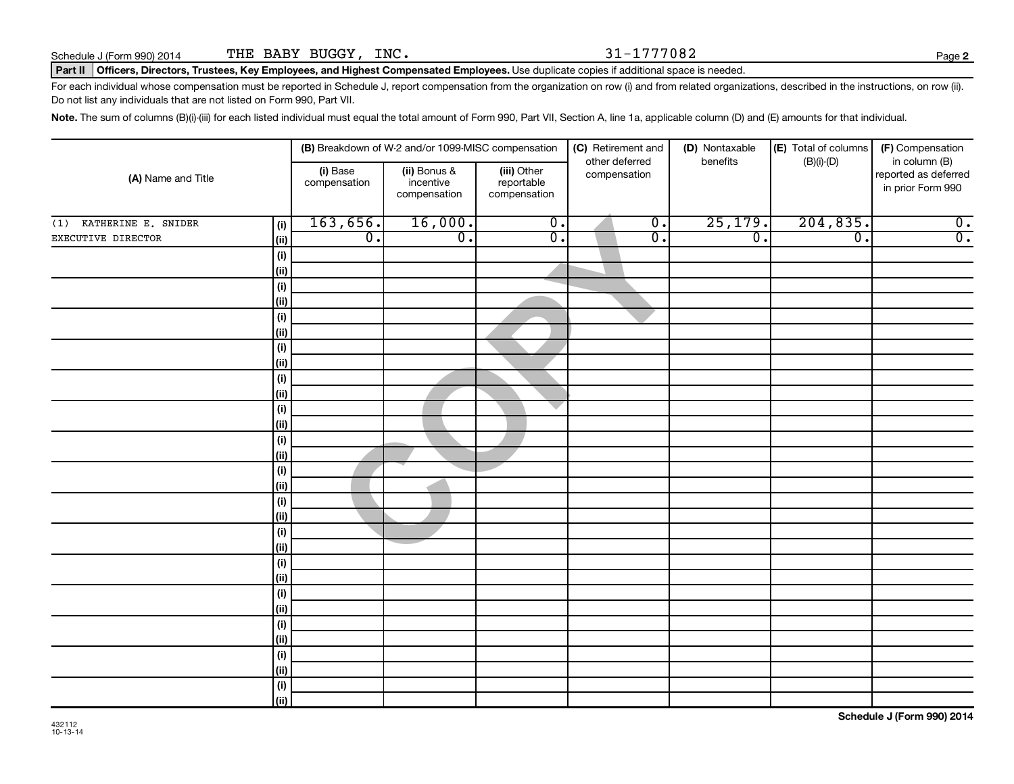### Part II | Officers, Directors, Trustees, Key Employees, and Highest Compensated Employees. Use duplicate copies if additional space is needed.

For each individual whose compensation must be reported in Schedule J, report compensation from the organization on row (i) and from related organizations, described in the instructions, on row (ii). Do not list any individuals that are not listed on Form 990, Part VII.

Note. The sum of columns (B)(i)-(iii) for each listed individual must equal the total amount of Form 990, Part VII, Section A, line 1a, applicable column (D) and (E) amounts for that individual.

| (A) Name and Title      |                    |                          | (B) Breakdown of W-2 and/or 1099-MISC compensation |                                           | (C) Retirement and<br>other deferred | (D) Nontaxable<br>benefits  | (E) Total of columns<br>$(B)(i)$ - $(D)$ | (F) Compensation<br>in column (B)         |  |
|-------------------------|--------------------|--------------------------|----------------------------------------------------|-------------------------------------------|--------------------------------------|-----------------------------|------------------------------------------|-------------------------------------------|--|
|                         |                    | (i) Base<br>compensation | (ii) Bonus &<br>incentive<br>compensation          | (iii) Other<br>reportable<br>compensation | compensation                         |                             |                                          | reported as deferred<br>in prior Form 990 |  |
| (1) KATHERINE E. SNIDER | (i)                | 163,656.                 | 16,000.                                            | $\overline{0}$ .                          | $\overline{0}$ .                     | 25, 179.                    | 204,835.                                 | $\overline{0}$ .                          |  |
| EXECUTIVE DIRECTOR      | (ii)               | $\overline{0}$ .         | $\overline{0}$ .                                   | $\overline{0}$ .                          | σ.                                   | $\overline{\mathfrak{o}}$ . | $\overline{\mathfrak{o}}$ .              | $\overline{0}$ .                          |  |
|                         | (i)                |                          |                                                    |                                           |                                      |                             |                                          |                                           |  |
|                         | (ii)               |                          |                                                    |                                           |                                      |                             |                                          |                                           |  |
|                         | $(\sf{i})$         |                          |                                                    |                                           |                                      |                             |                                          |                                           |  |
|                         | (ii)               |                          |                                                    |                                           |                                      |                             |                                          |                                           |  |
|                         | $(\sf{i})$         |                          |                                                    |                                           |                                      |                             |                                          |                                           |  |
|                         | (ii)               |                          |                                                    |                                           |                                      |                             |                                          |                                           |  |
|                         | (i)                |                          |                                                    |                                           |                                      |                             |                                          |                                           |  |
|                         | (ii)               |                          |                                                    |                                           |                                      |                             |                                          |                                           |  |
|                         | $(\sf{i})$         |                          |                                                    |                                           |                                      |                             |                                          |                                           |  |
|                         | (ii)               |                          |                                                    |                                           |                                      |                             |                                          |                                           |  |
|                         | $(\sf{i})$         |                          |                                                    |                                           |                                      |                             |                                          |                                           |  |
|                         | (ii)               |                          |                                                    |                                           |                                      |                             |                                          |                                           |  |
|                         | $(\sf{i})$         |                          |                                                    |                                           |                                      |                             |                                          |                                           |  |
|                         | (ii)               |                          |                                                    |                                           |                                      |                             |                                          |                                           |  |
|                         | $(\sf{i})$         |                          |                                                    |                                           |                                      |                             |                                          |                                           |  |
|                         | (ii)               |                          |                                                    |                                           |                                      |                             |                                          |                                           |  |
|                         | $(\sf{i})$<br>(ii) |                          |                                                    |                                           |                                      |                             |                                          |                                           |  |
|                         | $(\sf{i})$         |                          |                                                    |                                           |                                      |                             |                                          |                                           |  |
|                         | (ii)               |                          |                                                    |                                           |                                      |                             |                                          |                                           |  |
|                         | $(\sf{i})$         |                          |                                                    |                                           |                                      |                             |                                          |                                           |  |
|                         | (ii)               |                          |                                                    |                                           |                                      |                             |                                          |                                           |  |
|                         | $(\sf{i})$         |                          |                                                    |                                           |                                      |                             |                                          |                                           |  |
|                         | (ii)               |                          |                                                    |                                           |                                      |                             |                                          |                                           |  |
|                         | $(\sf{i})$         |                          |                                                    |                                           |                                      |                             |                                          |                                           |  |
|                         | (ii)               |                          |                                                    |                                           |                                      |                             |                                          |                                           |  |
|                         | $(\sf{i})$         |                          |                                                    |                                           |                                      |                             |                                          |                                           |  |
|                         | (ii)               |                          |                                                    |                                           |                                      |                             |                                          |                                           |  |
|                         | $(\sf{i})$         |                          |                                                    |                                           |                                      |                             |                                          |                                           |  |
|                         | (ii)               |                          |                                                    |                                           |                                      |                             |                                          |                                           |  |

**2**

432112 10-13-14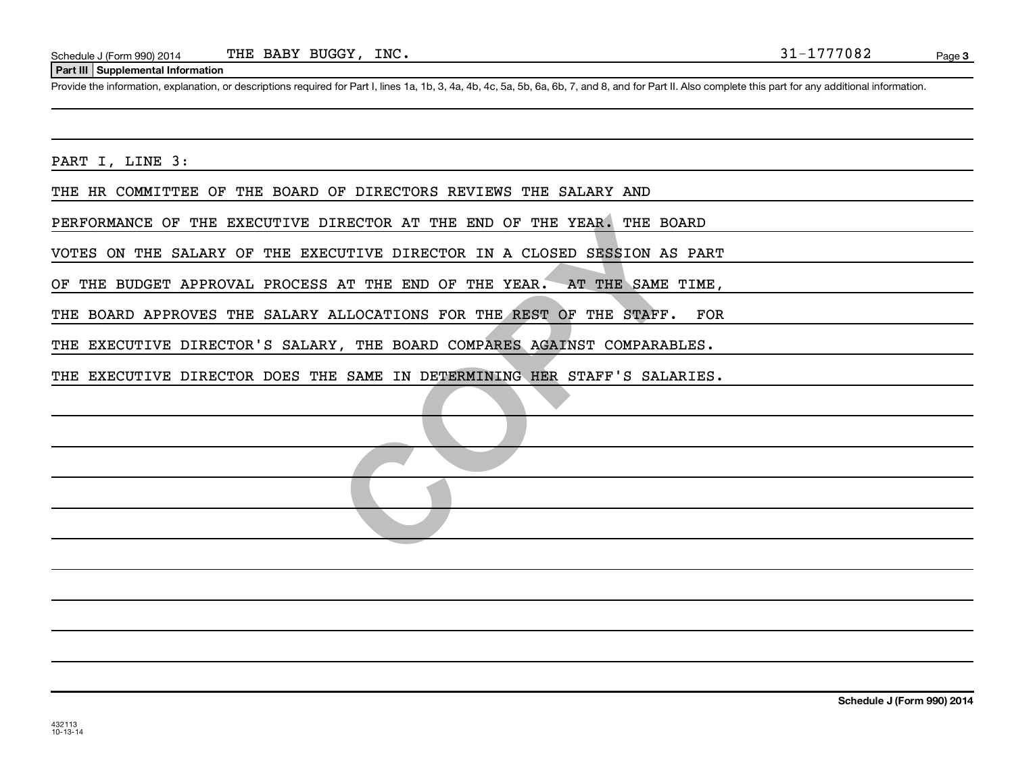### **Part III Supplemental Information**

Provide the information, explanation, or descriptions required for Part I, lines 1a, 1b, 3, 4a, 4b, 4c, 5a, 5b, 6a, 6b, 7, and 8, and for Part II. Also complete this part for any additional information.

PART I, LINE 3:

THE HR COMMITTEE OF THE BOARD OF DIRECTORS REVIEWS THE SALARY AND

PERFORMANCE OF THE EXECUTIVE DIRECTOR AT THE END OF THE YEAR. THE BOARD

IRECTOR AT THE END OF THE YEAR. THE BOJ<br>CUTIVE DIRECTOR IN A CLOSED SESSION AS<br>AT THE END OF THE YEAR. AT THE SAME '<br>ALLOCATIONS FOR THE REST OF THE STAFF.<br>I, THE BOARD COMPARES AGAINST COMPARABI<br>S SAME IN DETERMINING HER VOTES ON THE SALARY OF THE EXECUTIVE DIRECTOR IN A CLOSED SESSION AS PART

OF THE BUDGET APPROVAL PROCESS AT THE END OF THE YEAR. AT THE SAME TIME,

THE BOARD APPROVES THE SALARY ALLOCATIONS FOR THE REST OF THE STAFF. FOR

THE EXECUTIVE DIRECTOR'S SALARY, THE BOARD COMPARES AGAINST COMPARABLES.

THE EXECUTIVE DIRECTOR DOES THE SAME IN DETERMINING HER STAFF'S SALARIES.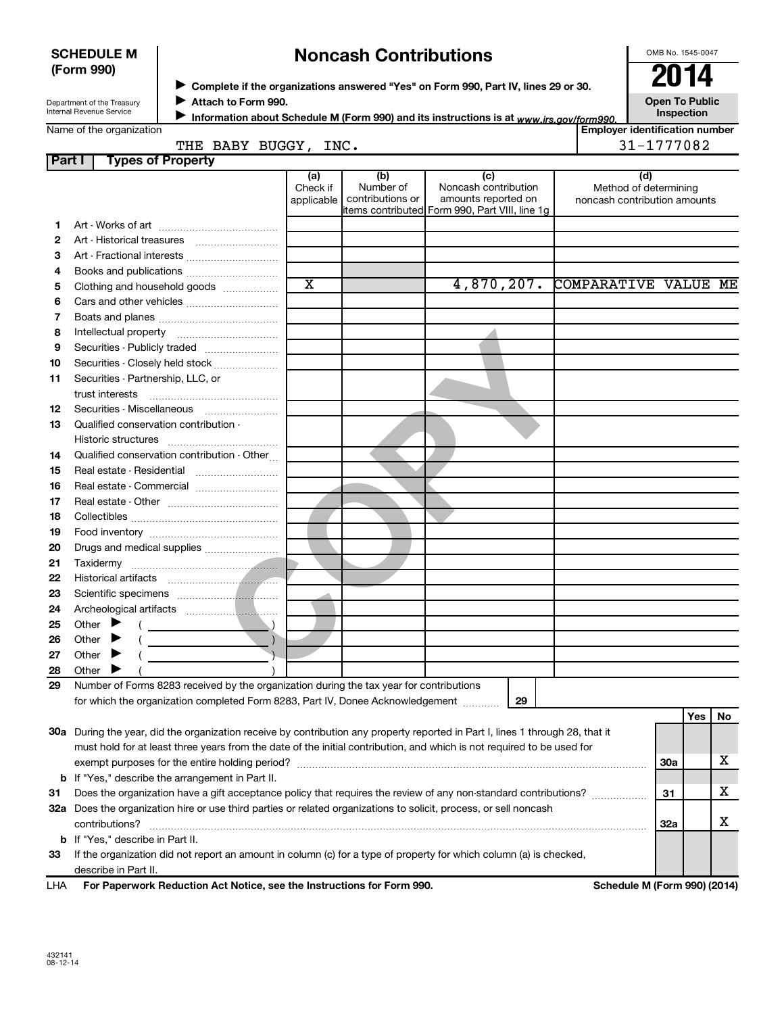| <b>SCHEDULE M</b> |  |
|-------------------|--|
| (Form 990)        |  |

# **Noncash Contributions**

OMB No. 1545-0047

| Department of the Treasury |
|----------------------------|
| Internal Revenue Service   |

◆ Complete if the organizations answered "Yes" on Form 990, Part IV, lines 29 or 30.<br>▶ Complete if the organizations answered "Yes" on Form 990, Part IV, lines 29 or 30. **Attach to Form 990.** J

**Open To Public**

Information about Schedule M (Form 990) and its instructions is at <sub>www.irs.gov/form990.</sub> Inspection ■ Information about Schedule M (Form 990) and its instructions is at <sub>www.irs.*gov/form990.*<br>Employer identification number |<br>Figure identification number |</sub> THE BABY BUGGY, INC. 2014 21-1777082

| Part I   | <b>Types of Property</b>                                                                                                       |                               |                                                                                        |                                                    |    |                                                       |            |     |    |
|----------|--------------------------------------------------------------------------------------------------------------------------------|-------------------------------|----------------------------------------------------------------------------------------|----------------------------------------------------|----|-------------------------------------------------------|------------|-----|----|
|          |                                                                                                                                | (a)<br>Check if<br>applicable | (b)<br>Number of<br>contributions or<br>items contributed Form 990, Part VIII, line 1g | (c)<br>Noncash contribution<br>amounts reported on |    | Method of determining<br>noncash contribution amounts | (d)        |     |    |
| 1.       |                                                                                                                                |                               |                                                                                        |                                                    |    |                                                       |            |     |    |
| 2        | Art - Historical treasures                                                                                                     |                               |                                                                                        |                                                    |    |                                                       |            |     |    |
| З        | Art - Fractional interests                                                                                                     |                               |                                                                                        |                                                    |    |                                                       |            |     |    |
| 4        |                                                                                                                                |                               |                                                                                        |                                                    |    |                                                       |            |     |    |
| 5        | Clothing and household goods                                                                                                   | X                             |                                                                                        |                                                    |    | 4,870,207. COMPARATIVE VALUE ME                       |            |     |    |
| 6        | Cars and other vehicles                                                                                                        |                               |                                                                                        |                                                    |    |                                                       |            |     |    |
| 7        |                                                                                                                                |                               |                                                                                        |                                                    |    |                                                       |            |     |    |
| 8        |                                                                                                                                |                               |                                                                                        |                                                    |    |                                                       |            |     |    |
| 9        | Securities - Publicly traded                                                                                                   |                               |                                                                                        |                                                    |    |                                                       |            |     |    |
| 10       | Securities - Closely held stock                                                                                                |                               |                                                                                        |                                                    |    |                                                       |            |     |    |
| 11       | Securities - Partnership, LLC, or                                                                                              |                               |                                                                                        |                                                    |    |                                                       |            |     |    |
|          | trust interests                                                                                                                |                               |                                                                                        |                                                    |    |                                                       |            |     |    |
| 12       | Securities - Miscellaneous                                                                                                     |                               |                                                                                        |                                                    |    |                                                       |            |     |    |
| 13       | Qualified conservation contribution -                                                                                          |                               |                                                                                        |                                                    |    |                                                       |            |     |    |
|          |                                                                                                                                |                               |                                                                                        |                                                    |    |                                                       |            |     |    |
|          | Qualified conservation contribution - Other                                                                                    |                               |                                                                                        |                                                    |    |                                                       |            |     |    |
| 14<br>15 | Real estate - Residential                                                                                                      |                               |                                                                                        |                                                    |    |                                                       |            |     |    |
|          |                                                                                                                                |                               |                                                                                        |                                                    |    |                                                       |            |     |    |
| 16       | Real estate - Commercial                                                                                                       |                               |                                                                                        |                                                    |    |                                                       |            |     |    |
| 17       |                                                                                                                                |                               |                                                                                        |                                                    |    |                                                       |            |     |    |
| 18       |                                                                                                                                |                               |                                                                                        |                                                    |    |                                                       |            |     |    |
| 19       |                                                                                                                                |                               |                                                                                        |                                                    |    |                                                       |            |     |    |
| 20       | Drugs and medical supplies                                                                                                     |                               |                                                                                        |                                                    |    |                                                       |            |     |    |
| 21       |                                                                                                                                |                               |                                                                                        |                                                    |    |                                                       |            |     |    |
| 22       |                                                                                                                                |                               |                                                                                        |                                                    |    |                                                       |            |     |    |
| 23       |                                                                                                                                |                               |                                                                                        |                                                    |    |                                                       |            |     |    |
| 24       |                                                                                                                                |                               |                                                                                        |                                                    |    |                                                       |            |     |    |
| 25       | Other $\blacktriangleright$                                                                                                    |                               |                                                                                        |                                                    |    |                                                       |            |     |    |
| 26       | Other                                                                                                                          |                               |                                                                                        |                                                    |    |                                                       |            |     |    |
| 27       | Other                                                                                                                          |                               |                                                                                        |                                                    |    |                                                       |            |     |    |
| 28       | Other                                                                                                                          |                               |                                                                                        |                                                    |    |                                                       |            |     |    |
| 29       | Number of Forms 8283 received by the organization during the tax year for contributions                                        |                               |                                                                                        |                                                    |    |                                                       |            |     |    |
|          | for which the organization completed Form 8283, Part IV, Donee Acknowledgement                                                 |                               |                                                                                        |                                                    | 29 |                                                       |            |     |    |
|          |                                                                                                                                |                               |                                                                                        |                                                    |    |                                                       |            | Yes | No |
|          | 30a During the year, did the organization receive by contribution any property reported in Part I, lines 1 through 28, that it |                               |                                                                                        |                                                    |    |                                                       |            |     |    |
|          | must hold for at least three years from the date of the initial contribution, and which is not required to be used for         |                               |                                                                                        |                                                    |    |                                                       |            |     |    |
|          |                                                                                                                                |                               |                                                                                        |                                                    |    |                                                       | 30a        |     | x. |
|          | <b>b</b> If "Yes," describe the arrangement in Part II.                                                                        |                               |                                                                                        |                                                    |    |                                                       |            |     |    |
| 31       | Does the organization have a gift acceptance policy that requires the review of any non-standard contributions?                |                               |                                                                                        |                                                    |    |                                                       | 31         |     | x  |
|          | 32a Does the organization hire or use third parties or related organizations to solicit, process, or sell noncash              |                               |                                                                                        |                                                    |    |                                                       |            |     |    |
|          | contributions?                                                                                                                 |                               |                                                                                        |                                                    |    |                                                       | <b>32a</b> |     | х  |
|          | <b>b</b> If "Yes," describe in Part II.                                                                                        |                               |                                                                                        |                                                    |    |                                                       |            |     |    |
| 33       | If the organization did not report an amount in column (c) for a type of property for which column (a) is checked,             |                               |                                                                                        |                                                    |    |                                                       |            |     |    |
|          | describe in Part II.                                                                                                           |                               |                                                                                        |                                                    |    |                                                       |            |     |    |
| LHA      | For Paperwork Reduction Act Notice, see the Instructions for Form 990.                                                         |                               |                                                                                        |                                                    |    | <b>Schedule M (Form 990) (2014)</b>                   |            |     |    |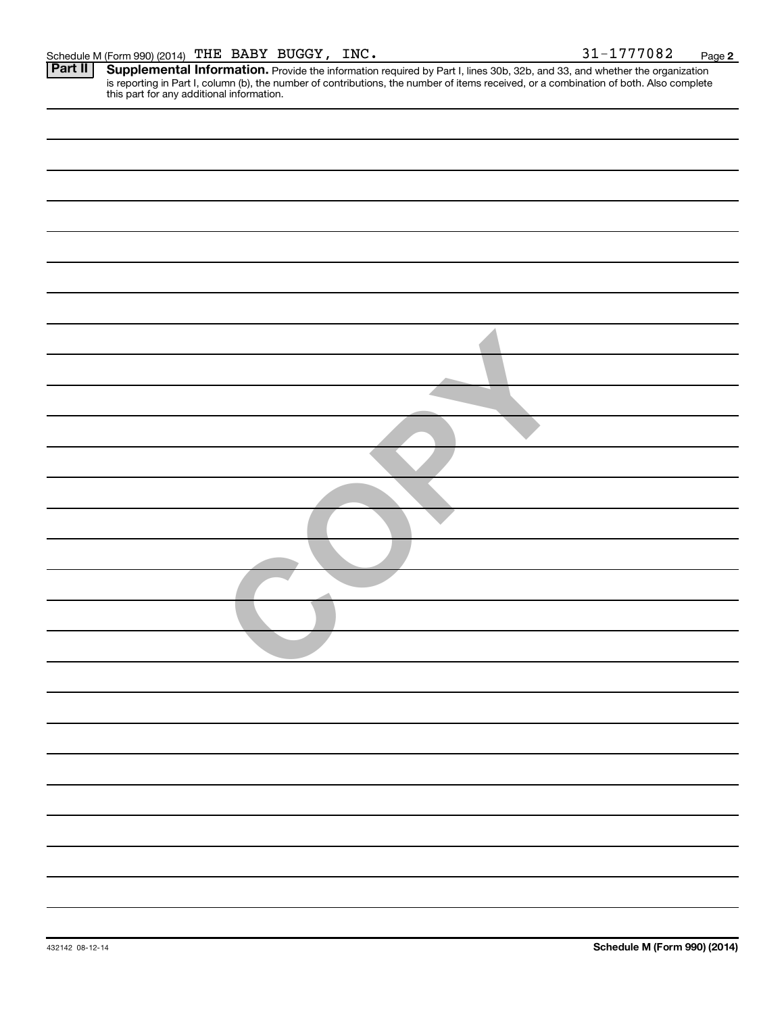**2**

Provide the information required by Part I, lines 30b, 32b, and 33, and whether the organization is reporting in Part I, column (b), the number of contributions, the number of items received, or a combination of both. Also complete this part for any additional information. **Part II Supplemental Information.**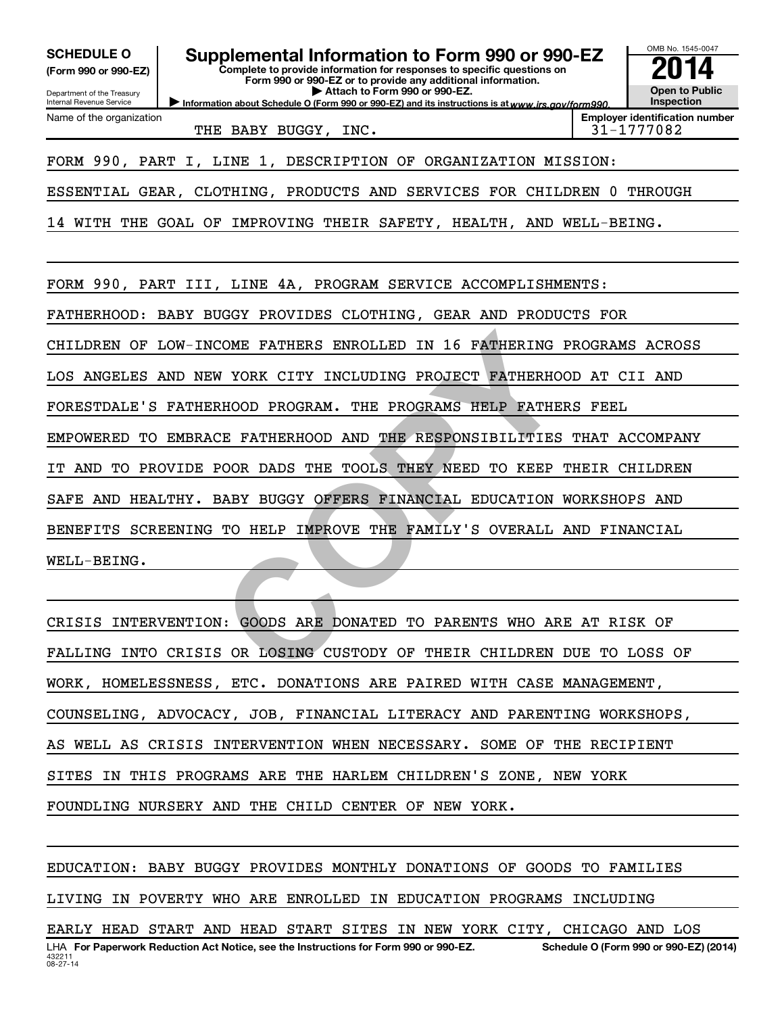COME FATHERS ENROLLED IN 16 FATHERING IN YORK CITY INCLUDING PROJECT FATHERHOOD<br>RHOOD PROGRAM. THE PROGRAMS HELP FATHER<br>CE FATHERHOOD AND THE RESPONSIBILITIES<br>POOR DADS THE TOOLS THEY NEED TO KEEP !<br>BABY BUGGY OFFERS FINAN OMB No. 1545-0047 Department of the Treasury Internal Revenue Service Information about Schedule O (Form 990 or 990-EZ) and its instructions is at www.irs.gov/form990. **Complete to provide information for responses to specific questions on Form 990 or 990-EZ or to provide any additional information. | Attach to Form 990 or 990-EZ. (Form 990 or 990-EZ) Open to Public Inspection Employer identification number** Name of the organization **SCHEDULE O Supplemental Information to Form 990 or 990-EZ 2014**<br>(Form 990 or 990-EZ) Complete to provide information for responses to specific questions on THE BABY BUGGY, INC. 31-1777082 FORM 990, PART I, LINE 1, DESCRIPTION OF ORGANIZATION MISSION: ESSENTIAL GEAR, CLOTHING, PRODUCTS AND SERVICES FOR CHILDREN 0 THROUGH 14 WITH THE GOAL OF IMPROVING THEIR SAFETY, HEALTH, AND WELL-BEING. FORM 990, PART III, LINE 4A, PROGRAM SERVICE ACCOMPLISHMENTS: FATHERHOOD: BABY BUGGY PROVIDES CLOTHING, GEAR AND PRODUCTS FOR CHILDREN OF LOW-INCOME FATHERS ENROLLED IN 16 FATHERING PROGRAMS ACROSS LOS ANGELES AND NEW YORK CITY INCLUDING PROJECT FATHERHOOD AT CII AND FORESTDALE'S FATHERHOOD PROGRAM. THE PROGRAMS HELP FATHERS FEEL EMPOWERED TO EMBRACE FATHERHOOD AND THE RESPONSIBILITIES THAT ACCOMPANY IT AND TO PROVIDE POOR DADS THE TOOLS THEY NEED TO KEEP THEIR CHILDREN SAFE AND HEALTHY. BABY BUGGY OFFERS FINANCIAL EDUCATION WORKSHOPS AND BENEFITS SCREENING TO HELP IMPROVE THE FAMILY'S OVERALL AND FINANCIAL WELL-BEING. CRISIS INTERVENTION: GOODS ARE DONATED TO PARENTS WHO ARE AT RISK OF FALLING INTO CRISIS OR LOSING CUSTODY OF THEIR CHILDREN DUE TO LOSS OF

WORK, HOMELESSNESS, ETC. DONATIONS ARE PAIRED WITH CASE MANAGEMENT,

COUNSELING, ADVOCACY, JOB, FINANCIAL LITERACY AND PARENTING WORKSHOPS,

AS WELL AS CRISIS INTERVENTION WHEN NECESSARY. SOME OF THE RECIPIENT

SITES IN THIS PROGRAMS ARE THE HARLEM CHILDREN'S ZONE, NEW YORK

FOUNDLING NURSERY AND THE CHILD CENTER OF NEW YORK.

432211 08-27-14 LHA For Paperwork Reduction Act Notice, see the Instructions for Form 990 or 990-EZ. Schedule O (Form 990 or 990-EZ) (2014) EDUCATION: BABY BUGGY PROVIDES MONTHLY DONATIONS OF GOODS TO FAMILIES LIVING IN POVERTY WHO ARE ENROLLED IN EDUCATION PROGRAMS INCLUDING EARLY HEAD START AND HEAD START SITES IN NEW YORK CITY, CHICAGO AND LOS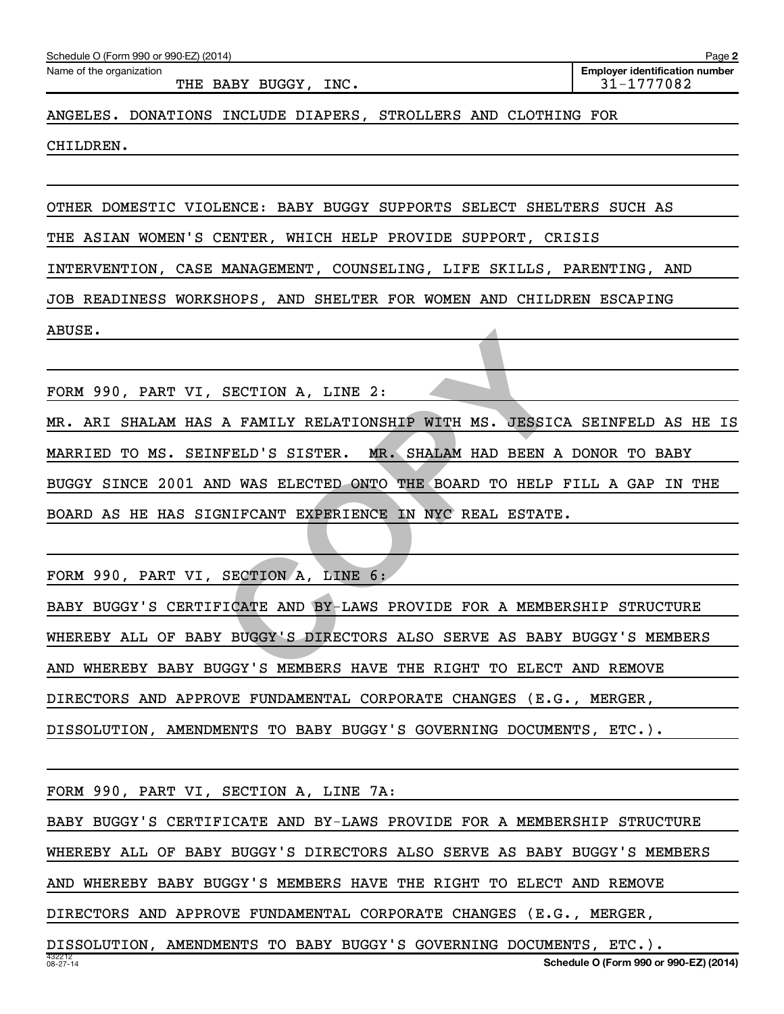| Name of the organization<br>THE BABY BUGGY, INC.                                          | <b>Employer identification number</b><br>31-1777082 |
|-------------------------------------------------------------------------------------------|-----------------------------------------------------|
| ANGELES. DONATIONS INCLUDE DIAPERS, STROLLERS AND CLOTHING FOR                            |                                                     |
| CHILDREN.                                                                                 |                                                     |
|                                                                                           |                                                     |
| OTHER DOMESTIC VIOLENCE: BABY BUGGY SUPPORTS SELECT SHELTERS SUCH AS                      |                                                     |
| THE ASIAN WOMEN'S CENTER, WHICH HELP PROVIDE SUPPORT, CRISIS                              |                                                     |
| INTERVENTION, CASE MANAGEMENT, COUNSELING, LIFE SKILLS, PARENTING, AND                    |                                                     |
| JOB READINESS WORKSHOPS, AND SHELTER FOR WOMEN AND CHILDREN ESCAPING                      |                                                     |
| ABUSE.                                                                                    |                                                     |
| FORM 990, PART VI, SECTION A, LINE 2:                                                     |                                                     |
| MR. ARI SHALAM HAS A FAMILY RELATIONSHIP WITH MS.                                         | JESSICA SEINFELD AS HE IS                           |
| MARRIED TO MS. SEINFELD'S SISTER. MR. SHALAM HAD BEEN A DONOR TO BABY                     |                                                     |
| BUGGY SINCE 2001 AND WAS ELECTED ONTO THE BOARD TO HELP FILL A GAP IN THE                 |                                                     |
| BOARD AS HE HAS SIGNIFCANT EXPERIENCE IN NYC REAL ESTATE.                                 |                                                     |
|                                                                                           |                                                     |
| FORM 990, PART VI, SECTION A, LINE 6:                                                     |                                                     |
| BABY BUGGY'S CERTIFICATE AND BY-LAWS PROVIDE FOR A MEMBERSHIP STRUCTURE                   |                                                     |
| WHEREBY ALL OF BABY BUGGY'S DIRECTORS ALSO SERVE AS BABY BUGGY'S MEMBERS                  |                                                     |
| AND WHEREBY BABY BUGGY'S MEMBERS HAVE THE RIGHT TO ELECT AND REMOVE                       |                                                     |
| DIRECTORS AND APPROVE FUNDAMENTAL CORPORATE CHANGES (E.G., MERGER,                        |                                                     |
| DISSOLUTION, AMENDMENTS TO BABY BUGGY'S GOVERNING DOCUMENTS, ETC.).                       |                                                     |
|                                                                                           |                                                     |
| FORM 990, PART VI, SECTION A, LINE 7A:                                                    |                                                     |
| BABY BUGGY'S CERTIFICATE AND BY-LAWS PROVIDE FOR A MEMBERSHIP STRUCTURE                   |                                                     |
| WHEREBY ALL OF BABY BUGGY'S DIRECTORS ALSO SERVE AS BABY BUGGY'S MEMBERS                  |                                                     |
| AND WHEREBY BABY BUGGY'S MEMBERS HAVE THE RIGHT TO ELECT AND REMOVE                       |                                                     |
| DIRECTORS AND APPROVE FUNDAMENTAL CORPORATE CHANGES (E.G., MERGER,                        |                                                     |
| DISSOLUTION, AMENDMENTS TO BABY BUGGY'S GOVERNING DOCUMENTS, ETC.).<br>432212<br>08-27-14 |                                                     |
|                                                                                           | Schedule O (Form 990 or 990-EZ) (2014)              |

Schedule O (Form 990 or 990-EZ) (2014)

**2**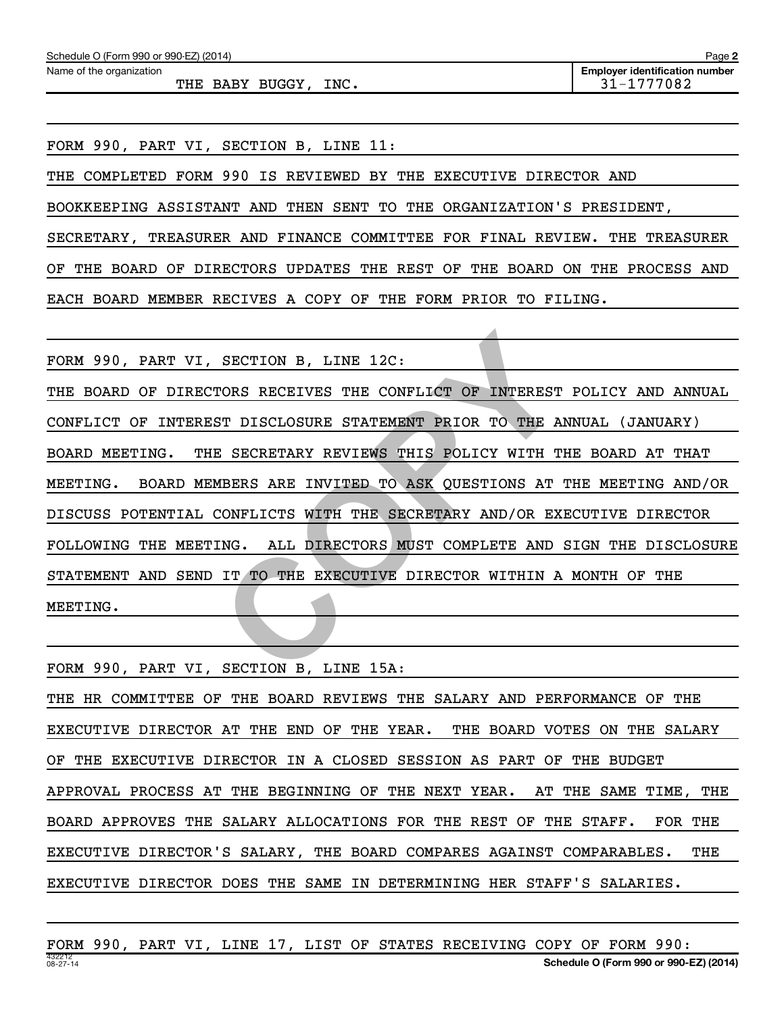THE BABY BUGGY, INC.  $31-1777082$ 

FORM 990, PART VI, SECTION B, LINE 11:

THE COMPLETED FORM 990 IS REVIEWED BY THE EXECUTIVE DIRECTOR AND

BOOKKEEPING ASSISTANT AND THEN SENT TO THE ORGANIZATION'S PRESIDENT,

SECRETARY, TREASURER AND FINANCE COMMITTEE FOR FINAL REVIEW. THE TREASURER OF THE BOARD OF DIRECTORS UPDATES THE REST OF THE BOARD ON THE PROCESS AND EACH BOARD MEMBER RECIVES A COPY OF THE FORM PRIOR TO FILING.

FORM 990, PART VI, SECTION B, LINE 12C:

SECTION B, LINE 12C:<br>
FORS RECEIVES THE CONFLICT OF INTEREST<br>
ST DISCLOSURE STATEMENT PRIOR TO THE AN<br>
SECRETARY REVIEWS THIS POLICY WITH TH<br>
HEERS ARE INVITED TO ASK QUESTIONS AT TO<br>
CONFLICTS WITH THE SECRETARY AND/OR EX THE BOARD OF DIRECTORS RECEIVES THE CONFLICT OF INTEREST POLICY AND ANNUAL CONFLICT OF INTEREST DISCLOSURE STATEMENT PRIOR TO THE ANNUAL (JANUARY) BOARD MEETING. THE SECRETARY REVIEWS THIS POLICY WITH THE BOARD AT THAT MEETING. BOARD MEMBERS ARE INVITED TO ASK QUESTIONS AT THE MEETING AND/OR DISCUSS POTENTIAL CONFLICTS WITH THE SECRETARY AND/OR EXECUTIVE DIRECTOR FOLLOWING THE MEETING. ALL DIRECTORS MUST COMPLETE AND SIGN THE DISCLOSURE STATEMENT AND SEND IT TO THE EXECUTIVE DIRECTOR WITHIN A MONTH OF THE MEETING.

FORM 990, PART VI, SECTION B, LINE 15A: THE HR COMMITTEE OF THE BOARD REVIEWS THE SALARY AND PERFORMANCE OF THE EXECUTIVE DIRECTOR AT THE END OF THE YEAR. THE BOARD VOTES ON THE SALARY OF THE EXECUTIVE DIRECTOR IN A CLOSED SESSION AS PART OF THE BUDGET APPROVAL PROCESS AT THE BEGINNING OF THE NEXT YEAR. AT THE SAME TIME, THE BOARD APPROVES THE SALARY ALLOCATIONS FOR THE REST OF THE STAFF. FOR THE EXECUTIVE DIRECTOR'S SALARY, THE BOARD COMPARES AGAINST COMPARABLES. THE EXECUTIVE DIRECTOR DOES THE SAME IN DETERMINING HER STAFF'S SALARIES.

FORM 990, PART VI, LINE 17, LIST OF STATES RECEIVING COPY OF FORM 990: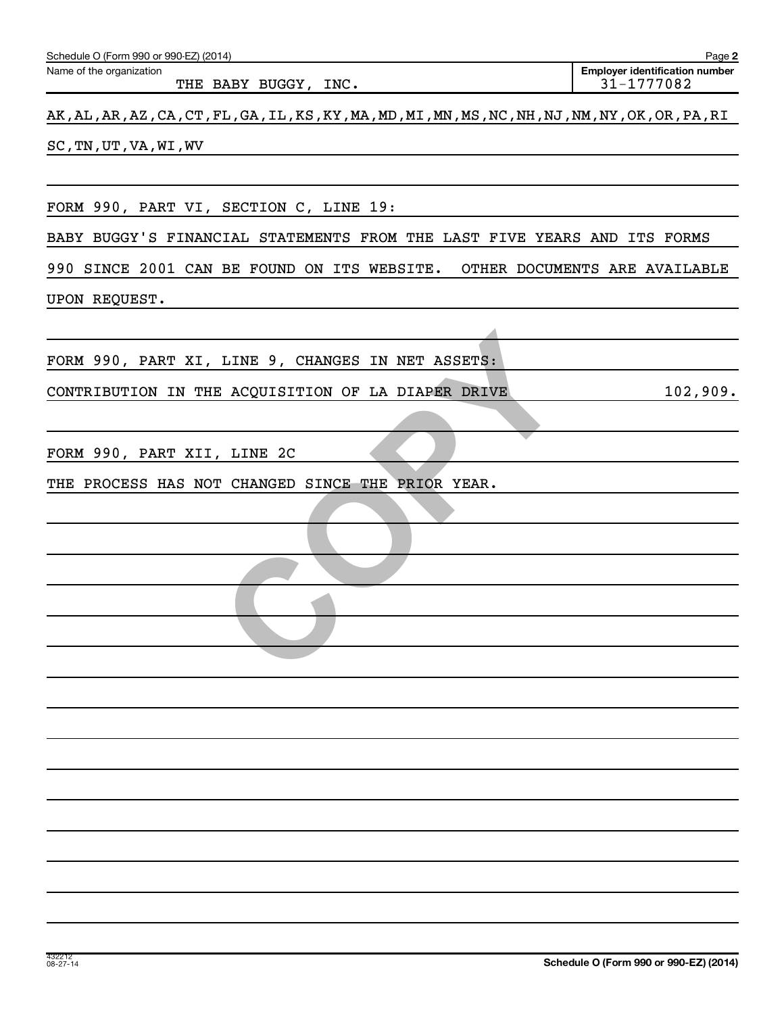| Schedule O (Form 990 or 990-EZ) (2014)                                                             | Page 2                                              |
|----------------------------------------------------------------------------------------------------|-----------------------------------------------------|
| Name of the organization<br>THE BABY BUGGY, INC.                                                   | <b>Employer identification number</b><br>31-1777082 |
| AK, AL, AR, AZ, CA, CT, FL, GA, IL, KS, KY, MA, MD, MI, MN, MS, NC, NH, NJ, NM, NY, OK, OR, PA, RI |                                                     |
| SC, TN, UT, VA, WI, WV                                                                             |                                                     |
|                                                                                                    |                                                     |
| FORM 990, PART VI, SECTION C, LINE 19:                                                             |                                                     |
| BABY BUGGY'S FINANCIAL STATEMENTS FROM THE LAST FIVE YEARS AND ITS FORMS                           |                                                     |
| 990 SINCE 2001 CAN BE FOUND ON ITS WEBSITE.                                                        | OTHER DOCUMENTS ARE AVAILABLE                       |
| UPON REQUEST.                                                                                      |                                                     |
|                                                                                                    |                                                     |
| FORM 990, PART XI, LINE 9, CHANGES IN NET ASSETS:                                                  |                                                     |
| CONTRIBUTION IN THE ACQUISITION OF LA DIAPER DRIVE                                                 | 102,909.                                            |
|                                                                                                    |                                                     |
| FORM 990, PART XII, LINE 2C                                                                        |                                                     |
| THE PROCESS HAS NOT CHANGED SINCE THE PRIOR YEAR.                                                  |                                                     |
|                                                                                                    |                                                     |
|                                                                                                    |                                                     |
|                                                                                                    |                                                     |
|                                                                                                    |                                                     |
|                                                                                                    |                                                     |
|                                                                                                    |                                                     |
|                                                                                                    |                                                     |
|                                                                                                    |                                                     |
|                                                                                                    |                                                     |
|                                                                                                    |                                                     |
|                                                                                                    |                                                     |
|                                                                                                    |                                                     |
|                                                                                                    |                                                     |
|                                                                                                    |                                                     |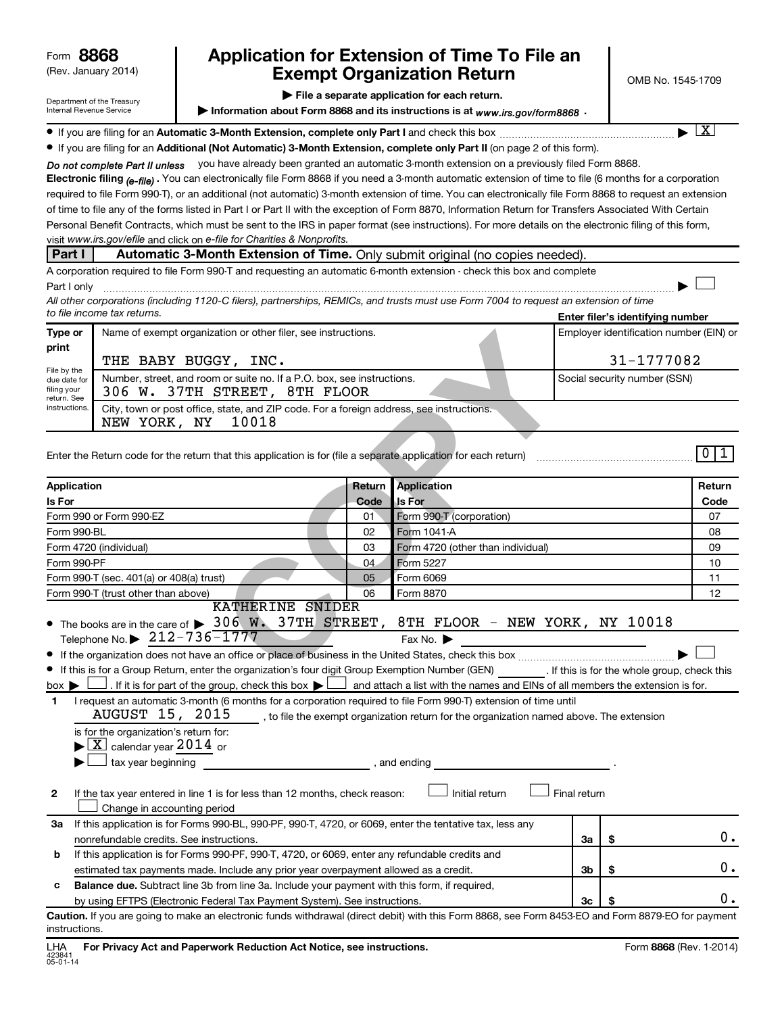# (Rev. January 2014) **Cxempt Organization Return** Manuary 2014) **CMB No. 1545-1709 Rorm 8868 18868 Application for Extension of Time To File an<br>Rev. January 2014) <b>Application Fyempt Organization Return**

**| File a separate application for each return.**

† X

 $\Box$ 

| Department of the Treasury |
|----------------------------|
| Internal Revenue Service   |

▶ Information about Form 8868 and its instructions is at www*.irs.gov/form8868* ⋅

**If you are filing for an Automatic 3-Month Extension, complete only Part I** and check this box  $\ldots$  $\ldots$  $\ldots$  $\ldots$  $\ldots$ 

**• If you are filing for an Additional (Not Automatic) 3-Month Extension, complete only Part II (on page 2 of this form).** 

**Electronic filing <sub>(e-file)</sub> .** You can electronically file Form 8868 if you need a 3-month automatic extension of time to file (6 months for a corporation visit www.irs.gov/efile and click on e-file for Charities & Nonprofits. Do not complete Part II unless vou have already been granted an automatic 3-month extension on a previously filed Form 8868. required to file Form 990-T), or an additional (not automatic) 3-month extension of time. You can electronically file Form 8868 to request an extension of time to file any of the forms listed in Part I or Part II with the exception of Form 8870, Information Return for Transfers Associated With Certain Personal Benefit Contracts, which must be sent to the IRS in paper format (see instructions). For more details on the electronic filing of this form,

# **Part I** Automatic 3-Month Extension of Time. Only submit original (no copies needed)

A corporation required to file Form 990-T and requesting an automatic 6-month extension - check this box and complete Part I only ~~~~~~~~~~~~~~~~~~~~~~~~~~~~~~~~~~~~~~~~~~~~~~~~~~~~~~~~~~~~~~ |

**Enter filer's identifying number** *All other corporations (including 1120-C filers), partnerships, REMICs, and trusts must use Form 7004 to request an extension of time to file income tax returns.*

| Type or                                                   | Name of exempt organization or other filer, see instructions.                                                           | Employer identification number (EIN) or |
|-----------------------------------------------------------|-------------------------------------------------------------------------------------------------------------------------|-----------------------------------------|
| print                                                     | THE BABY BUGGY, INC.                                                                                                    | 31-1777082                              |
| File by the<br>due date for<br>filing your<br>return. See | Number, street, and room or suite no. If a P.O. box, see instructions.<br>306 W. 37TH STREET, 8TH FLOOR                 | Social security number (SSN)            |
| instructions.                                             | City, town or post office, state, and ZIP code. For a foreign address, see instructions.<br>10018<br>NY<br>YORK,<br>NEW |                                         |

| Enter the Return code for the return that this application is for (file a separate application for each return) |
|-----------------------------------------------------------------------------------------------------------------|
|-----------------------------------------------------------------------------------------------------------------|

| Type or                                                                                                                                                                                                                               | Name of exempt organization or other filer, see instructions.                                                                                                                 |        |                                   | Employer identification number (EIN) or |        |
|---------------------------------------------------------------------------------------------------------------------------------------------------------------------------------------------------------------------------------------|-------------------------------------------------------------------------------------------------------------------------------------------------------------------------------|--------|-----------------------------------|-----------------------------------------|--------|
| print                                                                                                                                                                                                                                 | 31-1777082<br>THE BABY BUGGY, INC.<br>Number, street, and room or suite no. If a P.O. box, see instructions.<br>Social security number (SSN)<br>306 W. 37TH STREET, 8TH FLOOR |        |                                   |                                         |        |
| File by the<br>due date for<br>filing your<br>return. See                                                                                                                                                                             |                                                                                                                                                                               |        |                                   |                                         |        |
| instructions.<br>City, town or post office, state, and ZIP code. For a foreign address, see instructions.<br>NEW YORK, NY 10018                                                                                                       |                                                                                                                                                                               |        |                                   |                                         |        |
|                                                                                                                                                                                                                                       |                                                                                                                                                                               |        |                                   |                                         | 011    |
| Application                                                                                                                                                                                                                           |                                                                                                                                                                               | Return | <b>Application</b>                |                                         | Return |
| <b>Is For</b>                                                                                                                                                                                                                         |                                                                                                                                                                               | Code   | <b>Is For</b>                     |                                         | Code   |
|                                                                                                                                                                                                                                       | Form 990 or Form 990-EZ                                                                                                                                                       | 01     | Form 990-T (corporation)          |                                         | 07     |
| Form 990-BL                                                                                                                                                                                                                           |                                                                                                                                                                               | 02     | Form 1041-A                       |                                         | 08     |
|                                                                                                                                                                                                                                       | Form 4720 (individual)                                                                                                                                                        | 03     | Form 4720 (other than individual) |                                         | 09     |
| Form 990-PF                                                                                                                                                                                                                           |                                                                                                                                                                               | 04     | Form 5227                         |                                         | 10     |
|                                                                                                                                                                                                                                       | Form 990-T (sec. 401(a) or 408(a) trust)                                                                                                                                      | 05     | Form 6069                         |                                         | 11     |
|                                                                                                                                                                                                                                       | Form 990-T (trust other than above)                                                                                                                                           | 06     | Form 8870                         |                                         | 12     |
|                                                                                                                                                                                                                                       | KATHERINE SNIDER                                                                                                                                                              |        |                                   |                                         |        |
|                                                                                                                                                                                                                                       | • The books are in the care of > 306 W. 37TH STREET, 8TH FLOOR - NEW YORK, NY 10018                                                                                           |        |                                   |                                         |        |
|                                                                                                                                                                                                                                       | Telephone No. $\triangleright$ 212-736-1777                                                                                                                                   |        | Fax No. $\blacktriangleright$     |                                         |        |
|                                                                                                                                                                                                                                       |                                                                                                                                                                               |        |                                   |                                         |        |
|                                                                                                                                                                                                                                       | If this is for a Group Return, enter the organization's four digit Group Exemption Number (GEN) [If this is for the whole group, check this                                   |        |                                   |                                         |        |
| $box \blacktriangleright$ l                                                                                                                                                                                                           | In the step step space of the group, check this box $\blacktriangleright$ and attach a list with the names and EINs of all members the extension is for.                      |        |                                   |                                         |        |
| I request an automatic 3-month (6 months for a corporation required to file Form 990-T) extension of time until<br>1<br>AUGUST $15$ , $2015$ , to file the exempt organization return for the organization named above. The extension |                                                                                                                                                                               |        |                                   |                                         |        |
|                                                                                                                                                                                                                                       | is for the organization's return for:<br>$\blacktriangleright$ $\boxed{\text{X}}$ calendar year 2014 or                                                                       |        |                                   |                                         |        |
|                                                                                                                                                                                                                                       | $\hspace{1.5cm}$ tax year beginning $\hspace{1.5cm}$ , and ending $\hspace{1.5cm}$                                                                                            |        |                                   |                                         |        |
| $\mathbf{2}$                                                                                                                                                                                                                          | Initial return<br>Final return<br>If the tax year entered in line 1 is for less than 12 months, check reason:<br>Change in accounting period                                  |        |                                   |                                         |        |

| За | If this application is for Forms 990-BL, 990-PF, 990-T, 4720, or 6069, enter the tentative tax, less any |                |  |  |
|----|----------------------------------------------------------------------------------------------------------|----------------|--|--|
|    | nonrefundable credits. See instructions.                                                                 | За             |  |  |
| b  | If this application is for Forms 990-PF, 990-T, 4720, or 6069, enter any refundable credits and          |                |  |  |
|    | estimated tax payments made. Include any prior year overpayment allowed as a credit.                     | 3 <sub>b</sub> |  |  |
| c. | Balance due. Subtract line 3b from line 3a. Include your payment with this form, if required,            |                |  |  |

by using EFTPS (Electronic Federal Tax Payment System). See instructions.

**Caution.**  If you are going to make an electronic funds withdrawal (direct debit) with this Form 8868, see Form 8453-EO and Form 8879-EO for payment instructions.

0.

**3c**

**\$**